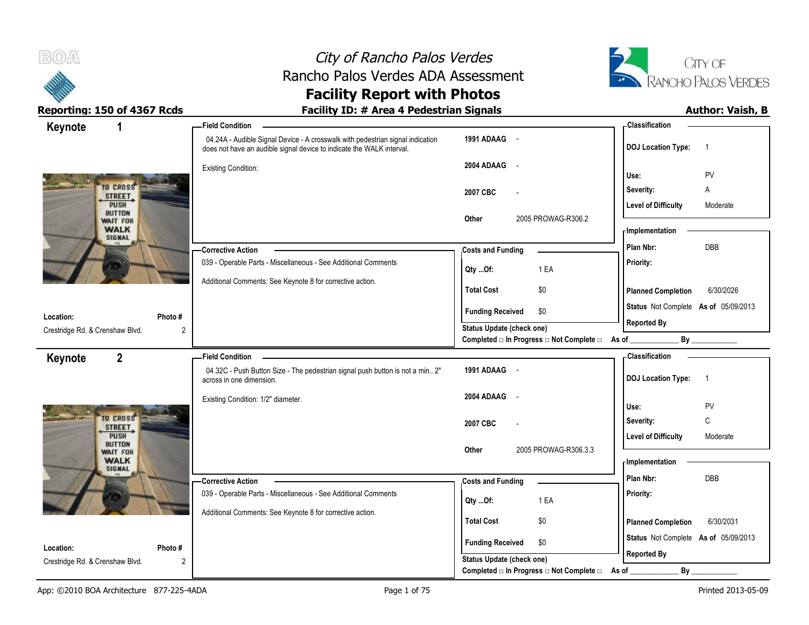



| Keynote<br>1                     | -Field Condition                                                                                                                                        |                                                                       | - Classification                            |
|----------------------------------|---------------------------------------------------------------------------------------------------------------------------------------------------------|-----------------------------------------------------------------------|---------------------------------------------|
|                                  | 04.24A - Audible Signal Device - A crosswalk with pedestrian signal indication<br>does not have an audible signal device to indicate the WALK interval. | 1991 ADAAG -                                                          | <b>DOJ</b> Location Type:<br>$\overline{1}$ |
|                                  | <b>Existing Condition:</b>                                                                                                                              | 2004 ADAAG<br>$\sim$                                                  | PV<br>Use:                                  |
| <b>TO CROSS</b>                  |                                                                                                                                                         | 2007 CBC                                                              | Severity:<br>Α                              |
| STREET,<br>PUSH                  |                                                                                                                                                         |                                                                       | <b>Level of Difficulty</b><br>Moderate      |
| <b>BUTTON</b><br><b>WAIT FOR</b> |                                                                                                                                                         | 2005 PROWAG-R306.2<br>Other                                           |                                             |
| <b>WALK</b><br>SIGNAL            |                                                                                                                                                         |                                                                       | - Implementation                            |
|                                  | <b>Corrective Action</b>                                                                                                                                | <b>Costs and Funding</b>                                              | <b>DBB</b><br>Plan Nbr:                     |
|                                  | 039 - Operable Parts - Miscellaneous - See Additional Comments                                                                                          | 1 EA<br>Qty Of:                                                       | Priority:                                   |
|                                  | Additional Comments: See Keynote 8 for corrective action.                                                                                               | \$0<br><b>Total Cost</b>                                              | <b>Planned Completion</b><br>6/30/2026      |
|                                  |                                                                                                                                                         | <b>Funding Received</b><br>\$0                                        | Status Not Complete As of 05/09/2013        |
| Location:                        | Photo #                                                                                                                                                 | <b>Status Update (check one)</b>                                      | <b>Reported By</b>                          |
| Crestridge Rd. & Crenshaw Blvd.  | $\overline{2}$                                                                                                                                          | Completed □ In Progress □ Not Complete □ As of _                      | By                                          |
| $\overline{2}$<br>Keynote        | <b>Field Condition</b>                                                                                                                                  |                                                                       | - Classification                            |
|                                  | 04.32C - Push Button Size - The pedestrian signal push button is not a min 2"                                                                           | 1991 ADAAG -                                                          |                                             |
|                                  | across in one dimension.                                                                                                                                |                                                                       | <b>DOJ Location Type:</b><br>$\overline{1}$ |
|                                  | Existing Condition: 1/2" diameter.                                                                                                                      | 2004 ADAAG<br>$\sim$                                                  |                                             |
|                                  |                                                                                                                                                         |                                                                       | PV<br>Use:                                  |
| TO CROSS<br><b>STREET</b>        |                                                                                                                                                         | 2007 CBC                                                              | C<br>Severity:                              |
| PUSH<br><b>BUTTON</b>            |                                                                                                                                                         |                                                                       | <b>Level of Difficulty</b><br>Moderate      |
| WAIT FOR<br><b>WALK</b>          |                                                                                                                                                         | 2005 PROWAG-R306.3.3<br>Other                                         | - Implementation                            |
| SIGNAL                           | -Corrective Action                                                                                                                                      |                                                                       | Plan Nbr:<br>DBB                            |
|                                  | 039 - Operable Parts - Miscellaneous - See Additional Comments                                                                                          | <b>Costs and Funding</b>                                              | Priority:                                   |
|                                  | Additional Comments: See Keynote 8 for corrective action.                                                                                               | 1 EA<br>Qty Of:                                                       |                                             |
|                                  |                                                                                                                                                         | <b>Total Cost</b><br>\$0                                              | 6/30/2031<br><b>Planned Completion</b>      |
| Location:                        | Photo #                                                                                                                                                 | <b>Funding Received</b><br>\$0                                        | Status Not Complete As of 05/09/2013        |
| Crestridge Rd. & Crenshaw Blvd.  | 2                                                                                                                                                       | Status Update (check one)<br>Completed □ In Progress □ Not Complete □ | <b>Reported By</b><br>By                    |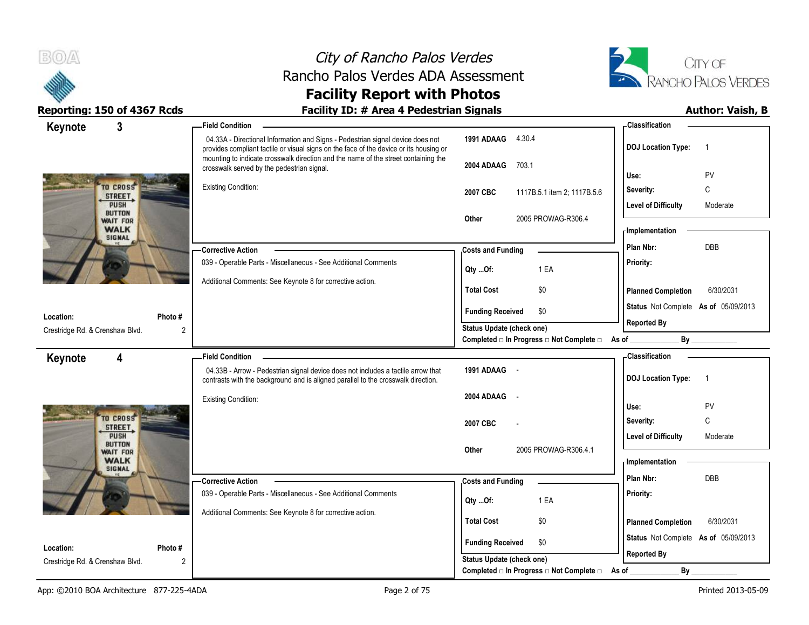



| 3<br>Keynote                                                | <b>Field Condition</b>                                                                                                                                                   |                                                             | - Classification                            |
|-------------------------------------------------------------|--------------------------------------------------------------------------------------------------------------------------------------------------------------------------|-------------------------------------------------------------|---------------------------------------------|
|                                                             | 04.33A - Directional Information and Signs - Pedestrian signal device does not<br>provides compliant tactile or visual signs on the face of the device or its housing or | 1991 ADAAG 4.30.4                                           | <b>DOJ</b> Location Type:<br>$\overline{1}$ |
|                                                             | mounting to indicate crosswalk direction and the name of the street containing the<br>crosswalk served by the pedestrian signal.                                         | 2004 ADAAG<br>703.1                                         | PV<br>Use:                                  |
| TO CROSS                                                    | <b>Existing Condition:</b>                                                                                                                                               | 2007 CBC<br>1117B.5.1 item 2; 1117B.5.6                     | C<br>Severity:                              |
| <b>STREET</b><br><b>PUSH</b>                                |                                                                                                                                                                          |                                                             | <b>Level of Difficulty</b><br>Moderate      |
| <b>BUTTON</b><br>WAIT FOR                                   |                                                                                                                                                                          | 2005 PROWAG-R306.4<br>Other                                 |                                             |
| <b>WALK</b><br>SIGNAL                                       |                                                                                                                                                                          |                                                             | <b>Implementation</b>                       |
|                                                             | -Corrective Action                                                                                                                                                       | <b>Costs and Funding</b>                                    | Plan Nbr:<br><b>DBB</b>                     |
|                                                             | 039 - Operable Parts - Miscellaneous - See Additional Comments                                                                                                           | 1 EA<br>Qty Of:                                             | Priority:                                   |
|                                                             | Additional Comments: See Keynote 8 for corrective action.                                                                                                                | <b>Total Cost</b><br>\$0                                    | <b>Planned Completion</b><br>6/30/2031      |
|                                                             |                                                                                                                                                                          | <b>Funding Received</b><br>\$0                              | Status Not Complete As of 05/09/2013        |
| Location:<br>Photo #                                        |                                                                                                                                                                          | Status Update (check one)                                   | <b>Reported By</b>                          |
| $\overline{2}$<br>Crestridge Rd. & Crenshaw Blvd.           |                                                                                                                                                                          | Completed □ In Progress □ Not Complete □ As of              |                                             |
| Keynote<br>4                                                | - Field Condition                                                                                                                                                        |                                                             | - Classification                            |
|                                                             | 04.33B - Arrow - Pedestrian signal device does not includes a tactile arrow that<br>contrasts with the background and is aligned parallel to the crosswalk direction.    | 1991 ADAAG -                                                | <b>DOJ</b> Location Type:<br>$\overline{1}$ |
|                                                             | <b>Existing Condition:</b>                                                                                                                                               | 2004 ADAAG<br>$\sim$                                        |                                             |
| <b>TO CROSS</b>                                             |                                                                                                                                                                          |                                                             | PV<br>Use:                                  |
| STREET,                                                     |                                                                                                                                                                          | 2007 CBC                                                    | C<br>Severity:                              |
|                                                             |                                                                                                                                                                          |                                                             |                                             |
| PUSH<br><b>BUTTON</b>                                       |                                                                                                                                                                          |                                                             | <b>Level of Difficulty</b><br>Moderate      |
| WAIT FOR<br><b>WALK</b>                                     |                                                                                                                                                                          | 2005 PROWAG-R306.4.1<br>Other                               |                                             |
| <b>SIGNAL</b>                                               |                                                                                                                                                                          |                                                             | - Implementation                            |
|                                                             | <b>Corrective Action</b>                                                                                                                                                 | <b>Costs and Funding</b>                                    | Plan Nbr:<br>DBB                            |
|                                                             | 039 - Operable Parts - Miscellaneous - See Additional Comments                                                                                                           | 1 EA<br>Qty Of:                                             | Priority:                                   |
|                                                             | Additional Comments: See Keynote 8 for corrective action.                                                                                                                | \$0<br><b>Total Cost</b>                                    | 6/30/2031<br><b>Planned Completion</b>      |
|                                                             |                                                                                                                                                                          |                                                             | Status Not Complete As of 05/09/2013        |
| Photo#<br>Location:<br>2<br>Crestridge Rd. & Crenshaw Blvd. |                                                                                                                                                                          | <b>Funding Received</b><br>\$0<br>Status Update (check one) | <b>Reported By</b>                          |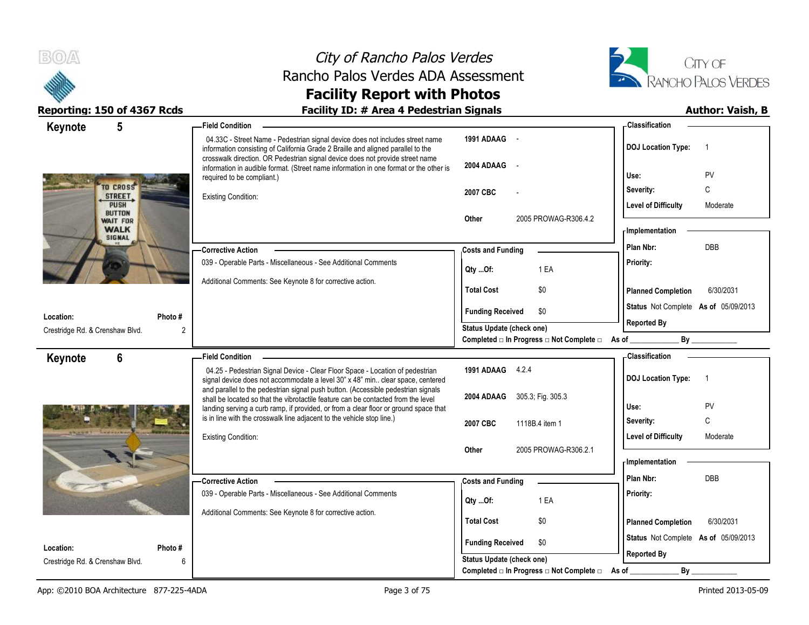



| <b>Field Condition</b><br>Keynote<br>5                                                                                                                                                               | - Classification                                                                  |                         |
|------------------------------------------------------------------------------------------------------------------------------------------------------------------------------------------------------|-----------------------------------------------------------------------------------|-------------------------|
| 04.33C - Street Name - Pedestrian signal device does not includes street name<br>information consisting of California Grade 2 Braille and aligned parallel to the                                    | 1991 ADAAG -<br><b>DOJ</b> Location Type:                                         | $\overline{\mathbf{1}}$ |
| crosswalk direction. OR Pedestrian signal device does not provide street name<br>information in audible format. (Street name information in one format or the other is<br>required to be compliant.) | 2004 ADAAG<br>$\sim$<br>Use:                                                      | PV                      |
| TO CROSS<br><b>STREET</b><br><b>Existing Condition:</b>                                                                                                                                              | Severity:<br>2007 CBC                                                             | C                       |
| PUSH                                                                                                                                                                                                 | <b>Level of Difficulty</b>                                                        | Moderate                |
| <b>BUTTON</b><br>WAIT FOR                                                                                                                                                                            | 2005 PROWAG-R306.4.2<br><b>Other</b>                                              |                         |
| <b>WALK</b><br><b>SIGNAL</b>                                                                                                                                                                         | - Implementation                                                                  |                         |
| -Corrective Action                                                                                                                                                                                   | Plan Nbr:<br><b>Costs and Funding</b>                                             | DBB                     |
| 039 - Operable Parts - Miscellaneous - See Additional Comments                                                                                                                                       | Priority:<br>1 EA<br>Qty Of:                                                      |                         |
| Additional Comments: See Keynote 8 for corrective action.                                                                                                                                            | <b>Total Cost</b><br>\$0<br><b>Planned Completion</b>                             | 6/30/2031               |
| Location:<br>Photo #                                                                                                                                                                                 | Status Not Complete As of 05/09/2013<br><b>Funding Received</b><br>\$0            |                         |
| $\overline{2}$<br>Crestridge Rd. & Crenshaw Blvd.                                                                                                                                                    | <b>Reported By</b><br><b>Status Update (check one)</b>                            |                         |
|                                                                                                                                                                                                      | Completed $\square$ In Progress $\square$ Not Complete $\square$ As of _          |                         |
| 6<br><b>Field Condition</b><br>Keynote                                                                                                                                                               | <b>Classification</b>                                                             |                         |
| 04.25 - Pedestrian Signal Device - Clear Floor Space - Location of pedestrian<br>signal device does not accommodate a level 30" x 48" min. clear space, centered                                     | 1991 ADAAG 4.2.4<br><b>DOJ Location Type:</b>                                     | $\overline{1}$          |
| and parallel to the pedestrian signal push button. (Accessible pedestrian signals<br>shall be located so that the vibrotactile feature can be contacted from the level                               | 2004 ADAAG<br>305.3; Fig. 305.3                                                   |                         |
| landing serving a curb ramp, if provided, or from a clear floor or ground space that                                                                                                                 | Use:                                                                              | PV                      |
| is in line with the crosswalk line adjacent to the vehicle stop line.)                                                                                                                               | Severity:<br>2007 CBC<br>1118B.4 item 1                                           | C                       |
| <b>Existing Condition:</b>                                                                                                                                                                           | <b>Level of Difficulty</b>                                                        | Moderate                |
|                                                                                                                                                                                                      | 2005 PROWAG-R306.2.1<br>Other<br>- Implementation                                 |                         |
|                                                                                                                                                                                                      |                                                                                   |                         |
| - Corrective Action                                                                                                                                                                                  |                                                                                   |                         |
|                                                                                                                                                                                                      | Plan Nbr:<br><b>Costs and Funding</b>                                             | DBB                     |
| 039 - Operable Parts - Miscellaneous - See Additional Comments                                                                                                                                       | Priority:<br>Qty Of:<br>1 EA                                                      |                         |
| Additional Comments: See Keynote 8 for corrective action.                                                                                                                                            | <b>Total Cost</b><br>\$0<br><b>Planned Completion</b>                             | 6/30/2031               |
|                                                                                                                                                                                                      | Status Not Complete As of 05/09/2013                                              |                         |
| Location:<br>Photo #<br>Crestridge Rd. & Crenshaw Blvd.<br>6                                                                                                                                         | <b>Funding Received</b><br>\$0<br><b>Reported By</b><br>Status Update (check one) |                         |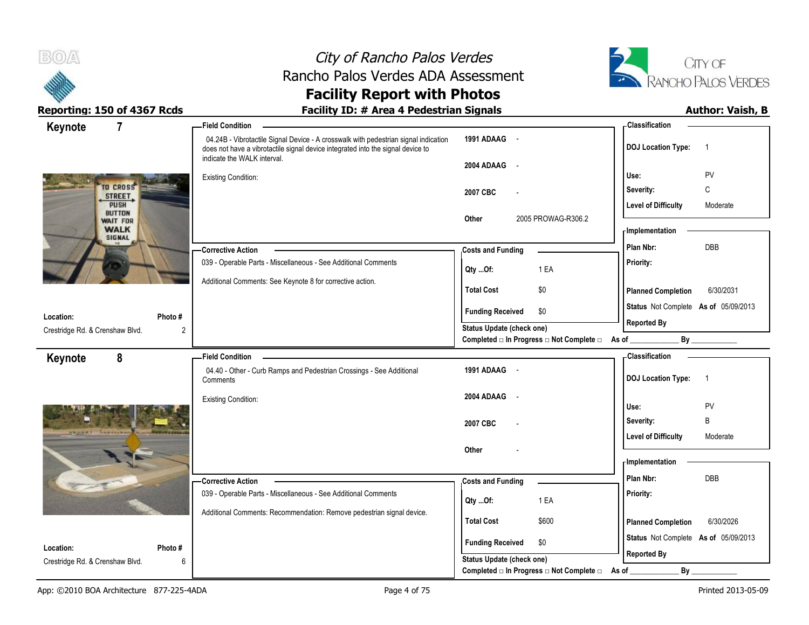

# City of Rancho Palos Verdes Rancho Palos Verdes ADA Assessment



### **Facility Report with Photos** Reporting: 150 of 4367 Rcds **Facility ID: # Area 4 Pedestrian Signals Facility ID: # Area 4 Pedestrian Signals**

| $\overline{7}$<br>Keynote                         | - Field Condition                                                                                                                                                                                     |                                          | - Classification                            |
|---------------------------------------------------|-------------------------------------------------------------------------------------------------------------------------------------------------------------------------------------------------------|------------------------------------------|---------------------------------------------|
|                                                   | 04.24B - Vibrotactile Signal Device - A crosswalk with pedestrian signal indication<br>does not have a vibrotactile signal device integrated into the signal device to<br>indicate the WALK interval. | 1991 ADAAG -                             | <b>DOJ Location Type:</b><br>$\overline{1}$ |
|                                                   |                                                                                                                                                                                                       | 2004 ADAAG<br>$\sim$ $\sim$              |                                             |
| TO CROSS                                          | <b>Existing Condition:</b>                                                                                                                                                                            |                                          | PV<br>Use:                                  |
| STREET,                                           |                                                                                                                                                                                                       | 2007 CBC                                 | Severity:<br>C                              |
| PUSH<br><b>BUTTON</b>                             |                                                                                                                                                                                                       |                                          | <b>Level of Difficulty</b><br>Moderate      |
| <b>WAIT FOR</b><br><b>WALK</b>                    |                                                                                                                                                                                                       | 2005 PROWAG-R306.2<br>Other              | - Implementation                            |
| SIGNAL                                            |                                                                                                                                                                                                       |                                          | <b>DBB</b>                                  |
|                                                   | -Corrective Action                                                                                                                                                                                    | <b>Costs and Funding</b>                 | Plan Nbr:                                   |
|                                                   | 039 - Operable Parts - Miscellaneous - See Additional Comments                                                                                                                                        | 1 EA<br>Qty Of:                          | Priority:                                   |
|                                                   | Additional Comments: See Keynote 8 for corrective action.                                                                                                                                             | <b>Total Cost</b><br>\$0                 | 6/30/2031<br><b>Planned Completion</b>      |
|                                                   |                                                                                                                                                                                                       |                                          | Status Not Complete As of 05/09/2013        |
| Location:<br>Photo #                              |                                                                                                                                                                                                       | <b>Funding Received</b><br>\$0           | <b>Reported By</b>                          |
| $\overline{2}$<br>Crestridge Rd. & Crenshaw Blvd. |                                                                                                                                                                                                       | Status Update (check one)                |                                             |
|                                                   |                                                                                                                                                                                                       | Completed □ In Progress □ Not Complete □ | As of<br>By                                 |
| 8<br>Keynote                                      | <b>Field Condition</b>                                                                                                                                                                                |                                          | - Classification                            |
|                                                   | 04.40 - Other - Curb Ramps and Pedestrian Crossings - See Additional<br>Comments                                                                                                                      | 1991 ADAAG -                             | <b>DOJ Location Type:</b><br>$\overline{1}$ |
|                                                   |                                                                                                                                                                                                       | 2004 ADAAG<br>$\sim$ $\sim$              |                                             |
|                                                   | <b>Existing Condition:</b>                                                                                                                                                                            |                                          | PV<br>Use:                                  |
|                                                   |                                                                                                                                                                                                       | 2007 CBC                                 | B<br>Severity:                              |
|                                                   |                                                                                                                                                                                                       |                                          | <b>Level of Difficulty</b><br>Moderate      |
|                                                   |                                                                                                                                                                                                       | Other                                    |                                             |
|                                                   |                                                                                                                                                                                                       |                                          | <b>Implementation</b>                       |
|                                                   | -Corrective Action                                                                                                                                                                                    | <b>Costs and Funding</b>                 | DBB<br>Plan Nbr:                            |
|                                                   | 039 - Operable Parts - Miscellaneous - See Additional Comments                                                                                                                                        | 1 EA<br>Qty Of:                          | Priority:                                   |
|                                                   | Additional Comments: Recommendation: Remove pedestrian signal device.                                                                                                                                 |                                          |                                             |
|                                                   |                                                                                                                                                                                                       | <b>Total Cost</b><br>\$600               | <b>Planned Completion</b><br>6/30/2026      |
| Location:<br>Photo #                              |                                                                                                                                                                                                       | <b>Funding Received</b><br>\$0           | Status Not Complete As of 05/09/2013        |
| Crestridge Rd. & Crenshaw Blvd.<br>6              |                                                                                                                                                                                                       | <b>Status Update (check one)</b>         | <b>Reported By</b>                          |
|                                                   |                                                                                                                                                                                                       | Completed □ In Progress □ Not Complete □ | By<br>As of                                 |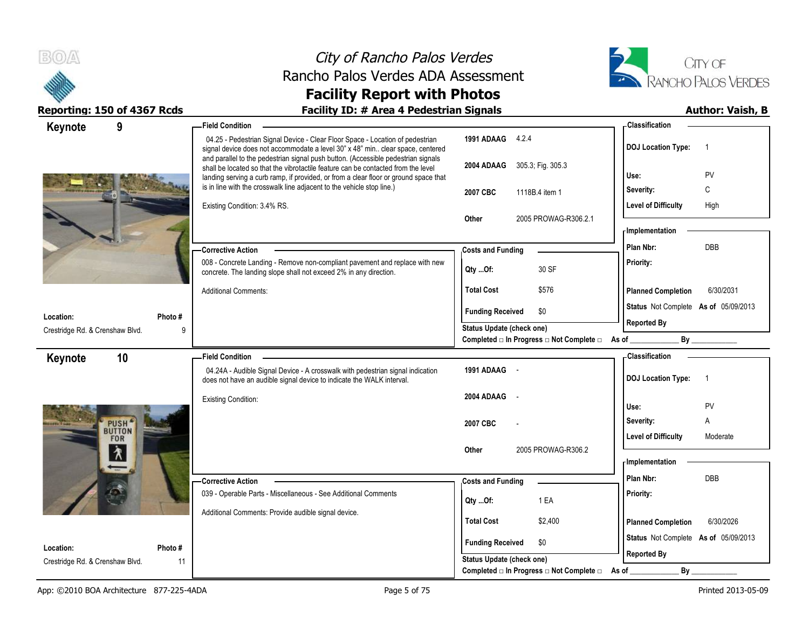



### Reporting: 150 of 4367 Rcds **Facility ID: # Area 4 Pedestrian Signals Reporting: 150 of 4367 Rcds Author: Vaish, B**

| 9<br>Keynote                                 |         | <b>Field Condition</b>                                                                                                                                                                                                                                         |                                                  | - Classification                            |
|----------------------------------------------|---------|----------------------------------------------------------------------------------------------------------------------------------------------------------------------------------------------------------------------------------------------------------------|--------------------------------------------------|---------------------------------------------|
|                                              |         | 04.25 - Pedestrian Signal Device - Clear Floor Space - Location of pedestrian<br>signal device does not accommodate a level 30" x 48" min clear space, centered                                                                                                | 1991 ADAAG 4.2.4                                 | <b>DOJ Location Type:</b><br>$\overline{1}$ |
|                                              |         | and parallel to the pedestrian signal push button. (Accessible pedestrian signals<br>shall be located so that the vibrotactile feature can be contacted from the level<br>landing serving a curb ramp, if provided, or from a clear floor or ground space that | 305.3; Fig. 305.3<br>2004 ADAAG                  | PV<br>Use:                                  |
|                                              |         | is in line with the crosswalk line adjacent to the vehicle stop line.)                                                                                                                                                                                         | 2007 CBC<br>1118B.4 item 1                       | C<br>Severity:                              |
|                                              |         | Existing Condition: 3.4% RS.                                                                                                                                                                                                                                   |                                                  | <b>Level of Difficulty</b><br>High          |
|                                              |         |                                                                                                                                                                                                                                                                | Other<br>2005 PROWAG-R306.2.1                    |                                             |
|                                              |         |                                                                                                                                                                                                                                                                |                                                  | - Implementation                            |
|                                              |         | - Corrective Action                                                                                                                                                                                                                                            | <b>Costs and Funding</b>                         | DBB<br>Plan Nbr:                            |
|                                              |         | 008 - Concrete Landing - Remove non-compliant pavement and replace with new<br>concrete. The landing slope shall not exceed 2% in any direction.                                                                                                               | 30 SF<br>Qty Of:                                 | Priority:                                   |
|                                              |         | <b>Additional Comments:</b>                                                                                                                                                                                                                                    | \$576<br><b>Total Cost</b>                       | <b>Planned Completion</b><br>6/30/2031      |
|                                              |         |                                                                                                                                                                                                                                                                | \$0<br><b>Funding Received</b>                   | Status Not Complete As of 05/09/2013        |
| Location:<br>Crestridge Rd. & Crenshaw Blvd. | Photo # |                                                                                                                                                                                                                                                                | Status Update (check one)                        | <b>Reported By</b>                          |
|                                              |         |                                                                                                                                                                                                                                                                | Completed □ In Progress □ Not Complete □ As of _ | By                                          |
| Keynote                                      | 10      | <b>Field Condition</b>                                                                                                                                                                                                                                         |                                                  | <b>Classification</b>                       |
|                                              |         | 04.24A - Audible Signal Device - A crosswalk with pedestrian signal indication<br>does not have an audible signal device to indicate the WALK interval.                                                                                                        | 1991 ADAAG -                                     | <b>DOJ Location Type:</b><br>$\overline{1}$ |
|                                              |         | <b>Existing Condition:</b>                                                                                                                                                                                                                                     | 2004 ADAAG<br>$\sim$                             |                                             |
|                                              |         |                                                                                                                                                                                                                                                                |                                                  | PV<br>Use:                                  |
| <b>PUSH</b><br><b>BUTTON</b>                 |         |                                                                                                                                                                                                                                                                | 2007 CBC                                         | Severity:<br>A                              |
| FOR                                          |         |                                                                                                                                                                                                                                                                | 2005 PROWAG-R306.2<br>Other                      | <b>Level of Difficulty</b><br>Moderate      |
| $\lambda$                                    |         |                                                                                                                                                                                                                                                                |                                                  | - Implementation                            |
|                                              |         | - Corrective Action                                                                                                                                                                                                                                            | <b>Costs and Funding</b>                         | Plan Nbr:<br><b>DBB</b>                     |
|                                              |         | 039 - Operable Parts - Miscellaneous - See Additional Comments                                                                                                                                                                                                 |                                                  | Priority:                                   |
|                                              |         | Additional Comments: Provide audible signal device.                                                                                                                                                                                                            | 1 EA<br>$Qty$ Of:                                |                                             |
|                                              |         |                                                                                                                                                                                                                                                                | <b>Total Cost</b><br>\$2,400                     | 6/30/2026<br><b>Planned Completion</b>      |
|                                              |         |                                                                                                                                                                                                                                                                | <b>Funding Received</b><br>\$0                   | Status Not Complete As of 05/09/2013        |
| Location:                                    | Photo#  |                                                                                                                                                                                                                                                                | <b>Status Update (check one)</b>                 | <b>Reported By</b>                          |
| Crestridge Rd. & Crenshaw Blvd.              | 11      |                                                                                                                                                                                                                                                                | Completed □ In Progress □ Not Complete □         | By<br>As of                                 |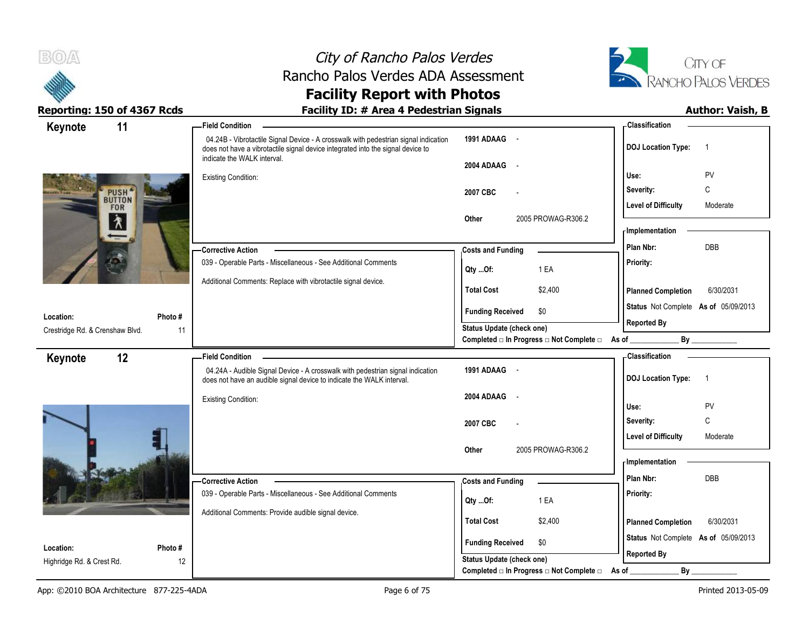

# City of Rancho Palos Verdes Rancho Palos Verdes ADA Assessment



### **Facility Report with Photos** Reporting: 150 of 4367 Rcds **Facility ID: # Area 4 Pedestrian Signals Facility ID: # Area 4 Pedestrian Signals**

| 11<br>Keynote                                                                                                                                                                                                                                                                                                                                                                                                                 |         | - Field Condition                                                                                                                                                                                     |                                                  | - Classification                            |
|-------------------------------------------------------------------------------------------------------------------------------------------------------------------------------------------------------------------------------------------------------------------------------------------------------------------------------------------------------------------------------------------------------------------------------|---------|-------------------------------------------------------------------------------------------------------------------------------------------------------------------------------------------------------|--------------------------------------------------|---------------------------------------------|
|                                                                                                                                                                                                                                                                                                                                                                                                                               |         | 04.24B - Vibrotactile Signal Device - A crosswalk with pedestrian signal indication<br>does not have a vibrotactile signal device integrated into the signal device to<br>indicate the WALK interval. | 1991 ADAAG<br>$\sim$ $\sim$                      | <b>DOJ Location Type:</b><br>$\overline{1}$ |
|                                                                                                                                                                                                                                                                                                                                                                                                                               |         |                                                                                                                                                                                                       | 2004 ADAAG<br>$\sim$ $-$                         |                                             |
|                                                                                                                                                                                                                                                                                                                                                                                                                               |         | <b>Existing Condition:</b>                                                                                                                                                                            |                                                  | Use:<br>PV                                  |
| PUSH <sup>®</sup>                                                                                                                                                                                                                                                                                                                                                                                                             |         |                                                                                                                                                                                                       | 2007 CBC                                         | C<br>Severity:                              |
| BUTTON<br>FOR                                                                                                                                                                                                                                                                                                                                                                                                                 |         |                                                                                                                                                                                                       |                                                  | <b>Level of Difficulty</b><br>Moderate      |
| $\begin{array}{ c c c }\hline \textbf{A} & \textbf{B} & \textbf{B} & \textbf{B} & \textbf{B} & \textbf{B} & \textbf{B} & \textbf{B} & \textbf{B} & \textbf{B} & \textbf{B} & \textbf{B} & \textbf{B} & \textbf{B} & \textbf{B} & \textbf{B} & \textbf{B} & \textbf{B} & \textbf{B} & \textbf{B} & \textbf{B} & \textbf{B} & \textbf{B} & \textbf{B} & \textbf{B} & \textbf{B} & \textbf{B} & \textbf{B} & \textbf{B} & \text$ |         |                                                                                                                                                                                                       | 2005 PROWAG-R306.2<br>Other                      | <b>Implementation</b>                       |
|                                                                                                                                                                                                                                                                                                                                                                                                                               |         | - Corrective Action                                                                                                                                                                                   | <b>Costs and Funding</b>                         | DBB<br>Plan Nbr:                            |
|                                                                                                                                                                                                                                                                                                                                                                                                                               |         | 039 - Operable Parts - Miscellaneous - See Additional Comments                                                                                                                                        |                                                  | Priority:                                   |
|                                                                                                                                                                                                                                                                                                                                                                                                                               |         | Additional Comments: Replace with vibrotactile signal device.                                                                                                                                         | 1 EA<br>Qty Of:                                  |                                             |
|                                                                                                                                                                                                                                                                                                                                                                                                                               |         |                                                                                                                                                                                                       | <b>Total Cost</b><br>\$2,400                     | <b>Planned Completion</b><br>6/30/2031      |
| Location:                                                                                                                                                                                                                                                                                                                                                                                                                     | Photo # |                                                                                                                                                                                                       | <b>Funding Received</b><br>\$0                   | Status Not Complete As of 05/09/2013        |
| Crestridge Rd. & Crenshaw Blvd.                                                                                                                                                                                                                                                                                                                                                                                               | 11      |                                                                                                                                                                                                       | Status Update (check one)                        | <b>Reported By</b>                          |
|                                                                                                                                                                                                                                                                                                                                                                                                                               |         |                                                                                                                                                                                                       | Completed □ In Progress □ Not Complete □ As of _ | By                                          |
| 12<br>Keynote                                                                                                                                                                                                                                                                                                                                                                                                                 |         | <b>Field Condition</b>                                                                                                                                                                                |                                                  | <b>Classification</b>                       |
|                                                                                                                                                                                                                                                                                                                                                                                                                               |         | 04.24A - Audible Signal Device - A crosswalk with pedestrian signal indication<br>does not have an audible signal device to indicate the WALK interval.                                               | 1991 ADAAG -                                     | <b>DOJ Location Type:</b><br>$\overline{1}$ |
|                                                                                                                                                                                                                                                                                                                                                                                                                               |         | <b>Existing Condition:</b>                                                                                                                                                                            | 2004 ADAAG<br>$\sim$ $\sim$                      |                                             |
|                                                                                                                                                                                                                                                                                                                                                                                                                               |         |                                                                                                                                                                                                       |                                                  | PV<br>Use:                                  |
|                                                                                                                                                                                                                                                                                                                                                                                                                               |         |                                                                                                                                                                                                       | 2007 CBC                                         | C<br>Severity:                              |
|                                                                                                                                                                                                                                                                                                                                                                                                                               |         |                                                                                                                                                                                                       |                                                  | <b>Level of Difficulty</b><br>Moderate      |
|                                                                                                                                                                                                                                                                                                                                                                                                                               |         |                                                                                                                                                                                                       | 2005 PROWAG-R306.2<br>Other                      | <b>Implementation</b>                       |
|                                                                                                                                                                                                                                                                                                                                                                                                                               |         |                                                                                                                                                                                                       |                                                  | Plan Nbr:<br>DBB                            |
|                                                                                                                                                                                                                                                                                                                                                                                                                               |         | -Corrective Action<br>039 - Operable Parts - Miscellaneous - See Additional Comments                                                                                                                  | <b>Costs and Funding</b>                         | Priority:                                   |
|                                                                                                                                                                                                                                                                                                                                                                                                                               |         |                                                                                                                                                                                                       | 1 EA<br>Qty Of:                                  |                                             |
|                                                                                                                                                                                                                                                                                                                                                                                                                               |         | Additional Comments: Provide audible signal device.                                                                                                                                                   | <b>Total Cost</b><br>\$2,400                     | <b>Planned Completion</b><br>6/30/2031      |
|                                                                                                                                                                                                                                                                                                                                                                                                                               |         |                                                                                                                                                                                                       |                                                  | Status Not Complete As of 05/09/2013        |
| Location:                                                                                                                                                                                                                                                                                                                                                                                                                     | Photo#  |                                                                                                                                                                                                       | <b>Funding Received</b><br>\$0                   | <b>Reported By</b>                          |
| Highridge Rd. & Crest Rd.                                                                                                                                                                                                                                                                                                                                                                                                     | 12      |                                                                                                                                                                                                       | Status Update (check one)                        |                                             |
|                                                                                                                                                                                                                                                                                                                                                                                                                               |         |                                                                                                                                                                                                       | Completed □ In Progress □ Not Complete □         | $By$ <sub>--</sub><br>As of                 |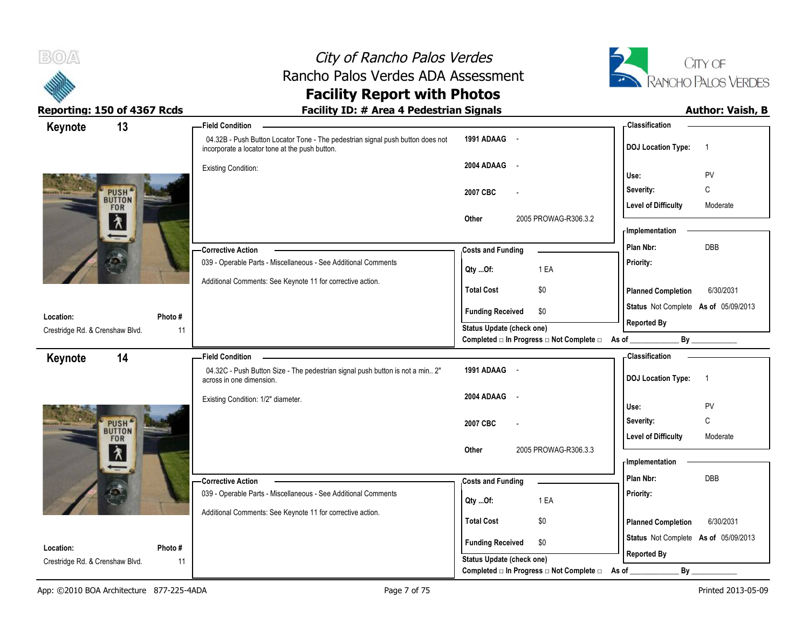

# City of Rancho Palos Verdes Rancho Palos Verdes ADA Assessment



### **Facility Report with Photos** Reporting: 150 of 4367 Rcds **Facility ID: # Area 4 Pedestrian Signals Facility ID: # Area 4 Pedestrian Signals**

| 13<br>Keynote                      | -Field Condition                                                                                                                 |                                                  | - Classification                            |
|------------------------------------|----------------------------------------------------------------------------------------------------------------------------------|--------------------------------------------------|---------------------------------------------|
|                                    | 04.32B - Push Button Locator Tone - The pedestrian signal push button does not<br>incorporate a locator tone at the push button. | 1991 ADAAG -                                     | <b>DOJ</b> Location Type:<br>$\overline{1}$ |
|                                    | <b>Existing Condition:</b>                                                                                                       | 2004 ADAAG<br>$\sim$                             |                                             |
|                                    |                                                                                                                                  |                                                  | Use:<br>PV                                  |
| PUSH <sup>*</sup><br>BUTTON<br>FOR |                                                                                                                                  | 2007 CBC                                         | $\mathsf{C}$<br>Severity:                   |
|                                    |                                                                                                                                  |                                                  | <b>Level of Difficulty</b><br>Moderate      |
| $\bigg  \bigg\{$                   |                                                                                                                                  | 2005 PROWAG-R306.3.2<br>Other                    | <b>Implementation</b>                       |
|                                    |                                                                                                                                  |                                                  | DBB<br>Plan Nbr:                            |
|                                    | - Corrective Action<br>039 - Operable Parts - Miscellaneous - See Additional Comments                                            | <b>Costs and Funding</b>                         | Priority:                                   |
|                                    |                                                                                                                                  | Qty Of:<br>1 EA                                  |                                             |
|                                    | Additional Comments: See Keynote 11 for corrective action.                                                                       | <b>Total Cost</b><br>\$0                         | 6/30/2031<br><b>Planned Completion</b>      |
| Location:<br>Photo#                |                                                                                                                                  | <b>Funding Received</b><br>\$0                   | Status Not Complete As of 05/09/2013        |
| Crestridge Rd. & Crenshaw Blvd.    | 11                                                                                                                               | Status Update (check one)                        | <b>Reported By</b>                          |
|                                    |                                                                                                                                  | Completed □ In Progress □ Not Complete □ As of _ | By                                          |
| 14<br>Keynote                      | <b>Field Condition</b>                                                                                                           |                                                  | - Classification                            |
|                                    | 04.32C - Push Button Size - The pedestrian signal push button is not a min 2"<br>across in one dimension.                        | 1991 ADAAG -                                     | <b>DOJ</b> Location Type:<br>$\overline{1}$ |
|                                    | Existing Condition: 1/2" diameter.                                                                                               | 2004 ADAAG<br>$\sim$                             |                                             |
|                                    |                                                                                                                                  |                                                  | PV<br>Use:                                  |
| PUSH <sup>4</sup><br>BUTTON<br>FOR |                                                                                                                                  | 2007 CBC                                         | C<br>Severity:                              |
|                                    |                                                                                                                                  |                                                  | <b>Level of Difficulty</b><br>Moderate      |
| $\frac{1}{\lambda}$                |                                                                                                                                  | 2005 PROWAG-R306.3.3<br>Other                    | - Implementation                            |
|                                    |                                                                                                                                  |                                                  |                                             |
|                                    | -Corrective Action                                                                                                               | <b>Costs and Funding</b>                         | DBB<br>Plan Nbr:                            |
|                                    | 039 - Operable Parts - Miscellaneous - See Additional Comments                                                                   | 1 EA<br>Qty Of:                                  | Priority:                                   |
|                                    | Additional Comments: See Keynote 11 for corrective action.                                                                       | <b>Total Cost</b><br>\$0                         |                                             |
|                                    |                                                                                                                                  |                                                  | <b>Planned Completion</b><br>6/30/2031      |
| Location:<br>Photo#                |                                                                                                                                  | <b>Funding Received</b><br>\$0                   | Status Not Complete As of 05/09/2013        |
| Crestridge Rd. & Crenshaw Blvd.    | 11                                                                                                                               | <b>Status Update (check one)</b>                 | <b>Reported By</b>                          |
|                                    |                                                                                                                                  | Completed □ In Progress □ Not Complete □         | By<br>As of                                 |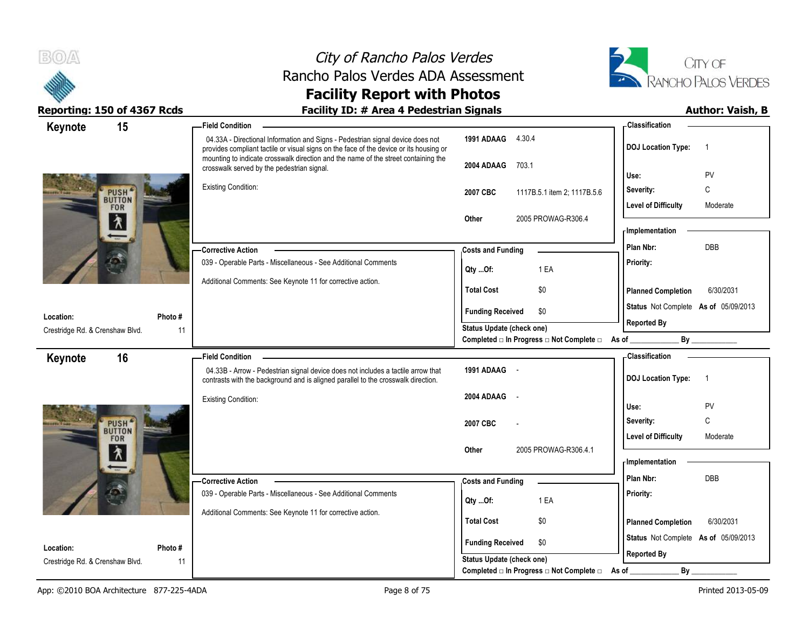



### **Reporting: 150 of 4367 Rcds Facility ID: # Area 4 Pedestrian Signals Author: Vaish, B**

**Classification Keynote 15 Field Condition 1991 ADAAG** 4.30.4 04.33A - Directional Information and Signs - Pedestrian signal device does not **DOJ Location Type:** 1 provides compliant tactile or visual signs on the face of the device or its housing or mounting to indicate crosswalk direction and the name of the street containing the **2004 ADAAG** 703.1 crosswalk served by the pedestrian signal. **Use:** PV Existing Condition: **Severity:** C PUSH<sup>4</sup> **2007 CBC** 1117B.5.1 item 2; 1117B.5.6 Level of Difficulty **Moderate FOR Other** 2005 PROWAG-R306.4 介 **Implementation Costs and Funding <b>Costs** and Funding **Plan Nbr:** DBB **Corrective Action**  039 - Operable Parts - Miscellaneous - See Additional Comments **Priority: Qty ...Of:** 1 EA Additional Comments: See Keynote 11 for corrective action. **Total Cost** \$0 **Planned Completion** 6/30/2031 **Status** Not Complete **As of** 05/09/2013 **Funding Received \$0 Location: Photo # Reported By Status Update (check one)** Crestridge Rd. & Crenshaw Blvd. 11 Completed □ In Progress □ Not Complete □ As of \_\_\_\_\_\_\_\_\_\_\_\_\_\_\_\_\_\_\_\_\_\_\_\_\_\_\_\_\_\_\_\_\_ **Classification Keynote 16 Field Condition 1991 ADAAG** - 04.33B - Arrow - Pedestrian signal device does not includes a tactile arrow that **DOJ Location Type:** 1 contrasts with the background and is aligned parallel to the crosswalk direction. **2004 ADAAG** - Existing Condition: **Use:** PV **Severity:** C PUSH<sup>4</sup><br>BUTTON **2007 CBC** - Level of Difficulty Moderate FOR ඵ **Other** 2005 PROWAG-R306 4.1 **Implementation Costs and Funding <b>Plan Nbr:** DBB **Corrective Action**  039 - Operable Parts - Miscellaneous - See Additional Comments **Priority: Qty ...Of:** 1 EA Additional Comments: See Keynote 11 for corrective action. **Total Cost** \$0 **Planned Completion** 6/30/2031 **Status** Not Complete **As of** 05/09/2013 **Funding Received \$0 Location: Photo # Reported By Status Update (check one)** Crestridge Rd. & Crenshaw Blvd. 11 Completed □ In Progress □ Not Complete □ As of \_\_\_\_\_\_\_\_\_\_\_\_\_\_\_\_\_\_\_\_\_\_\_\_\_\_\_\_\_\_\_\_\_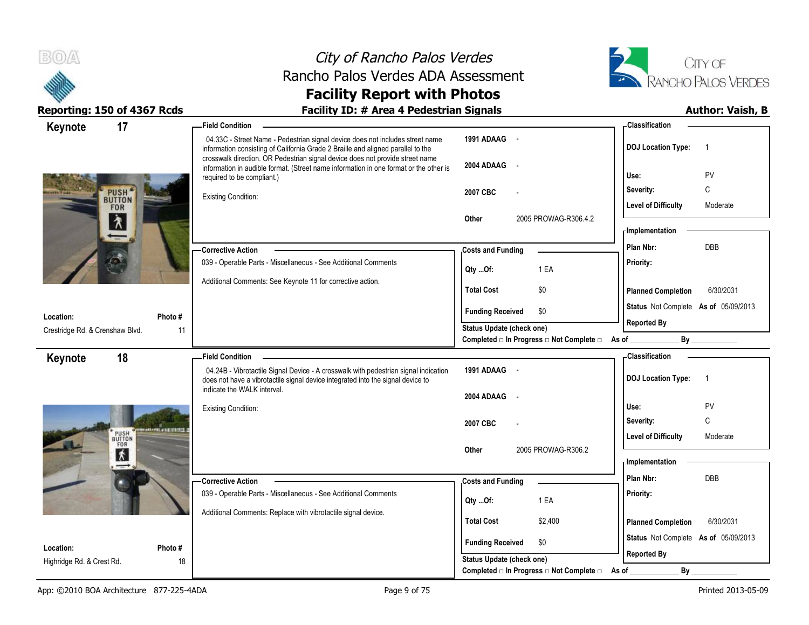



| 17<br>Keynote                                |               | <b>Field Condition</b>                                                                                                                                                                                                                             |                                                | - Classification                            |
|----------------------------------------------|---------------|----------------------------------------------------------------------------------------------------------------------------------------------------------------------------------------------------------------------------------------------------|------------------------------------------------|---------------------------------------------|
|                                              |               | 04.33C - Street Name - Pedestrian signal device does not includes street name<br>information consisting of California Grade 2 Braille and aligned parallel to the<br>crosswalk direction. OR Pedestrian signal device does not provide street name | 1991 ADAAG -                                   | <b>DOJ</b> Location Type:<br>$\overline{1}$ |
|                                              |               | information in audible format. (Street name information in one format or the other is<br>required to be compliant.)                                                                                                                                | 2004 ADAAG<br>$\sim$                           | PV<br>Use:                                  |
|                                              |               | <b>Existing Condition:</b>                                                                                                                                                                                                                         | 2007 CBC                                       | Severity:<br>C                              |
| PUSH <sup>4</sup><br>BUTTON<br>FOR           |               |                                                                                                                                                                                                                                                    | 2005 PROWAG-R306.4.2                           | <b>Level of Difficulty</b><br>Moderate      |
| $\lambda$                                    |               |                                                                                                                                                                                                                                                    | Other                                          | - Implementation                            |
|                                              |               | - Corrective Action                                                                                                                                                                                                                                | <b>Costs and Funding</b>                       | <b>DBB</b><br>Plan Nbr:                     |
|                                              |               | 039 - Operable Parts - Miscellaneous - See Additional Comments                                                                                                                                                                                     | 1 EA<br>Qty Of:                                | Priority:                                   |
|                                              |               | Additional Comments: See Keynote 11 for corrective action.                                                                                                                                                                                         | <b>Total Cost</b><br>\$0                       | <b>Planned Completion</b><br>6/30/2031      |
|                                              |               |                                                                                                                                                                                                                                                    | <b>Funding Received</b><br>\$0                 | Status Not Complete As of 05/09/2013        |
| Location:<br>Crestridge Rd. & Crenshaw Blvd. | Photo #<br>11 |                                                                                                                                                                                                                                                    | <b>Status Update (check one)</b>               | <b>Reported By</b>                          |
|                                              |               |                                                                                                                                                                                                                                                    | Completed □ In Progress □ Not Complete □ As of | By                                          |
| 18<br>Keynote                                |               | <b>Field Condition</b>                                                                                                                                                                                                                             |                                                | - Classification                            |
|                                              |               | 04.24B - Vibrotactile Signal Device - A crosswalk with pedestrian signal indication<br>does not have a vibrotactile signal device integrated into the signal device to                                                                             | 1991 ADAAG -                                   | <b>DOJ Location Type:</b><br>$\overline{1}$ |
|                                              |               | indicate the WALK interval.                                                                                                                                                                                                                        | 2004 ADAAG<br>$\sim$                           |                                             |
|                                              |               | <b>Existing Condition:</b>                                                                                                                                                                                                                         |                                                | PV<br>Use:                                  |
|                                              |               |                                                                                                                                                                                                                                                    | 2007 CBC                                       | C<br>Severity:                              |
| PUSH <sup>'</sup><br>BUTTON<br>FOR           |               |                                                                                                                                                                                                                                                    |                                                | <b>Level of Difficulty</b><br>Moderate      |
| $\vert k \vert$                              |               |                                                                                                                                                                                                                                                    | 2005 PROWAG-R306.2<br>Other                    | <b>Implementation</b>                       |
| $\rightarrow$                                |               |                                                                                                                                                                                                                                                    |                                                | <b>DBB</b><br>Plan Nbr:                     |
|                                              |               | -Corrective Action<br>039 - Operable Parts - Miscellaneous - See Additional Comments                                                                                                                                                               | <b>Costs and Funding</b>                       | Priority:                                   |
|                                              |               |                                                                                                                                                                                                                                                    | 1 EA<br>Qty Of:                                |                                             |
|                                              |               | Additional Comments: Replace with vibrotactile signal device.                                                                                                                                                                                      | <b>Total Cost</b><br>\$2,400                   | <b>Planned Completion</b><br>6/30/2031      |
| Location:                                    | Photo #       |                                                                                                                                                                                                                                                    | <b>Funding Received</b><br>\$0                 | Status Not Complete As of 05/09/2013        |
| Highridge Rd. & Crest Rd.                    | 18            |                                                                                                                                                                                                                                                    | <b>Status Update (check one)</b>               | <b>Reported By</b>                          |
|                                              |               |                                                                                                                                                                                                                                                    | Completed □ In Progress □ Not Complete □       | By<br>As of                                 |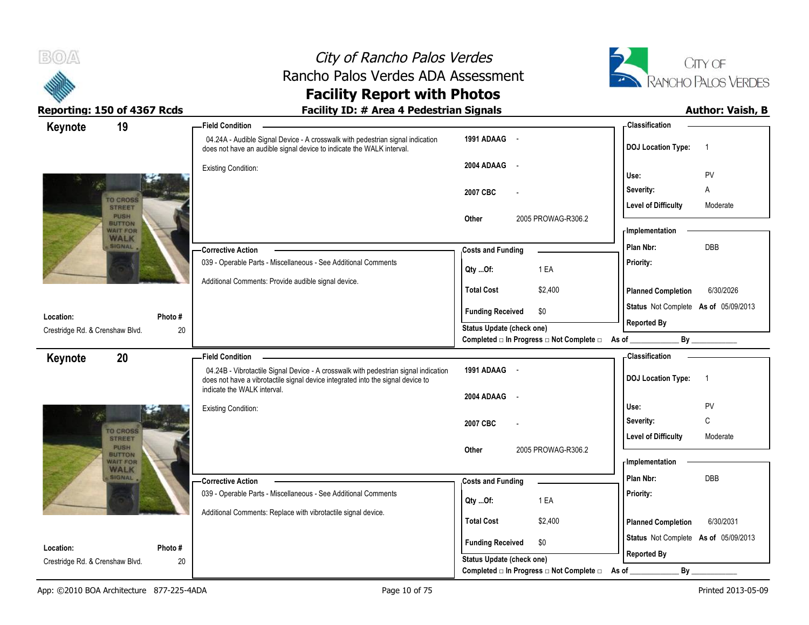



| 19<br>Keynote                                          |              | <b>Field Condition</b>                                                                                                                                                 |                                                                                      | - Classification                            |
|--------------------------------------------------------|--------------|------------------------------------------------------------------------------------------------------------------------------------------------------------------------|--------------------------------------------------------------------------------------|---------------------------------------------|
|                                                        |              | 04.24A - Audible Signal Device - A crosswalk with pedestrian signal indication<br>does not have an audible signal device to indicate the WALK interval.                | 1991 ADAAG -                                                                         | <b>DOJ Location Type:</b><br>$\overline{1}$ |
|                                                        |              | <b>Existing Condition:</b>                                                                                                                                             | 2004 ADAAG<br>$\sim$ $-$                                                             | PV<br>Use:                                  |
|                                                        |              |                                                                                                                                                                        | 2007 CBC                                                                             | Severity:<br>Α                              |
| <b>TO CROSS</b><br><b>STREET</b>                       |              |                                                                                                                                                                        |                                                                                      | <b>Level of Difficulty</b><br>Moderate      |
| PUSH<br><b>BUTTON</b><br><b><i>NAIT FOR</i></b>        |              |                                                                                                                                                                        | 2005 PROWAG-R306.2<br>Other                                                          | - Implementation                            |
| <b>WALK</b><br><b>SIGNAL</b>                           |              | - Corrective Action                                                                                                                                                    | <b>Costs and Funding</b>                                                             | <b>DBB</b><br>Plan Nbr:                     |
|                                                        |              | 039 - Operable Parts - Miscellaneous - See Additional Comments                                                                                                         | 1 EA<br>Qty Of:                                                                      | Priority:                                   |
|                                                        |              | Additional Comments: Provide audible signal device.                                                                                                                    | \$2,400<br><b>Total Cost</b>                                                         | 6/30/2026<br><b>Planned Completion</b>      |
| Location:                                              | Photo #      |                                                                                                                                                                        | \$0<br><b>Funding Received</b>                                                       | Status Not Complete As of 05/09/2013        |
| Crestridge Rd. & Crenshaw Blvd.                        | 20           |                                                                                                                                                                        | <b>Status Update (check one)</b><br>Completed □ In Progress □ Not Complete □ As of _ | <b>Reported By</b><br>By                    |
| 20<br>Keynote                                          |              | <b>Field Condition</b>                                                                                                                                                 |                                                                                      | <b>Classification</b>                       |
|                                                        |              | 04.24B - Vibrotactile Signal Device - A crosswalk with pedestrian signal indication<br>does not have a vibrotactile signal device integrated into the signal device to | 1991 ADAAG -                                                                         | <b>DOJ Location Type:</b><br>$\overline{1}$ |
|                                                        |              | indicate the WALK interval.                                                                                                                                            |                                                                                      |                                             |
|                                                        |              |                                                                                                                                                                        | 2004 ADAAG<br>$\sim$ $\sim$                                                          |                                             |
|                                                        |              | <b>Existing Condition:</b>                                                                                                                                             |                                                                                      | Use:<br>PV                                  |
| <b>TO CROSS</b>                                        |              |                                                                                                                                                                        | 2007 CBC                                                                             | C<br>Severity:                              |
| <b>STREET</b><br>PUSH                                  |              |                                                                                                                                                                        | 2005 PROWAG-R306.2<br>Other                                                          | <b>Level of Difficulty</b><br>Moderate      |
| <b>BUTTON</b><br><b><i>NAIT FOR</i></b><br><b>WALK</b> |              |                                                                                                                                                                        |                                                                                      | - Implementation                            |
| <b>SIGNAL</b>                                          |              | - Corrective Action                                                                                                                                                    | <b>Costs and Funding</b>                                                             | Plan Nbr:<br>DBB                            |
|                                                        |              | 039 - Operable Parts - Miscellaneous - See Additional Comments                                                                                                         | 1 EA<br>Qty Of:                                                                      | Priority:                                   |
|                                                        |              | Additional Comments: Replace with vibrotactile signal device.                                                                                                          | <b>Total Cost</b><br>\$2,400                                                         | <b>Planned Completion</b><br>6/30/2031      |
|                                                        |              |                                                                                                                                                                        | <b>Funding Received</b><br>\$0                                                       | Status Not Complete As of 05/09/2013        |
| Location:<br>Crestridge Rd. & Crenshaw Blvd.           | Photo#<br>20 |                                                                                                                                                                        | Status Update (check one)                                                            | <b>Reported By</b>                          |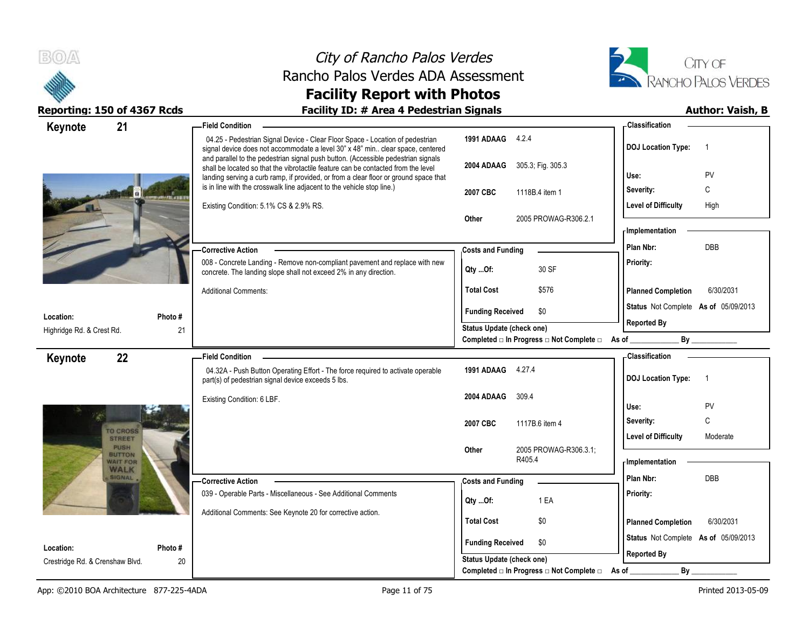



| Keynote                                      | 21                                      | - Field Condition                                                                                                                                                                                                                                              |                                                  | - Classification                            |
|----------------------------------------------|-----------------------------------------|----------------------------------------------------------------------------------------------------------------------------------------------------------------------------------------------------------------------------------------------------------------|--------------------------------------------------|---------------------------------------------|
|                                              |                                         | 04.25 - Pedestrian Signal Device - Clear Floor Space - Location of pedestrian<br>signal device does not accommodate a level 30" x 48" min clear space, centered                                                                                                | 1991 ADAAG 4.2.4                                 | <b>DOJ Location Type:</b><br>$\overline{1}$ |
|                                              |                                         | and parallel to the pedestrian signal push button. (Accessible pedestrian signals<br>shall be located so that the vibrotactile feature can be contacted from the level<br>landing serving a curb ramp, if provided, or from a clear floor or ground space that | 2004 ADAAG 305.3; Fig. 305.3                     | PV<br>Use:                                  |
|                                              |                                         | is in line with the crosswalk line adjacent to the vehicle stop line.)                                                                                                                                                                                         | 2007 CBC<br>1118B.4 item 1                       | С<br>Severity:                              |
|                                              |                                         | Existing Condition: 5.1% CS & 2.9% RS.                                                                                                                                                                                                                         |                                                  | <b>Level of Difficulty</b><br>High          |
|                                              |                                         |                                                                                                                                                                                                                                                                | 2005 PROWAG-R306.2.1<br>Other                    |                                             |
|                                              |                                         |                                                                                                                                                                                                                                                                |                                                  | - Implementation                            |
|                                              |                                         | <b>Corrective Action</b>                                                                                                                                                                                                                                       | <b>Costs and Funding</b>                         | DBB<br>Plan Nbr:                            |
|                                              |                                         | 008 - Concrete Landing - Remove non-compliant pavement and replace with new<br>concrete. The landing slope shall not exceed 2% in any direction.                                                                                                               | 30 SF<br>Qty Of:                                 | Priority:                                   |
|                                              |                                         | <b>Additional Comments:</b>                                                                                                                                                                                                                                    | \$576<br><b>Total Cost</b>                       | <b>Planned Completion</b><br>6/30/2031      |
|                                              |                                         |                                                                                                                                                                                                                                                                | \$0<br><b>Funding Received</b>                   | Status Not Complete As of 05/09/2013        |
| Location:<br>Highridge Rd. & Crest Rd.       | Photo #                                 | 21                                                                                                                                                                                                                                                             | <b>Status Update (check one)</b>                 | <b>Reported By</b>                          |
|                                              |                                         |                                                                                                                                                                                                                                                                | Completed □ In Progress □ Not Complete □ As of _ | By                                          |
| Keynote                                      | 22                                      | <b>Field Condition</b>                                                                                                                                                                                                                                         |                                                  | - Classification                            |
|                                              |                                         | 04.32A - Push Button Operating Effort - The force required to activate operable                                                                                                                                                                                | 1991 ADAAG 4.27.4                                |                                             |
|                                              |                                         | part(s) of pedestrian signal device exceeds 5 lbs.                                                                                                                                                                                                             |                                                  | <b>DOJ</b> Location Type:<br>$\overline{1}$ |
|                                              |                                         | Existing Condition: 6 LBF.                                                                                                                                                                                                                                     | 2004 ADAAG<br>309.4                              |                                             |
|                                              |                                         |                                                                                                                                                                                                                                                                |                                                  | Use:<br>PV                                  |
|                                              | <b>TO CROSS</b>                         |                                                                                                                                                                                                                                                                | 2007 CBC<br>1117B.6 item 4                       | C<br>Severity:                              |
|                                              | <b>STREET</b><br>PUSH                   |                                                                                                                                                                                                                                                                |                                                  | <b>Level of Difficulty</b><br>Moderate      |
|                                              | <b>BUTTON</b><br><b><i>NAIT FOR</i></b> |                                                                                                                                                                                                                                                                | 2005 PROWAG-R306.3.1;<br>Other<br>R405.4         | <b>Implementation</b>                       |
|                                              | <b>WALK</b><br><b>SIGNAL</b>            | <b>Corrective Action</b>                                                                                                                                                                                                                                       |                                                  | Plan Nbr:<br>DBB                            |
|                                              |                                         | 039 - Operable Parts - Miscellaneous - See Additional Comments                                                                                                                                                                                                 | <b>Costs and Funding</b>                         | Priority:                                   |
|                                              |                                         |                                                                                                                                                                                                                                                                | 1 EA<br>Qty Of:                                  |                                             |
|                                              |                                         | Additional Comments: See Keynote 20 for corrective action.                                                                                                                                                                                                     | <b>Total Cost</b><br>\$0                         | <b>Planned Completion</b><br>6/30/2031      |
|                                              |                                         |                                                                                                                                                                                                                                                                | <b>Funding Received</b><br>\$0                   | Status Not Complete As of 05/09/2013        |
| Location:<br>Crestridge Rd. & Crenshaw Blvd. | Photo #                                 | 20                                                                                                                                                                                                                                                             | Status Update (check one)                        | <b>Reported By</b>                          |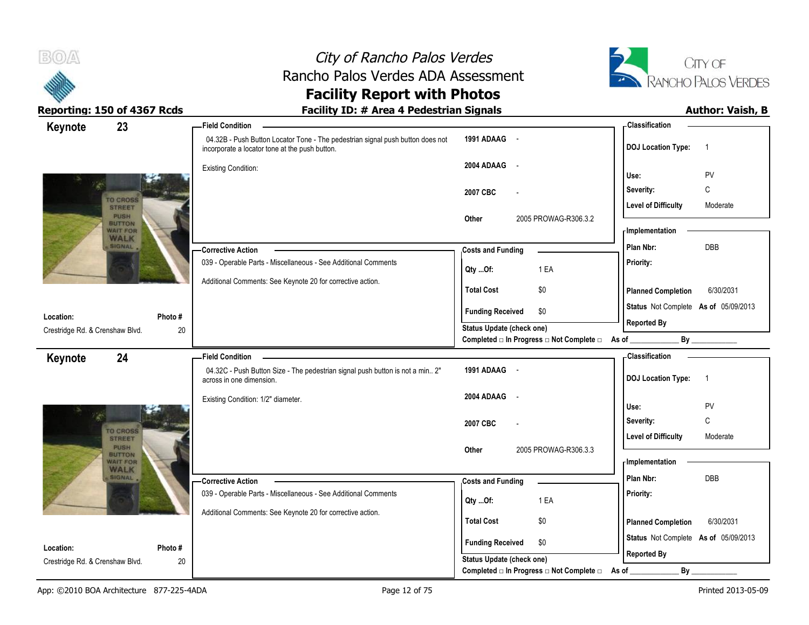

# City of Rancho Palos Verdes Rancho Palos Verdes ADA Assessment



Reporting: 150 of 4367 Rcds **Facility ID: # Area 4 Pedestrian Signals Facility ID: # Area 4 Pedestrian Signals** 

# **Facility Report with Photos**

| - Field Condition                                                                                                                |                                                             | - Classification                                                                                         |
|----------------------------------------------------------------------------------------------------------------------------------|-------------------------------------------------------------|----------------------------------------------------------------------------------------------------------|
| 04.32B - Push Button Locator Tone - The pedestrian signal push button does not<br>incorporate a locator tone at the push button. | 1991 ADAAG -                                                | <b>DOJ</b> Location Type:<br>$\overline{1}$                                                              |
| <b>Existing Condition:</b>                                                                                                       | 2004 ADAAG -                                                | Use:<br>PV                                                                                               |
|                                                                                                                                  |                                                             |                                                                                                          |
|                                                                                                                                  | 2007 CBC<br>$\overline{\phantom{a}}$                        | $\mathsf C$<br>Severity:                                                                                 |
|                                                                                                                                  |                                                             | <b>Level of Difficulty</b><br>Moderate                                                                   |
|                                                                                                                                  |                                                             | <b>Implementation</b>                                                                                    |
| Corrective Action                                                                                                                | <b>Costs and Funding</b>                                    | Plan Nbr:<br>DBB                                                                                         |
| 039 - Operable Parts - Miscellaneous - See Additional Comments                                                                   | 1 EA<br>$Qty$ Of:                                           | Priority:                                                                                                |
| Additional Comments: See Keynote 20 for corrective action.                                                                       | <b>Total Cost</b><br>\$0                                    | 6/30/2031<br><b>Planned Completion</b>                                                                   |
|                                                                                                                                  |                                                             | Status Not Complete As of 05/09/2013                                                                     |
|                                                                                                                                  |                                                             | <b>Reported By</b>                                                                                       |
|                                                                                                                                  | Completed □ In Progress □ Not Complete □ As of _            | By                                                                                                       |
| - Field Condition                                                                                                                |                                                             | <b>Classification</b>                                                                                    |
| 04.32C - Push Button Size - The pedestrian signal push button is not a min 2"<br>across in one dimension.                        | 1991 ADAAG -                                                | <b>DOJ Location Type:</b><br>$\overline{1}$                                                              |
| Existing Condition: 1/2" diameter.                                                                                               | 2004 ADAAG -                                                | PV<br>Use:                                                                                               |
|                                                                                                                                  |                                                             | C<br>Severity:                                                                                           |
|                                                                                                                                  |                                                             |                                                                                                          |
|                                                                                                                                  |                                                             | <b>Level of Difficulty</b><br>Moderate                                                                   |
|                                                                                                                                  | 2005 PROWAG-R306.3.3<br>Other                               |                                                                                                          |
|                                                                                                                                  |                                                             | - Implementation                                                                                         |
| -Corrective Action                                                                                                               | <b>Costs and Funding</b>                                    | DBB<br>Plan Nbr:                                                                                         |
| 039 - Operable Parts - Miscellaneous - See Additional Comments                                                                   | 1 EA<br>Qty Of:                                             | Priority:                                                                                                |
| Additional Comments: See Keynote 20 for corrective action.                                                                       | <b>Total Cost</b><br>\$0                                    | <b>Planned Completion</b><br>6/30/2031                                                                   |
|                                                                                                                                  |                                                             | Status Not Complete As of 05/09/2013                                                                     |
|                                                                                                                                  | \$0<br><b>Funding Received</b><br>Status Update (check one) | <b>Reported By</b>                                                                                       |
|                                                                                                                                  |                                                             | Other<br>2005 PROWAG-R306.3.2<br><b>Funding Received</b><br>\$0<br>Status Update (check one)<br>2007 CBC |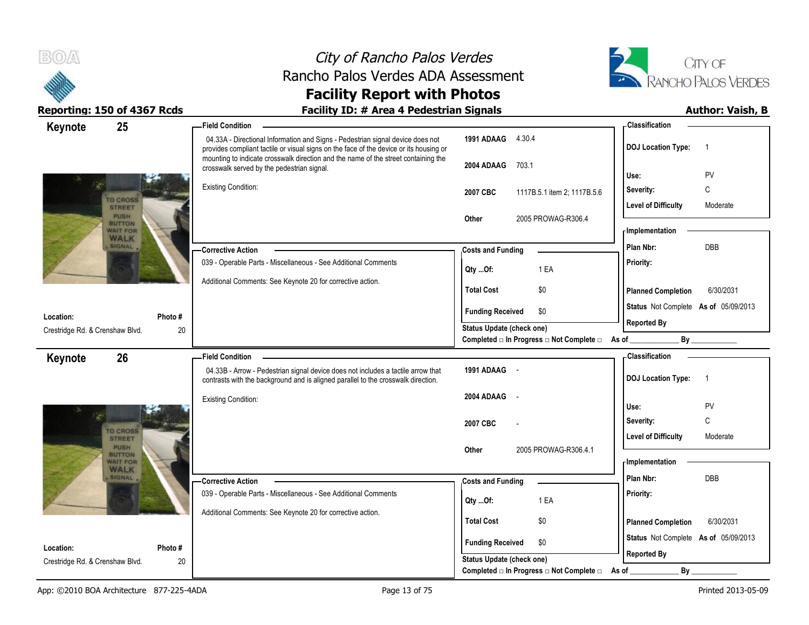



### Reporting: 150 of 4367 Rcds **Facility ID: # Area 4 Pedestrian Signals Reporting: 150 of 4367 Rcds Author: Vaish, B**

| 25<br>Keynote                            |        | -Field Condition                                                                                                                                                         |                                                                    | - Classification                                           |
|------------------------------------------|--------|--------------------------------------------------------------------------------------------------------------------------------------------------------------------------|--------------------------------------------------------------------|------------------------------------------------------------|
|                                          |        | 04.33A - Directional Information and Signs - Pedestrian signal device does not<br>provides compliant tactile or visual signs on the face of the device or its housing or | 1991 ADAAG 4.30.4                                                  | <b>DOJ Location Type:</b><br>$\overline{1}$                |
|                                          |        | mounting to indicate crosswalk direction and the name of the street containing the<br>crosswalk served by the pedestrian signal.                                         | 2004 ADAAG<br>703.1                                                | PV<br>Use:                                                 |
|                                          |        | <b>Existing Condition:</b>                                                                                                                                               | 2007 CBC<br>1117B.5.1 item 2; 1117B.5.6                            | С<br>Severity:                                             |
| <b>TO CROSS</b><br><b>STREET</b>         |        |                                                                                                                                                                          |                                                                    | <b>Level of Difficulty</b><br>Moderate                     |
| PUSH<br><b>BUTTON</b><br><b>WAIT FOR</b> |        |                                                                                                                                                                          | 2005 PROWAG-R306.4<br>Other                                        | - Implementation                                           |
| <b>WALK</b><br>SIGNAL                    |        |                                                                                                                                                                          |                                                                    | <b>DBB</b><br>Plan Nbr:                                    |
|                                          |        | - Corrective Action<br>039 - Operable Parts - Miscellaneous - See Additional Comments                                                                                    | <b>Costs and Funding</b>                                           | Priority:                                                  |
|                                          |        |                                                                                                                                                                          | 1 EA<br>Qty Of:                                                    |                                                            |
|                                          |        | Additional Comments: See Keynote 20 for corrective action.                                                                                                               | <b>Total Cost</b><br>\$0                                           | <b>Planned Completion</b><br>6/30/2031                     |
| Location:                                | Photo# |                                                                                                                                                                          | \$0<br><b>Funding Received</b>                                     | Status Not Complete As of 05/09/2013                       |
| Crestridge Rd. & Crenshaw Blvd.          | 20     |                                                                                                                                                                          | <b>Status Update (check one)</b>                                   | <b>Reported By</b>                                         |
|                                          |        |                                                                                                                                                                          | Completed □ In Progress □ Not Complete □ As of                     | By                                                         |
| 26<br>Keynote                            |        | <b>Field Condition</b>                                                                                                                                                   |                                                                    | - Classification                                           |
|                                          |        | 04.33B - Arrow - Pedestrian signal device does not includes a tactile arrow that<br>contrasts with the background and is aligned parallel to the crosswalk direction.    | 1991 ADAAG -                                                       | <b>DOJ Location Type:</b><br>$\overline{1}$                |
|                                          |        | <b>Existing Condition:</b>                                                                                                                                               | 2004 ADAAG<br>$\sim$ $\sim$                                        | Use:<br>PV                                                 |
|                                          |        |                                                                                                                                                                          | 2007 CBC                                                           | C<br>Severity:                                             |
| <b>TO CROSS</b>                          |        |                                                                                                                                                                          |                                                                    |                                                            |
|                                          |        |                                                                                                                                                                          |                                                                    |                                                            |
| <b>STREET</b><br>PUSH                    |        |                                                                                                                                                                          | 2005 PROWAG-R306.4.1<br><b>Other</b>                               | <b>Level of Difficulty</b><br>Moderate                     |
| <b>BUTTON</b><br><b>WAIT FOR</b>         |        |                                                                                                                                                                          |                                                                    | - Implementation                                           |
| <b>WALK</b><br><b>SIGNAL</b>             |        | -Corrective Action                                                                                                                                                       | <b>Costs and Funding</b>                                           | Plan Nbr:<br>DBB                                           |
|                                          |        | 039 - Operable Parts - Miscellaneous - See Additional Comments                                                                                                           | 1 EA<br>Qty Of:                                                    | Priority:                                                  |
|                                          |        | Additional Comments: See Keynote 20 for corrective action.                                                                                                               |                                                                    |                                                            |
|                                          |        |                                                                                                                                                                          | <b>Total Cost</b><br>\$0                                           | <b>Planned Completion</b><br>6/30/2031                     |
| Location:                                | Photo# |                                                                                                                                                                          | <b>Funding Received</b><br>\$0<br><b>Status Update (check one)</b> | Status Not Complete As of 05/09/2013<br><b>Reported By</b> |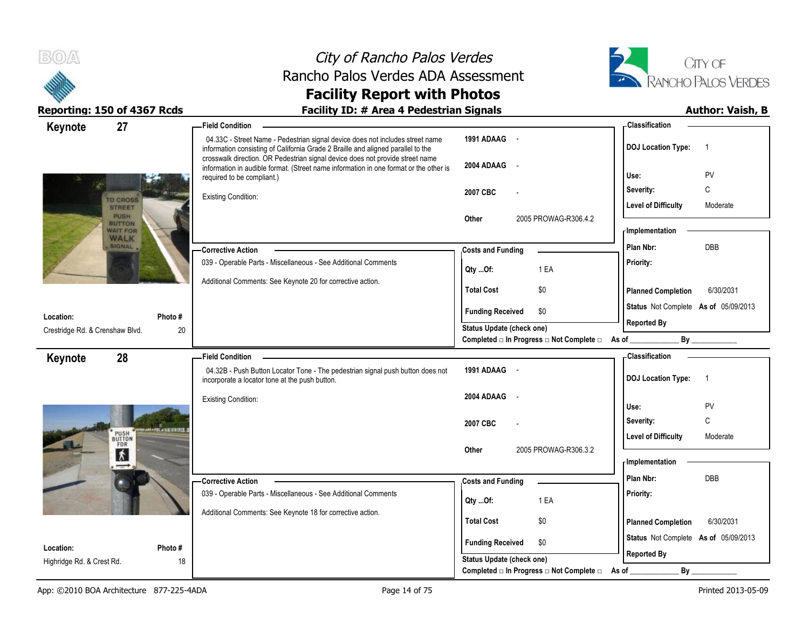



| 27<br>Keynote                                   |        | <b>Field Condition</b>                                                                                                                                                                               |                                                                                                     | <b>Classification</b>                                    |
|-------------------------------------------------|--------|------------------------------------------------------------------------------------------------------------------------------------------------------------------------------------------------------|-----------------------------------------------------------------------------------------------------|----------------------------------------------------------|
|                                                 |        | 04.33C - Street Name - Pedestrian signal device does not includes street name<br>information consisting of California Grade 2 Braille and aligned parallel to the                                    | 1991 ADAAG -                                                                                        | <b>DOJ</b> Location Type:<br>-1                          |
|                                                 |        | crosswalk direction. OR Pedestrian signal device does not provide street name<br>information in audible format. (Street name information in one format or the other is<br>required to be compliant.) | 2004 ADAAG<br>$\sim$                                                                                | PV<br>Use:                                               |
| <b>TO CROSS</b><br><b>STREET</b>                |        | <b>Existing Condition:</b>                                                                                                                                                                           | 2007 CBC                                                                                            | C<br>Severity:<br><b>Level of Difficulty</b><br>Moderate |
| PUSH<br><b>BUTTON</b><br><b><i>NAIT FOR</i></b> |        |                                                                                                                                                                                                      | 2005 PROWAG-R306.4.2<br>Other                                                                       | - Implementation                                         |
| <b>WALK</b><br><b>SIGNAL</b>                    |        | - Corrective Action                                                                                                                                                                                  | <b>Costs and Funding</b>                                                                            | DBB<br>Plan Nbr:                                         |
|                                                 |        | 039 - Operable Parts - Miscellaneous - See Additional Comments                                                                                                                                       | 1 EA<br>Qty Of:                                                                                     | Priority:                                                |
|                                                 |        | Additional Comments: See Keynote 20 for corrective action.                                                                                                                                           | <b>Total Cost</b><br>\$0                                                                            | <b>Planned Completion</b><br>6/30/2031                   |
| Location:                                       | Photo# |                                                                                                                                                                                                      | <b>Funding Received</b><br>\$0                                                                      | Status Not Complete As of 05/09/2013                     |
| Crestridge Rd. & Crenshaw Blvd.                 | 20     |                                                                                                                                                                                                      | <b>Status Update (check one)</b><br>Completed $\Box$ In Progress $\Box$ Not Complete $\Box$ As of _ | <b>Reported By</b><br>By                                 |
| 28<br>Keynote                                   |        | <b>Field Condition</b>                                                                                                                                                                               |                                                                                                     | - Classification                                         |
|                                                 |        | 04.32B - Push Button Locator Tone - The pedestrian signal push button does not<br>incorporate a locator tone at the push button.                                                                     | 1991 ADAAG -                                                                                        | <b>DOJ</b> Location Type:<br>$\overline{1}$              |
|                                                 |        | <b>Existing Condition:</b>                                                                                                                                                                           | 2004 ADAAG<br>$\sim$                                                                                | PV<br>Use:                                               |
|                                                 |        |                                                                                                                                                                                                      | 2007 CBC                                                                                            | C<br>Severity:                                           |
| <b>PUSH</b><br>BUTTON<br>FOR                    |        |                                                                                                                                                                                                      |                                                                                                     | <b>Level of Difficulty</b><br>Moderate                   |
| 大<br>$\rightarrow$                              |        |                                                                                                                                                                                                      | 2005 PROWAG-R306.3.2<br>Other                                                                       | - Implementation                                         |
|                                                 |        | -Corrective Action                                                                                                                                                                                   | <b>Costs and Funding</b>                                                                            | Plan Nbr:<br><b>DBB</b>                                  |
|                                                 |        | 039 - Operable Parts - Miscellaneous - See Additional Comments                                                                                                                                       | 1 EA<br>$Qty$ Of:                                                                                   | Priority:                                                |
|                                                 |        | Additional Comments: See Keynote 18 for corrective action.                                                                                                                                           | <b>Total Cost</b><br>\$0                                                                            | <b>Planned Completion</b><br>6/30/2031                   |
| Location:                                       | Photo# |                                                                                                                                                                                                      | <b>Funding Received</b><br>\$0                                                                      | Status Not Complete As of 05/09/2013                     |
| Highridge Rd. & Crest Rd.                       | 18     |                                                                                                                                                                                                      | <b>Status Update (check one)</b>                                                                    | <b>Reported By</b>                                       |
|                                                 |        |                                                                                                                                                                                                      | Completed $\square$ In Progress $\square$ Not Complete $\square$                                    | By<br>As of                                              |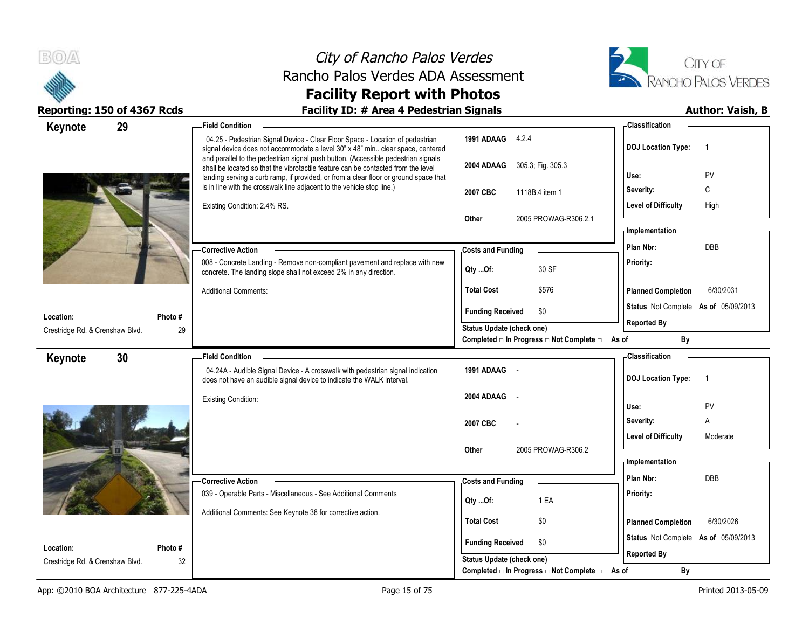



|                                 | Reporting: 150 of 4367 Rcds | Facility ID: # Area 4 Pedestrian Signals                                                                                                                                                                                                             |                                                         | <b>Author: Vaish, B</b>                     |
|---------------------------------|-----------------------------|------------------------------------------------------------------------------------------------------------------------------------------------------------------------------------------------------------------------------------------------------|---------------------------------------------------------|---------------------------------------------|
| Keynote                         | 29                          | Field Condition -                                                                                                                                                                                                                                    |                                                         | - Classification                            |
|                                 |                             | 04.25 - Pedestrian Signal Device - Clear Floor Space - Location of pedestrian<br>signal device does not accommodate a level 30" x 48" min clear space, centered<br>and parallel to the pedestrian signal push button. (Accessible pedestrian signals | 1991 ADAAG 4.2.4                                        | <b>DOJ Location Type:</b><br>$\overline{1}$ |
|                                 |                             | shall be located so that the vibrotactile feature can be contacted from the level<br>landing serving a curb ramp, if provided, or from a clear floor or ground space that                                                                            | 2004 ADAAG 305.3; Fig. 305.3                            | PV<br>Use:                                  |
|                                 |                             | is in line with the crosswalk line adjacent to the vehicle stop line.)                                                                                                                                                                               | 2007 CBC<br>1118B.4 item 1                              | C<br>Severity:                              |
|                                 |                             | Existing Condition: 2.4% RS.                                                                                                                                                                                                                         |                                                         | High<br>Level of Difficulty                 |
|                                 |                             |                                                                                                                                                                                                                                                      | 2005 PROWAG-R306.2.1<br>Other                           | - Implementation                            |
|                                 |                             | - Corrective Action                                                                                                                                                                                                                                  | <b>Costs and Funding</b>                                | <b>DBB</b><br>Plan Nbr:                     |
|                                 |                             | 008 - Concrete Landing - Remove non-compliant pavement and replace with new<br>concrete. The landing slope shall not exceed 2% in any direction.                                                                                                     | 30 SF<br>Qty Of:                                        | Priority:                                   |
|                                 |                             | <b>Additional Comments:</b>                                                                                                                                                                                                                          | <b>Total Cost</b><br>\$576                              | <b>Planned Completion</b><br>6/30/2031      |
| Location:                       | Photo#                      |                                                                                                                                                                                                                                                      | <b>Funding Received</b><br>\$0                          | Status Not Complete As of 05/09/2013        |
| Crestridge Rd. & Crenshaw Blvd. | 29                          |                                                                                                                                                                                                                                                      | Status Update (check one)                               | <b>Reported By</b>                          |
|                                 |                             |                                                                                                                                                                                                                                                      | Completed □ In Progress □ Not Complete □ As of ________ | By                                          |
| Keynote                         | 30                          | <b>Field Condition</b>                                                                                                                                                                                                                               |                                                         | <b>Classification</b>                       |
|                                 |                             | 04.24A - Audible Signal Device - A crosswalk with pedestrian signal indication<br>does not have an audible signal device to indicate the WALK interval.                                                                                              | 1991 ADAAG -                                            | <b>DOJ Location Type:</b><br>$\overline{1}$ |
|                                 |                             | <b>Existing Condition:</b>                                                                                                                                                                                                                           | 2004 ADAAG                                              |                                             |
|                                 |                             |                                                                                                                                                                                                                                                      |                                                         | PV<br>Use:                                  |
|                                 |                             |                                                                                                                                                                                                                                                      | 2007 CBC                                                | A<br>Severity:                              |
|                                 |                             |                                                                                                                                                                                                                                                      | Other<br>2005 PROWAG-R306.2                             | <b>Level of Difficulty</b><br>Moderate      |
|                                 |                             |                                                                                                                                                                                                                                                      |                                                         | - Implementation                            |
|                                 |                             | - Corrective Action                                                                                                                                                                                                                                  | <b>Costs and Funding</b>                                | Plan Nbr:<br><b>DBB</b>                     |
|                                 |                             | 039 - Operable Parts - Miscellaneous - See Additional Comments                                                                                                                                                                                       |                                                         | <b>Priority:</b>                            |
|                                 |                             | Additional Comments: See Keynote 38 for corrective action.                                                                                                                                                                                           | 1 EA<br>Qty Of:                                         |                                             |
|                                 |                             |                                                                                                                                                                                                                                                      | <b>Total Cost</b><br>\$0                                | 6/30/2026<br><b>Planned Completion</b>      |
| Location:                       | Photo#                      |                                                                                                                                                                                                                                                      | <b>Funding Received</b><br>\$0                          | Status Not Complete As of 05/09/2013        |
| Crestridge Rd. & Crenshaw Blvd. | 32                          |                                                                                                                                                                                                                                                      | <b>Status Update (check one)</b>                        | <b>Reported By</b>                          |
|                                 |                             |                                                                                                                                                                                                                                                      | Completed □ In Progress □ Not Complete □                | As of<br>By                                 |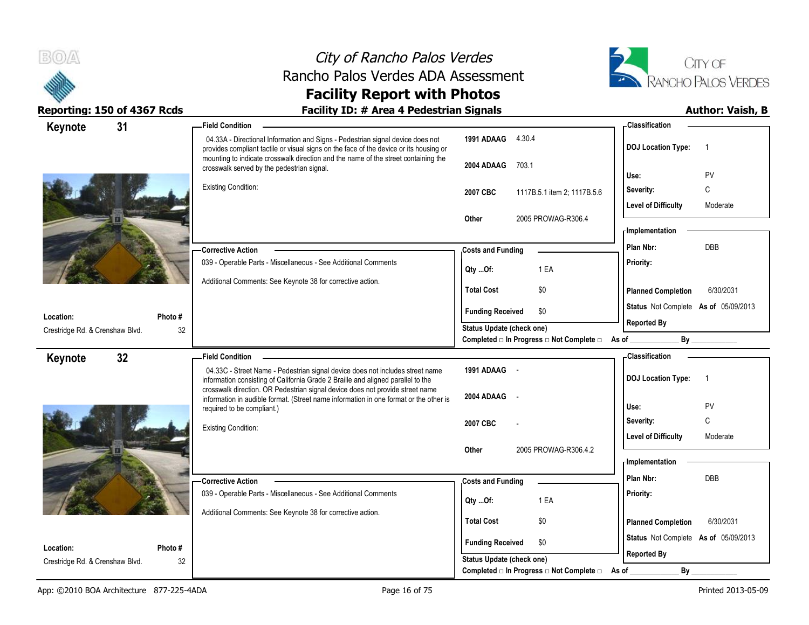



### **Reporting: 150 of 4367 Rcds Facility ID: # Area 4 Pedestrian Signals Author: Vaish, B**

| Keynote                         | 31 |        | <b>Field Condition</b>                                                                                                                                                   |                                  |                                                  | - Classification                     |                |
|---------------------------------|----|--------|--------------------------------------------------------------------------------------------------------------------------------------------------------------------------|----------------------------------|--------------------------------------------------|--------------------------------------|----------------|
|                                 |    |        | 04.33A - Directional Information and Signs - Pedestrian signal device does not<br>provides compliant tactile or visual signs on the face of the device or its housing or | 1991 ADAAG 4.30.4                |                                                  | <b>DOJ Location Type:</b>            | $\overline{1}$ |
|                                 |    |        | mounting to indicate crosswalk direction and the name of the street containing the<br>crosswalk served by the pedestrian signal.                                         | 2004 ADAAG                       | 703.1                                            | Use:                                 | PV             |
|                                 |    |        | Existing Condition:                                                                                                                                                      | 2007 CBC                         | 1117B.5.1 item 2; 1117B.5.6                      | Severity:                            | C              |
|                                 |    |        |                                                                                                                                                                          |                                  |                                                  | <b>Level of Difficulty</b>           | Moderate       |
|                                 |    |        |                                                                                                                                                                          | Other                            | 2005 PROWAG-R306.4                               |                                      |                |
|                                 |    |        |                                                                                                                                                                          |                                  |                                                  | <b>Implementation</b>                |                |
|                                 |    |        | - Corrective Action                                                                                                                                                      | <b>Costs and Funding</b>         |                                                  | Plan Nbr:                            | <b>DBB</b>     |
|                                 |    |        | 039 - Operable Parts - Miscellaneous - See Additional Comments                                                                                                           | Qty Of:                          | 1 EA                                             | Priority:                            |                |
|                                 |    |        | Additional Comments: See Keynote 38 for corrective action.                                                                                                               |                                  |                                                  |                                      |                |
|                                 |    |        |                                                                                                                                                                          | <b>Total Cost</b>                | \$0                                              | <b>Planned Completion</b>            | 6/30/2031      |
| Location:                       |    | Photo# |                                                                                                                                                                          | <b>Funding Received</b>          | \$0                                              | Status Not Complete As of 05/09/2013 |                |
| Crestridge Rd. & Crenshaw Blvd. |    | 32     |                                                                                                                                                                          | Status Update (check one)        |                                                  | <b>Reported By</b>                   |                |
|                                 |    |        |                                                                                                                                                                          |                                  | Completed □ In Progress □ Not Complete □ As of _ |                                      | $\mathsf{By}$  |
| Keynote                         | 32 |        | <b>Field Condition</b>                                                                                                                                                   |                                  |                                                  | <b>Classification</b>                |                |
|                                 |    |        | 04.33C - Street Name - Pedestrian signal device does not includes street name<br>information consisting of California Grade 2 Braille and aligned parallel to the        | 1991 ADAAG -                     |                                                  | <b>DOJ Location Type:</b>            | $\overline{1}$ |
|                                 |    |        | crosswalk direction. OR Pedestrian signal device does not provide street name<br>information in audible format. (Street name information in one format or the other is   | 2004 ADAAG                       |                                                  |                                      |                |
|                                 |    |        | required to be compliant.)                                                                                                                                               |                                  |                                                  | Use:                                 | PV             |
|                                 |    |        | Existing Condition:                                                                                                                                                      | 2007 CBC                         |                                                  | Severity:                            | $\mathsf C$    |
|                                 |    |        |                                                                                                                                                                          | Other                            | 2005 PROWAG-R306.4.2                             | <b>Level of Difficulty</b>           | Moderate       |
|                                 |    |        |                                                                                                                                                                          |                                  |                                                  | - Implementation                     |                |
|                                 |    |        | <b>Corrective Action</b>                                                                                                                                                 | <b>Costs and Funding</b>         |                                                  | Plan Nbr:                            | <b>DBB</b>     |
|                                 |    |        | 039 - Operable Parts - Miscellaneous - See Additional Comments                                                                                                           |                                  |                                                  | Priority:                            |                |
|                                 |    |        |                                                                                                                                                                          | Qty Of:                          | 1 EA                                             |                                      |                |
|                                 |    |        | Additional Comments: See Keynote 38 for corrective action.                                                                                                               | <b>Total Cost</b>                | \$0                                              | <b>Planned Completion</b>            | 6/30/2031      |
|                                 |    |        |                                                                                                                                                                          | <b>Funding Received</b>          | \$0                                              | Status Not Complete As of 05/09/2013 |                |
| Location:                       |    | Photo# |                                                                                                                                                                          |                                  |                                                  | <b>Reported By</b>                   |                |
| Crestridge Rd. & Crenshaw Blvd. |    | 32     |                                                                                                                                                                          | <b>Status Update (check one)</b> |                                                  |                                      |                |
|                                 |    |        |                                                                                                                                                                          |                                  | Completed □ In Progress □ Not Complete □         | <b>By</b><br>As of                   |                |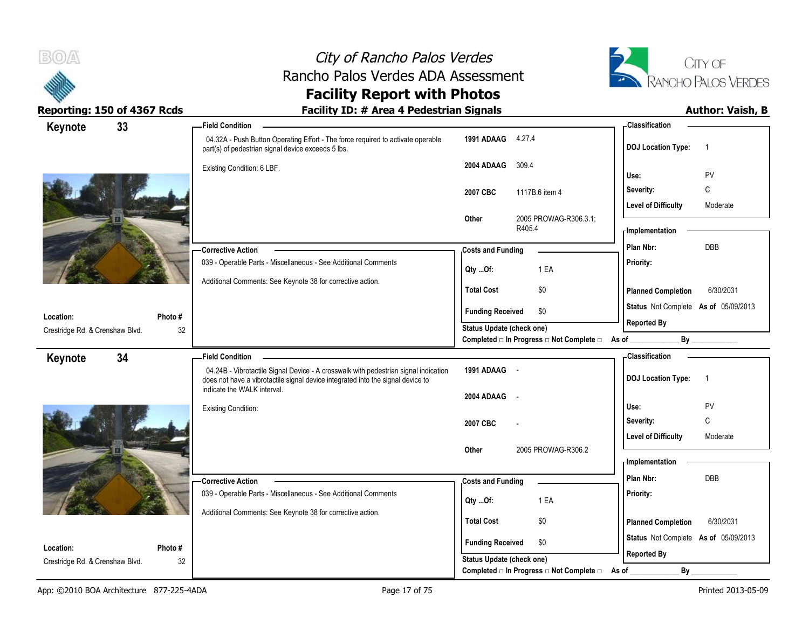



### Reporting: 150 of 4367 Rcds **Facility ID: # Area 4 Pedestrian Signals Reporting: 150 of 4367 Rcds Author: Vaish, B**

| - Classification                                                                             |
|----------------------------------------------------------------------------------------------|
| 1991 ADAAG 4.27.4<br><b>DOJ Location Type:</b><br>$\overline{1}$                             |
| 2004 ADAAG<br>309.4<br>PV<br>Use:                                                            |
| C<br>Severity:<br>1117B.6 item 4                                                             |
| <b>Level of Difficulty</b><br>Moderate                                                       |
| 2005 PROWAG-R306.3.1;<br>R405.4<br>- Implementation                                          |
| <b>DBB</b><br>Plan Nbr:<br><b>Costs and Funding</b>                                          |
| Priority:<br>1 EA<br>Qty Of:                                                                 |
| <b>Total Cost</b><br>\$0<br><b>Planned Completion</b><br>6/30/2031                           |
| Status Not Complete As of 05/09/2013<br>\$0<br><b>Funding Received</b>                       |
| <b>Reported By</b><br><b>Status Update (check one)</b>                                       |
| Completed □ In Progress □ Not Complete □ As of<br>By                                         |
| <b>Classification</b>                                                                        |
| 1991 ADAAG -<br><b>DOJ Location Type:</b><br>$\overline{1}$                                  |
| 2004 ADAAG<br>$\sim$                                                                         |
| PV<br>Use:<br>C<br>Severity:                                                                 |
| <b>Level of Difficulty</b><br>Moderate                                                       |
|                                                                                              |
| 2005 PROWAG-R306.2                                                                           |
| - Implementation                                                                             |
| Plan Nbr:<br><b>DBB</b><br><b>Costs and Funding</b>                                          |
| Priority:<br>1 EA                                                                            |
| Qty Of:                                                                                      |
| <b>Total Cost</b><br>\$0<br><b>Planned Completion</b><br>6/30/2031                           |
| Status Not Complete As of 05/09/2013<br><b>Funding Received</b><br>\$0<br><b>Reported By</b> |
| 2007 CBC<br>2007 CBC                                                                         |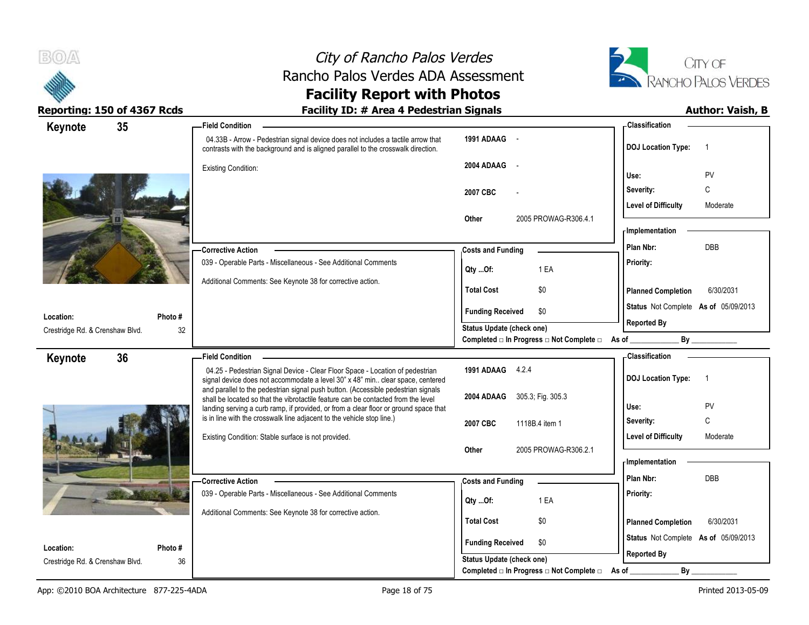



### Reporting: 150 of 4367 Rcds **Facility ID: # Area 4 Pedestrian Signals Author: Vaish, B**

| Keynote                                      | 35            | -Field Condition                                                                                                                                                       |                                                                               | - Classification                                    |
|----------------------------------------------|---------------|------------------------------------------------------------------------------------------------------------------------------------------------------------------------|-------------------------------------------------------------------------------|-----------------------------------------------------|
|                                              |               | 04.33B - Arrow - Pedestrian signal device does not includes a tactile arrow that<br>contrasts with the background and is aligned parallel to the crosswalk direction.  | 1991 ADAAG -                                                                  | <b>DOJ Location Type:</b><br>$\overline{1}$         |
|                                              |               | <b>Existing Condition:</b>                                                                                                                                             | 2004 ADAAG                                                                    | PV<br>Use:                                          |
|                                              |               |                                                                                                                                                                        | 2007 CBC                                                                      | Severity:<br>C                                      |
|                                              |               |                                                                                                                                                                        |                                                                               | <b>Level of Difficulty</b><br>Moderate              |
|                                              |               |                                                                                                                                                                        | 2005 PROWAG-R306.4.1<br><b>Other</b>                                          | - Implementation                                    |
|                                              |               | <b>Corrective Action</b>                                                                                                                                               | <b>Costs and Funding</b>                                                      | <b>DBB</b><br>Plan Nbr:                             |
|                                              |               | 039 - Operable Parts - Miscellaneous - See Additional Comments                                                                                                         | 1 EA<br>Qty Of:                                                               | Priority:                                           |
|                                              |               | Additional Comments: See Keynote 38 for corrective action.                                                                                                             | <b>Total Cost</b><br>\$0                                                      | <b>Planned Completion</b><br>6/30/2031              |
| Location:                                    | Photo #       |                                                                                                                                                                        | <b>Funding Received</b><br>\$0                                                | Status Not Complete As of 05/09/2013                |
| Crestridge Rd. & Crenshaw Blvd.              | 32            |                                                                                                                                                                        | Status Update (check one)<br>Completed □ In Progress □ Not Complete □ As of _ | <b>Reported By</b><br>By                            |
| Keynote                                      | 36            | <b>Field Condition</b>                                                                                                                                                 |                                                                               | - Classification                                    |
|                                              |               | 04.25 - Pedestrian Signal Device - Clear Floor Space - Location of pedestrian<br>signal device does not accommodate a level 30" x 48" min clear space, centered        | 1991 ADAAG 4.2.4                                                              | <b>DOJ Location Type:</b><br>$\overline{1}$         |
|                                              |               |                                                                                                                                                                        |                                                                               |                                                     |
|                                              |               | and parallel to the pedestrian signal push button. (Accessible pedestrian signals<br>shall be located so that the vibrotactile feature can be contacted from the level | 2004 ADAAG<br>305.3; Fig. 305.3                                               |                                                     |
|                                              |               | landing serving a curb ramp, if provided, or from a clear floor or ground space that<br>is in line with the crosswalk line adjacent to the vehicle stop line.)         |                                                                               | Use:<br>PV<br>C                                     |
|                                              |               | Existing Condition: Stable surface is not provided.                                                                                                                    | 2007 CBC<br>1118B.4 item 1                                                    | Severity:<br><b>Level of Difficulty</b><br>Moderate |
|                                              |               |                                                                                                                                                                        | 2005 PROWAG-R306.2.1<br>Other                                                 |                                                     |
|                                              |               |                                                                                                                                                                        |                                                                               | - Implementation<br>Plan Nbr:<br>DBB                |
|                                              |               | -Corrective Action<br>039 - Operable Parts - Miscellaneous - See Additional Comments                                                                                   | <b>Costs and Funding</b><br>1 EA                                              | Priority:                                           |
|                                              |               | Additional Comments: See Keynote 38 for corrective action.                                                                                                             | Qty Of:<br><b>Total Cost</b><br>\$0                                           | <b>Planned Completion</b><br>6/30/2031              |
|                                              |               |                                                                                                                                                                        | <b>Funding Received</b><br>\$0                                                | Status Not Complete As of 05/09/2013                |
| Location:<br>Crestridge Rd. & Crenshaw Blvd. | Photo #<br>36 |                                                                                                                                                                        | Status Update (check one)                                                     | <b>Reported By</b>                                  |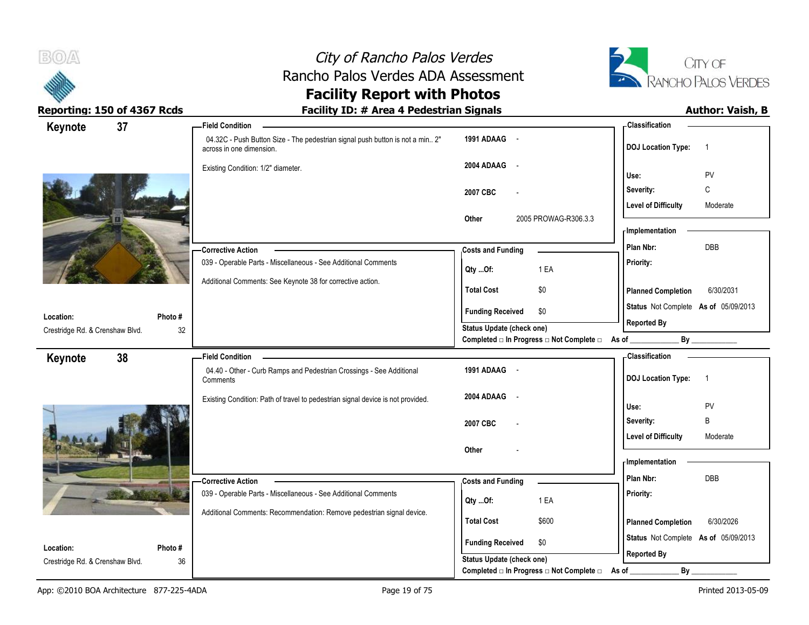



| Keynote                                      | 37           | <b>Field Condition</b>                                                                                    |                                                  | <b>Classification</b>                       |
|----------------------------------------------|--------------|-----------------------------------------------------------------------------------------------------------|--------------------------------------------------|---------------------------------------------|
|                                              |              | 04.32C - Push Button Size - The pedestrian signal push button is not a min 2"<br>across in one dimension. | 1991 ADAAG -                                     | <b>DOJ</b> Location Type:<br>$\overline{1}$ |
|                                              |              | Existing Condition: 1/2" diameter.                                                                        | 2004 ADAAG<br>$\sim$                             |                                             |
|                                              |              |                                                                                                           |                                                  | Use:<br>PV<br>Severity:<br>C                |
|                                              |              |                                                                                                           | 2007 CBC                                         | <b>Level of Difficulty</b><br>Moderate      |
|                                              |              |                                                                                                           | 2005 PROWAG-R306.3.3<br>Other                    |                                             |
|                                              |              |                                                                                                           |                                                  | - Implementation                            |
|                                              |              | <b>Corrective Action</b>                                                                                  | <b>Costs and Funding</b>                         | DBB<br>Plan Nbr:                            |
|                                              |              | 039 - Operable Parts - Miscellaneous - See Additional Comments                                            | 1 EA<br>Qty Of:                                  | Priority:                                   |
|                                              |              | Additional Comments: See Keynote 38 for corrective action.                                                |                                                  |                                             |
|                                              |              |                                                                                                           | <b>Total Cost</b><br>\$0                         | <b>Planned Completion</b><br>6/30/2031      |
| Location:                                    | Photo#       |                                                                                                           | <b>Funding Received</b><br>\$0                   | Status Not Complete As of 05/09/2013        |
| Crestridge Rd. & Crenshaw Blvd.              | 32           |                                                                                                           | Status Update (check one)                        | <b>Reported By</b>                          |
|                                              |              |                                                                                                           | Completed □ In Progress □ Not Complete □ As of _ | By                                          |
| Keynote                                      | 38           | <b>Field Condition</b>                                                                                    |                                                  | - Classification                            |
|                                              |              | 04.40 - Other - Curb Ramps and Pedestrian Crossings - See Additional<br>Comments                          | 1991 ADAAG -                                     | <b>DOJ Location Type:</b><br>$\overline{1}$ |
|                                              |              | Existing Condition: Path of travel to pedestrian signal device is not provided.                           | 2004 ADAAG<br>$\sim$                             |                                             |
|                                              |              |                                                                                                           |                                                  | Use:<br>PV                                  |
|                                              |              |                                                                                                           | 2007 CBC                                         | B<br>Severity:                              |
|                                              |              |                                                                                                           |                                                  | <b>Level of Difficulty</b><br>Moderate      |
|                                              |              |                                                                                                           |                                                  |                                             |
|                                              |              |                                                                                                           | Other                                            | - Implementation                            |
|                                              |              |                                                                                                           |                                                  | Plan Nbr:<br><b>DBB</b>                     |
|                                              |              | - Corrective Action<br>039 - Operable Parts - Miscellaneous - See Additional Comments                     | <b>Costs and Funding</b>                         | Priority:                                   |
|                                              |              |                                                                                                           | 1 EA<br>Qty Of:                                  |                                             |
|                                              |              | Additional Comments: Recommendation: Remove pedestrian signal device.                                     | <b>Total Cost</b><br>\$600                       | <b>Planned Completion</b><br>6/30/2026      |
|                                              |              |                                                                                                           | <b>Funding Received</b><br>\$0                   | Status Not Complete As of 05/09/2013        |
| Location:<br>Crestridge Rd. & Crenshaw Blvd. | Photo#<br>36 |                                                                                                           | Status Update (check one)                        | <b>Reported By</b>                          |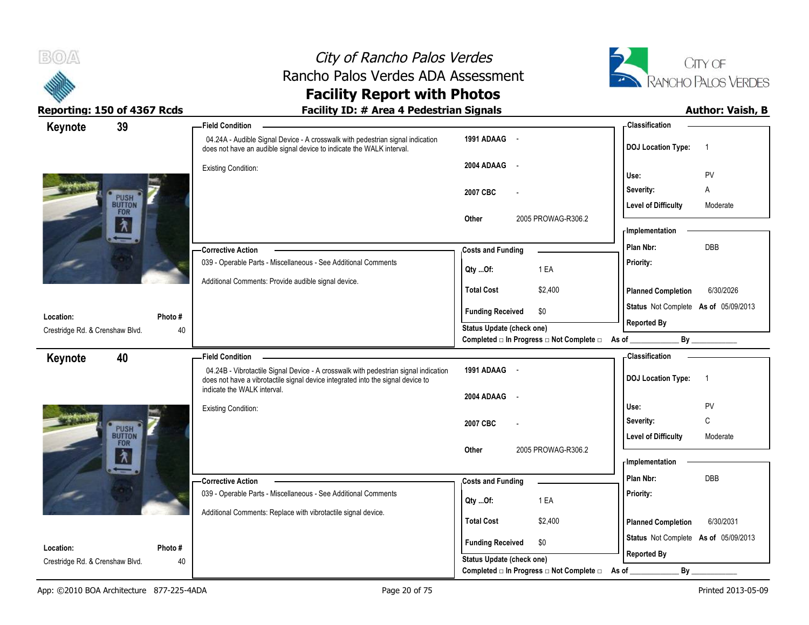



| 39<br>Keynote                                |               | <b>Field Condition</b>                                                                                                                                                 |                                                | - Classification                            |
|----------------------------------------------|---------------|------------------------------------------------------------------------------------------------------------------------------------------------------------------------|------------------------------------------------|---------------------------------------------|
|                                              |               | 04.24A - Audible Signal Device - A crosswalk with pedestrian signal indication<br>does not have an audible signal device to indicate the WALK interval.                | 1991 ADAAG -                                   | <b>DOJ Location Type:</b><br>$\overline{1}$ |
|                                              |               | Existing Condition:                                                                                                                                                    | 2004 ADAAG -                                   | PV<br>Use:                                  |
|                                              |               |                                                                                                                                                                        | 2007 CBC                                       | Severity:<br>Α                              |
| PUSH<br>BUTTON                               |               |                                                                                                                                                                        |                                                | <b>Level of Difficulty</b><br>Moderate      |
| FOR<br>Λ                                     |               |                                                                                                                                                                        | 2005 PROWAG-R306.2<br>Other                    | <b>Implementation</b>                       |
|                                              |               | -Corrective Action                                                                                                                                                     | <b>Costs and Funding</b>                       | <b>DBB</b><br>Plan Nbr:                     |
|                                              |               | 039 - Operable Parts - Miscellaneous - See Additional Comments                                                                                                         | 1 EA<br>Qty Of:                                | Priority:                                   |
|                                              |               | Additional Comments: Provide audible signal device.                                                                                                                    | <b>Total Cost</b><br>\$2,400                   | 6/30/2026<br><b>Planned Completion</b>      |
|                                              |               |                                                                                                                                                                        | <b>Funding Received</b><br>\$0                 | Status Not Complete As of 05/09/2013        |
| Location:<br>Crestridge Rd. & Crenshaw Blvd. | Photo #<br>40 |                                                                                                                                                                        | Status Update (check one)                      | <b>Reported By</b>                          |
|                                              |               |                                                                                                                                                                        | Completed □ In Progress □ Not Complete □ As of | By                                          |
| 40<br>Keynote                                |               | <b>Field Condition</b>                                                                                                                                                 |                                                | - Classification                            |
|                                              |               | 04.24B - Vibrotactile Signal Device - A crosswalk with pedestrian signal indication<br>does not have a vibrotactile signal device integrated into the signal device to | 1991 ADAAG -                                   | <b>DOJ Location Type:</b><br>$\overline{1}$ |
|                                              |               | indicate the WALK interval.                                                                                                                                            | 2004 ADAAG -                                   |                                             |
|                                              |               | Existing Condition:                                                                                                                                                    |                                                | PV<br>Use:                                  |
| PUSH<br>BUTTON                               |               |                                                                                                                                                                        | 2007 CBC                                       | C<br>Severity:                              |
| FOR                                          |               |                                                                                                                                                                        | 2005 PROWAG-R306.2<br>Other                    | <b>Level of Difficulty</b><br>Moderate      |
| Λ                                            |               |                                                                                                                                                                        |                                                | - Implementation                            |
|                                              |               | -Corrective Action                                                                                                                                                     | <b>Costs and Funding</b>                       | Plan Nbr:<br><b>DBB</b>                     |
|                                              |               | 039 - Operable Parts - Miscellaneous - See Additional Comments                                                                                                         | 1 EA<br>Qty Of:                                | Priority:                                   |
|                                              |               | Additional Comments: Replace with vibrotactile signal device.                                                                                                          |                                                |                                             |
|                                              |               |                                                                                                                                                                        | <b>Total Cost</b><br>\$2,400                   | 6/30/2031<br><b>Planned Completion</b>      |
| Location:                                    | Photo#        |                                                                                                                                                                        | <b>Funding Received</b><br>\$0                 | Status Not Complete As of 05/09/2013        |
| Crestridge Rd. & Crenshaw Blvd.              | 40            |                                                                                                                                                                        | Status Update (check one)                      | <b>Reported By</b>                          |
|                                              |               |                                                                                                                                                                        | Completed □ In Progress □ Not Complete □       | By<br>As of                                 |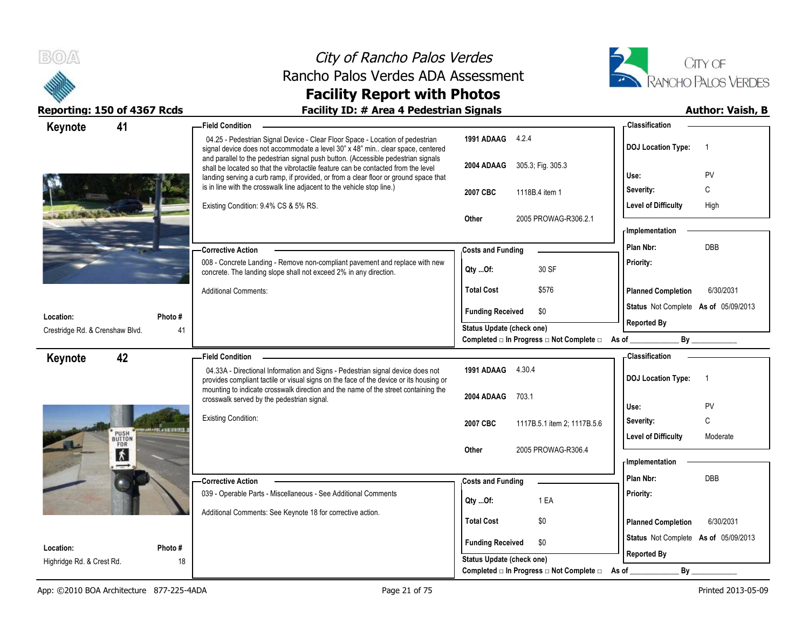



### Reporting: 150 of 4367 Rcds **Facility ID: # Area 4 Pedestrian Signals Reporting: 150 of 4367 Rcds Author: Vaish, B**

| Keynote                                      | 41                                      | <b>Field Condition</b>                                                                                                                                                       |                                                         | - Classification                                      |
|----------------------------------------------|-----------------------------------------|------------------------------------------------------------------------------------------------------------------------------------------------------------------------------|---------------------------------------------------------|-------------------------------------------------------|
|                                              |                                         | 04.25 - Pedestrian Signal Device - Clear Floor Space - Location of pedestrian<br>signal device does not accommodate a level 30" x 48" min clear space, centered              | 1991 ADAAG 4.2.4                                        | <b>DOJ Location Type:</b><br>- 1                      |
|                                              |                                         | and parallel to the pedestrian signal push button. (Accessible pedestrian signals<br>shall be located so that the vibrotactile feature can be contacted from the level       | 2004 ADAAG 305.3; Fig. 305.3                            | PV<br>Use:                                            |
|                                              |                                         | landing serving a curb ramp, if provided, or from a clear floor or ground space that<br>is in line with the crosswalk line adjacent to the vehicle stop line.)               |                                                         | Severity:<br>C                                        |
|                                              |                                         |                                                                                                                                                                              | 2007 CBC<br>1118B.4 item 1                              | <b>Level of Difficulty</b><br>High                    |
|                                              |                                         | Existing Condition: 9.4% CS & 5% RS.                                                                                                                                         | Other<br>2005 PROWAG-R306.2.1                           |                                                       |
|                                              |                                         |                                                                                                                                                                              |                                                         | - Implementation                                      |
|                                              |                                         | <b>Corrective Action</b>                                                                                                                                                     | <b>Costs and Funding</b>                                | <b>DBB</b><br>Plan Nbr:                               |
|                                              |                                         | 008 - Concrete Landing - Remove non-compliant pavement and replace with new                                                                                                  |                                                         | Priority:                                             |
|                                              |                                         | concrete. The landing slope shall not exceed 2% in any direction.                                                                                                            | 30 SF<br>Qty Of:                                        |                                                       |
|                                              |                                         | <b>Additional Comments:</b>                                                                                                                                                  | <b>Total Cost</b><br>\$576                              | <b>Planned Completion</b><br>6/30/2031                |
|                                              |                                         |                                                                                                                                                                              | <b>Funding Received</b><br>\$0                          | Status Not Complete As of 05/09/2013                  |
| Location:<br>Crestridge Rd. & Crenshaw Blvd. | Photo #<br>41                           |                                                                                                                                                                              | Status Update (check one)                               | <b>Reported By</b>                                    |
|                                              |                                         |                                                                                                                                                                              | Completed □ In Progress □ Not Complete □ As of ________ | By                                                    |
| Keynote                                      | 42                                      | <b>Field Condition</b>                                                                                                                                                       |                                                         | - Classification                                      |
|                                              |                                         |                                                                                                                                                                              |                                                         |                                                       |
|                                              |                                         | 04.33A - Directional Information and Signs - Pedestrian signal device does not                                                                                               | 1991 ADAAG 4.30.4                                       |                                                       |
|                                              |                                         | provides compliant tactile or visual signs on the face of the device or its housing or<br>mounting to indicate crosswalk direction and the name of the street containing the |                                                         | <b>DOJ Location Type:</b><br>$\overline{\phantom{0}}$ |
|                                              |                                         | crosswalk served by the pedestrian signal.                                                                                                                                   | 2004 ADAAG<br>703.1                                     |                                                       |
|                                              |                                         | <b>Existing Condition:</b>                                                                                                                                                   |                                                         | Use:<br>PV                                            |
|                                              | PUSH                                    |                                                                                                                                                                              | 2007 CBC<br>1117B.5.1 item 2; 1117B.5.6                 | $\mathsf C$<br>Severity:<br>Moderate                  |
|                                              | <b>BUTTON</b><br>FOR                    |                                                                                                                                                                              | 2005 PROWAG-R306.4<br>Other                             | <b>Level of Difficulty</b>                            |
|                                              | $\boldsymbol{\Lambda}$<br>$\rightarrow$ |                                                                                                                                                                              |                                                         | <b>Implementation</b>                                 |
|                                              |                                         | -Corrective Action                                                                                                                                                           | <b>Costs and Funding</b>                                | Plan Nbr:<br>DBB                                      |
|                                              |                                         | 039 - Operable Parts - Miscellaneous - See Additional Comments                                                                                                               |                                                         | Priority:                                             |
|                                              |                                         | Additional Comments: See Keynote 18 for corrective action.                                                                                                                   | 1 EA<br>Qty Of:                                         |                                                       |
|                                              |                                         |                                                                                                                                                                              | <b>Total Cost</b><br>\$0                                | 6/30/2031<br><b>Planned Completion</b>                |
|                                              |                                         |                                                                                                                                                                              | <b>Funding Received</b><br>\$0                          | Status Not Complete As of 05/09/2013                  |
| Location:<br>Highridge Rd. & Crest Rd.       | Photo #<br>18                           |                                                                                                                                                                              | <b>Status Update (check one)</b>                        | <b>Reported By</b>                                    |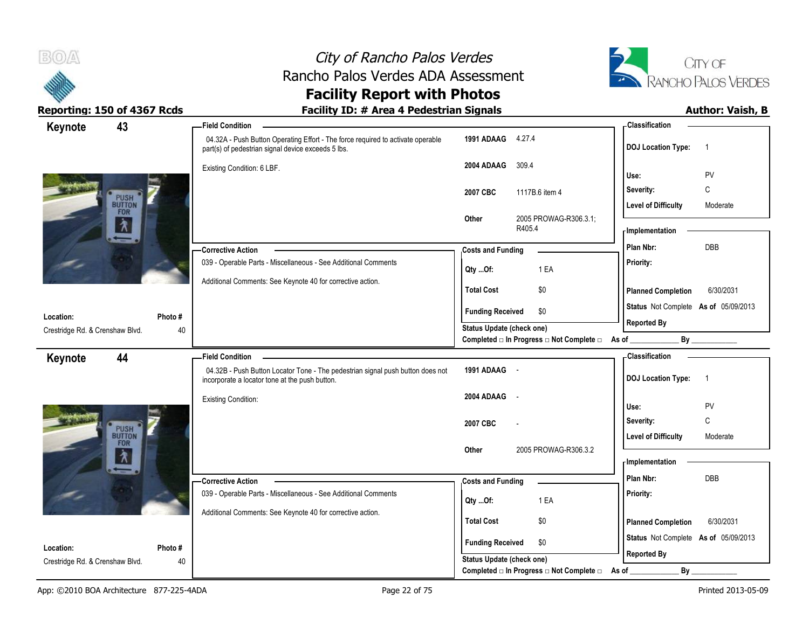



### Reporting: 150 of 4367 Rcds **Facility ID: # Area 4 Pedestrian Signals Reporting: 150 of 4367 Rcds Author: Vaish, B**

| Keynote                                      | 43                      | - Field Condition                                                                                                                     |                                  |        |                                                  | - Classification                                           |                |
|----------------------------------------------|-------------------------|---------------------------------------------------------------------------------------------------------------------------------------|----------------------------------|--------|--------------------------------------------------|------------------------------------------------------------|----------------|
|                                              |                         | 04.32A - Push Button Operating Effort - The force required to activate operable<br>part(s) of pedestrian signal device exceeds 5 lbs. | 1991 ADAAG 4.27.4                |        |                                                  | <b>DOJ Location Type:</b>                                  | $\overline{1}$ |
|                                              |                         | Existing Condition: 6 LBF.                                                                                                            | 2004 ADAAG                       | 309.4  |                                                  | Use:                                                       | PV             |
|                                              |                         |                                                                                                                                       | 2007 CBC                         |        | 1117B.6 item 4                                   | Severity:                                                  | C              |
|                                              | PUSH<br>BUTTON          |                                                                                                                                       |                                  |        |                                                  | <b>Level of Difficulty</b>                                 | Moderate       |
|                                              | <b>FOR</b><br>$\lambda$ |                                                                                                                                       | Other                            | R405.4 | 2005 PROWAG-R306.3.1;                            | - Implementation                                           |                |
|                                              |                         | -Corrective Action                                                                                                                    | <b>Costs and Funding</b>         |        |                                                  | Plan Nbr:                                                  | DBB            |
|                                              |                         | 039 - Operable Parts - Miscellaneous - See Additional Comments                                                                        | Qty Of:                          |        | 1 EA                                             | Priority:                                                  |                |
|                                              |                         | Additional Comments: See Keynote 40 for corrective action.                                                                            | <b>Total Cost</b>                |        | \$0                                              | <b>Planned Completion</b>                                  | 6/30/2031      |
|                                              |                         |                                                                                                                                       | <b>Funding Received</b>          |        | \$0                                              | Status Not Complete As of 05/09/2013                       |                |
| Location:<br>Crestridge Rd. & Crenshaw Blvd. | Photo#<br>40            |                                                                                                                                       | <b>Status Update (check one)</b> |        |                                                  | <b>Reported By</b>                                         |                |
|                                              |                         |                                                                                                                                       |                                  |        | Completed □ In Progress □ Not Complete □ As of _ |                                                            | By             |
| Keynote                                      | 44                      | <b>Field Condition</b>                                                                                                                |                                  |        |                                                  | <b>Classification</b>                                      |                |
|                                              |                         | 04.32B - Push Button Locator Tone - The pedestrian signal push button does not<br>incorporate a locator tone at the push button.      | 1991 ADAAG -                     |        |                                                  | <b>DOJ</b> Location Type:                                  | $\overline{1}$ |
|                                              |                         | <b>Existing Condition:</b>                                                                                                            | 2004 ADAAG                       | $\sim$ |                                                  |                                                            |                |
|                                              |                         |                                                                                                                                       |                                  |        |                                                  | Use:<br>Severity:                                          | PV<br>C        |
|                                              | PUSH<br>BUTTON          |                                                                                                                                       | 2007 CBC                         |        |                                                  | <b>Level of Difficulty</b>                                 | Moderate       |
|                                              | FOR                     |                                                                                                                                       | Other                            |        | 2005 PROWAG-R306.3.2                             |                                                            |                |
|                                              | Λ                       |                                                                                                                                       |                                  |        |                                                  | <b>Implementation</b>                                      |                |
|                                              |                         | - Corrective Action                                                                                                                   | <b>Costs and Funding</b>         |        |                                                  | Plan Nbr:                                                  | DBB            |
|                                              |                         | 039 - Operable Parts - Miscellaneous - See Additional Comments                                                                        | Qty Of:                          |        | 1 EA                                             | Priority:                                                  |                |
|                                              |                         | Additional Comments: See Keynote 40 for corrective action.                                                                            | <b>Total Cost</b>                |        | \$0                                              |                                                            | 6/30/2031      |
|                                              |                         |                                                                                                                                       |                                  |        |                                                  | <b>Planned Completion</b>                                  |                |
| Location:                                    | Photo#                  |                                                                                                                                       | <b>Funding Received</b>          |        | \$0                                              | Status Not Complete As of 05/09/2013<br><b>Reported By</b> |                |
|                                              |                         |                                                                                                                                       |                                  |        |                                                  |                                                            |                |
| Crestridge Rd. & Crenshaw Blvd.              | 40                      |                                                                                                                                       | Status Update (check one)        |        | Completed □ In Progress □ Not Complete □         | By<br>As of                                                |                |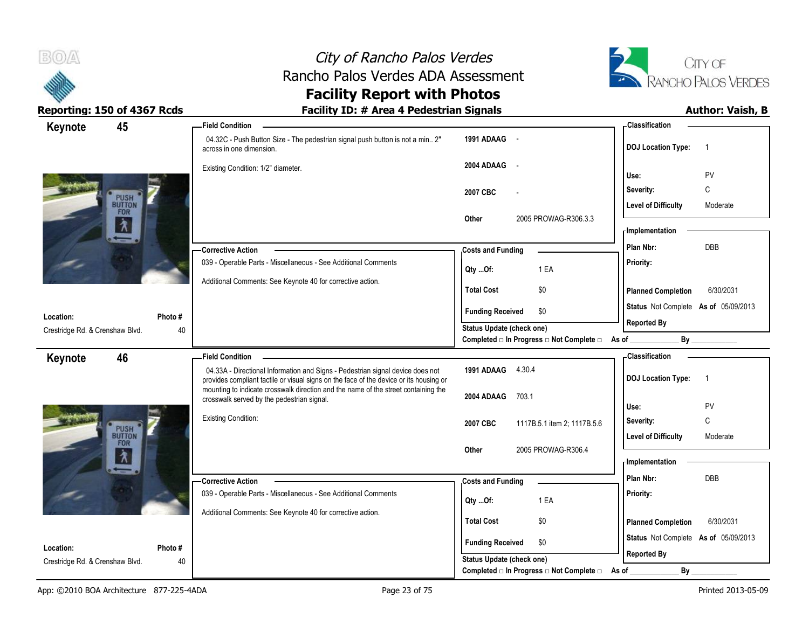



| Keynote                         | 45             | <b>Field Condition</b>                                                                                                                                                   |                                                                 | -Classification                                                                                                                                                                                                                |
|---------------------------------|----------------|--------------------------------------------------------------------------------------------------------------------------------------------------------------------------|-----------------------------------------------------------------|--------------------------------------------------------------------------------------------------------------------------------------------------------------------------------------------------------------------------------|
|                                 |                | 04.32C - Push Button Size - The pedestrian signal push button is not a min 2"<br>across in one dimension.                                                                | 1991 ADAAG -                                                    | <b>DOJ Location Type:</b><br>$\overline{1}$                                                                                                                                                                                    |
|                                 |                | Existing Condition: 1/2" diameter.                                                                                                                                       | 2004 ADAAG<br>$\sim$ $-$                                        | PV<br>Use:                                                                                                                                                                                                                     |
|                                 |                |                                                                                                                                                                          | 2007 CBC                                                        | C<br>Severity:                                                                                                                                                                                                                 |
|                                 | PUSH<br>BUTTON |                                                                                                                                                                          |                                                                 | <b>Level of Difficulty</b><br>Moderate                                                                                                                                                                                         |
| FOR<br>A.                       |                |                                                                                                                                                                          | 2005 PROWAG-R306.3.3<br>Other                                   | - Implementation                                                                                                                                                                                                               |
|                                 |                | -Corrective Action                                                                                                                                                       | <b>Costs and Funding</b>                                        | DBB<br>Plan Nbr:                                                                                                                                                                                                               |
|                                 |                | 039 - Operable Parts - Miscellaneous - See Additional Comments                                                                                                           | 1 EA<br>Qty Of:                                                 | Priority:                                                                                                                                                                                                                      |
|                                 |                | Additional Comments: See Keynote 40 for corrective action.                                                                                                               | <b>Total Cost</b><br>\$0                                        | <b>Planned Completion</b><br>6/30/2031                                                                                                                                                                                         |
| Location:                       | Photo#         |                                                                                                                                                                          | <b>Funding Received</b><br>\$0                                  | Status Not Complete As of 05/09/2013                                                                                                                                                                                           |
| Crestridge Rd. & Crenshaw Blvd. | 40             |                                                                                                                                                                          | Status Update (check one)                                       | <b>Reported By</b>                                                                                                                                                                                                             |
|                                 |                |                                                                                                                                                                          | Completed $\Box$ In Progress $\Box$ Not Complete $\Box$ As of _ | By the contract of the contract of the contract of the contract of the contract of the contract of the contract of the contract of the contract of the contract of the contract of the contract of the contract of the contrac |
| Keynote                         | 46             | <b>Field Condition</b>                                                                                                                                                   |                                                                 | - Classification                                                                                                                                                                                                               |
|                                 |                | 04.33A - Directional Information and Signs - Pedestrian signal device does not<br>provides compliant tactile or visual signs on the face of the device or its housing or | 1991 ADAAG 4.30.4                                               | <b>DOJ Location Type:</b><br>$\overline{1}$                                                                                                                                                                                    |
|                                 |                | mounting to indicate crosswalk direction and the name of the street containing the<br>crosswalk served by the pedestrian signal.                                         | 2004 ADAAG<br>703.1                                             |                                                                                                                                                                                                                                |
|                                 |                |                                                                                                                                                                          |                                                                 | PV<br>Use:                                                                                                                                                                                                                     |
|                                 | PUSH<br>BUTTON | <b>Existing Condition:</b>                                                                                                                                               | 2007 CBC<br>1117B.5.1 item 2; 1117B.5.6                         | C<br>Severity:                                                                                                                                                                                                                 |
|                                 | <b>FOR</b>     |                                                                                                                                                                          |                                                                 | <b>Level of Difficulty</b><br>Moderate                                                                                                                                                                                         |
|                                 | Λ.             |                                                                                                                                                                          | 2005 PROWAG-R306.4<br>Other                                     | - Implementation                                                                                                                                                                                                               |
|                                 |                |                                                                                                                                                                          |                                                                 | Plan Nbr:<br><b>DBB</b>                                                                                                                                                                                                        |
|                                 |                | -Corrective Action<br>039 - Operable Parts - Miscellaneous - See Additional Comments                                                                                     | <b>Costs and Funding</b>                                        |                                                                                                                                                                                                                                |
|                                 |                |                                                                                                                                                                          | 1 EA<br>Qty Of:                                                 | Priority:                                                                                                                                                                                                                      |
|                                 |                | Additional Comments: See Keynote 40 for corrective action.                                                                                                               | <b>Total Cost</b><br>\$0                                        | 6/30/2031<br><b>Planned Completion</b>                                                                                                                                                                                         |
|                                 |                |                                                                                                                                                                          |                                                                 | Status Not Complete As of 05/09/2013                                                                                                                                                                                           |
| Location:                       | Photo#         |                                                                                                                                                                          | <b>Funding Received</b><br>\$0                                  |                                                                                                                                                                                                                                |
| Crestridge Rd. & Crenshaw Blvd. | 40             |                                                                                                                                                                          | Status Update (check one)                                       | <b>Reported By</b>                                                                                                                                                                                                             |
|                                 |                |                                                                                                                                                                          | Completed □ In Progress □ Not Complete □                        | By<br>As of                                                                                                                                                                                                                    |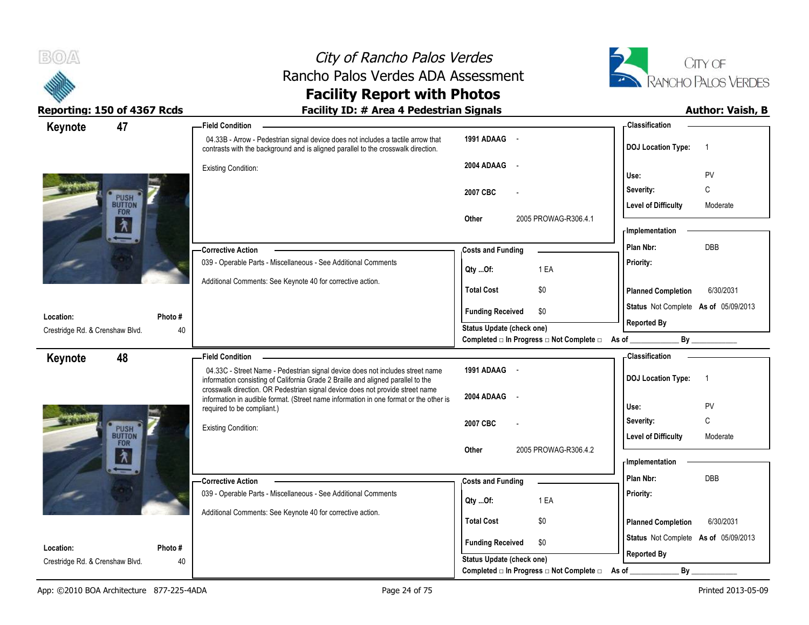



### Reporting: 150 of 4367 Rcds **Facility ID: # Area 4 Pedestrian Signals Reporting: 150 of 4367 Rcds Author: Vaish, B**

| Keynote                         | 47                    |         | <b>Field Condition</b>                                                                                                                                                 |                                  |                                                  | - Classification                        |                         |
|---------------------------------|-----------------------|---------|------------------------------------------------------------------------------------------------------------------------------------------------------------------------|----------------------------------|--------------------------------------------------|-----------------------------------------|-------------------------|
|                                 |                       |         | 04.33B - Arrow - Pedestrian signal device does not includes a tactile arrow that<br>contrasts with the background and is aligned parallel to the crosswalk direction.  | 1991 ADAAG -                     |                                                  | <b>DOJ Location Type:</b>               | $\overline{1}$          |
|                                 |                       |         | <b>Existing Condition:</b>                                                                                                                                             | 2004 ADAAG                       |                                                  | Use:                                    | PV                      |
|                                 |                       |         |                                                                                                                                                                        | 2007 CBC                         |                                                  | Severity:                               | C                       |
|                                 | PUSH<br>BUTTON        |         |                                                                                                                                                                        |                                  |                                                  | <b>Level of Difficulty</b>              | Moderate                |
|                                 | <b>FOR</b><br>户       |         |                                                                                                                                                                        | Other                            | 2005 PROWAG-R306.4.1                             |                                         |                         |
|                                 |                       |         |                                                                                                                                                                        |                                  |                                                  | - Implementation                        |                         |
|                                 |                       |         | -Corrective Action                                                                                                                                                     | <b>Costs and Funding</b>         |                                                  | Plan Nbr:                               | <b>DBB</b>              |
|                                 |                       |         | 039 - Operable Parts - Miscellaneous - See Additional Comments                                                                                                         | Qty Of:                          | 1 EA                                             | Priority:                               |                         |
|                                 |                       |         | Additional Comments: See Keynote 40 for corrective action.                                                                                                             | <b>Total Cost</b>                | \$0                                              | <b>Planned Completion</b>               | 6/30/2031               |
|                                 |                       |         |                                                                                                                                                                        |                                  |                                                  | Status Not Complete As of 05/09/2013    |                         |
| Location:                       |                       | Photo # |                                                                                                                                                                        | <b>Funding Received</b>          | \$0                                              | <b>Reported By</b>                      |                         |
| Crestridge Rd. & Crenshaw Blvd. |                       | 40      |                                                                                                                                                                        | Status Update (check one)        |                                                  |                                         | $\mathsf{By}$           |
|                                 |                       |         |                                                                                                                                                                        |                                  | Completed □ In Progress □ Not Complete □ As of _ | <b>Classification</b>                   |                         |
| Keynote                         | 48                    |         | <b>Field Condition</b><br>04.33C - Street Name - Pedestrian signal device does not includes street name                                                                | 1991 ADAAG                       |                                                  |                                         |                         |
|                                 |                       |         | information consisting of California Grade 2 Braille and aligned parallel to the                                                                                       |                                  |                                                  | <b>DOJ Location Type:</b>               | $\overline{1}$          |
|                                 |                       |         | crosswalk direction. OR Pedestrian signal device does not provide street name<br>information in audible format. (Street name information in one format or the other is | 2004 ADAAG                       |                                                  |                                         |                         |
|                                 |                       |         | required to be compliant.)                                                                                                                                             |                                  |                                                  | Use:                                    | PV                      |
|                                 | PUSH<br><b>BUTTON</b> |         | <b>Existing Condition:</b>                                                                                                                                             | 2007 CBC                         |                                                  | Severity:<br><b>Level of Difficulty</b> | $\mathsf C$<br>Moderate |
|                                 | FOR                   |         |                                                                                                                                                                        | Other                            | 2005 PROWAG-R306.4.2                             |                                         |                         |
|                                 | Δ                     |         |                                                                                                                                                                        |                                  |                                                  | - Implementation                        |                         |
|                                 |                       |         | - Corrective Action                                                                                                                                                    | <b>Costs and Funding</b>         |                                                  | Plan Nbr:                               | DBB                     |
|                                 |                       |         | 039 - Operable Parts - Miscellaneous - See Additional Comments                                                                                                         | Qty Of:                          | 1 EA                                             | Priority:                               |                         |
|                                 |                       |         | Additional Comments: See Keynote 40 for corrective action.                                                                                                             |                                  |                                                  |                                         |                         |
|                                 |                       |         |                                                                                                                                                                        | <b>Total Cost</b>                | \$0                                              | <b>Planned Completion</b>               | 6/30/2031               |
| Location:                       |                       | Photo#  |                                                                                                                                                                        | <b>Funding Received</b>          | \$0                                              | Status Not Complete As of 05/09/2013    |                         |
| Crestridge Rd. & Crenshaw Blvd. |                       | 40      |                                                                                                                                                                        | <b>Status Update (check one)</b> |                                                  | <b>Reported By</b>                      |                         |
|                                 |                       |         |                                                                                                                                                                        |                                  | Completed □ In Progress □ Not Complete □         | By<br>As of                             |                         |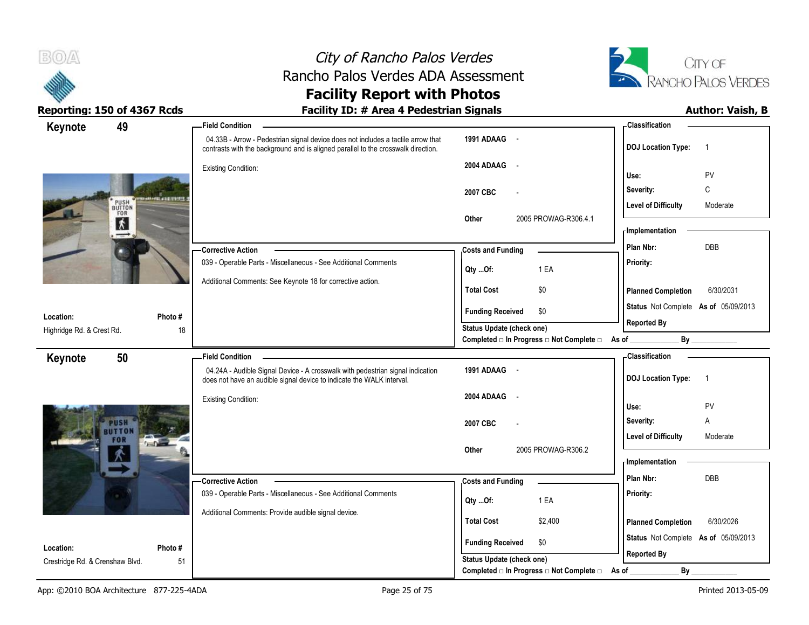



| Keynote                                | 49                    | <b>Field Condition</b>                                                                                                                                                |                                                | <b>Classification</b>                       |
|----------------------------------------|-----------------------|-----------------------------------------------------------------------------------------------------------------------------------------------------------------------|------------------------------------------------|---------------------------------------------|
|                                        |                       | 04.33B - Arrow - Pedestrian signal device does not includes a tactile arrow that<br>contrasts with the background and is aligned parallel to the crosswalk direction. | 1991 ADAAG -                                   | <b>DOJ</b> Location Type:<br>$\overline{1}$ |
|                                        |                       | <b>Existing Condition:</b>                                                                                                                                            | 2004 ADAAG<br>$\sim$ $\sim$                    | PV<br>Use:                                  |
|                                        |                       |                                                                                                                                                                       | 2007 CBC                                       | C<br>Severity:                              |
|                                        | PUSH<br>BUTTON<br>FOR |                                                                                                                                                                       |                                                | <b>Level of Difficulty</b><br>Moderate      |
| $\mathbf{\vec{v}}$<br>$\rightarrow$    |                       | 2005 PROWAG-R306.4.1<br>Other                                                                                                                                         | - Implementation                               |                                             |
|                                        |                       | - Corrective Action                                                                                                                                                   | <b>Costs and Funding</b>                       | DBB<br>Plan Nbr:                            |
|                                        |                       | 039 - Operable Parts - Miscellaneous - See Additional Comments                                                                                                        | 1 EA<br>Qty Of:                                | Priority:                                   |
|                                        |                       | Additional Comments: See Keynote 18 for corrective action.                                                                                                            | <b>Total Cost</b><br>\$0                       | <b>Planned Completion</b><br>6/30/2031      |
|                                        |                       |                                                                                                                                                                       | <b>Funding Received</b><br>\$0                 | Status Not Complete As of 05/09/2013        |
| Location:<br>Highridge Rd. & Crest Rd. | Photo#<br>18          |                                                                                                                                                                       | <b>Status Update (check one)</b>               | <b>Reported By</b>                          |
|                                        |                       |                                                                                                                                                                       | Completed □ In Progress □ Not Complete □ As of |                                             |
| Keynote                                | 50                    | <b>Field Condition</b>                                                                                                                                                |                                                | - Classification                            |
|                                        |                       | 04.24A - Audible Signal Device - A crosswalk with pedestrian signal indication<br>does not have an audible signal device to indicate the WALK interval.               | 1991 ADAAG -                                   | <b>DOJ</b> Location Type:<br>$\overline{1}$ |
|                                        |                       | <b>Existing Condition:</b>                                                                                                                                            | 2004 ADAAG<br>$\sim$                           | PV<br>Use:                                  |
|                                        | wsł                   |                                                                                                                                                                       | 2007 CBC                                       | Severity:<br>Α                              |
|                                        | 14.                   |                                                                                                                                                                       |                                                | <b>Level of Difficulty</b><br>Moderate      |
|                                        |                       |                                                                                                                                                                       | 2005 PROWAG-R306.2<br>Other                    | - Implementation                            |
|                                        |                       | -Corrective Action                                                                                                                                                    | <b>Costs and Funding</b>                       | DBB<br>Plan Nbr:                            |
|                                        |                       | 039 - Operable Parts - Miscellaneous - See Additional Comments                                                                                                        |                                                | Priority:                                   |
|                                        |                       | Additional Comments: Provide audible signal device.                                                                                                                   | 1 EA<br>Qty Of:                                |                                             |
|                                        |                       |                                                                                                                                                                       | <b>Total Cost</b><br>\$2,400                   | <b>Planned Completion</b><br>6/30/2026      |
| Location:                              | Photo#                |                                                                                                                                                                       | <b>Funding Received</b><br>\$0                 | Status Not Complete As of 05/09/2013        |
| Crestridge Rd. & Crenshaw Blvd.        | 51                    |                                                                                                                                                                       | Status Update (check one)                      | <b>Reported By</b>                          |
|                                        |                       |                                                                                                                                                                       | Completed □ In Progress □ Not Complete □       | $By_$<br>As of                              |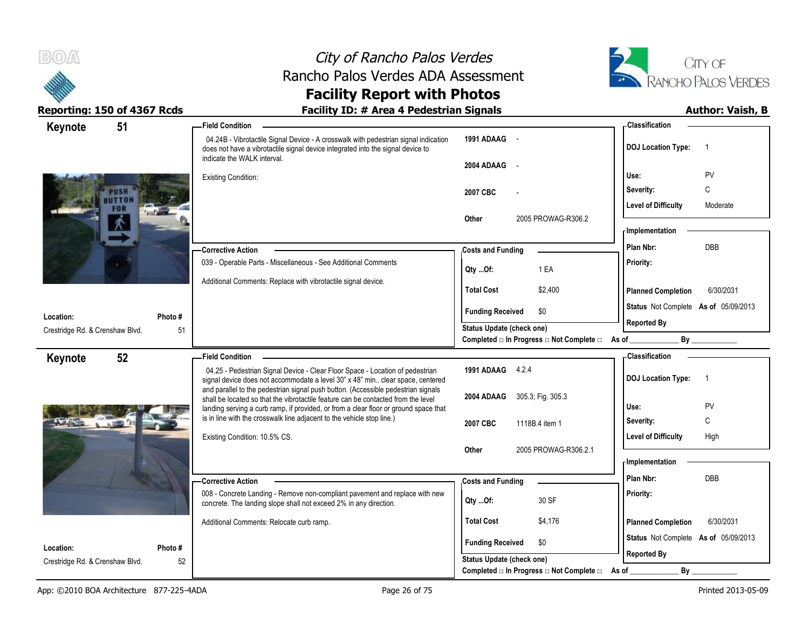



| Keynote<br>51                   | <b>Field Condition</b>                                                                                                                                                                                |                                                      | - Classification                            |
|---------------------------------|-------------------------------------------------------------------------------------------------------------------------------------------------------------------------------------------------------|------------------------------------------------------|---------------------------------------------|
|                                 | 04.24B - Vibrotactile Signal Device - A crosswalk with pedestrian signal indication<br>does not have a vibrotactile signal device integrated into the signal device to<br>indicate the WALK interval. | 1991 ADAAG -                                         | <b>DOJ</b> Location Type:<br>$\overline{1}$ |
|                                 |                                                                                                                                                                                                       | 2004 ADAAG<br>$\sim$                                 |                                             |
|                                 | <b>Existing Condition:</b>                                                                                                                                                                            |                                                      | Use:<br><b>PV</b>                           |
|                                 |                                                                                                                                                                                                       | 2007 CBC                                             | C<br>Severity:                              |
|                                 |                                                                                                                                                                                                       |                                                      | <b>Level of Difficulty</b><br>Moderate      |
|                                 |                                                                                                                                                                                                       | 2005 PROWAG-R306.2<br>Other                          |                                             |
|                                 |                                                                                                                                                                                                       |                                                      | <b>Implementation</b>                       |
|                                 | -Corrective Action                                                                                                                                                                                    | <b>Costs and Funding</b>                             | Plan Nbr:<br>DBB                            |
|                                 | 039 - Operable Parts - Miscellaneous - See Additional Comments                                                                                                                                        | 1 EA<br>Qty Of:                                      | Priority:                                   |
|                                 | Additional Comments: Replace with vibrotactile signal device.                                                                                                                                         |                                                      |                                             |
|                                 |                                                                                                                                                                                                       | <b>Total Cost</b><br>\$2,400                         | <b>Planned Completion</b><br>6/30/2031      |
| Location:<br>Photo#             |                                                                                                                                                                                                       | <b>Funding Received</b><br>\$0                       | Status Not Complete As of 05/09/2013        |
| Crestridge Rd. & Crenshaw Blvd. | 51                                                                                                                                                                                                    | Status Update (check one)                            | <b>Reported By</b>                          |
|                                 |                                                                                                                                                                                                       | Completed $□$ In Progress $□$ Not Complete $□$ As of |                                             |
| 52<br>Keynote                   | <b>Field Condition</b>                                                                                                                                                                                |                                                      | - Classification                            |
|                                 | 04.25 - Pedestrian Signal Device - Clear Floor Space - Location of pedestrian                                                                                                                         | 1991 ADAAG 4.2.4                                     | <b>DOJ</b> Location Type:<br>$\overline{1}$ |
|                                 | signal device does not accommodate a level 30" x 48" min clear space, centered<br>and parallel to the pedestrian signal push button. (Accessible pedestrian signals                                   |                                                      |                                             |
|                                 | shall be located so that the vibrotactile feature can be contacted from the level<br>landing serving a curb ramp, if provided, or from a clear floor or ground space that                             | 2004 ADAAG 305.3, Fig. 305.3                         | PV<br>Use:                                  |
|                                 | is in line with the crosswalk line adjacent to the vehicle stop line.)                                                                                                                                | 2007 CBC<br>1118B.4 item 1                           | C<br>Severity:                              |
|                                 | Existing Condition: 10.5% CS.                                                                                                                                                                         |                                                      | <b>Level of Difficulty</b><br>High          |
|                                 |                                                                                                                                                                                                       | 2005 PROWAG-R306.2.1<br>Other                        |                                             |
|                                 |                                                                                                                                                                                                       |                                                      | - Implementation                            |
|                                 | - Corrective Action                                                                                                                                                                                   | <b>Costs and Funding</b>                             | Plan Nbr:<br>DBB                            |
|                                 | 008 - Concrete Landing - Remove non-compliant pavement and replace with new                                                                                                                           |                                                      | Priority:                                   |
|                                 | concrete. The landing slope shall not exceed 2% in any direction.                                                                                                                                     | 30 SF<br>Qty Of:                                     |                                             |
|                                 | Additional Comments: Relocate curb ramp.                                                                                                                                                              | <b>Total Cost</b><br>\$4,176                         | <b>Planned Completion</b><br>6/30/2031      |
|                                 |                                                                                                                                                                                                       |                                                      | Status Not Complete As of 05/09/2013        |
| Location:<br>Photo#             |                                                                                                                                                                                                       | <b>Funding Received</b><br>\$0                       | <b>Reported By</b>                          |
| Crestridge Rd. & Crenshaw Blvd. | 52                                                                                                                                                                                                    | <b>Status Update (check one)</b>                     |                                             |
|                                 |                                                                                                                                                                                                       | Completed □ In Progress □ Not Complete □ As of       | By                                          |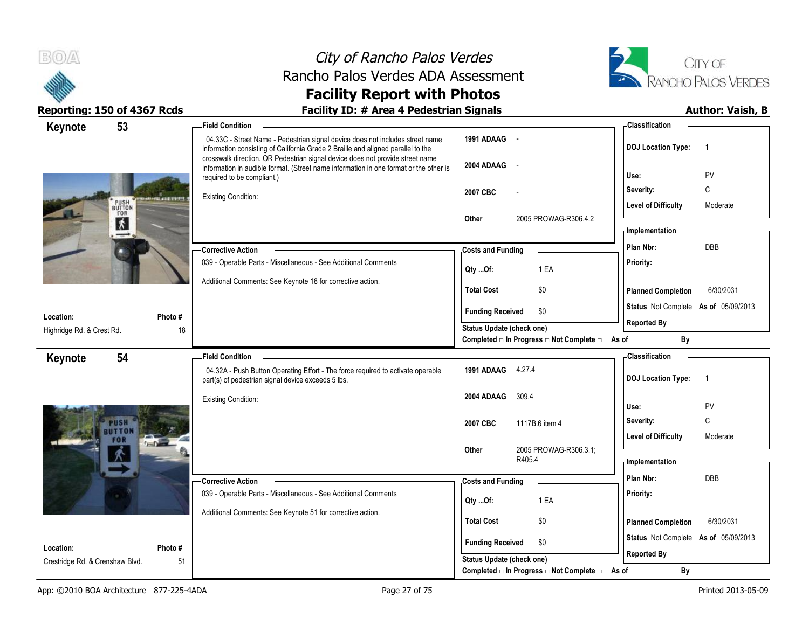



| Keynote                                | 53                    | <b>Field Condition</b>                                                                                                                                                                               |                                                | - Classification                                     |
|----------------------------------------|-----------------------|------------------------------------------------------------------------------------------------------------------------------------------------------------------------------------------------------|------------------------------------------------|------------------------------------------------------|
|                                        |                       | 04.33C - Street Name - Pedestrian signal device does not includes street name<br>information consisting of California Grade 2 Braille and aligned parallel to the                                    | 1991 ADAAG -                                   | <b>DOJ</b> Location Type:<br>$\overline{\mathbf{1}}$ |
|                                        |                       | crosswalk direction. OR Pedestrian signal device does not provide street name<br>information in audible format. (Street name information in one format or the other is<br>required to be compliant.) | 2004 ADAAG<br>$\sim$                           | PV<br>Use:                                           |
|                                        |                       |                                                                                                                                                                                                      | 2007 CBC                                       | C<br>Severity:                                       |
|                                        | PUSH<br>BUTTON<br>FOR | <b>Existing Condition:</b>                                                                                                                                                                           |                                                | <b>Level of Difficulty</b><br>Moderate               |
| 大<br>$\rightarrow$                     |                       |                                                                                                                                                                                                      | 2005 PROWAG-R306.4.2<br>Other                  | <b>Implementation</b>                                |
|                                        |                       | -Corrective Action                                                                                                                                                                                   | <b>Costs and Funding</b>                       | DBB<br>Plan Nbr:                                     |
|                                        |                       | 039 - Operable Parts - Miscellaneous - See Additional Comments                                                                                                                                       | 1 EA<br>Qty Of:                                | Priority:                                            |
|                                        |                       | Additional Comments: See Keynote 18 for corrective action.                                                                                                                                           | <b>Total Cost</b><br>\$0                       | 6/30/2031<br><b>Planned Completion</b>               |
|                                        |                       |                                                                                                                                                                                                      | <b>Funding Received</b><br>\$0                 | Status Not Complete As of 05/09/2013                 |
| Location:<br>Highridge Rd. & Crest Rd. | Photo#<br>18          |                                                                                                                                                                                                      | Status Update (check one)                      | <b>Reported By</b>                                   |
|                                        |                       |                                                                                                                                                                                                      | Completed □ In Progress □ Not Complete □ As of |                                                      |
| Keynote                                | 54                    | <b>Field Condition</b>                                                                                                                                                                               |                                                | -Classification                                      |
|                                        |                       | 04.32A - Push Button Operating Effort - The force required to activate operable<br>part(s) of pedestrian signal device exceeds 5 lbs.                                                                | 1991 ADAAG 4.27.4                              | <b>DOJ Location Type:</b><br>- 1                     |
|                                        |                       | Existing Condition:                                                                                                                                                                                  | 2004 ADAAG<br>309.4                            | PV<br>Use:                                           |
|                                        |                       |                                                                                                                                                                                                      | 2007 CBC<br>1117B.6 item 4                     | C<br>Severity:                                       |
|                                        |                       |                                                                                                                                                                                                      |                                                | <b>Level of Difficulty</b><br>Moderate               |
|                                        |                       |                                                                                                                                                                                                      | 2005 PROWAG-R306.3.1;<br>Other<br>R405.4       | - Implementation                                     |
|                                        |                       | -Corrective Action                                                                                                                                                                                   | <b>Costs and Funding</b>                       | <b>DBB</b><br>Plan Nbr:                              |
|                                        |                       | 039 - Operable Parts - Miscellaneous - See Additional Comments                                                                                                                                       | 1 EA<br>$Qty$ Of:                              | Priority:                                            |
|                                        |                       | Additional Comments: See Keynote 51 for corrective action.                                                                                                                                           | <b>Total Cost</b><br>\$0                       | 6/30/2031<br><b>Planned Completion</b>               |
| Location:                              | Photo#                |                                                                                                                                                                                                      | <b>Funding Received</b><br>\$0                 | Status Not Complete As of 05/09/2013                 |
| Crestridge Rd. & Crenshaw Blvd.        | 51                    |                                                                                                                                                                                                      | <b>Status Update (check one)</b>               | <b>Reported By</b>                                   |
|                                        |                       |                                                                                                                                                                                                      | Completed □ In Progress □ Not Complete □       | By<br>As of                                          |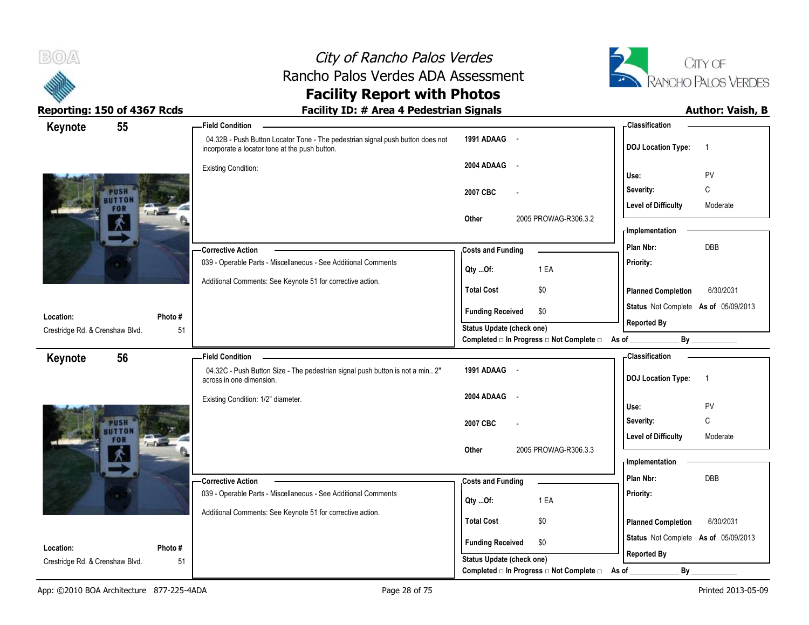

# City of Rancho Palos Verdes Rancho Palos Verdes ADA Assessment



# **Facility Report with Photos**

| 55<br><b>Field Condition</b><br>Keynote                      |                                                                                                                                  |                                                             |                                                  | <b>Classification</b>                |                |
|--------------------------------------------------------------|----------------------------------------------------------------------------------------------------------------------------------|-------------------------------------------------------------|--------------------------------------------------|--------------------------------------|----------------|
|                                                              | 04.32B - Push Button Locator Tone - The pedestrian signal push button does not<br>incorporate a locator tone at the push button. | 1991 ADAAG -                                                |                                                  | <b>DOJ Location Type:</b>            | $\overline{1}$ |
| <b>Existing Condition:</b>                                   |                                                                                                                                  | 2004 ADAAG -                                                |                                                  | Use:                                 | PV             |
|                                                              |                                                                                                                                  |                                                             |                                                  | Severity:                            | $\mathsf C$    |
| PUSH                                                         |                                                                                                                                  | 2007 CBC                                                    |                                                  |                                      | Moderate       |
| FOR                                                          | Other                                                                                                                            |                                                             | 2005 PROWAG-R306.3.2                             | <b>Level of Difficulty</b>           |                |
|                                                              |                                                                                                                                  |                                                             |                                                  | - Implementation                     |                |
| - Corrective Action                                          |                                                                                                                                  | <b>Costs and Funding</b>                                    |                                                  | Plan Nbr:                            | DBB            |
|                                                              | 039 - Operable Parts - Miscellaneous - See Additional Comments                                                                   |                                                             |                                                  | Priority:                            |                |
|                                                              | Additional Comments: See Keynote 51 for corrective action.                                                                       | Qty Of:                                                     | 1 EA                                             |                                      |                |
|                                                              |                                                                                                                                  | <b>Total Cost</b>                                           | \$0                                              | <b>Planned Completion</b>            | 6/30/2031      |
|                                                              |                                                                                                                                  | <b>Funding Received</b>                                     | \$0                                              | Status Not Complete As of 05/09/2013 |                |
| Photo#<br>Location:<br>Crestridge Rd. & Crenshaw Blvd.<br>51 |                                                                                                                                  | Status Update (check one)                                   |                                                  | <b>Reported By</b>                   |                |
|                                                              |                                                                                                                                  |                                                             | Completed □ In Progress □ Not Complete □ As of _ | By                                   |                |
| 56<br><b>Field Condition</b><br>Keynote                      |                                                                                                                                  |                                                             |                                                  | <b>Classification</b>                |                |
| across in one dimension.                                     | 04.32C - Push Button Size - The pedestrian signal push button is not a min 2"                                                    | 1991 ADAAG -                                                |                                                  | <b>DOJ Location Type:</b>            | $\overline{1}$ |
| Existing Condition: 1/2" diameter.                           |                                                                                                                                  | 2004 ADAAG<br>$\sim$ $\sim$                                 |                                                  |                                      |                |
|                                                              |                                                                                                                                  |                                                             |                                                  |                                      |                |
|                                                              |                                                                                                                                  |                                                             |                                                  | Use:                                 | PV             |
|                                                              |                                                                                                                                  | 2007 CBC                                                    |                                                  | Severity:                            | C              |
| 14.                                                          |                                                                                                                                  |                                                             |                                                  | <b>Level of Difficulty</b>           | Moderate       |
|                                                              | Other                                                                                                                            |                                                             | 2005 PROWAG-R306.3.3                             |                                      |                |
|                                                              |                                                                                                                                  |                                                             |                                                  | - Implementation<br>Plan Nbr:        | <b>DBB</b>     |
| -Corrective Action                                           |                                                                                                                                  | <b>Costs and Funding</b>                                    |                                                  |                                      |                |
|                                                              | 039 - Operable Parts - Miscellaneous - See Additional Comments                                                                   | Qty Of:                                                     | 1 EA                                             | Priority:                            |                |
|                                                              | Additional Comments: See Keynote 51 for corrective action.                                                                       | <b>Total Cost</b>                                           | \$0                                              | <b>Planned Completion</b>            | 6/30/2031      |
|                                                              |                                                                                                                                  |                                                             |                                                  | Status Not Complete As of 05/09/2013 |                |
| Location:<br>Photo#<br>51<br>Crestridge Rd. & Crenshaw Blvd. |                                                                                                                                  | <b>Funding Received</b><br><b>Status Update (check one)</b> | \$0                                              | <b>Reported By</b>                   |                |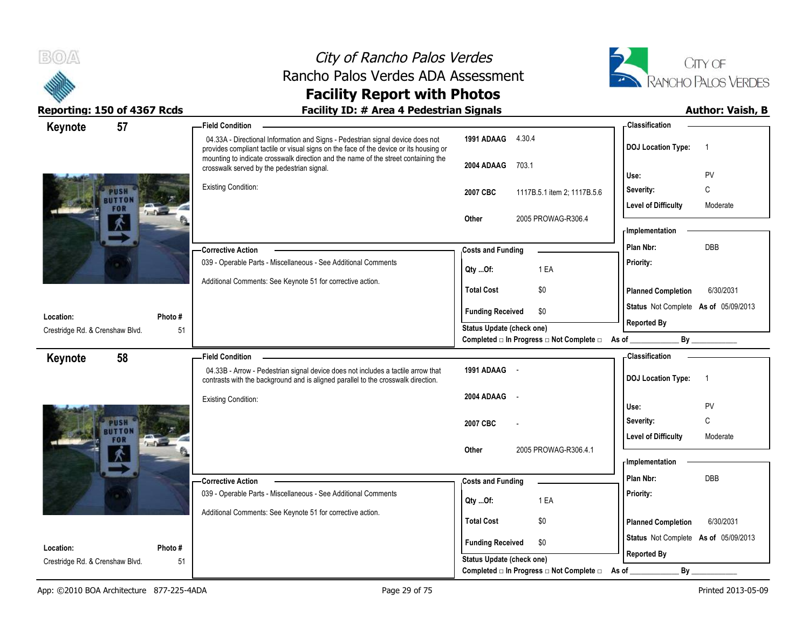



Reporting: 150 of 4367 Rcds **Facility ID: # Area 4 Pedestrian Signals Reporting: 150 of 4367 Rcds Author: Vaish, B** 

| 57<br>Keynote                                |              | <b>Field Condition</b>                                                                                                                                                   |                                                                              | - Classification                            |
|----------------------------------------------|--------------|--------------------------------------------------------------------------------------------------------------------------------------------------------------------------|------------------------------------------------------------------------------|---------------------------------------------|
|                                              |              | 04.33A - Directional Information and Signs - Pedestrian signal device does not<br>provides compliant tactile or visual signs on the face of the device or its housing or | 1991 ADAAG 4.30.4                                                            | <b>DOJ Location Type:</b><br>- 1            |
|                                              |              | mounting to indicate crosswalk direction and the name of the street containing the<br>crosswalk served by the pedestrian signal.                                         | 2004 ADAAG<br>703.1                                                          | PV<br>Use:                                  |
| PUSH                                         |              | Existing Condition:                                                                                                                                                      | 2007 CBC<br>1117B.5.1 item 2; 1117B.5.6                                      | C<br>Severity:                              |
| FOR                                          |              |                                                                                                                                                                          |                                                                              | <b>Level of Difficulty</b><br>Moderate      |
|                                              |              |                                                                                                                                                                          | 2005 PROWAG-R306.4<br>Other                                                  | - Implementation                            |
|                                              |              |                                                                                                                                                                          |                                                                              | Plan Nbr:<br>DBB                            |
|                                              |              | - Corrective Action<br>039 - Operable Parts - Miscellaneous - See Additional Comments                                                                                    | <b>Costs and Funding</b>                                                     | Priority:                                   |
|                                              |              |                                                                                                                                                                          | 1 EA<br>Qty Of:                                                              |                                             |
|                                              |              | Additional Comments: See Keynote 51 for corrective action.                                                                                                               | <b>Total Cost</b><br>\$0                                                     | 6/30/2031<br><b>Planned Completion</b>      |
|                                              |              |                                                                                                                                                                          | <b>Funding Received</b><br>\$0                                               | Status Not Complete As of 05/09/2013        |
| Location:<br>Crestridge Rd. & Crenshaw Blvd. | Photo#<br>51 |                                                                                                                                                                          | Status Update (check one)                                                    | <b>Reported By</b>                          |
|                                              |              |                                                                                                                                                                          | Completed □ In Progress □ Not Complete □ As of                               | $\mathsf{By}$                               |
| 58<br>Keynote                                |              | <b>Field Condition</b>                                                                                                                                                   |                                                                              | <b>Classification</b>                       |
|                                              |              | 04.33B - Arrow - Pedestrian signal device does not includes a tactile arrow that<br>contrasts with the background and is aligned parallel to the crosswalk direction.    | 1991 ADAAG -                                                                 | <b>DOJ Location Type:</b><br>$\overline{1}$ |
|                                              |              | Existing Condition:                                                                                                                                                      | 2004 ADAAG<br>$\sim$                                                         | PV<br>Use:                                  |
| arsi                                         |              |                                                                                                                                                                          | 2007 CBC                                                                     | C<br>Severity:                              |
|                                              |              |                                                                                                                                                                          |                                                                              |                                             |
|                                              |              |                                                                                                                                                                          |                                                                              |                                             |
|                                              |              |                                                                                                                                                                          | 2005 PROWAG-R306.4.1<br>Other                                                | <b>Level of Difficulty</b><br>Moderate      |
|                                              |              |                                                                                                                                                                          |                                                                              | <b>Implementation</b>                       |
|                                              |              | -Corrective Action                                                                                                                                                       | <b>Costs and Funding</b>                                                     | Plan Nbr:<br><b>DBB</b>                     |
|                                              |              | 039 - Operable Parts - Miscellaneous - See Additional Comments                                                                                                           | 1 EA<br>Qty Of:                                                              | Priority:                                   |
|                                              |              | Additional Comments: See Keynote 51 for corrective action.                                                                                                               |                                                                              |                                             |
|                                              |              |                                                                                                                                                                          | <b>Total Cost</b><br>\$0                                                     | <b>Planned Completion</b><br>6/30/2031      |
| Location:                                    | Photo#       |                                                                                                                                                                          | <b>Funding Received</b><br>\$0                                               | Status Not Complete As of 05/09/2013        |
| Crestridge Rd. & Crenshaw Blvd.              | 51           |                                                                                                                                                                          | <b>Status Update (check one)</b><br>Completed □ In Progress □ Not Complete □ | <b>Reported By</b><br>By<br>As of           |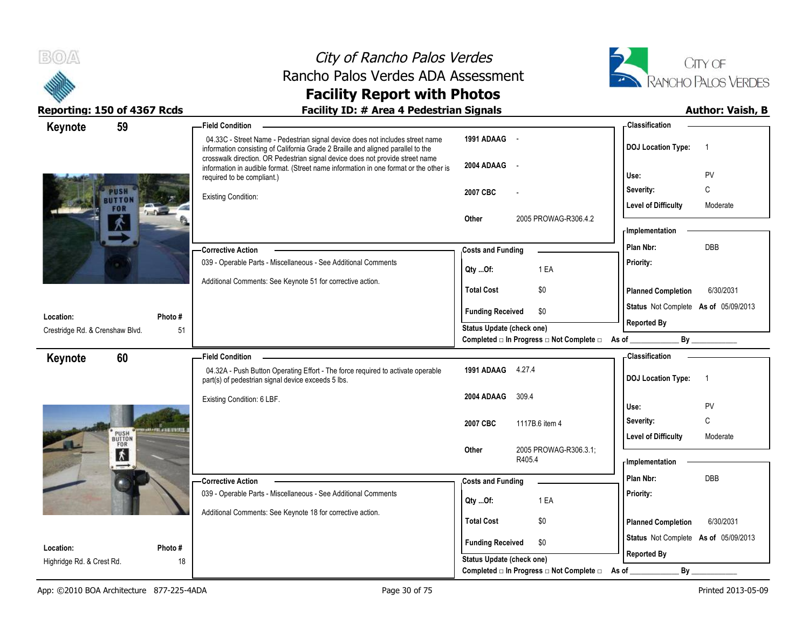



| 59<br>Keynote                                |              | - Field Condition                                                                                                                                                                                                                                  |                                                | - Classification                            |
|----------------------------------------------|--------------|----------------------------------------------------------------------------------------------------------------------------------------------------------------------------------------------------------------------------------------------------|------------------------------------------------|---------------------------------------------|
|                                              |              | 04.33C - Street Name - Pedestrian signal device does not includes street name<br>information consisting of California Grade 2 Braille and aligned parallel to the<br>crosswalk direction. OR Pedestrian signal device does not provide street name | 1991 ADAAG -                                   | <b>DOJ</b> Location Type:<br>- 1            |
|                                              |              | information in audible format. (Street name information in one format or the other is<br>required to be compliant.)                                                                                                                                | 2004 ADAAG<br>$\sim$                           | PV<br>Use:                                  |
|                                              |              | <b>Existing Condition:</b>                                                                                                                                                                                                                         | 2007 CBC                                       | Severity:<br>C                              |
|                                              |              |                                                                                                                                                                                                                                                    | 2005 PROWAG-R306.4.2                           | <b>Level of Difficulty</b><br>Moderate      |
|                                              |              |                                                                                                                                                                                                                                                    | Other                                          | - Implementation                            |
|                                              |              | - Corrective Action                                                                                                                                                                                                                                | <b>Costs and Funding</b>                       | <b>DBB</b><br>Plan Nbr:                     |
|                                              |              | 039 - Operable Parts - Miscellaneous - See Additional Comments                                                                                                                                                                                     | 1 EA<br>Qty Of:                                | Priority:                                   |
|                                              |              | Additional Comments: See Keynote 51 for corrective action.                                                                                                                                                                                         | <b>Total Cost</b><br>\$0                       | <b>Planned Completion</b><br>6/30/2031      |
|                                              |              |                                                                                                                                                                                                                                                    | <b>Funding Received</b><br>\$0                 | Status Not Complete As of 05/09/2013        |
| Location:<br>Crestridge Rd. & Crenshaw Blvd. | Photo#<br>51 |                                                                                                                                                                                                                                                    | <b>Status Update (check one)</b>               | <b>Reported By</b>                          |
|                                              |              |                                                                                                                                                                                                                                                    | Completed □ In Progress □ Not Complete □ As of | By                                          |
| 60<br>Keynote                                |              | <b>Field Condition</b>                                                                                                                                                                                                                             |                                                | - Classification                            |
|                                              |              | 04.32A - Push Button Operating Effort - The force required to activate operable<br>part(s) of pedestrian signal device exceeds 5 lbs.                                                                                                              | 1991 ADAAG 4.27.4                              | <b>DOJ Location Type:</b><br>$\overline{1}$ |
|                                              |              | Existing Condition: 6 LBF.                                                                                                                                                                                                                         | 2004 ADAAG<br>309.4                            | PV<br>Use:                                  |
|                                              |              |                                                                                                                                                                                                                                                    | 2007 CBC<br>1117B.6 item 4                     | C<br>Severity:                              |
| PUSH<br>BUTTON<br>FOR                        |              |                                                                                                                                                                                                                                                    |                                                | <b>Level of Difficulty</b><br>Moderate      |
| 大<br>$-$                                     |              |                                                                                                                                                                                                                                                    | 2005 PROWAG-R306.3.1;<br>Other<br>R405.4       | - Implementation                            |
|                                              |              | - Corrective Action                                                                                                                                                                                                                                | <b>Costs and Funding</b>                       | <b>DBB</b><br>Plan Nbr:                     |
|                                              |              | 039 - Operable Parts - Miscellaneous - See Additional Comments                                                                                                                                                                                     | 1 EA<br>Qty Of:                                | Priority:                                   |
|                                              |              | Additional Comments: See Keynote 18 for corrective action.                                                                                                                                                                                         | <b>Total Cost</b><br>\$0                       | 6/30/2031<br><b>Planned Completion</b>      |
| Location:                                    | Photo#       |                                                                                                                                                                                                                                                    | <b>Funding Received</b><br>\$0                 | Status Not Complete As of 05/09/2013        |
| Highridge Rd. & Crest Rd.                    | 18           |                                                                                                                                                                                                                                                    | <b>Status Update (check one)</b>               | <b>Reported By</b>                          |
|                                              |              |                                                                                                                                                                                                                                                    | Completed □ In Progress □ Not Complete □       | By<br>As of                                 |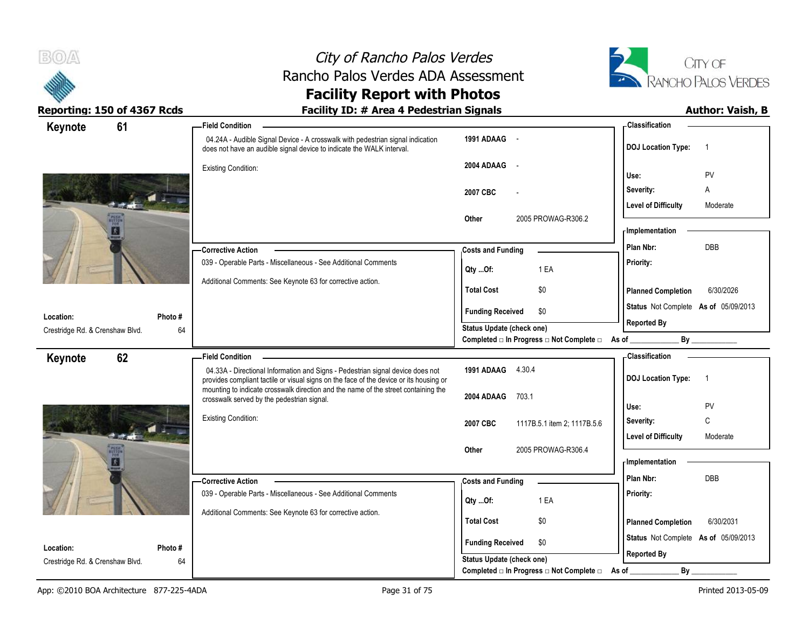



| Keynote<br>61                   | <b>Field Condition</b>                                                                                                                                                   |                                                | <b>Classification</b>                       |
|---------------------------------|--------------------------------------------------------------------------------------------------------------------------------------------------------------------------|------------------------------------------------|---------------------------------------------|
|                                 | 04.24A - Audible Signal Device - A crosswalk with pedestrian signal indication<br>does not have an audible signal device to indicate the WALK interval.                  | 1991 ADAAG -                                   | <b>DOJ</b> Location Type:<br>$\overline{1}$ |
|                                 | <b>Existing Condition:</b>                                                                                                                                               | 2004 ADAAG<br>$\sim$                           | Use:<br>PV                                  |
|                                 |                                                                                                                                                                          | 2007 CBC                                       | Severity:<br>A                              |
|                                 |                                                                                                                                                                          |                                                | <b>Level of Difficulty</b><br>Moderate      |
|                                 |                                                                                                                                                                          | 2005 PROWAG-R306.2<br>Other                    | - Implementation                            |
|                                 | <b>Corrective Action</b>                                                                                                                                                 | <b>Costs and Funding</b>                       | DBB<br>Plan Nbr:                            |
|                                 | 039 - Operable Parts - Miscellaneous - See Additional Comments                                                                                                           | 1 EA<br>Qty Of:                                | Priority:                                   |
|                                 | Additional Comments: See Keynote 63 for corrective action.                                                                                                               | <b>Total Cost</b><br>\$0                       | <b>Planned Completion</b><br>6/30/2026      |
| Location:<br>Photo#             |                                                                                                                                                                          | <b>Funding Received</b><br>\$0                 | Status Not Complete As of 05/09/2013        |
| Crestridge Rd. & Crenshaw Blvd. | 64                                                                                                                                                                       | <b>Status Update (check one)</b>               | <b>Reported By</b>                          |
|                                 |                                                                                                                                                                          | Completed □ In Progress □ Not Complete □ As of | By                                          |
| 62<br>Keynote                   | <b>Field Condition</b>                                                                                                                                                   |                                                | - Classification                            |
|                                 | 04.33A - Directional Information and Signs - Pedestrian signal device does not<br>provides compliant tactile or visual signs on the face of the device or its housing or | 1991 ADAAG 4.30.4                              | <b>DOJ</b> Location Type:<br>$\overline{1}$ |
|                                 | mounting to indicate crosswalk direction and the name of the street containing the<br>crosswalk served by the pedestrian signal.                                         | 2004 ADAAG<br>703.1                            |                                             |
|                                 | <b>Existing Condition:</b>                                                                                                                                               |                                                | PV<br>Use:                                  |
|                                 |                                                                                                                                                                          |                                                |                                             |
|                                 |                                                                                                                                                                          | 2007 CBC<br>1117B.5.1 item 2; 1117B.5.6        | Severity:<br>C                              |
|                                 |                                                                                                                                                                          |                                                | <b>Level of Difficulty</b><br>Moderate      |
|                                 |                                                                                                                                                                          | 2005 PROWAG-R306.4<br>Other                    | - Implementation                            |
|                                 |                                                                                                                                                                          |                                                |                                             |
|                                 | - Corrective Action                                                                                                                                                      | <b>Costs and Funding</b>                       | <b>DBB</b><br>Plan Nbr:                     |
|                                 | 039 - Operable Parts - Miscellaneous - See Additional Comments                                                                                                           | 1 EA<br>Qty Of:                                | Priority:                                   |
|                                 | Additional Comments: See Keynote 63 for corrective action.                                                                                                               | <b>Total Cost</b><br>\$0                       | <b>Planned Completion</b><br>6/30/2031      |
| Location:<br>Photo #            |                                                                                                                                                                          | <b>Funding Received</b><br>\$0                 | Status Not Complete As of 05/09/2013        |
| Crestridge Rd. & Crenshaw Blvd. | 64                                                                                                                                                                       | <b>Status Update (check one)</b>               | <b>Reported By</b><br>$By_$                 |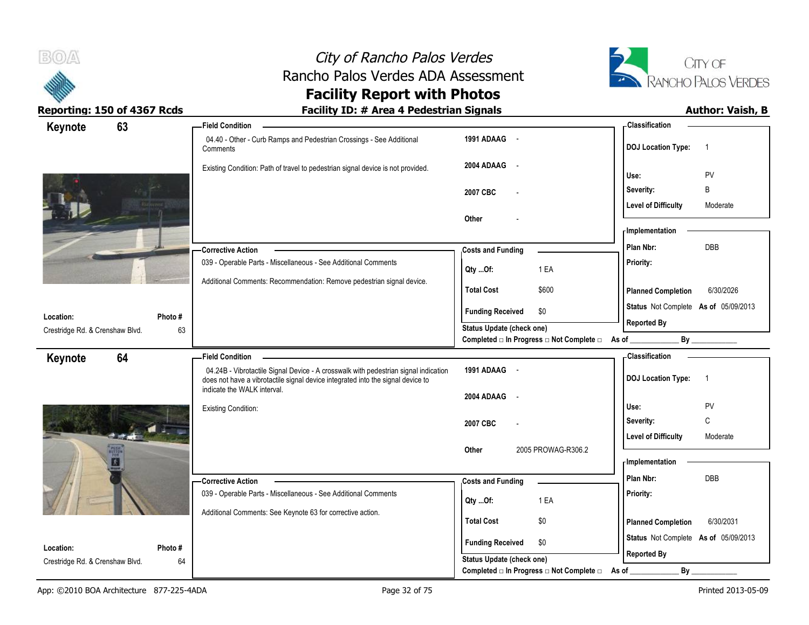

# City of Rancho Palos Verdes Rancho Palos Verdes ADA Assessment



### **Facility Report with Photos** Reporting: 150 of 4367 Rcds **Facility ID: # Area 4 Pedestrian Signals Facility ID: # Area 4 Pedestrian Signals**

| Keynote                         | 63      | <b>Field Condition</b>                                                                                                                                                                                |                                                                                      | - Classification                                           |
|---------------------------------|---------|-------------------------------------------------------------------------------------------------------------------------------------------------------------------------------------------------------|--------------------------------------------------------------------------------------|------------------------------------------------------------|
|                                 |         | 04.40 - Other - Curb Ramps and Pedestrian Crossings - See Additional<br>Comments                                                                                                                      | 1991 ADAAG -                                                                         | <b>DOJ Location Type:</b><br>$\overline{1}$                |
|                                 |         | Existing Condition: Path of travel to pedestrian signal device is not provided.                                                                                                                       | 2004 ADAAG<br>$\sim$ $-$                                                             | Use:<br>PV                                                 |
|                                 |         |                                                                                                                                                                                                       | 2007 CBC                                                                             | B<br>Severity:                                             |
|                                 |         |                                                                                                                                                                                                       |                                                                                      | <b>Level of Difficulty</b><br>Moderate                     |
|                                 |         |                                                                                                                                                                                                       | Other                                                                                | - Implementation                                           |
|                                 |         | <b>Corrective Action</b>                                                                                                                                                                              | <b>Costs and Funding</b>                                                             | <b>DBB</b><br>Plan Nbr:                                    |
|                                 |         | 039 - Operable Parts - Miscellaneous - See Additional Comments                                                                                                                                        | 1 EA<br>Qty Of:                                                                      | Priority:                                                  |
|                                 |         | Additional Comments: Recommendation: Remove pedestrian signal device.                                                                                                                                 | \$600<br><b>Total Cost</b>                                                           | <b>Planned Completion</b><br>6/30/2026                     |
| Location:                       | Photo # |                                                                                                                                                                                                       | \$0<br><b>Funding Received</b>                                                       | Status Not Complete As of 05/09/2013<br><b>Reported By</b> |
| Crestridge Rd. & Crenshaw Blvd. | 63      |                                                                                                                                                                                                       | <b>Status Update (check one)</b><br>Completed □ In Progress □ Not Complete □ As of _ | By                                                         |
| Keynote                         | 64      | <b>Field Condition</b>                                                                                                                                                                                |                                                                                      | <b>Classification</b>                                      |
|                                 |         | 04.24B - Vibrotactile Signal Device - A crosswalk with pedestrian signal indication<br>does not have a vibrotactile signal device integrated into the signal device to<br>indicate the WALK interval. | 1991 ADAAG -                                                                         | <b>DOJ Location Type:</b><br>$\overline{1}$                |
|                                 |         |                                                                                                                                                                                                       | 2004 ADAAG<br>$\sim$ $\sim$                                                          |                                                            |
|                                 |         | <b>Existing Condition:</b>                                                                                                                                                                            |                                                                                      | Use:<br>PV                                                 |
|                                 |         |                                                                                                                                                                                                       | 2007 CBC                                                                             | C<br>Severity:                                             |
|                                 |         |                                                                                                                                                                                                       |                                                                                      | <b>Level of Difficulty</b><br>Moderate                     |
|                                 |         |                                                                                                                                                                                                       | 2005 PROWAG-R306.2<br>Other                                                          | - Implementation                                           |
|                                 |         | - Corrective Action                                                                                                                                                                                   |                                                                                      | Plan Nbr:<br>DBB                                           |
|                                 |         | 039 - Operable Parts - Miscellaneous - See Additional Comments                                                                                                                                        | <b>Costs and Funding</b>                                                             | Priority:                                                  |
|                                 |         |                                                                                                                                                                                                       | 1 EA<br>Qty Of:                                                                      |                                                            |
|                                 |         | Additional Comments: See Keynote 63 for corrective action.                                                                                                                                            | <b>Total Cost</b><br>\$0                                                             | 6/30/2031<br><b>Planned Completion</b>                     |
| Location:                       | Photo#  |                                                                                                                                                                                                       | <b>Funding Received</b><br>\$0                                                       | Status Not Complete As of 05/09/2013                       |
| Crestridge Rd. & Crenshaw Blvd. | 64      |                                                                                                                                                                                                       | <b>Status Update (check one)</b>                                                     | <b>Reported By</b>                                         |
|                                 |         |                                                                                                                                                                                                       | Completed □ In Progress □ Not Complete □                                             | By<br>As of                                                |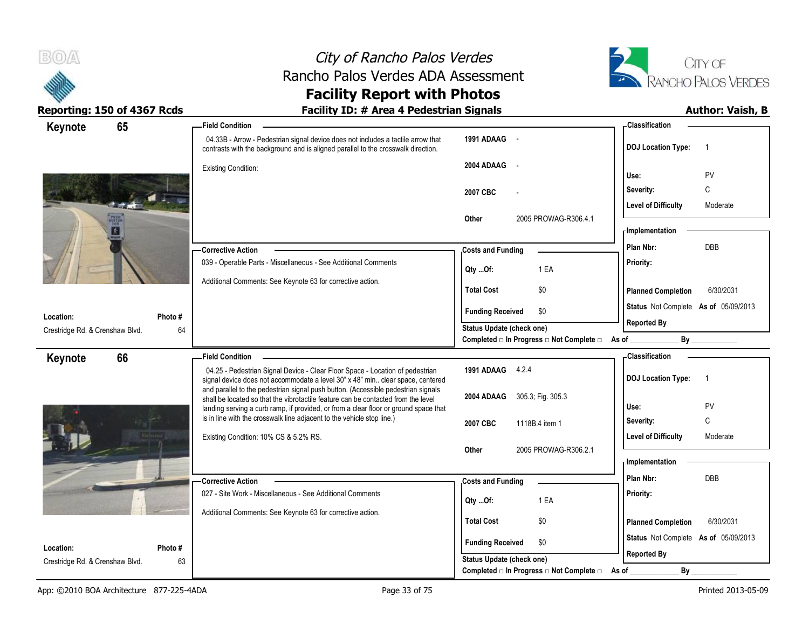



| 65<br>Keynote                                |               | <b>Field Condition</b>                                                                                                                                                 |                                                  | - Classification                                      |
|----------------------------------------------|---------------|------------------------------------------------------------------------------------------------------------------------------------------------------------------------|--------------------------------------------------|-------------------------------------------------------|
|                                              |               | 04.33B - Arrow - Pedestrian signal device does not includes a tactile arrow that<br>contrasts with the background and is aligned parallel to the crosswalk direction.  | 1991 ADAAG -                                     | <b>DOJ</b> Location Type:<br>$\overline{\phantom{0}}$ |
|                                              |               | <b>Existing Condition:</b>                                                                                                                                             | 2004 ADAAG<br>$\sim$ $\sim$                      | Use:<br>PV                                            |
|                                              |               |                                                                                                                                                                        |                                                  | C<br>Severity:                                        |
|                                              |               |                                                                                                                                                                        | 2007 CBC                                         | <b>Level of Difficulty</b><br>Moderate                |
|                                              |               |                                                                                                                                                                        | Other<br>2005 PROWAG-R306.4.1                    | - Implementation                                      |
|                                              |               | <b>Corrective Action</b>                                                                                                                                               | <b>Costs and Funding</b>                         | DBB<br>Plan Nbr:                                      |
|                                              |               | 039 - Operable Parts - Miscellaneous - See Additional Comments                                                                                                         | 1 EA<br>$Qty$ Of:                                | Priority:                                             |
|                                              |               | Additional Comments: See Keynote 63 for corrective action.                                                                                                             | <b>Total Cost</b><br>\$0                         | 6/30/2031<br><b>Planned Completion</b>                |
| Location:                                    | Photo #       |                                                                                                                                                                        | <b>Funding Received</b><br>\$0                   | Status Not Complete As of 05/09/2013                  |
| Crestridge Rd. & Crenshaw Blvd.              | 64            |                                                                                                                                                                        | Status Update (check one)                        | <b>Reported By</b>                                    |
|                                              |               |                                                                                                                                                                        | Completed □ In Progress □ Not Complete □ As of _ | By                                                    |
| 66<br>Keynote                                |               | <b>Field Condition</b>                                                                                                                                                 |                                                  | - Classification                                      |
|                                              |               |                                                                                                                                                                        |                                                  |                                                       |
|                                              |               | 04.25 - Pedestrian Signal Device - Clear Floor Space - Location of pedestrian<br>signal device does not accommodate a level 30" x 48" min clear space, centered        | 1991 ADAAG 4.2.4                                 | <b>DOJ</b> Location Type:<br>$\overline{1}$           |
|                                              |               | and parallel to the pedestrian signal push button. (Accessible pedestrian signals<br>shall be located so that the vibrotactile feature can be contacted from the level | 2004 ADAAG 305.3; Fig. 305.3                     |                                                       |
|                                              |               | landing serving a curb ramp, if provided, or from a clear floor or ground space that<br>is in line with the crosswalk line adjacent to the vehicle stop line.)         |                                                  | Use:<br>PV<br>C<br>Severity:                          |
|                                              |               |                                                                                                                                                                        | 2007 CBC<br>1118B.4 item 1                       | <b>Level of Difficulty</b><br>Moderate                |
|                                              |               | Existing Condition: 10% CS & 5.2% RS.                                                                                                                                  | 2005 PROWAG-R306.2.1<br>Other                    |                                                       |
|                                              |               |                                                                                                                                                                        |                                                  | - Implementation                                      |
|                                              |               | <b>Corrective Action</b>                                                                                                                                               | <b>Costs and Funding</b>                         | Plan Nbr:<br><b>DBB</b>                               |
|                                              |               | 027 - Site Work - Miscellaneous - See Additional Comments                                                                                                              | 1 EA<br>Qty Of:                                  | Priority:                                             |
|                                              |               | Additional Comments: See Keynote 63 for corrective action.                                                                                                             | <b>Total Cost</b><br>\$0                         | <b>Planned Completion</b><br>6/30/2031                |
|                                              |               |                                                                                                                                                                        | <b>Funding Received</b><br>\$0                   | Status Not Complete As of 05/09/2013                  |
| Location:<br>Crestridge Rd. & Crenshaw Blvd. | Photo #<br>63 |                                                                                                                                                                        | Status Update (check one)                        | <b>Reported By</b>                                    |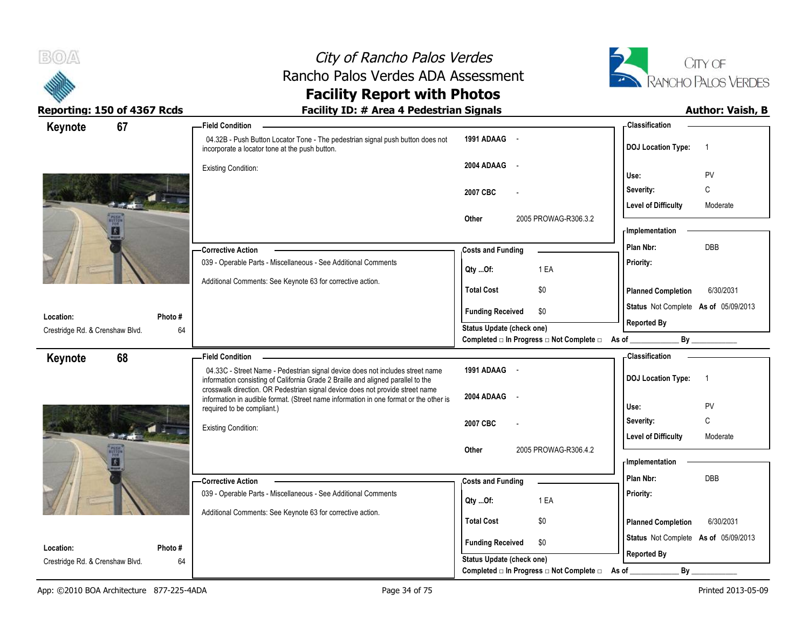

# City of Rancho Palos Verdes Rancho Palos Verdes ADA Assessment



### **Facility Report with Photos** Reporting: 150 of 4367 Rcds **Facility ID: # Area 4 Pedestrian Signals Facility ID: # Area 4 Pedestrian Signals**

| 67<br>Keynote                   |        | - Field Condition                                                                                                                                                 |                                                                          | - Classification                            |
|---------------------------------|--------|-------------------------------------------------------------------------------------------------------------------------------------------------------------------|--------------------------------------------------------------------------|---------------------------------------------|
|                                 |        | 04.32B - Push Button Locator Tone - The pedestrian signal push button does not<br>incorporate a locator tone at the push button.                                  | 1991 ADAAG -                                                             | <b>DOJ Location Type:</b><br>$\overline{1}$ |
|                                 |        | <b>Existing Condition:</b>                                                                                                                                        | 2004 ADAAG<br>$\sim$                                                     |                                             |
|                                 |        |                                                                                                                                                                   |                                                                          | PV<br>Use:                                  |
|                                 |        |                                                                                                                                                                   | 2007 CBC                                                                 | С<br>Severity:                              |
|                                 |        |                                                                                                                                                                   |                                                                          | <b>Level of Difficulty</b><br>Moderate      |
|                                 |        |                                                                                                                                                                   | 2005 PROWAG-R306.3.2<br>Other                                            | - Implementation                            |
|                                 |        |                                                                                                                                                                   |                                                                          | DBB<br>Plan Nbr:                            |
|                                 |        | -Corrective Action                                                                                                                                                | <b>Costs and Funding</b>                                                 |                                             |
|                                 |        | 039 - Operable Parts - Miscellaneous - See Additional Comments                                                                                                    | 1 EA<br>Qty Of:                                                          | Priority:                                   |
|                                 |        | Additional Comments: See Keynote 63 for corrective action.                                                                                                        | <b>Total Cost</b><br>\$0                                                 | 6/30/2031<br><b>Planned Completion</b>      |
|                                 |        |                                                                                                                                                                   |                                                                          | Status Not Complete As of 05/09/2013        |
| Location:                       | Photo# |                                                                                                                                                                   | <b>Funding Received</b><br>\$0                                           | <b>Reported By</b>                          |
| Crestridge Rd. & Crenshaw Blvd. | 64     |                                                                                                                                                                   | <b>Status Update (check one)</b>                                         |                                             |
|                                 |        |                                                                                                                                                                   | Completed $\square$ In Progress $\square$ Not Complete $\square$ As of _ | By                                          |
| 68<br>Keynote                   |        | <b>Field Condition</b>                                                                                                                                            |                                                                          | - Classification                            |
|                                 |        | 04.33C - Street Name - Pedestrian signal device does not includes street name<br>information consisting of California Grade 2 Braille and aligned parallel to the | 1991 ADAAG -                                                             | <b>DOJ Location Type:</b><br>$\overline{1}$ |
|                                 |        | crosswalk direction. OR Pedestrian signal device does not provide street name                                                                                     | 2004 ADAAG                                                               |                                             |
|                                 |        | information in audible format. (Street name information in one format or the other is<br>required to be compliant.)                                               | $\sim$                                                                   | PV<br>Use:                                  |
|                                 |        |                                                                                                                                                                   | 2007 CBC                                                                 | C<br>Severity:                              |
|                                 |        | <b>Existing Condition:</b>                                                                                                                                        |                                                                          | <b>Level of Difficulty</b><br>Moderate      |
|                                 |        |                                                                                                                                                                   | 2005 PROWAG-R306.4.2<br>Other                                            |                                             |
|                                 |        |                                                                                                                                                                   |                                                                          | - Implementation                            |
|                                 |        | - Corrective Action                                                                                                                                               | <b>Costs and Funding</b>                                                 | DBB<br>Plan Nbr:                            |
|                                 |        | 039 - Operable Parts - Miscellaneous - See Additional Comments                                                                                                    |                                                                          | Priority:                                   |
|                                 |        | Additional Comments: See Keynote 63 for corrective action.                                                                                                        | 1 EA<br>$Qty$ Of:                                                        |                                             |
|                                 |        |                                                                                                                                                                   | <b>Total Cost</b><br>\$0                                                 | 6/30/2031<br><b>Planned Completion</b>      |
|                                 |        |                                                                                                                                                                   | <b>Funding Received</b><br>\$0                                           | Status Not Complete As of 05/09/2013        |
| Location:                       | Photo# |                                                                                                                                                                   |                                                                          | <b>Reported By</b>                          |
| Crestridge Rd. & Crenshaw Blvd. | 64     |                                                                                                                                                                   | Status Update (check one)                                                |                                             |
|                                 |        |                                                                                                                                                                   | Completed □ In Progress □ Not Complete □                                 | $By_$<br>As of                              |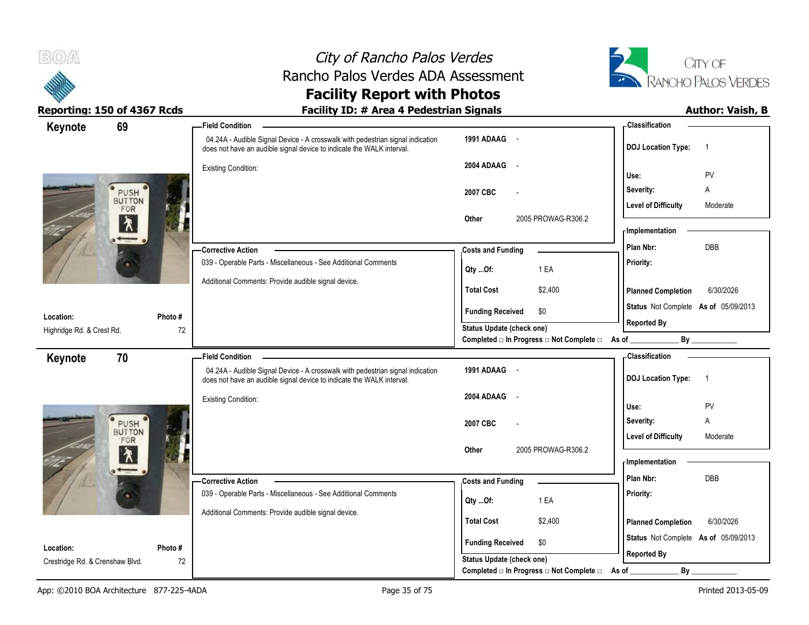



| 69<br>Keynote                          |              | <b>Field Condition</b>                                                                                                                                  |                                                                       | <b>Classification</b>                                             |
|----------------------------------------|--------------|---------------------------------------------------------------------------------------------------------------------------------------------------------|-----------------------------------------------------------------------|-------------------------------------------------------------------|
|                                        |              | 04.24A - Audible Signal Device - A crosswalk with pedestrian signal indication<br>does not have an audible signal device to indicate the WALK interval. | 1991 ADAAG -                                                          | <b>DOJ</b> Location Type:<br>$\overline{1}$                       |
|                                        |              | Existing Condition:                                                                                                                                     | 2004 ADAAG -                                                          | PV<br>Use:                                                        |
| PUSH                                   |              |                                                                                                                                                         | 2007 CBC                                                              | Severity:<br>Α                                                    |
| <b>BUTTON</b><br>FOR<br>$\bigwedge$    |              |                                                                                                                                                         |                                                                       | <b>Level of Difficulty</b><br>Moderate                            |
|                                        |              |                                                                                                                                                         | 2005 PROWAG-R306.2<br>Other                                           | - Implementation                                                  |
|                                        |              | - Corrective Action                                                                                                                                     | <b>Costs and Funding</b>                                              | DBB<br>Plan Nbr:                                                  |
|                                        |              | 039 - Operable Parts - Miscellaneous - See Additional Comments                                                                                          | 1 EA<br>Qty Of:                                                       | Priority:                                                         |
|                                        |              | Additional Comments: Provide audible signal device.                                                                                                     | <b>Total Cost</b><br>\$2,400                                          | 6/30/2026<br><b>Planned Completion</b>                            |
|                                        |              |                                                                                                                                                         | <b>Funding Received</b><br>\$0                                        | Status Not Complete As of 05/09/2013                              |
| Location:<br>Highridge Rd. & Crest Rd. | Photo#<br>72 |                                                                                                                                                         | Status Update (check one)                                             | <b>Reported By</b>                                                |
|                                        |              |                                                                                                                                                         | Completed □ In Progress □ Not Complete □ As of _                      | By                                                                |
| 70<br>Keynote                          |              | <b>Field Condition</b>                                                                                                                                  |                                                                       | - Classification                                                  |
|                                        |              | 04.24A - Audible Signal Device - A crosswalk with pedestrian signal indication<br>does not have an audible signal device to indicate the WALK interval. | 1991 ADAAG -                                                          | <b>DOJ Location Type:</b><br>$\overline{1}$                       |
|                                        |              | Existing Condition:                                                                                                                                     | 2004 ADAAG -                                                          | PV<br>Use:                                                        |
| PUSH                                   |              |                                                                                                                                                         | 2007 CBC                                                              | Severity:<br>Α                                                    |
| <b>BUTTON</b><br>FOR                   |              |                                                                                                                                                         |                                                                       | <b>Level of Difficulty</b><br>Moderate                            |
| $\lambda$                              |              |                                                                                                                                                         | 2005 PROWAG-R306.2<br>Other                                           | - Implementation                                                  |
|                                        |              | -Corrective Action                                                                                                                                      | <b>Costs and Funding</b>                                              | Plan Nbr:<br><b>DBB</b>                                           |
|                                        |              | 039 - Operable Parts - Miscellaneous - See Additional Comments                                                                                          | 1 EA<br>Qty Of:                                                       | Priority:                                                         |
|                                        |              | Additional Comments: Provide audible signal device.                                                                                                     | <b>Total Cost</b><br>\$2,400                                          | 6/30/2026                                                         |
|                                        |              |                                                                                                                                                         |                                                                       | <b>Planned Completion</b><br>Status Not Complete As of 05/09/2013 |
| Location:                              | Photo#       |                                                                                                                                                         | <b>Funding Received</b><br>\$0                                        | <b>Reported By</b>                                                |
| Crestridge Rd. & Crenshaw Blvd.        | 72           |                                                                                                                                                         | Status Update (check one)<br>Completed □ In Progress □ Not Complete □ | By<br>As of                                                       |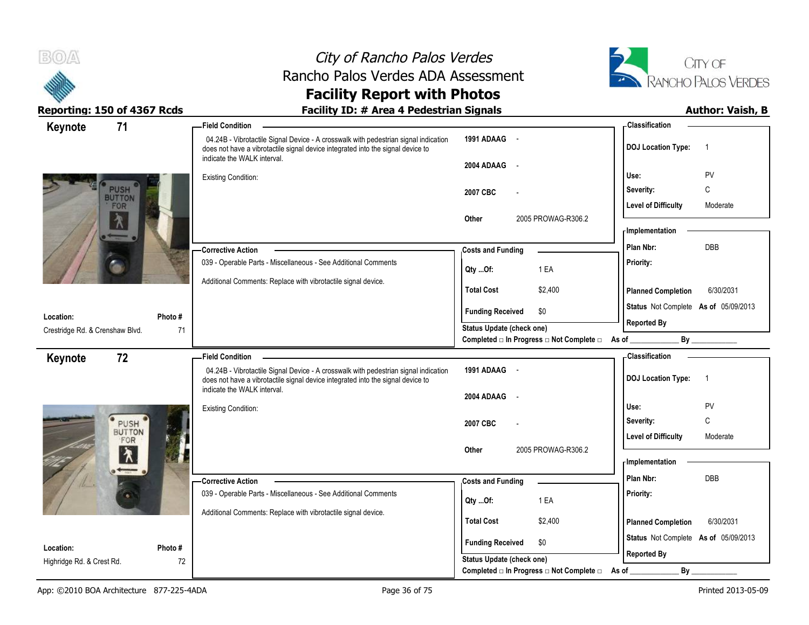



| 71<br>Keynote                       |         | -Field Condition                                                                                                                                                                                      |                                                  | - Classification                            |
|-------------------------------------|---------|-------------------------------------------------------------------------------------------------------------------------------------------------------------------------------------------------------|--------------------------------------------------|---------------------------------------------|
|                                     |         | 04.24B - Vibrotactile Signal Device - A crosswalk with pedestrian signal indication<br>does not have a vibrotactile signal device integrated into the signal device to<br>indicate the WALK interval. | 1991 ADAAG -                                     | <b>DOJ Location Type:</b><br>$\overline{1}$ |
|                                     |         |                                                                                                                                                                                                       | 2004 ADAAG -                                     |                                             |
|                                     |         | <b>Existing Condition:</b>                                                                                                                                                                            |                                                  | PV<br>Use:                                  |
| <b>PUSH</b><br><b>BUTTON</b><br>FOR |         |                                                                                                                                                                                                       | 2007 CBC                                         | C<br>Severity:                              |
|                                     |         |                                                                                                                                                                                                       |                                                  | <b>Level of Difficulty</b><br>Moderate      |
| እ                                   |         |                                                                                                                                                                                                       | 2005 PROWAG-R306.2<br>Other                      | <b>Implementation</b>                       |
|                                     |         | - Corrective Action                                                                                                                                                                                   | <b>Costs and Funding</b>                         | DBB<br>Plan Nbr:                            |
|                                     |         | 039 - Operable Parts - Miscellaneous - See Additional Comments                                                                                                                                        | Qty Of:<br>1 EA                                  | Priority:                                   |
|                                     |         | Additional Comments: Replace with vibrotactile signal device.                                                                                                                                         |                                                  |                                             |
|                                     |         |                                                                                                                                                                                                       | <b>Total Cost</b><br>\$2,400                     | <b>Planned Completion</b><br>6/30/2031      |
| Location:                           | Photo#  |                                                                                                                                                                                                       | <b>Funding Received</b><br>\$0                   | Status Not Complete As of 05/09/2013        |
| Crestridge Rd. & Crenshaw Blvd.     | 71      |                                                                                                                                                                                                       | Status Update (check one)                        | <b>Reported By</b>                          |
|                                     |         |                                                                                                                                                                                                       | Completed a In Progress a Not Complete a As of _ | By                                          |
| 72<br>Keynote                       |         | -Field Condition                                                                                                                                                                                      |                                                  | - Classification                            |
|                                     |         | 04.24B - Vibrotactile Signal Device - A crosswalk with pedestrian signal indication<br>does not have a vibrotactile signal device integrated into the signal device to                                | 1991 ADAAG -                                     | <b>DOJ Location Type:</b><br>$\overline{1}$ |
|                                     |         | indicate the WALK interval.                                                                                                                                                                           | 2004 ADAAG<br>$\sim$                             |                                             |
|                                     |         | <b>Existing Condition:</b>                                                                                                                                                                            |                                                  | PV<br>Use:                                  |
| PUSH<br><b>BUTTON</b>               |         |                                                                                                                                                                                                       | 2007 CBC                                         | $\mathsf{C}$<br>Severity:                   |
| FOR                                 |         |                                                                                                                                                                                                       |                                                  | <b>Level of Difficulty</b><br>Moderate      |
| $\lambda$                           |         |                                                                                                                                                                                                       | 2005 PROWAG-R306.2<br>Other                      | - Implementation                            |
|                                     |         |                                                                                                                                                                                                       |                                                  | DBB<br>Plan Nbr:                            |
|                                     |         | -Corrective Action<br>039 - Operable Parts - Miscellaneous - See Additional Comments                                                                                                                  | <b>Costs and Funding</b>                         | Priority:                                   |
|                                     |         |                                                                                                                                                                                                       | 1 EA<br>Qty Of:                                  |                                             |
|                                     |         | Additional Comments: Replace with vibrotactile signal device.                                                                                                                                         | <b>Total Cost</b><br>\$2,400                     | <b>Planned Completion</b><br>6/30/2031      |
|                                     |         |                                                                                                                                                                                                       |                                                  | Status Not Complete As of 05/09/2013        |
| Location:                           | Photo # |                                                                                                                                                                                                       | <b>Funding Received</b><br>\$0                   | <b>Reported By</b>                          |
| Highridge Rd. & Crest Rd.           | 72      |                                                                                                                                                                                                       | Status Update (check one)                        |                                             |
|                                     |         |                                                                                                                                                                                                       | Completed □ In Progress □ Not Complete □         | By<br>As of                                 |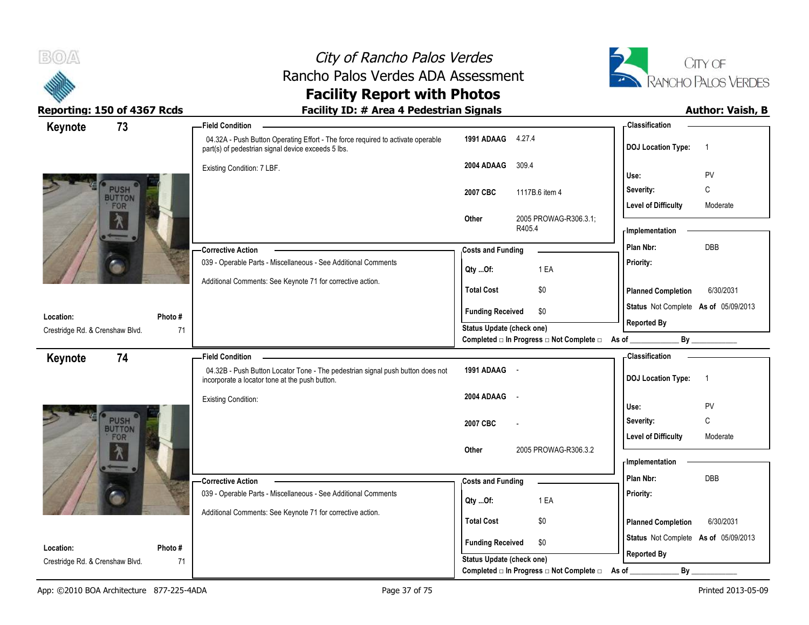



### **Facility Report with Photos** Reporting: 150 of 4367 Rcds **Facility ID: # Area 4 Pedestrian Signals Facility ID: # Area 4 Pedestrian Signals**

|                                                                                                | - Classification                                                               |
|------------------------------------------------------------------------------------------------|--------------------------------------------------------------------------------|
| 1991 ADAAG 4.27.4                                                                              | <b>DOJ Location Type:</b><br>$\overline{1}$                                    |
| 2004 ADAAG<br>309.4                                                                            | PV<br>Use:                                                                     |
|                                                                                                | $\mathsf{C}$<br>Severity:                                                      |
|                                                                                                | <b>Level of Difficulty</b><br>Moderate                                         |
| 2005 PROWAG-R306.3.1;<br>Other<br>R405.4                                                       | - Implementation                                                               |
| <b>Costs and Funding</b>                                                                       | <b>DBB</b><br>Plan Nbr:                                                        |
| 1 EA<br>Qty Of:                                                                                | Priority:                                                                      |
| \$0<br><b>Total Cost</b>                                                                       | <b>Planned Completion</b><br>6/30/2031                                         |
| <b>Funding Received</b><br>\$0                                                                 | Status Not Complete As of 05/09/2013                                           |
| <b>Status Update (check one)</b>                                                               | <b>Reported By</b>                                                             |
|                                                                                                | By                                                                             |
|                                                                                                | - Classification                                                               |
|                                                                                                |                                                                                |
| 1991 ADAAG -<br>04.32B - Push Button Locator Tone - The pedestrian signal push button does not | <b>DOJ Location Type:</b><br>$\overline{1}$                                    |
| 2004 ADAAG<br>$\sim$                                                                           |                                                                                |
|                                                                                                | Use:<br>PV                                                                     |
| 2007 CBC                                                                                       | C<br>Severity:                                                                 |
| 2005 PROWAG-R306.3.2<br>Other                                                                  | <b>Level of Difficulty</b><br>Moderate                                         |
|                                                                                                | - Implementation                                                               |
| <b>Costs and Funding</b>                                                                       | Plan Nbr:<br>DBB                                                               |
| 1 EA                                                                                           | Priority:                                                                      |
| Qty Of:                                                                                        |                                                                                |
| <b>Total Cost</b><br>\$0                                                                       | 6/30/2031<br><b>Planned Completion</b>                                         |
| <b>Funding Received</b><br>\$0<br><b>Status Update (check one)</b>                             | Status Not Complete As of 05/09/2013<br><b>Reported By</b>                     |
|                                                                                                | 1117B.6 item 4<br>2007 CBC<br>Completed □ In Progress □ Not Complete □ As of _ |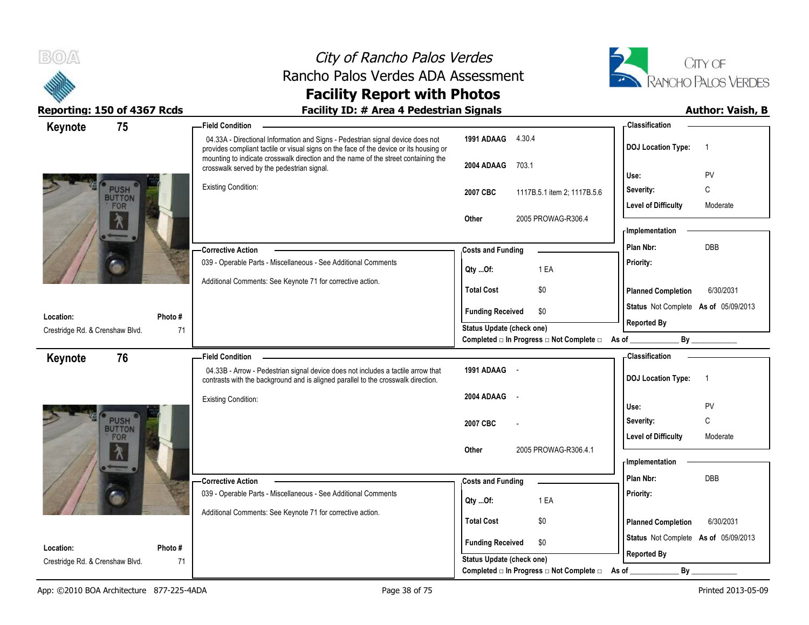



### Reporting: 150 of 4367 Rcds **Facility ID: # Area 4 Pedestrian Signals Reporting: 150 of 4367 Rcds Author: Vaish, B**

| 75<br><b>Field Condition</b><br>Keynote                                                                                                                                  | - Classification                                                                                          |
|--------------------------------------------------------------------------------------------------------------------------------------------------------------------------|-----------------------------------------------------------------------------------------------------------|
| 04.33A - Directional Information and Signs - Pedestrian signal device does not<br>provides compliant tactile or visual signs on the face of the device or its housing or | 1991 ADAAG 4.30.4<br><b>DOJ Location Type:</b><br>$\overline{1}$                                          |
| mounting to indicate crosswalk direction and the name of the street containing the<br>crosswalk served by the pedestrian signal.                                         | 2004 ADAAG<br>703.1<br>PV<br>Use:                                                                         |
| Existing Condition:<br><b>PUSH</b>                                                                                                                                       | C<br>Severity:<br>2007 CBC<br>1117B.5.1 item 2; 1117B.5.6                                                 |
| <b>BUTTON</b><br>FOR                                                                                                                                                     | <b>Level of Difficulty</b><br>Moderate                                                                    |
|                                                                                                                                                                          | 2005 PROWAG-R306.4<br>Other<br><b>Implementation</b>                                                      |
| - Corrective Action                                                                                                                                                      | Plan Nbr:<br>DBB<br><b>Costs and Funding</b>                                                              |
| 039 - Operable Parts - Miscellaneous - See Additional Comments                                                                                                           | Priority:<br>1 EA<br>QtyOf:                                                                               |
| Additional Comments: See Keynote 71 for corrective action.                                                                                                               |                                                                                                           |
|                                                                                                                                                                          | <b>Total Cost</b><br>\$0<br>6/30/2031<br><b>Planned Completion</b>                                        |
| Photo#<br>Location:                                                                                                                                                      | Status Not Complete As of 05/09/2013<br><b>Funding Received</b><br>\$0                                    |
| Crestridge Rd. & Crenshaw Blvd.<br>71                                                                                                                                    | <b>Reported By</b><br>Status Update (check one)<br>By<br>Completed □ In Progress □ Not Complete □ As of _ |
| 76<br><b>Field Condition</b><br>Keynote                                                                                                                                  | - Classification                                                                                          |
| 04.33B - Arrow - Pedestrian signal device does not includes a tactile arrow that<br>contrasts with the background and is aligned parallel to the crosswalk direction.    | 1991 ADAAG -<br><b>DOJ Location Type:</b><br>$\overline{1}$                                               |
|                                                                                                                                                                          |                                                                                                           |
| <b>Existing Condition:</b>                                                                                                                                               | 2004 ADAAG<br>$\sim$<br>Use:<br>PV                                                                        |
| <b>PUSH</b>                                                                                                                                                              | $\mathsf{C}$<br>Severity:<br>2007 CBC                                                                     |
| <b>BUTTON</b><br>FOR                                                                                                                                                     | Level of Difficulty<br>Moderate                                                                           |
|                                                                                                                                                                          | 2005 PROWAG-R306.4.1<br>Other                                                                             |
|                                                                                                                                                                          | <b>Implementation</b><br>Plan Nbr:<br><b>DBB</b>                                                          |
| -Corrective Action<br>039 - Operable Parts - Miscellaneous - See Additional Comments                                                                                     | <b>Costs and Funding</b><br>Priority:                                                                     |
| Additional Comments: See Keynote 71 for corrective action.                                                                                                               | 1 EA<br>Qty Of:                                                                                           |
|                                                                                                                                                                          | <b>Total Cost</b><br>\$0<br><b>Planned Completion</b><br>6/30/2031                                        |
| Location:<br>Photo#                                                                                                                                                      | Status Not Complete As of 05/09/2013<br><b>Funding Received</b><br>\$0<br><b>Reported By</b>              |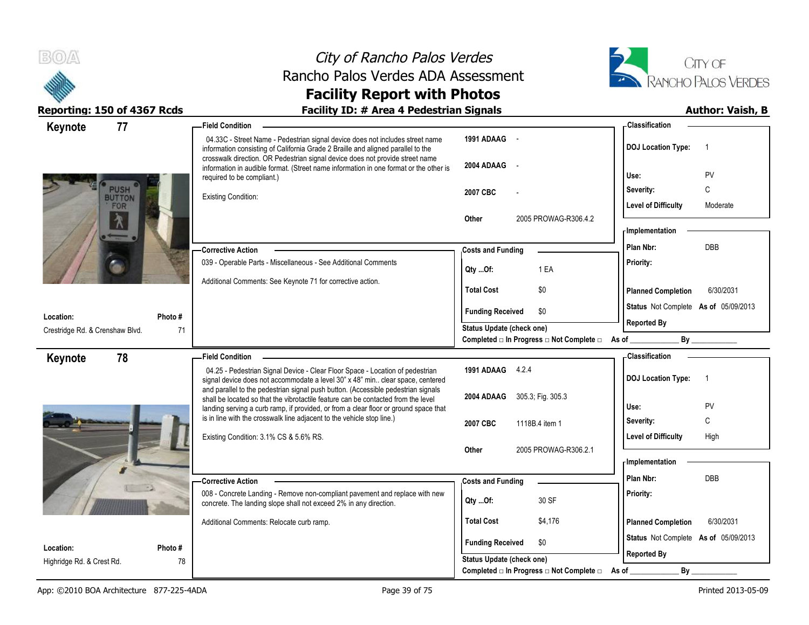



| Keynote<br>77                          |               | <b>Field Condition</b>                                                                                                                                                                                                                             |                                                             | - Classification                            |
|----------------------------------------|---------------|----------------------------------------------------------------------------------------------------------------------------------------------------------------------------------------------------------------------------------------------------|-------------------------------------------------------------|---------------------------------------------|
|                                        |               | 04.33C - Street Name - Pedestrian signal device does not includes street name<br>information consisting of California Grade 2 Braille and aligned parallel to the<br>crosswalk direction. OR Pedestrian signal device does not provide street name | 1991 ADAAG -                                                | <b>DOJ Location Type:</b><br>$\overline{1}$ |
|                                        |               | information in audible format. (Street name information in one format or the other is<br>required to be compliant.)                                                                                                                                | 2004 ADAAG<br>$\sim$                                        | Use:<br>PV                                  |
| <b>PUSH</b><br><b>BUTTON</b>           |               | <b>Existing Condition:</b>                                                                                                                                                                                                                         | 2007 CBC                                                    | C<br>Severity:                              |
| FOR                                    |               |                                                                                                                                                                                                                                                    | 2005 PROWAG-R306.4.2<br>Other                               | <b>Level of Difficulty</b><br>Moderate      |
|                                        |               |                                                                                                                                                                                                                                                    |                                                             | - Implementation                            |
|                                        |               | <b>Corrective Action</b>                                                                                                                                                                                                                           | <b>Costs and Funding</b>                                    | DBB<br>Plan Nbr:                            |
|                                        |               | 039 - Operable Parts - Miscellaneous - See Additional Comments                                                                                                                                                                                     | 1 EA<br>Qty Of:                                             | Priority:                                   |
|                                        |               | Additional Comments: See Keynote 71 for corrective action.                                                                                                                                                                                         | <b>Total Cost</b><br>\$0                                    | 6/30/2031<br><b>Planned Completion</b>      |
| Location:                              | Photo #       |                                                                                                                                                                                                                                                    | \$0<br><b>Funding Received</b>                              | Status Not Complete As of 05/09/2013        |
| Crestridge Rd. & Crenshaw Blvd.        | 71            |                                                                                                                                                                                                                                                    | <b>Status Update (check one)</b>                            | <b>Reported By</b>                          |
|                                        |               |                                                                                                                                                                                                                                                    | Completed □ In Progress □ Not Complete □ As of _            | By                                          |
| 78<br>Keynote                          |               | <b>Field Condition</b>                                                                                                                                                                                                                             |                                                             | - Classification                            |
|                                        |               | 04.25 - Pedestrian Signal Device - Clear Floor Space - Location of pedestrian<br>signal device does not accommodate a level 30" x 48" min clear space, centered                                                                                    | 1991 ADAAG 4.2.4                                            | <b>DOJ</b> Location Type:<br>$\overline{1}$ |
|                                        |               | and parallel to the pedestrian signal push button. (Accessible pedestrian signals<br>shall be located so that the vibrotactile feature can be contacted from the level                                                                             | 2004 ADAAG<br>305.3; Fig. 305.3                             |                                             |
|                                        |               | landing serving a curb ramp, if provided, or from a clear floor or ground space that                                                                                                                                                               |                                                             | Use:<br>PV                                  |
|                                        |               | is in line with the crosswalk line adjacent to the vehicle stop line.)                                                                                                                                                                             | 2007 CBC<br>1118B.4 item 1                                  | C<br>Severity:                              |
|                                        |               | Existing Condition: 3.1% CS & 5.6% RS.                                                                                                                                                                                                             |                                                             | <b>Level of Difficulty</b><br>High          |
|                                        |               |                                                                                                                                                                                                                                                    | 2005 PROWAG-R306.2.1<br>Other                               | <b>Implementation</b>                       |
|                                        |               | <b>Corrective Action</b>                                                                                                                                                                                                                           | <b>Costs and Funding</b>                                    | Plan Nbr:<br><b>DBB</b>                     |
|                                        |               | 008 - Concrete Landing - Remove non-compliant pavement and replace with new<br>concrete. The landing slope shall not exceed 2% in any direction.                                                                                                   | 30 SF<br>Qty Of:                                            | Priority:                                   |
|                                        |               | Additional Comments: Relocate curb ramp.                                                                                                                                                                                                           | <b>Total Cost</b><br>\$4,176                                | <b>Planned Completion</b><br>6/30/2031      |
|                                        |               |                                                                                                                                                                                                                                                    |                                                             |                                             |
|                                        |               |                                                                                                                                                                                                                                                    |                                                             | Status Not Complete As of 05/09/2013        |
| Location:<br>Highridge Rd. & Crest Rd. | Photo #<br>78 |                                                                                                                                                                                                                                                    | <b>Funding Received</b><br>\$0<br>Status Update (check one) | <b>Reported By</b>                          |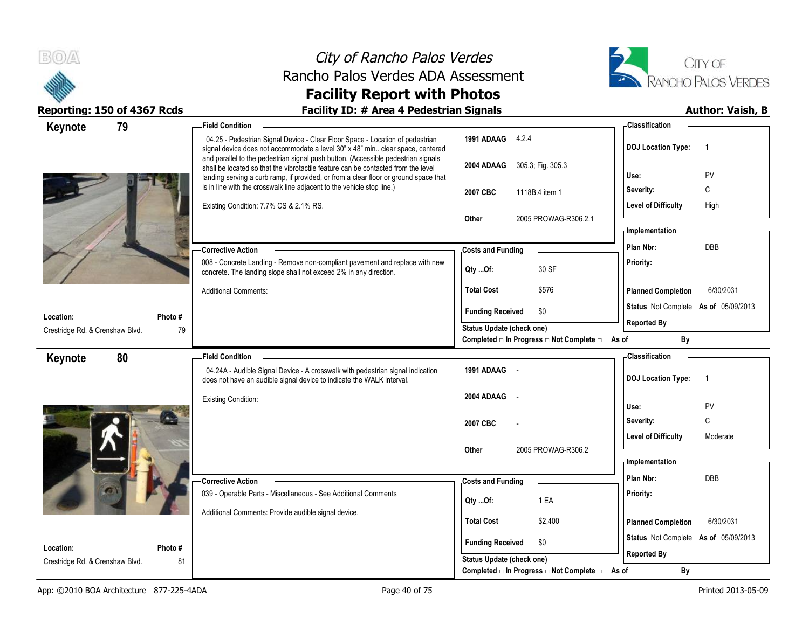



| Keynote                         | 79      | <b>Field Condition</b>                                                                                                                                                                                                                                         |                                                                               | - Classification                            |
|---------------------------------|---------|----------------------------------------------------------------------------------------------------------------------------------------------------------------------------------------------------------------------------------------------------------------|-------------------------------------------------------------------------------|---------------------------------------------|
|                                 |         | 04.25 - Pedestrian Signal Device - Clear Floor Space - Location of pedestrian<br>signal device does not accommodate a level 30" x 48" min clear space, centered                                                                                                | 1991 ADAAG 4.2.4                                                              | <b>DOJ Location Type:</b><br>$\overline{1}$ |
|                                 |         | and parallel to the pedestrian signal push button. (Accessible pedestrian signals<br>shall be located so that the vibrotactile feature can be contacted from the level<br>landing serving a curb ramp, if provided, or from a clear floor or ground space that | 2004 ADAAG<br>305.3, Fig. 305.3                                               | Use:<br>PV                                  |
|                                 |         | is in line with the crosswalk line adjacent to the vehicle stop line.)                                                                                                                                                                                         | 2007 CBC<br>1118B.4 item 1                                                    | C<br>Severity:                              |
|                                 |         | Existing Condition: 7.7% CS & 2.1% RS.                                                                                                                                                                                                                         |                                                                               | High<br><b>Level of Difficulty</b>          |
|                                 |         |                                                                                                                                                                                                                                                                | 2005 PROWAG-R306.2.1<br>Other                                                 | - Implementation                            |
|                                 |         | -Corrective Action                                                                                                                                                                                                                                             | <b>Costs and Funding</b>                                                      | DBB<br>Plan Nbr:                            |
|                                 |         | 008 - Concrete Landing - Remove non-compliant pavement and replace with new<br>concrete. The landing slope shall not exceed 2% in any direction.                                                                                                               | 30 SF<br>Qty Of:                                                              | Priority:                                   |
|                                 |         | <b>Additional Comments:</b>                                                                                                                                                                                                                                    | <b>Total Cost</b><br>\$576                                                    | 6/30/2031<br><b>Planned Completion</b>      |
| Location:                       | Photo # |                                                                                                                                                                                                                                                                | <b>Funding Received</b><br>\$0                                                | Status Not Complete As of 05/09/2013        |
| Crestridge Rd. & Crenshaw Blvd. | 79      |                                                                                                                                                                                                                                                                | Status Update (check one)<br>Completed □ In Progress □ Not Complete □ As of _ | <b>Reported By</b>                          |
|                                 | 80      | <b>Field Condition</b>                                                                                                                                                                                                                                         |                                                                               | - Classification                            |
| Keynote                         |         | 04.24A - Audible Signal Device - A crosswalk with pedestrian signal indication<br>does not have an audible signal device to indicate the WALK interval.                                                                                                        | 1991 ADAAG -                                                                  | <b>DOJ Location Type:</b><br>$\overline{1}$ |
|                                 |         | <b>Existing Condition:</b>                                                                                                                                                                                                                                     | 2004 ADAAG<br>$\sim$ $-$                                                      | PV<br>Use:                                  |
|                                 |         |                                                                                                                                                                                                                                                                | 2007 CBC                                                                      | C<br>Severity:                              |
|                                 |         |                                                                                                                                                                                                                                                                |                                                                               | <b>Level of Difficulty</b><br>Moderate      |
|                                 |         |                                                                                                                                                                                                                                                                | 2005 PROWAG-R306.2<br>Other                                                   | - Implementation                            |
|                                 |         | <b>Corrective Action</b>                                                                                                                                                                                                                                       | <b>Costs and Funding</b>                                                      | DBB<br>Plan Nbr:                            |
|                                 |         | 039 - Operable Parts - Miscellaneous - See Additional Comments                                                                                                                                                                                                 | 1 EA<br>Qty Of:                                                               | Priority:                                   |
|                                 |         | Additional Comments: Provide audible signal device.                                                                                                                                                                                                            | <b>Total Cost</b><br>\$2,400                                                  | <b>Planned Completion</b><br>6/30/2031      |
| Location:                       | Photo#  |                                                                                                                                                                                                                                                                | \$0<br><b>Funding Received</b>                                                | Status Not Complete As of 05/09/2013        |
| Crestridge Rd. & Crenshaw Blvd. | 81      |                                                                                                                                                                                                                                                                | Status Update (check one)                                                     | <b>Reported By</b>                          |
|                                 |         |                                                                                                                                                                                                                                                                | Completed □ In Progress □ Not Complete □ As of                                | By                                          |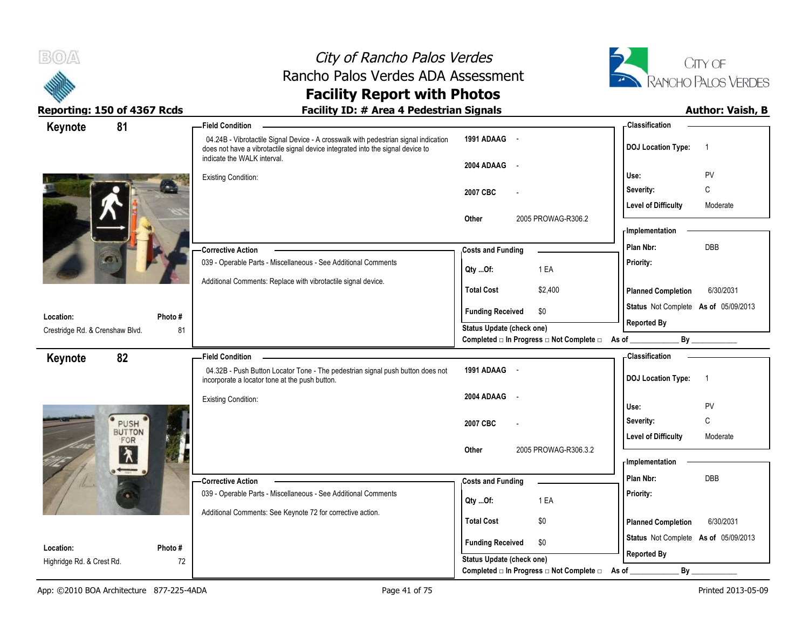



### **Facility Report with Photos** Reporting: 150 of 4367 Rcds **Facility ID: # Area 4 Pedestrian Signals Facility ID: # Area 4 Pedestrian Signals**

| 81<br>Keynote                   |         | <b>Field Condition</b>                                                                                                                                                 |                                                                 | - Classification                            |
|---------------------------------|---------|------------------------------------------------------------------------------------------------------------------------------------------------------------------------|-----------------------------------------------------------------|---------------------------------------------|
|                                 |         | 04.24B - Vibrotactile Signal Device - A crosswalk with pedestrian signal indication<br>does not have a vibrotactile signal device integrated into the signal device to | 1991 ADAAG -                                                    | <b>DOJ Location Type:</b><br>$\overline{1}$ |
|                                 |         | indicate the WALK interval.                                                                                                                                            | 2004 ADAAG -                                                    |                                             |
|                                 |         | <b>Existing Condition:</b>                                                                                                                                             |                                                                 | PV<br>Use:                                  |
|                                 |         |                                                                                                                                                                        | 2007 CBC                                                        | C<br>Severity:                              |
|                                 |         |                                                                                                                                                                        |                                                                 | <b>Level of Difficulty</b><br>Moderate      |
|                                 |         |                                                                                                                                                                        | 2005 PROWAG-R306.2<br>Other                                     | <b>Implementation</b>                       |
|                                 |         |                                                                                                                                                                        |                                                                 |                                             |
|                                 |         | <b>Corrective Action</b>                                                                                                                                               | <b>Costs and Funding</b>                                        | <b>DBB</b><br>Plan Nbr:                     |
|                                 |         | 039 - Operable Parts - Miscellaneous - See Additional Comments                                                                                                         | 1 EA<br>Qty Of:                                                 | Priority:                                   |
|                                 |         | Additional Comments: Replace with vibrotactile signal device.                                                                                                          | <b>Total Cost</b><br>\$2,400                                    | 6/30/2031<br><b>Planned Completion</b>      |
|                                 |         |                                                                                                                                                                        | <b>Funding Received</b><br>\$0                                  | Status Not Complete As of 05/09/2013        |
| Location:                       | Photo#  |                                                                                                                                                                        | <b>Status Update (check one)</b>                                | <b>Reported By</b>                          |
| Crestridge Rd. & Crenshaw Blvd. | 81      |                                                                                                                                                                        | Completed $\Box$ In Progress $\Box$ Not Complete $\Box$ As of _ |                                             |
| 82<br>Keynote                   |         | <b>Field Condition</b>                                                                                                                                                 |                                                                 | - Classification                            |
|                                 |         | 04.32B - Push Button Locator Tone - The pedestrian signal push button does not<br>incorporate a locator tone at the push button.                                       | 1991 ADAAG -                                                    | <b>DOJ Location Type:</b><br>$\overline{1}$ |
|                                 |         | <b>Existing Condition:</b>                                                                                                                                             | 2004 ADAAG<br>$\sim$                                            |                                             |
|                                 |         |                                                                                                                                                                        |                                                                 | PV<br>Use:                                  |
| PUSH<br><b>BUTTON</b>           |         |                                                                                                                                                                        | 2007 CBC                                                        | C<br>Severity:                              |
| FOR                             |         |                                                                                                                                                                        |                                                                 | <b>Level of Difficulty</b><br>Moderate      |
| $\lambda$                       |         |                                                                                                                                                                        | 2005 PROWAG-R306.3.2<br>Other                                   | - Implementation                            |
|                                 |         |                                                                                                                                                                        |                                                                 |                                             |
|                                 |         | -Corrective Action                                                                                                                                                     | <b>Costs and Funding</b>                                        | Plan Nbr:<br>DBB                            |
|                                 |         | 039 - Operable Parts - Miscellaneous - See Additional Comments                                                                                                         | 1 EA<br>$Qty$ Of:                                               | Priority:                                   |
|                                 |         | Additional Comments: See Keynote 72 for corrective action.                                                                                                             | <b>Total Cost</b><br>\$0                                        | <b>Planned Completion</b><br>6/30/2031      |
|                                 |         |                                                                                                                                                                        |                                                                 |                                             |
| Location:                       | Photo # |                                                                                                                                                                        | <b>Funding Received</b><br>\$0                                  | Status Not Complete As of 05/09/2013        |
| Highridge Rd. & Crest Rd.       | 72      |                                                                                                                                                                        | Status Update (check one)                                       | <b>Reported By</b>                          |
|                                 |         |                                                                                                                                                                        | Completed □ In Progress □ Not Complete □                        | By<br>As of                                 |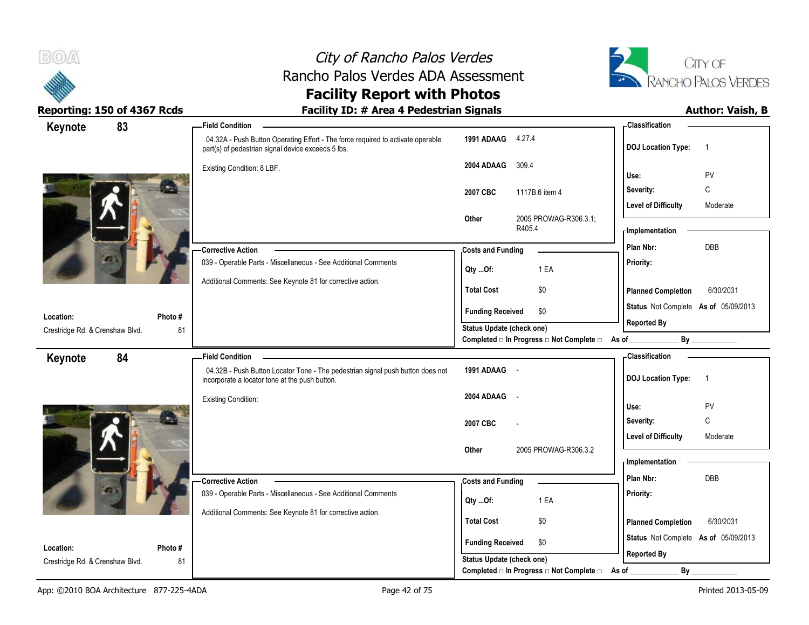



### **Facility Report with Photos** Reporting: 150 of 4367 Rcds **Facility ID: # Area 4 Pedestrian Signals Reporting: 150 of 4367 Rcds Author: Vaish, B**

| Keynote                                      | 83            | -Field Condition                                                                                                                      |                           |                                                  | - Classification                     |                |
|----------------------------------------------|---------------|---------------------------------------------------------------------------------------------------------------------------------------|---------------------------|--------------------------------------------------|--------------------------------------|----------------|
|                                              |               | 04.32A - Push Button Operating Effort - The force required to activate operable<br>part(s) of pedestrian signal device exceeds 5 lbs. | 1991 ADAAG 4.27.4         |                                                  | <b>DOJ Location Type:</b>            | $\overline{1}$ |
|                                              |               | Existing Condition: 8 LBF.                                                                                                            | 2004 ADAAG                | 309.4                                            | Use:                                 | PV             |
|                                              |               |                                                                                                                                       | 2007 CBC                  | 1117B.6 item 4                                   | Severity:                            | C              |
|                                              |               |                                                                                                                                       |                           |                                                  | <b>Level of Difficulty</b>           | Moderate       |
|                                              |               |                                                                                                                                       | Other                     | 2005 PROWAG-R306.3.1;<br>R405.4                  | - Implementation                     |                |
|                                              |               | <b>Corrective Action</b>                                                                                                              | <b>Costs and Funding</b>  |                                                  | Plan Nbr:                            | DBB            |
|                                              |               | 039 - Operable Parts - Miscellaneous - See Additional Comments                                                                        | Qty Of:                   | 1 EA                                             | Priority:                            |                |
|                                              |               | Additional Comments: See Keynote 81 for corrective action.                                                                            | <b>Total Cost</b>         | \$0                                              | <b>Planned Completion</b>            | 6/30/2031      |
|                                              |               |                                                                                                                                       | <b>Funding Received</b>   | \$0                                              | Status Not Complete As of 05/09/2013 |                |
| Location:                                    | Photo#        |                                                                                                                                       | Status Update (check one) |                                                  | <b>Reported By</b>                   |                |
| Crestridge Rd. & Crenshaw Blvd.              | 81            |                                                                                                                                       |                           | Completed □ In Progress □ Not Complete □ As of _ |                                      | By             |
| Keynote                                      | 84            | <b>Field Condition</b>                                                                                                                |                           |                                                  | - Classification                     |                |
|                                              |               | 04.32B - Push Button Locator Tone - The pedestrian signal push button does not<br>incorporate a locator tone at the push button.      | 1991 ADAAG -              |                                                  | <b>DOJ</b> Location Type:            | $\overline{1}$ |
|                                              |               | <b>Existing Condition:</b>                                                                                                            | 2004 ADAAG                | $\sim$                                           |                                      |                |
|                                              |               |                                                                                                                                       |                           |                                                  | Use:<br>Severity:                    | PV<br>C        |
|                                              |               |                                                                                                                                       | 2007 CBC                  |                                                  | <b>Level of Difficulty</b>           | Moderate       |
|                                              |               |                                                                                                                                       | Other                     | 2005 PROWAG-R306.3.2                             |                                      |                |
|                                              |               |                                                                                                                                       |                           |                                                  | <b>Implementation</b>                |                |
|                                              |               | <b>Corrective Action</b>                                                                                                              | <b>Costs and Funding</b>  |                                                  | Plan Nbr:                            | DBB            |
|                                              |               | 039 - Operable Parts - Miscellaneous - See Additional Comments                                                                        | Qty Of:                   | 1 EA                                             | Priority:                            |                |
|                                              |               |                                                                                                                                       |                           |                                                  |                                      |                |
|                                              |               | Additional Comments: See Keynote 81 for corrective action.                                                                            |                           |                                                  |                                      |                |
|                                              |               |                                                                                                                                       | <b>Total Cost</b>         | \$0                                              | <b>Planned Completion</b>            | 6/30/2031      |
|                                              |               |                                                                                                                                       | <b>Funding Received</b>   | \$0                                              | Status Not Complete As of 05/09/2013 |                |
| Location:<br>Crestridge Rd. & Crenshaw Blvd. | Photo #<br>81 |                                                                                                                                       | Status Update (check one) |                                                  | <b>Reported By</b><br>By             |                |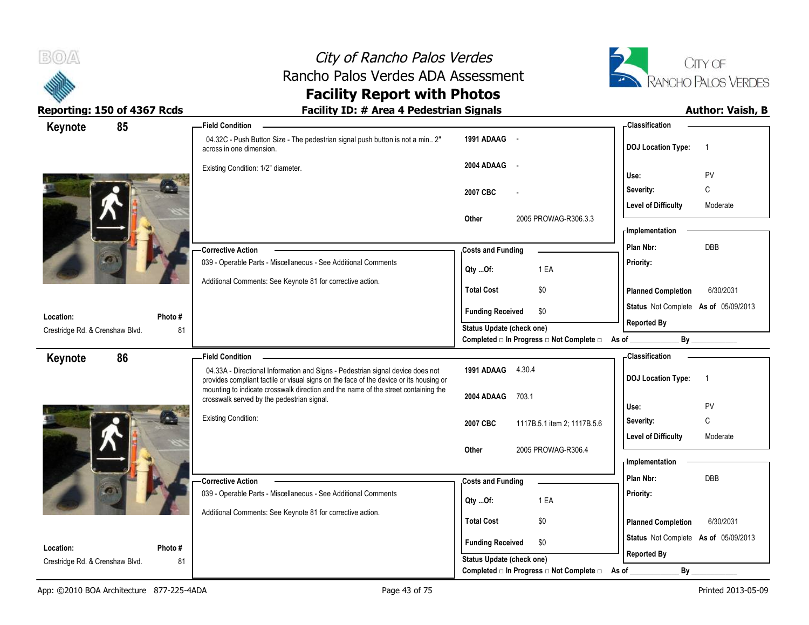



| 85<br>Keynote                   | <b>Field Condition</b>                                                                                                                                                   |                                                                              | <b>Classification</b>                       |
|---------------------------------|--------------------------------------------------------------------------------------------------------------------------------------------------------------------------|------------------------------------------------------------------------------|---------------------------------------------|
|                                 | 04.32C - Push Button Size - The pedestrian signal push button is not a min 2"<br>across in one dimension.                                                                | 1991 ADAAG -                                                                 | <b>DOJ</b> Location Type:<br>$\overline{1}$ |
|                                 | Existing Condition: 1/2" diameter.                                                                                                                                       | 2004 ADAAG -                                                                 | Use:<br>PV                                  |
|                                 |                                                                                                                                                                          | 2007 CBC                                                                     | C<br>Severity:                              |
|                                 |                                                                                                                                                                          | 2005 PROWAG-R306.3.3<br>Other                                                | <b>Level of Difficulty</b><br>Moderate      |
|                                 |                                                                                                                                                                          |                                                                              | - Implementation                            |
|                                 | <b>Corrective Action</b>                                                                                                                                                 | <b>Costs and Funding</b>                                                     | DBB<br>Plan Nbr:                            |
|                                 | 039 - Operable Parts - Miscellaneous - See Additional Comments                                                                                                           | 1 EA<br>Qty Of:                                                              | Priority:                                   |
|                                 | Additional Comments: See Keynote 81 for corrective action.                                                                                                               | <b>Total Cost</b><br>\$0                                                     | <b>Planned Completion</b><br>6/30/2031      |
| Location:<br>Photo #            |                                                                                                                                                                          | <b>Funding Received</b><br>\$0                                               | Status Not Complete As of 05/09/2013        |
| Crestridge Rd. & Crenshaw Blvd. | 81                                                                                                                                                                       | <b>Status Update (check one)</b>                                             | <b>Reported By</b>                          |
|                                 |                                                                                                                                                                          | Completed □ In Progress □ Not Complete □ As of _                             | By                                          |
| 86<br>Keynote                   | <b>Field Condition</b>                                                                                                                                                   |                                                                              | - Classification                            |
|                                 | 04.33A - Directional Information and Signs - Pedestrian signal device does not<br>provides compliant tactile or visual signs on the face of the device or its housing or | 1991 ADAAG 4.30.4                                                            | <b>DOJ Location Type:</b><br>$\overline{1}$ |
|                                 | mounting to indicate crosswalk direction and the name of the street containing the<br>crosswalk served by the pedestrian signal.                                         | 2004 ADAAG<br>703.1                                                          | Use:<br>PV                                  |
|                                 | <b>Existing Condition:</b>                                                                                                                                               | 2007 CBC<br>1117B.5.1 item 2; 1117B.5.6                                      | C<br>Severity:                              |
|                                 |                                                                                                                                                                          |                                                                              | <b>Level of Difficulty</b><br>Moderate      |
|                                 |                                                                                                                                                                          | 2005 PROWAG-R306.4<br>Other                                                  | <b>Implementation</b>                       |
|                                 |                                                                                                                                                                          |                                                                              |                                             |
|                                 |                                                                                                                                                                          |                                                                              |                                             |
|                                 | <b>Corrective Action</b>                                                                                                                                                 | <b>Costs and Funding</b>                                                     | Plan Nbr:<br><b>DBB</b>                     |
|                                 | 039 - Operable Parts - Miscellaneous - See Additional Comments                                                                                                           | 1 EA<br>Qty Of:                                                              | Priority:                                   |
|                                 | Additional Comments: See Keynote 81 for corrective action.                                                                                                               | <b>Total Cost</b><br>\$0                                                     | <b>Planned Completion</b><br>6/30/2031      |
| Location:<br>Photo #            |                                                                                                                                                                          | <b>Funding Received</b><br>\$0                                               | Status Not Complete As of 05/09/2013        |
| Crestridge Rd. & Crenshaw Blvd. | 81                                                                                                                                                                       | <b>Status Update (check one)</b><br>Completed □ In Progress □ Not Complete □ | <b>Reported By</b><br>By<br>As of           |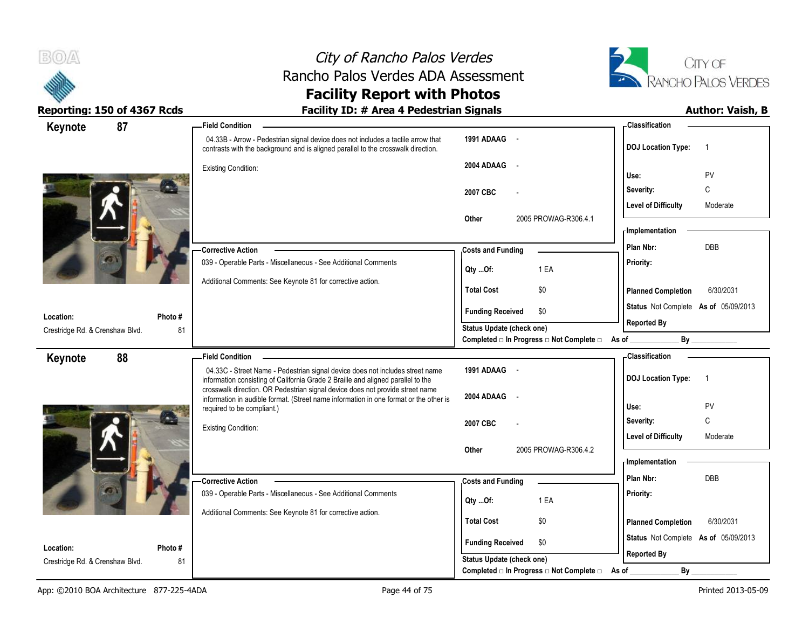



| 87<br>Keynote                   | -Field Condition                                                                                                                                                       |                                                                                                      | <b>Classification</b>                       |
|---------------------------------|------------------------------------------------------------------------------------------------------------------------------------------------------------------------|------------------------------------------------------------------------------------------------------|---------------------------------------------|
|                                 | 04.33B - Arrow - Pedestrian signal device does not includes a tactile arrow that<br>contrasts with the background and is aligned parallel to the crosswalk direction.  | 1991 ADAAG -                                                                                         | <b>DOJ</b> Location Type:<br>$\overline{1}$ |
|                                 | <b>Existing Condition:</b>                                                                                                                                             | 2004 ADAAG<br>$\sim$                                                                                 | PV<br>Use:                                  |
|                                 |                                                                                                                                                                        | 2007 CBC                                                                                             | Severity:<br>C                              |
|                                 |                                                                                                                                                                        |                                                                                                      | <b>Level of Difficulty</b><br>Moderate      |
|                                 |                                                                                                                                                                        | 2005 PROWAG-R306.4.1<br>Other                                                                        | - Implementation                            |
|                                 | <b>Corrective Action</b>                                                                                                                                               | <b>Costs and Funding</b>                                                                             | DBB<br>Plan Nbr:                            |
|                                 | 039 - Operable Parts - Miscellaneous - See Additional Comments                                                                                                         | 1 EA<br>$Qty$ Of:                                                                                    | Priority:                                   |
|                                 | Additional Comments: See Keynote 81 for corrective action.                                                                                                             | <b>Total Cost</b><br>\$0                                                                             | <b>Planned Completion</b><br>6/30/2031      |
| Location:<br>Photo#             |                                                                                                                                                                        | <b>Funding Received</b><br>\$0                                                                       | Status Not Complete As of 05/09/2013        |
| Crestridge Rd. & Crenshaw Blvd. | 81                                                                                                                                                                     | Status Update (check one)                                                                            | <b>Reported By</b>                          |
|                                 |                                                                                                                                                                        | Completed □ In Progress □ Not Complete □ As of _                                                     | By                                          |
| 88<br>Keynote                   | <b>Field Condition</b>                                                                                                                                                 |                                                                                                      | - Classification                            |
|                                 | 04.33C - Street Name - Pedestrian signal device does not includes street name<br>information consisting of California Grade 2 Braille and aligned parallel to the      | 1991 ADAAG -                                                                                         | <b>DOJ</b> Location Type:<br>$\overline{1}$ |
|                                 |                                                                                                                                                                        |                                                                                                      |                                             |
|                                 | crosswalk direction. OR Pedestrian signal device does not provide street name<br>information in audible format. (Street name information in one format or the other is | 2004 ADAAG                                                                                           |                                             |
|                                 | required to be compliant.)                                                                                                                                             |                                                                                                      | Use:<br>PV                                  |
|                                 | <b>Existing Condition:</b>                                                                                                                                             | 2007 CBC                                                                                             | C<br>Severity:                              |
|                                 |                                                                                                                                                                        |                                                                                                      | <b>Level of Difficulty</b><br>Moderate      |
|                                 |                                                                                                                                                                        | 2005 PROWAG-R306.4.2<br>Other                                                                        | - Implementation                            |
|                                 |                                                                                                                                                                        |                                                                                                      | Plan Nbr:<br>DBB                            |
|                                 | <b>Corrective Action</b><br>039 - Operable Parts - Miscellaneous - See Additional Comments                                                                             | <b>Costs and Funding</b>                                                                             | Priority:                                   |
|                                 | Additional Comments: See Keynote 81 for corrective action.                                                                                                             | 1 EA<br>Qty Of:                                                                                      |                                             |
|                                 |                                                                                                                                                                        | <b>Total Cost</b><br>\$0                                                                             | <b>Planned Completion</b><br>6/30/2031      |
| Location:<br>Photo#             |                                                                                                                                                                        | <b>Funding Received</b><br>\$0                                                                       | Status Not Complete As of 05/09/2013        |
| Crestridge Rd. & Crenshaw Blvd. | 81                                                                                                                                                                     | <b>Status Update (check one)</b><br>Completed $\square$ In Progress $\square$ Not Complete $\square$ | <b>Reported By</b><br>By<br>As of           |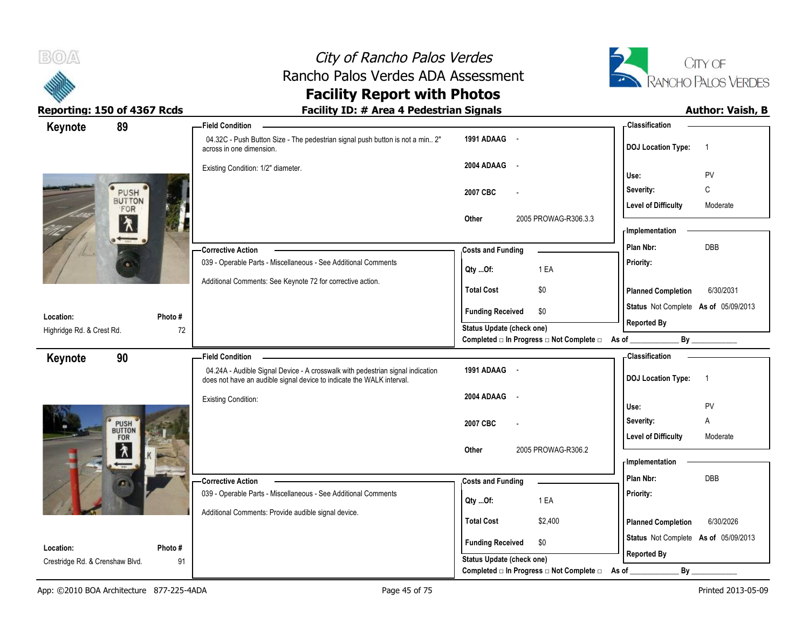



### Reporting: 150 of 4367 Rcds **Facility ID: # Area 4 Pedestrian Signals Reporting: 150 of 4367 Rcds Author: Vaish, B**

| 89<br>Keynote                   | <b>Field Condition</b>                                                                                                                                  |                                                                                      | - Classification                                           |
|---------------------------------|---------------------------------------------------------------------------------------------------------------------------------------------------------|--------------------------------------------------------------------------------------|------------------------------------------------------------|
|                                 | 04.32C - Push Button Size - The pedestrian signal push button is not a min 2"<br>across in one dimension.                                               | 1991 ADAAG -                                                                         | <b>DOJ Location Type:</b><br>$\overline{1}$                |
|                                 | Existing Condition: 1/2" diameter.                                                                                                                      | 2004 ADAAG<br>$\sim$                                                                 | PV<br>Use:                                                 |
| PUSH                            |                                                                                                                                                         | 2007 CBC                                                                             | C<br>Severity:                                             |
| <b>BUTTON</b><br>FOR            |                                                                                                                                                         |                                                                                      | <b>Level of Difficulty</b><br>Moderate                     |
| $\lambda$                       |                                                                                                                                                         | Other<br>2005 PROWAG-R306.3.3                                                        | - Implementation                                           |
|                                 | -Corrective Action                                                                                                                                      | <b>Costs and Funding</b>                                                             | DBB<br>Plan Nbr:                                           |
|                                 | 039 - Operable Parts - Miscellaneous - See Additional Comments                                                                                          | 1 EA<br>Qty Of:                                                                      | Priority:                                                  |
|                                 | Additional Comments: See Keynote 72 for corrective action.                                                                                              |                                                                                      |                                                            |
|                                 |                                                                                                                                                         | <b>Total Cost</b><br>\$0                                                             | <b>Planned Completion</b><br>6/30/2031                     |
| Location:                       | Photo #                                                                                                                                                 | \$0<br><b>Funding Received</b>                                                       | Status Not Complete As of 05/09/2013<br><b>Reported By</b> |
| Highridge Rd. & Crest Rd.       | 72                                                                                                                                                      | <b>Status Update (check one)</b><br>Completed □ In Progress □ Not Complete □ As of _ | By                                                         |
| 90<br>Keynote                   | <b>Field Condition</b>                                                                                                                                  |                                                                                      | - Classification                                           |
|                                 | 04.24A - Audible Signal Device - A crosswalk with pedestrian signal indication<br>does not have an audible signal device to indicate the WALK interval. | 1991 ADAAG -                                                                         | <b>DOJ</b> Location Type:<br>$\overline{1}$                |
|                                 | <b>Existing Condition:</b>                                                                                                                              | 2004 ADAAG<br>$\sim$                                                                 | PV<br>Use:                                                 |
|                                 |                                                                                                                                                         | 2007 CBC                                                                             | Severity:<br>Α                                             |
| PUSH <sup>'</sup><br>FOR        |                                                                                                                                                         |                                                                                      | <b>Level of Difficulty</b><br>Moderate                     |
| 角                               |                                                                                                                                                         | 2005 PROWAG-R306.2<br>Other                                                          |                                                            |
| <b>The Contract of Contract</b> |                                                                                                                                                         |                                                                                      | - Implementation<br>Plan Nbr:<br>DBB                       |
|                                 | - Corrective Action<br>039 - Operable Parts - Miscellaneous - See Additional Comments                                                                   | <b>Costs and Funding</b>                                                             | Priority:                                                  |
|                                 | Additional Comments: Provide audible signal device.                                                                                                     | 1 EA<br>Qty Of:                                                                      |                                                            |
|                                 |                                                                                                                                                         | <b>Total Cost</b><br>\$2,400                                                         | <b>Planned Completion</b><br>6/30/2026                     |
|                                 |                                                                                                                                                         |                                                                                      |                                                            |
| Location:                       | Photo#                                                                                                                                                  | <b>Funding Received</b><br>\$0                                                       | Status Not Complete As of 05/09/2013                       |
| Crestridge Rd. & Crenshaw Blvd. | 91                                                                                                                                                      | Status Update (check one)<br>Completed □ In Progress □ Not Complete □                | <b>Reported By</b><br>By<br>As of                          |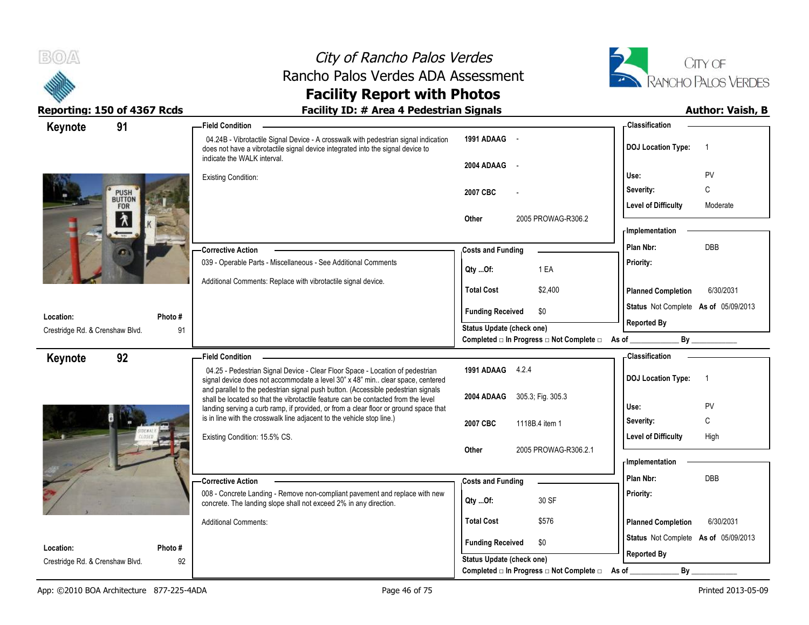



| 91<br>Keynote                   | <b>Field Condition</b>                                                                                                                                                                                |                                                               | - Classification                            |
|---------------------------------|-------------------------------------------------------------------------------------------------------------------------------------------------------------------------------------------------------|---------------------------------------------------------------|---------------------------------------------|
|                                 | 04.24B - Vibrotactile Signal Device - A crosswalk with pedestrian signal indication<br>does not have a vibrotactile signal device integrated into the signal device to<br>indicate the WALK interval. | 1991 ADAAG -                                                  | <b>DOJ Location Type:</b><br>-1             |
|                                 |                                                                                                                                                                                                       | 2004 ADAAG -                                                  | <b>PV</b><br>Use:                           |
|                                 | Existing Condition:                                                                                                                                                                                   |                                                               | C<br>Severity:                              |
| PUSH <sup>'</sup><br>FOR        |                                                                                                                                                                                                       | 2007 CBC                                                      | <b>Level of Difficulty</b><br>Moderate      |
| 1                               |                                                                                                                                                                                                       | 2005 PROWAG-R306.2<br>Other                                   |                                             |
|                                 |                                                                                                                                                                                                       |                                                               | - Implementation                            |
|                                 | - Corrective Action                                                                                                                                                                                   | <b>Costs and Funding</b>                                      | DBB<br>Plan Nbr:                            |
|                                 | 039 - Operable Parts - Miscellaneous - See Additional Comments                                                                                                                                        | 1 EA                                                          | Priority:                                   |
|                                 | Additional Comments: Replace with vibrotactile signal device.                                                                                                                                         | $Qty$ Of:                                                     |                                             |
|                                 |                                                                                                                                                                                                       | <b>Total Cost</b><br>\$2,400                                  | 6/30/2031<br><b>Planned Completion</b>      |
| Location:                       |                                                                                                                                                                                                       | <b>Funding Received</b><br>\$0                                | Status Not Complete As of 05/09/2013        |
| Crestridge Rd. & Crenshaw Blvd. | Photo#<br>91                                                                                                                                                                                          | Status Update (check one)                                     | <b>Reported By</b>                          |
|                                 |                                                                                                                                                                                                       | Completed □ In Progress □ Not Complete □ As of _              | By                                          |
| 92<br>Keynote                   | <b>Field Condition</b>                                                                                                                                                                                |                                                               | - Classification                            |
|                                 | 04.25 - Pedestrian Signal Device - Clear Floor Space - Location of pedestrian<br>signal device does not accommodate a level 30" x 48" min clear space, centered                                       | 1991 ADAAG 4.2.4                                              | <b>DOJ Location Type:</b><br>$\overline{1}$ |
|                                 | and parallel to the pedestrian signal push button. (Accessible pedestrian signals                                                                                                                     |                                                               |                                             |
|                                 | shall be located so that the vibrotactile feature can be contacted from the level<br>landing serving a curb ramp, if provided, or from a clear floor or ground space that                             | 2004 ADAAG 305.3; Fig. 305.3                                  | <b>PV</b><br>Use:                           |
|                                 | is in line with the crosswalk line adjacent to the vehicle stop line.)                                                                                                                                | 2007 CBC<br>1118B.4 item 1                                    | C<br>Severity:                              |
|                                 | Existing Condition: 15.5% CS.                                                                                                                                                                         |                                                               | <b>Level of Difficulty</b><br>High          |
|                                 |                                                                                                                                                                                                       | 2005 PROWAG-R306.2.1<br>Other                                 |                                             |
|                                 |                                                                                                                                                                                                       |                                                               | <b>Implementation</b>                       |
|                                 | - Corrective Action                                                                                                                                                                                   | <b>Costs and Funding</b>                                      | <b>DBB</b><br>Plan Nbr:                     |
|                                 | 008 - Concrete Landing - Remove non-compliant pavement and replace with new<br>concrete. The landing slope shall not exceed 2% in any direction.                                                      | 30 SF<br>Qty Of:                                              | Priority:                                   |
|                                 | <b>Additional Comments:</b>                                                                                                                                                                           | <b>Total Cost</b><br>\$576                                    | 6/30/2031<br><b>Planned Completion</b>      |
|                                 |                                                                                                                                                                                                       |                                                               | Status Not Complete As of 05/09/2013        |
| Location:                       | Photo#                                                                                                                                                                                                | <b>Funding Received</b><br>\$0                                | <b>Reported By</b>                          |
| Crestridge Rd. & Crenshaw Blvd. | 92                                                                                                                                                                                                    | <b>Status Update (check one)</b>                              |                                             |
|                                 |                                                                                                                                                                                                       | Completed $\Box$ In Progress $\Box$ Not Complete $\Box$ As of | By                                          |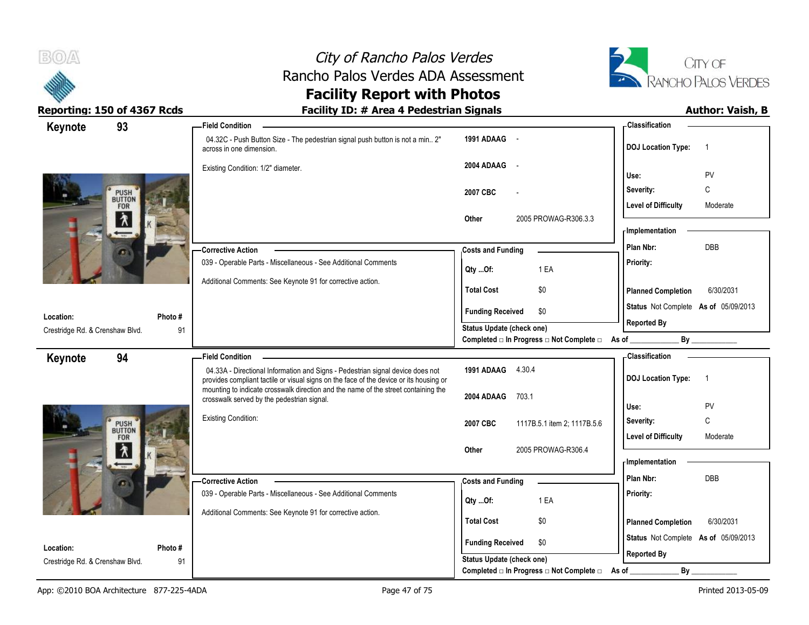



### Reporting: 150 of 4367 Rcds **Facility ID: # Area 4 Pedestrian Signals Reporting: 150 of 4367 Rcds Author: Vaish, B**

| <b>DOJ Location Type:</b><br>$\overline{1}$ |
|---------------------------------------------|
| PV                                          |
| С                                           |
| <b>Level of Difficulty</b><br>Moderate      |
| - Implementation                            |
| DBB                                         |
|                                             |
| <b>Planned Completion</b><br>6/30/2031      |
| Status Not Complete As of 05/09/2013        |
|                                             |
| By                                          |
| <b>DOJ Location Type:</b><br>$\overline{1}$ |
|                                             |
|                                             |
| PV                                          |
| C<br><b>Level of Difficulty</b><br>Moderate |
|                                             |
| <b>Implementation</b>                       |
| DBB                                         |
|                                             |
| <b>Planned Completion</b><br>6/30/2031      |
| Status Not Complete As of 05/09/2013        |
| - Classification                            |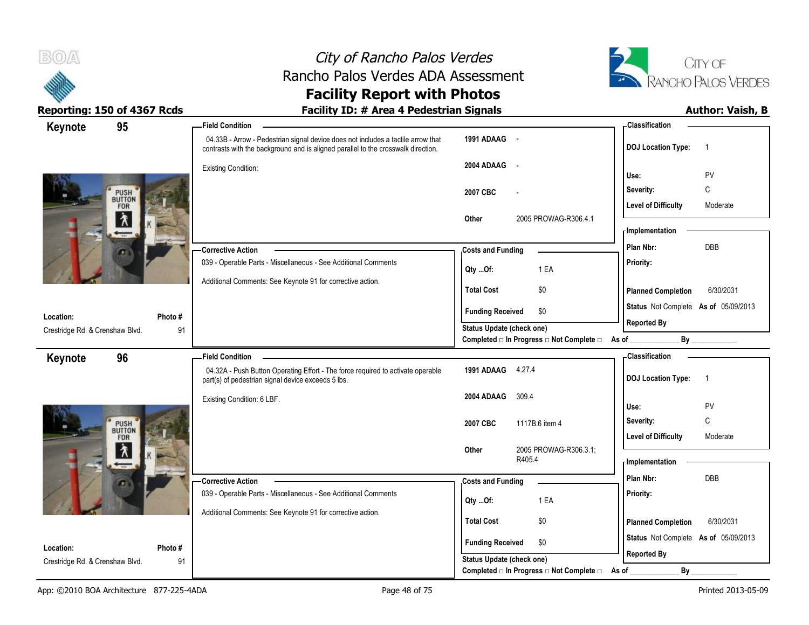



| 95<br>Keynote                   | <b>Field Condition</b>                                                                                                                                                |                                                  | <b>Classification</b>                       |
|---------------------------------|-----------------------------------------------------------------------------------------------------------------------------------------------------------------------|--------------------------------------------------|---------------------------------------------|
|                                 | 04.33B - Arrow - Pedestrian signal device does not includes a tactile arrow that<br>contrasts with the background and is aligned parallel to the crosswalk direction. | 1991 ADAAG -                                     | <b>DOJ</b> Location Type:<br>-1             |
|                                 | <b>Existing Condition:</b>                                                                                                                                            | 2004 ADAAG -                                     |                                             |
|                                 |                                                                                                                                                                       |                                                  | Use:<br>PV                                  |
| PUSH<br>BUTTON<br>FOR           |                                                                                                                                                                       | 2007 CBC                                         | $\mathsf{C}$<br>Severity:                   |
| 介                               |                                                                                                                                                                       | 2005 PROWAG-R306.4.1<br>Other                    | <b>Level of Difficulty</b><br>Moderate      |
| $\overline{\phantom{a}}$        |                                                                                                                                                                       |                                                  | - Implementation                            |
|                                 | -Corrective Action                                                                                                                                                    | <b>Costs and Funding</b>                         | DBB<br>Plan Nbr:                            |
|                                 | 039 - Operable Parts - Miscellaneous - See Additional Comments                                                                                                        |                                                  | Priority:                                   |
|                                 | Additional Comments: See Keynote 91 for corrective action.                                                                                                            | 1 EA<br>$Qty$ Of:                                |                                             |
|                                 |                                                                                                                                                                       | <b>Total Cost</b><br>\$0                         | 6/30/2031<br><b>Planned Completion</b>      |
| Location:                       | Photo#                                                                                                                                                                | <b>Funding Received</b><br>\$0                   | Status Not Complete As of 05/09/2013        |
| Crestridge Rd. & Crenshaw Blvd. | 91                                                                                                                                                                    | <b>Status Update (check one)</b>                 | <b>Reported By</b>                          |
|                                 |                                                                                                                                                                       | Completed □ In Progress □ Not Complete □ As of _ | By                                          |
| 96<br>Keynote                   | <b>Field Condition</b>                                                                                                                                                |                                                  | - Classification                            |
|                                 | 04.32A - Push Button Operating Effort - The force required to activate operable                                                                                       | 1991 ADAAG 4.27.4                                | <b>DOJ</b> Location Type:<br>$\overline{1}$ |
|                                 | part(s) of pedestrian signal device exceeds 5 lbs.                                                                                                                    |                                                  |                                             |
|                                 | Existing Condition: 6 LBF.                                                                                                                                            | 2004 ADAAG<br>309.4                              |                                             |
|                                 |                                                                                                                                                                       |                                                  | PV<br>Use:                                  |
| PUSH <sup>1</sup>               |                                                                                                                                                                       | 2007 CBC<br>1117B.6 item 4                       | C<br>Severity:                              |
| FOR                             |                                                                                                                                                                       | 2005 PROWAG-R306.3.1;<br>Other                   | <b>Level of Difficulty</b><br>Moderate      |
| 木<br><b>CONSULTS</b>            |                                                                                                                                                                       | R405.4                                           | - Implementation                            |
|                                 | -Corrective Action                                                                                                                                                    | <b>Costs and Funding</b>                         | Plan Nbr:<br><b>DBB</b>                     |
|                                 | 039 - Operable Parts - Miscellaneous - See Additional Comments                                                                                                        |                                                  | Priority:                                   |
|                                 | Additional Comments: See Keynote 91 for corrective action.                                                                                                            | 1 EA<br>Qty Of:                                  |                                             |
|                                 |                                                                                                                                                                       | \$0<br><b>Total Cost</b>                         | 6/30/2031<br><b>Planned Completion</b>      |
| Location:                       | Photo#                                                                                                                                                                | <b>Funding Received</b><br>\$0                   | Status Not Complete As of 05/09/2013        |
| Crestridge Rd. & Crenshaw Blvd. | 91                                                                                                                                                                    | Status Update (check one)                        | <b>Reported By</b><br>By                    |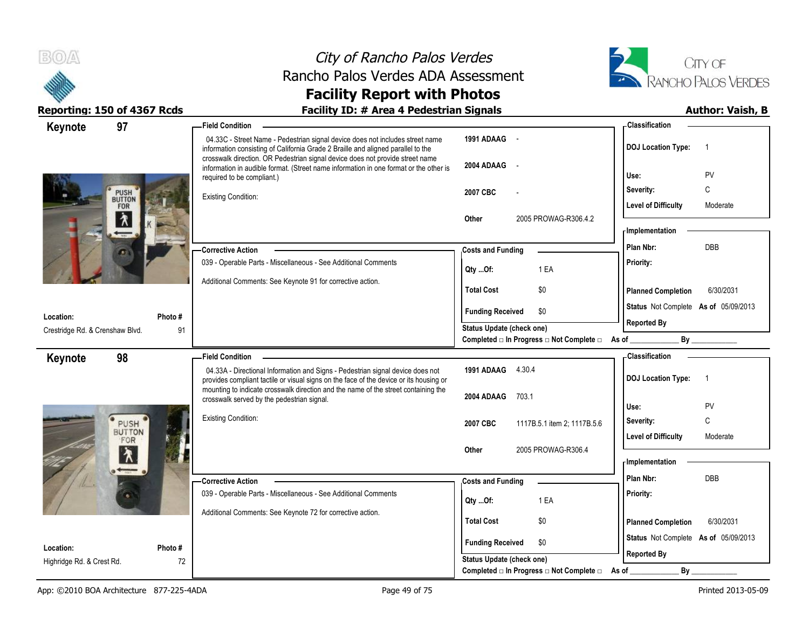



| <b>Field Condition</b>                                                                                                                                            |                                                                                                                                                                                                                                                                                                                                                                                                                                                                                       | - Classification                                                                                                                                                                          |
|-------------------------------------------------------------------------------------------------------------------------------------------------------------------|---------------------------------------------------------------------------------------------------------------------------------------------------------------------------------------------------------------------------------------------------------------------------------------------------------------------------------------------------------------------------------------------------------------------------------------------------------------------------------------|-------------------------------------------------------------------------------------------------------------------------------------------------------------------------------------------|
| 04.33C - Street Name - Pedestrian signal device does not includes street name<br>information consisting of California Grade 2 Braille and aligned parallel to the | 1991 ADAAG -                                                                                                                                                                                                                                                                                                                                                                                                                                                                          | <b>DOJ Location Type:</b><br>$\overline{1}$                                                                                                                                               |
|                                                                                                                                                                   | 2004 ADAAG<br>$\sim$ $-$                                                                                                                                                                                                                                                                                                                                                                                                                                                              | PV<br>Use:                                                                                                                                                                                |
|                                                                                                                                                                   |                                                                                                                                                                                                                                                                                                                                                                                                                                                                                       | С<br>Severity:                                                                                                                                                                            |
|                                                                                                                                                                   |                                                                                                                                                                                                                                                                                                                                                                                                                                                                                       | <b>Level of Difficulty</b><br>Moderate                                                                                                                                                    |
|                                                                                                                                                                   | 2005 PROWAG-R306.4.2<br>Other                                                                                                                                                                                                                                                                                                                                                                                                                                                         | <b>Implementation</b>                                                                                                                                                                     |
| - Corrective Action                                                                                                                                               | <b>Costs and Funding</b>                                                                                                                                                                                                                                                                                                                                                                                                                                                              | DBB<br>Plan Nbr:                                                                                                                                                                          |
| 039 - Operable Parts - Miscellaneous - See Additional Comments                                                                                                    | 1 EA<br>Qty Of:                                                                                                                                                                                                                                                                                                                                                                                                                                                                       | Priority:                                                                                                                                                                                 |
|                                                                                                                                                                   | <b>Total Cost</b><br>\$0                                                                                                                                                                                                                                                                                                                                                                                                                                                              | 6/30/2031<br><b>Planned Completion</b>                                                                                                                                                    |
| Photo#                                                                                                                                                            | <b>Funding Received</b><br>\$0                                                                                                                                                                                                                                                                                                                                                                                                                                                        | Status Not Complete As of 05/09/2013<br><b>Reported By</b>                                                                                                                                |
| 91                                                                                                                                                                | <b>Status Update (check one)</b>                                                                                                                                                                                                                                                                                                                                                                                                                                                      |                                                                                                                                                                                           |
|                                                                                                                                                                   |                                                                                                                                                                                                                                                                                                                                                                                                                                                                                       | - Classification                                                                                                                                                                          |
|                                                                                                                                                                   |                                                                                                                                                                                                                                                                                                                                                                                                                                                                                       |                                                                                                                                                                                           |
| provides compliant tactile or visual signs on the face of the device or its housing or                                                                            |                                                                                                                                                                                                                                                                                                                                                                                                                                                                                       | <b>DOJ Location Type:</b><br>$\overline{1}$                                                                                                                                               |
|                                                                                                                                                                   | 2004 ADAAG<br>703.1                                                                                                                                                                                                                                                                                                                                                                                                                                                                   |                                                                                                                                                                                           |
|                                                                                                                                                                   |                                                                                                                                                                                                                                                                                                                                                                                                                                                                                       | PV<br>Use:                                                                                                                                                                                |
|                                                                                                                                                                   | 2007 CBC<br>1117B.5.1 item 2; 1117B.5.6                                                                                                                                                                                                                                                                                                                                                                                                                                               | Severity:<br>C                                                                                                                                                                            |
|                                                                                                                                                                   |                                                                                                                                                                                                                                                                                                                                                                                                                                                                                       | <b>Level of Difficulty</b><br>Moderate                                                                                                                                                    |
|                                                                                                                                                                   | 2005 PROWAG-R306.4<br>Other                                                                                                                                                                                                                                                                                                                                                                                                                                                           |                                                                                                                                                                                           |
|                                                                                                                                                                   |                                                                                                                                                                                                                                                                                                                                                                                                                                                                                       | - Implementation                                                                                                                                                                          |
| - Corrective Action                                                                                                                                               |                                                                                                                                                                                                                                                                                                                                                                                                                                                                                       |                                                                                                                                                                                           |
|                                                                                                                                                                   | <b>Costs and Funding</b>                                                                                                                                                                                                                                                                                                                                                                                                                                                              | Plan Nbr:<br>DBB                                                                                                                                                                          |
| 039 - Operable Parts - Miscellaneous - See Additional Comments                                                                                                    | 1 EA<br>$Qty$ Of:                                                                                                                                                                                                                                                                                                                                                                                                                                                                     | Priority:                                                                                                                                                                                 |
| Additional Comments: See Keynote 72 for corrective action.                                                                                                        | <b>Total Cost</b><br>\$0                                                                                                                                                                                                                                                                                                                                                                                                                                                              | 6/30/2031<br><b>Planned Completion</b>                                                                                                                                                    |
|                                                                                                                                                                   |                                                                                                                                                                                                                                                                                                                                                                                                                                                                                       | Status Not Complete As of 05/09/2013                                                                                                                                                      |
| Photo#<br>72                                                                                                                                                      | <b>Funding Received</b><br>\$0<br>Status Update (check one)                                                                                                                                                                                                                                                                                                                                                                                                                           | <b>Reported By</b>                                                                                                                                                                        |
|                                                                                                                                                                   | crosswalk direction. OR Pedestrian signal device does not provide street name<br>required to be compliant.)<br><b>Existing Condition:</b><br>Additional Comments: See Keynote 91 for corrective action.<br><b>Field Condition</b><br>04.33A - Directional Information and Signs - Pedestrian signal device does not<br>mounting to indicate crosswalk direction and the name of the street containing the<br>crosswalk served by the pedestrian signal.<br><b>Existing Condition:</b> | information in audible format. (Street name information in one format or the other is<br>2007 CBC<br>Completed $\Box$ In Progress $\Box$ Not Complete $\Box$ As of _<br>1991 ADAAG 4.30.4 |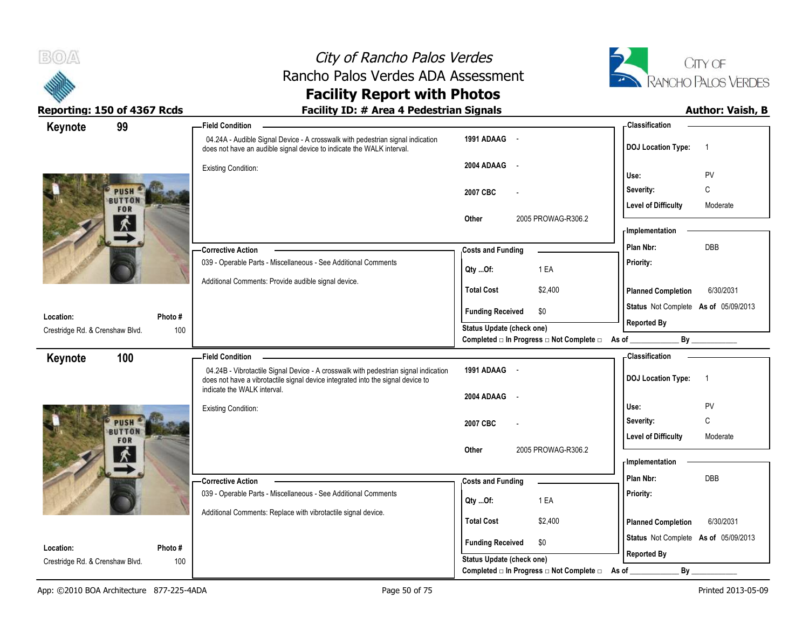



| Keynote                         | 99                  | <b>Field Condition</b>                                                                                                                                                 |                                                                       | <b>Classification</b>                       |
|---------------------------------|---------------------|------------------------------------------------------------------------------------------------------------------------------------------------------------------------|-----------------------------------------------------------------------|---------------------------------------------|
|                                 |                     | 04.24A - Audible Signal Device - A crosswalk with pedestrian signal indication<br>does not have an audible signal device to indicate the WALK interval.                | 1991 ADAAG -                                                          | <b>DOJ</b> Location Type:<br>$\overline{1}$ |
|                                 |                     | <b>Existing Condition:</b>                                                                                                                                             | 2004 ADAAG<br>$\sim$                                                  | Use:<br>PV                                  |
|                                 | <b>PUSH</b>         |                                                                                                                                                                        | 2007 CBC                                                              | Severity:<br>C                              |
|                                 | <b>BUTTO</b><br>FOR |                                                                                                                                                                        |                                                                       | <b>Level of Difficulty</b><br>Moderate      |
|                                 | ۸Ř                  |                                                                                                                                                                        | Other<br>2005 PROWAG-R306.2                                           | - Implementation                            |
|                                 |                     | <b>Corrective Action</b>                                                                                                                                               | <b>Costs and Funding</b>                                              | DBB<br>Plan Nbr:                            |
|                                 |                     | 039 - Operable Parts - Miscellaneous - See Additional Comments                                                                                                         | 1 EA<br>Qty Of:                                                       | Priority:                                   |
|                                 |                     | Additional Comments: Provide audible signal device.                                                                                                                    | <b>Total Cost</b><br>\$2,400                                          | <b>Planned Completion</b><br>6/30/2031      |
| Location:                       | Photo#              |                                                                                                                                                                        | <b>Funding Received</b><br>\$0                                        | Status Not Complete As of 05/09/2013        |
| Crestridge Rd. & Crenshaw Blvd. | 100                 |                                                                                                                                                                        | Status Update (check one)                                             | <b>Reported By</b>                          |
|                                 |                     |                                                                                                                                                                        | Completed □ In Progress □ Not Complete □ As of _                      | By                                          |
| Keynote                         | 100                 | <b>Field Condition</b>                                                                                                                                                 |                                                                       | - Classification                            |
|                                 |                     | 04.24B - Vibrotactile Signal Device - A crosswalk with pedestrian signal indication<br>does not have a vibrotactile signal device integrated into the signal device to | 1991 ADAAG -                                                          | <b>DOJ Location Type:</b><br>$\overline{1}$ |
|                                 |                     | indicate the WALK interval.                                                                                                                                            | 2004 ADAAG<br>$\sim$                                                  |                                             |
|                                 |                     | <b>Existing Condition:</b>                                                                                                                                             |                                                                       | Use:<br>PV                                  |
|                                 |                     |                                                                                                                                                                        |                                                                       |                                             |
|                                 | PUSH<br>RUTTON      |                                                                                                                                                                        | 2007 CBC                                                              | C<br>Severity:                              |
|                                 | FOR                 |                                                                                                                                                                        |                                                                       | <b>Level of Difficulty</b><br>Moderate      |
|                                 |                     |                                                                                                                                                                        | 2005 PROWAG-R306.2<br>Other                                           | <b>Implementation</b>                       |
|                                 |                     |                                                                                                                                                                        |                                                                       | Plan Nbr:<br><b>DBB</b>                     |
|                                 |                     | -Corrective Action<br>039 - Operable Parts - Miscellaneous - See Additional Comments                                                                                   | <b>Costs and Funding</b>                                              | Priority:                                   |
|                                 |                     |                                                                                                                                                                        | 1 EA<br>Qty Of:                                                       |                                             |
|                                 |                     | Additional Comments: Replace with vibrotactile signal device.                                                                                                          | <b>Total Cost</b><br>\$2,400                                          | 6/30/2031<br><b>Planned Completion</b>      |
| Location:                       | Photo#              |                                                                                                                                                                        | <b>Funding Received</b><br>\$0                                        | Status Not Complete As of 05/09/2013        |
| Crestridge Rd. & Crenshaw Blvd. | 100                 |                                                                                                                                                                        | Status Update (check one)<br>Completed □ In Progress □ Not Complete □ | <b>Reported By</b><br>By<br>As of           |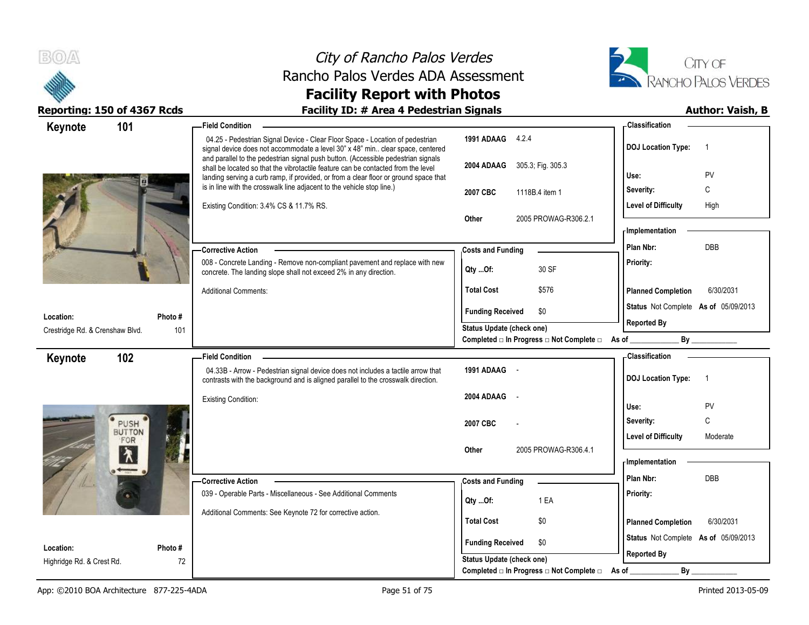



Reporting: 150 of 4367 Rcds **Facility ID: # Area 4 Pedestrian Signals Author: Vaish, B** 

| Keynote                                | 101           | - Field Condition                                                                                                                                                                                                                                              |                                                         | - Classification                            |
|----------------------------------------|---------------|----------------------------------------------------------------------------------------------------------------------------------------------------------------------------------------------------------------------------------------------------------------|---------------------------------------------------------|---------------------------------------------|
|                                        |               | 04.25 - Pedestrian Signal Device - Clear Floor Space - Location of pedestrian<br>signal device does not accommodate a level 30" x 48" min clear space, centered                                                                                                | 1991 ADAAG 4.2.4                                        | <b>DOJ Location Type:</b><br>$\overline{1}$ |
|                                        |               | and parallel to the pedestrian signal push button. (Accessible pedestrian signals<br>shall be located so that the vibrotactile feature can be contacted from the level<br>landing serving a curb ramp, if provided, or from a clear floor or ground space that | 2004 ADAAG 305.3; Fig. 305.3                            | Use:<br>PV                                  |
|                                        |               | is in line with the crosswalk line adjacent to the vehicle stop line.)                                                                                                                                                                                         | 2007 CBC<br>1118B.4 item 1                              | С<br>Severity:                              |
|                                        |               | Existing Condition: 3.4% CS & 11.7% RS.                                                                                                                                                                                                                        |                                                         | <b>Level of Difficulty</b><br>High          |
|                                        |               |                                                                                                                                                                                                                                                                | 2005 PROWAG-R306.2.1<br>Other                           | - Implementation                            |
|                                        |               |                                                                                                                                                                                                                                                                |                                                         | DBB<br>Plan Nbr:                            |
|                                        |               | <b>Corrective Action</b>                                                                                                                                                                                                                                       | <b>Costs and Funding</b>                                |                                             |
|                                        |               | 008 - Concrete Landing - Remove non-compliant pavement and replace with new<br>concrete. The landing slope shall not exceed 2% in any direction.                                                                                                               | 30 SF<br>Qty Of:                                        | Priority:                                   |
|                                        |               | <b>Additional Comments:</b>                                                                                                                                                                                                                                    | <b>Total Cost</b><br>\$576                              | <b>Planned Completion</b><br>6/30/2031      |
| Location:                              | Photo #       |                                                                                                                                                                                                                                                                | \$0<br><b>Funding Received</b>                          | Status Not Complete As of 05/09/2013        |
| Crestridge Rd. & Crenshaw Blvd.        | 101           |                                                                                                                                                                                                                                                                | <b>Status Update (check one)</b>                        | <b>Reported By</b>                          |
|                                        |               |                                                                                                                                                                                                                                                                | Completed □ In Progress □ Not Complete □ As of ________ | By                                          |
| Keynote                                | 102           | <b>Field Condition</b>                                                                                                                                                                                                                                         |                                                         | - Classification                            |
|                                        |               | 04.33B - Arrow - Pedestrian signal device does not includes a tactile arrow that<br>contrasts with the background and is aligned parallel to the crosswalk direction.                                                                                          | 1991 ADAAG -                                            | <b>DOJ Location Type:</b><br>$\overline{1}$ |
|                                        |               | <b>Existing Condition:</b>                                                                                                                                                                                                                                     | 2004 ADAAG<br>$\sim$                                    | Use:<br>PV                                  |
|                                        |               |                                                                                                                                                                                                                                                                |                                                         |                                             |
|                                        | PUSH          |                                                                                                                                                                                                                                                                |                                                         |                                             |
|                                        | <b>BUTTON</b> |                                                                                                                                                                                                                                                                | 2007 CBC                                                | C<br>Severity:                              |
|                                        | FOR           |                                                                                                                                                                                                                                                                |                                                         | <b>Level of Difficulty</b><br>Moderate      |
|                                        | $\lambda$     |                                                                                                                                                                                                                                                                | 2005 PROWAG-R306.4.1<br>Other                           | <b>Implementation</b>                       |
|                                        |               | - Corrective Action                                                                                                                                                                                                                                            |                                                         | Plan Nbr:<br>DBB                            |
|                                        |               | 039 - Operable Parts - Miscellaneous - See Additional Comments                                                                                                                                                                                                 | <b>Costs and Funding</b>                                | Priority:                                   |
|                                        |               | Additional Comments: See Keynote 72 for corrective action.                                                                                                                                                                                                     | 1 EA<br>Qty Of:                                         |                                             |
|                                        |               |                                                                                                                                                                                                                                                                | <b>Total Cost</b><br>\$0                                | <b>Planned Completion</b><br>6/30/2031      |
|                                        |               |                                                                                                                                                                                                                                                                | <b>Funding Received</b><br>\$0                          | Status Not Complete As of 05/09/2013        |
| Location:<br>Highridge Rd. & Crest Rd. | Photo #<br>72 |                                                                                                                                                                                                                                                                | Status Update (check one)                               | <b>Reported By</b>                          |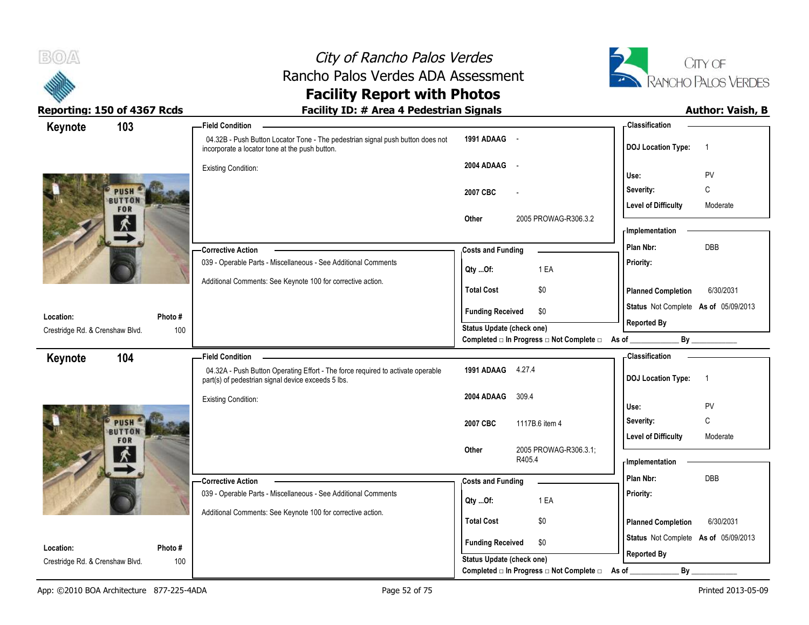



| Keynote                         | 103                    | - Field Condition                                                                                                                     |                                                | - Classification                            |
|---------------------------------|------------------------|---------------------------------------------------------------------------------------------------------------------------------------|------------------------------------------------|---------------------------------------------|
|                                 |                        | 04.32B - Push Button Locator Tone - The pedestrian signal push button does not<br>incorporate a locator tone at the push button.      | 1991 ADAAG<br>$\sim$ $-$                       | <b>DOJ Location Type:</b><br>$\overline{1}$ |
|                                 |                        | <b>Existing Condition:</b>                                                                                                            | 2004 ADAAG<br>$\sim$ $-$                       |                                             |
|                                 |                        |                                                                                                                                       |                                                | Use:<br>PV                                  |
|                                 | <b>RUTTO</b>           |                                                                                                                                       | 2007 CBC                                       | C<br>Severity:                              |
|                                 | <b>FOR</b>             |                                                                                                                                       |                                                | <b>Level of Difficulty</b><br>Moderate      |
|                                 |                        |                                                                                                                                       | 2005 PROWAG-R306.3.2<br>Other                  | <b>Implementation</b>                       |
|                                 |                        |                                                                                                                                       |                                                | DBB<br>Plan Nbr:                            |
|                                 |                        | - Corrective Action                                                                                                                   | <b>Costs and Funding</b>                       |                                             |
|                                 |                        | 039 - Operable Parts - Miscellaneous - See Additional Comments                                                                        | Qty Of:<br>1 EA                                | Priority:                                   |
|                                 |                        | Additional Comments: See Keynote 100 for corrective action.                                                                           | <b>Total Cost</b><br>\$0                       | 6/30/2031<br><b>Planned Completion</b>      |
| Location:                       | Photo#                 |                                                                                                                                       | \$0<br><b>Funding Received</b>                 | Status Not Complete As of 05/09/2013        |
| Crestridge Rd. & Crenshaw Blvd. | 100                    |                                                                                                                                       | <b>Status Update (check one)</b>               | <b>Reported By</b>                          |
|                                 |                        |                                                                                                                                       | Completed □ In Progress □ Not Complete □ As of | By                                          |
| Keynote                         | 104                    | <b>Field Condition</b>                                                                                                                |                                                | - Classification                            |
|                                 |                        | 04.32A - Push Button Operating Effort - The force required to activate operable<br>part(s) of pedestrian signal device exceeds 5 lbs. | 1991 ADAAG<br>4.27.4                           | <b>DOJ Location Type:</b><br>$\overline{1}$ |
|                                 |                        | <b>Existing Condition:</b>                                                                                                            | 2004 ADAAG<br>309.4                            |                                             |
|                                 |                        |                                                                                                                                       |                                                | PV<br>Use:                                  |
|                                 | PIISH<br><b>RUTTON</b> |                                                                                                                                       | 2007 CBC<br>1117B.6 item 4                     | C<br>Severity:                              |
|                                 | FOR                    |                                                                                                                                       |                                                | <b>Level of Difficulty</b><br>Moderate      |
|                                 |                        |                                                                                                                                       | 2005 PROWAG-R306.3.1;<br>Other<br>R405.4       | - Implementation                            |
|                                 |                        |                                                                                                                                       |                                                |                                             |
|                                 |                        | -Corrective Action                                                                                                                    | <b>Costs and Funding</b>                       | DBB<br>Plan Nbr:                            |
|                                 |                        | 039 - Operable Parts - Miscellaneous - See Additional Comments                                                                        | 1 EA<br>Qty Of:                                | Priority:                                   |
|                                 |                        | Additional Comments: See Keynote 100 for corrective action.                                                                           | <b>Total Cost</b>                              |                                             |
|                                 |                        |                                                                                                                                       | \$0                                            | <b>Planned Completion</b><br>6/30/2031      |
| Location:                       | Photo#                 |                                                                                                                                       | <b>Funding Received</b><br>\$0                 | Status Not Complete As of 05/09/2013        |
| Crestridge Rd. & Crenshaw Blvd. | 100                    |                                                                                                                                       | <b>Status Update (check one)</b>               | <b>Reported By</b>                          |
|                                 |                        |                                                                                                                                       | Completed □ In Progress □ Not Complete □       | By<br>As of                                 |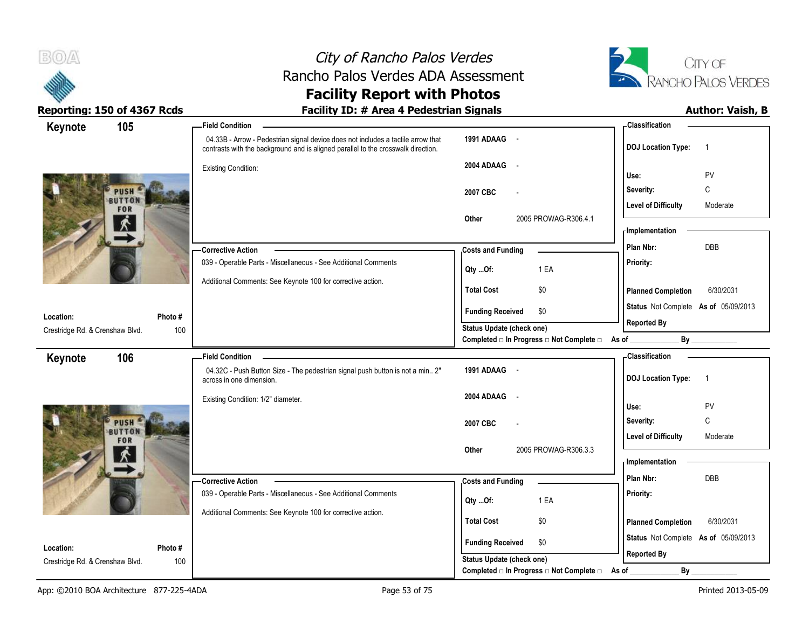



| Keynote                                      | 105                         | <b>Field Condition</b>                                                                                                                                                |                                                  | <b>Classification</b>                       |
|----------------------------------------------|-----------------------------|-----------------------------------------------------------------------------------------------------------------------------------------------------------------------|--------------------------------------------------|---------------------------------------------|
|                                              |                             | 04.33B - Arrow - Pedestrian signal device does not includes a tactile arrow that<br>contrasts with the background and is aligned parallel to the crosswalk direction. | 1991 ADAAG -                                     | <b>DOJ Location Type:</b><br>$\overline{1}$ |
|                                              |                             | <b>Existing Condition:</b>                                                                                                                                            | 2004 ADAAG -                                     | Use:<br>PV                                  |
|                                              |                             |                                                                                                                                                                       |                                                  | C<br>Severity:                              |
|                                              | <b>PUSH</b><br><b>RUTTO</b> |                                                                                                                                                                       | 2007 CBC                                         |                                             |
|                                              | FOR                         |                                                                                                                                                                       | 2005 PROWAG-R306.4.1<br>Other                    | <b>Level of Difficulty</b><br>Moderate      |
|                                              | Ķ.                          |                                                                                                                                                                       |                                                  | - Implementation                            |
|                                              |                             | <b>Corrective Action</b>                                                                                                                                              | <b>Costs and Funding</b>                         | DBB<br>Plan Nbr:                            |
|                                              |                             | 039 - Operable Parts - Miscellaneous - See Additional Comments                                                                                                        | 1 EA<br>Qty Of:                                  | Priority:                                   |
|                                              |                             | Additional Comments: See Keynote 100 for corrective action.                                                                                                           |                                                  |                                             |
|                                              |                             |                                                                                                                                                                       | <b>Total Cost</b><br>\$0                         | <b>Planned Completion</b><br>6/30/2031      |
| Location:                                    | Photo#                      |                                                                                                                                                                       | <b>Funding Received</b><br>\$0                   | Status Not Complete As of 05/09/2013        |
| Crestridge Rd. & Crenshaw Blvd.              | 100                         |                                                                                                                                                                       | <b>Status Update (check one)</b>                 | <b>Reported By</b>                          |
|                                              |                             |                                                                                                                                                                       | Completed □ In Progress □ Not Complete □ As of _ | $By$ <sub>___</sub>                         |
| Keynote                                      | 106                         | <b>Field Condition</b>                                                                                                                                                |                                                  | <b>Classification</b>                       |
|                                              |                             | 04.32C - Push Button Size - The pedestrian signal push button is not a min 2"<br>across in one dimension.                                                             | 1991 ADAAG -                                     | <b>DOJ Location Type:</b><br>$\overline{1}$ |
|                                              |                             |                                                                                                                                                                       |                                                  |                                             |
|                                              |                             | Existing Condition: 1/2" diameter.                                                                                                                                    | 2004 ADAAG<br>$\sim$                             |                                             |
|                                              |                             |                                                                                                                                                                       |                                                  | Use:<br>PV                                  |
|                                              | PHSH<br><b>RUTTON</b>       |                                                                                                                                                                       | 2007 CBC                                         | C<br>Severity:                              |
|                                              | FOR                         |                                                                                                                                                                       |                                                  | <b>Level of Difficulty</b><br>Moderate      |
|                                              |                             |                                                                                                                                                                       | 2005 PROWAG-R306.3.3<br>Other                    | - Implementation                            |
|                                              |                             | -Corrective Action                                                                                                                                                    |                                                  | Plan Nbr:<br><b>DBB</b>                     |
|                                              |                             | 039 - Operable Parts - Miscellaneous - See Additional Comments                                                                                                        | <b>Costs and Funding</b>                         | Priority:                                   |
|                                              |                             |                                                                                                                                                                       | 1 EA<br>Qty Of:                                  |                                             |
|                                              |                             | Additional Comments: See Keynote 100 for corrective action.                                                                                                           | <b>Total Cost</b><br>\$0                         | 6/30/2031<br><b>Planned Completion</b>      |
|                                              |                             |                                                                                                                                                                       | <b>Funding Received</b><br>\$0                   | Status Not Complete As of 05/09/2013        |
| Location:<br>Crestridge Rd. & Crenshaw Blvd. | Photo#<br>100               |                                                                                                                                                                       | <b>Status Update (check one)</b>                 | <b>Reported By</b>                          |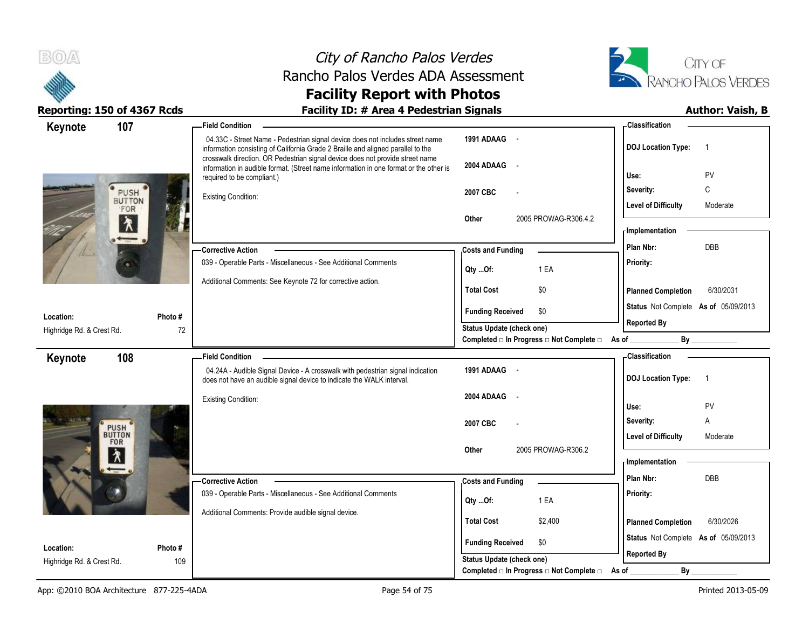



| 107<br>Keynote               |         | <b>Field Condition</b>                                                                                                                                                                                                                             |                                                                       | <b>Classification</b>                       |
|------------------------------|---------|----------------------------------------------------------------------------------------------------------------------------------------------------------------------------------------------------------------------------------------------------|-----------------------------------------------------------------------|---------------------------------------------|
|                              |         | 04.33C - Street Name - Pedestrian signal device does not includes street name<br>information consisting of California Grade 2 Braille and aligned parallel to the<br>crosswalk direction. OR Pedestrian signal device does not provide street name | 1991 ADAAG -                                                          | <b>DOJ</b> Location Type:<br>- 1            |
|                              |         | information in audible format. (Street name information in one format or the other is<br>required to be compliant.)                                                                                                                                | 2004 ADAAG -                                                          | PV<br>Use:                                  |
| PUSH                         |         | <b>Existing Condition:</b>                                                                                                                                                                                                                         | 2007 CBC                                                              | C<br>Severity:                              |
| <b>BUTTON</b><br>FOR         |         |                                                                                                                                                                                                                                                    |                                                                       | <b>Level of Difficulty</b><br>Moderate      |
| $\bigwedge$                  |         |                                                                                                                                                                                                                                                    | 2005 PROWAG-R306.4.2<br>Other                                         | - Implementation                            |
|                              |         | -Corrective Action                                                                                                                                                                                                                                 | <b>Costs and Funding</b>                                              | Plan Nbr:<br>DBB                            |
|                              |         | 039 - Operable Parts - Miscellaneous - See Additional Comments                                                                                                                                                                                     | 1 EA                                                                  | Priority:                                   |
|                              |         | Additional Comments: See Keynote 72 for corrective action.                                                                                                                                                                                         | Qty Of:                                                               |                                             |
|                              |         |                                                                                                                                                                                                                                                    | <b>Total Cost</b><br>\$0                                              | 6/30/2031<br><b>Planned Completion</b>      |
| Location:                    | Photo # |                                                                                                                                                                                                                                                    | <b>Funding Received</b><br>\$0                                        | Status Not Complete As of 05/09/2013        |
| Highridge Rd. & Crest Rd.    | 72      |                                                                                                                                                                                                                                                    | Status Update (check one)                                             | <b>Reported By</b>                          |
|                              |         |                                                                                                                                                                                                                                                    | Completed □ In Progress □ Not Complete □ As of                        | $\mathsf{By}$                               |
| 108<br>Keynote               |         | <b>Field Condition</b>                                                                                                                                                                                                                             |                                                                       | - Classification                            |
|                              |         | 04.24A - Audible Signal Device - A crosswalk with pedestrian signal indication<br>does not have an audible signal device to indicate the WALK interval.                                                                                            | 1991 ADAAG -                                                          | <b>DOJ Location Type:</b><br>$\overline{1}$ |
|                              |         | <b>Existing Condition:</b>                                                                                                                                                                                                                         | 2004 ADAAG -                                                          | PV<br>Use:                                  |
|                              |         |                                                                                                                                                                                                                                                    | 2007 CBC                                                              | Severity:<br>Α                              |
| <b>PUSH</b><br><b>BUTTON</b> |         |                                                                                                                                                                                                                                                    |                                                                       | <b>Level of Difficulty</b><br>Moderate      |
| FOR<br>$\lambda$             |         |                                                                                                                                                                                                                                                    | 2005 PROWAG-R306.2<br>Other                                           |                                             |
|                              |         |                                                                                                                                                                                                                                                    |                                                                       | - Implementation                            |
|                              |         | - Corrective Action                                                                                                                                                                                                                                | <b>Costs and Funding</b>                                              | <b>DBB</b><br>Plan Nbr:                     |
|                              |         | 039 - Operable Parts - Miscellaneous - See Additional Comments                                                                                                                                                                                     | 1 EA<br>Qty Of:                                                       | Priority:                                   |
|                              |         | Additional Comments: Provide audible signal device.                                                                                                                                                                                                | <b>Total Cost</b><br>\$2,400                                          | 6/30/2026<br><b>Planned Completion</b>      |
|                              |         |                                                                                                                                                                                                                                                    |                                                                       | Status Not Complete As of 05/09/2013        |
| Location:                    | Photo # |                                                                                                                                                                                                                                                    | <b>Funding Received</b><br>\$0                                        | <b>Reported By</b>                          |
| Highridge Rd. & Crest Rd.    | 109     |                                                                                                                                                                                                                                                    | Status Update (check one)<br>Completed □ In Progress □ Not Complete □ | By<br>As of                                 |
|                              |         |                                                                                                                                                                                                                                                    |                                                                       |                                             |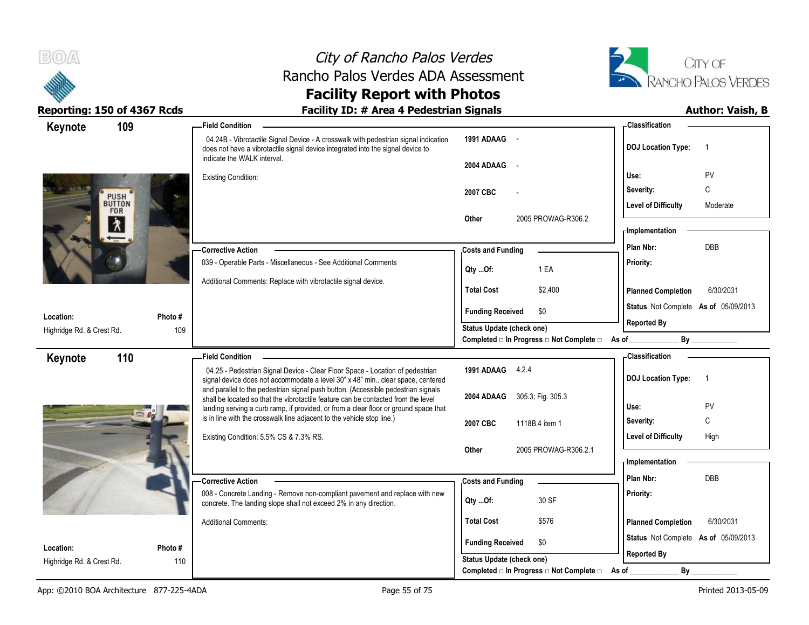



### **Facility Report with Photos** Reporting: 150 of 4367 Rcds **Facility ID: # Area 4 Pedestrian Signals Facility ID: # Area 4 Pedestrian Signals**

| 109<br>Keynote            |         | <b>Field Condition</b>                                                                                                                                                                                |                                                               | - Classification                            |
|---------------------------|---------|-------------------------------------------------------------------------------------------------------------------------------------------------------------------------------------------------------|---------------------------------------------------------------|---------------------------------------------|
|                           |         | 04.24B - Vibrotactile Signal Device - A crosswalk with pedestrian signal indication<br>does not have a vibrotactile signal device integrated into the signal device to<br>indicate the WALK interval. | 1991 ADAAG -                                                  | <b>DOJ</b> Location Type:<br>-1             |
|                           |         |                                                                                                                                                                                                       | 2004 ADAAG -                                                  | PV<br>Use:                                  |
|                           |         | <b>Existing Condition:</b>                                                                                                                                                                            | 2007 CBC                                                      | C<br>Severity:                              |
| PUSH <sup>*</sup>         |         |                                                                                                                                                                                                       |                                                               | Level of Difficulty<br>Moderate             |
| <b>FOR</b><br>λ           |         |                                                                                                                                                                                                       | 2005 PROWAG-R306.2<br>Other                                   | - Implementation                            |
|                           |         | - Corrective Action                                                                                                                                                                                   | <b>Costs and Funding</b>                                      | DBB<br>Plan Nbr:                            |
|                           |         | 039 - Operable Parts - Miscellaneous - See Additional Comments                                                                                                                                        | 1 EA<br>$Qty$ Of:                                             | Priority:                                   |
|                           |         | Additional Comments: Replace with vibrotactile signal device.                                                                                                                                         | <b>Total Cost</b><br>\$2,400                                  | <b>Planned Completion</b><br>6/30/2031      |
| Location:                 | Photo#  |                                                                                                                                                                                                       | <b>Funding Received</b><br>\$0                                | Status Not Complete As of 05/09/2013        |
| Highridge Rd. & Crest Rd. | 109     |                                                                                                                                                                                                       | Status Update (check one)                                     | <b>Reported By</b>                          |
|                           |         |                                                                                                                                                                                                       | Completed □ In Progress □ Not Complete □ As of _              | By                                          |
| 110<br>Keynote            |         | <b>Field Condition</b>                                                                                                                                                                                |                                                               | - Classification                            |
|                           |         | 04.25 - Pedestrian Signal Device - Clear Floor Space - Location of pedestrian<br>signal device does not accommodate a level 30" x 48" min. clear space, centered                                      | 1991 ADAAG 4.2.4                                              | <b>DOJ</b> Location Type:<br>$\overline{1}$ |
|                           |         | and parallel to the pedestrian signal push button. (Accessible pedestrian signals<br>shall be located so that the vibrotactile feature can be contacted from the level                                | 2004 ADAAG 305.3, Fig. 305.3                                  |                                             |
|                           |         | landing serving a curb ramp, if provided, or from a clear floor or ground space that                                                                                                                  |                                                               | Use:<br>PV                                  |
|                           |         | is in line with the crosswalk line adjacent to the vehicle stop line.)                                                                                                                                | 2007 CBC<br>1118B.4 item 1                                    | C<br>Severity:                              |
|                           |         | Existing Condition: 5.5% CS & 7.3% RS.                                                                                                                                                                |                                                               | <b>Level of Difficulty</b><br>High          |
|                           |         |                                                                                                                                                                                                       | 2005 PROWAG-R306.2.1<br>Other                                 | - Implementation                            |
|                           |         |                                                                                                                                                                                                       |                                                               | Plan Nbr:<br><b>DBB</b>                     |
|                           |         | <b>Corrective Action</b><br>008 - Concrete Landing - Remove non-compliant pavement and replace with new                                                                                               | <b>Costs and Funding</b>                                      | Priority:                                   |
|                           |         | concrete. The landing slope shall not exceed 2% in any direction.                                                                                                                                     | 30 SF<br>$Qty$ Of:                                            |                                             |
|                           |         | <b>Additional Comments:</b>                                                                                                                                                                           | <b>Total Cost</b><br>\$576                                    | <b>Planned Completion</b><br>6/30/2031      |
| Location:                 | Photo # |                                                                                                                                                                                                       | <b>Funding Received</b><br>\$0                                | Status Not Complete As of 05/09/2013        |
| Highridge Rd. & Crest Rd. | 110     |                                                                                                                                                                                                       | <b>Status Update (check one)</b>                              | <b>Reported By</b>                          |
|                           |         |                                                                                                                                                                                                       | Completed $\Box$ In Progress $\Box$ Not Complete $\Box$ As of | By                                          |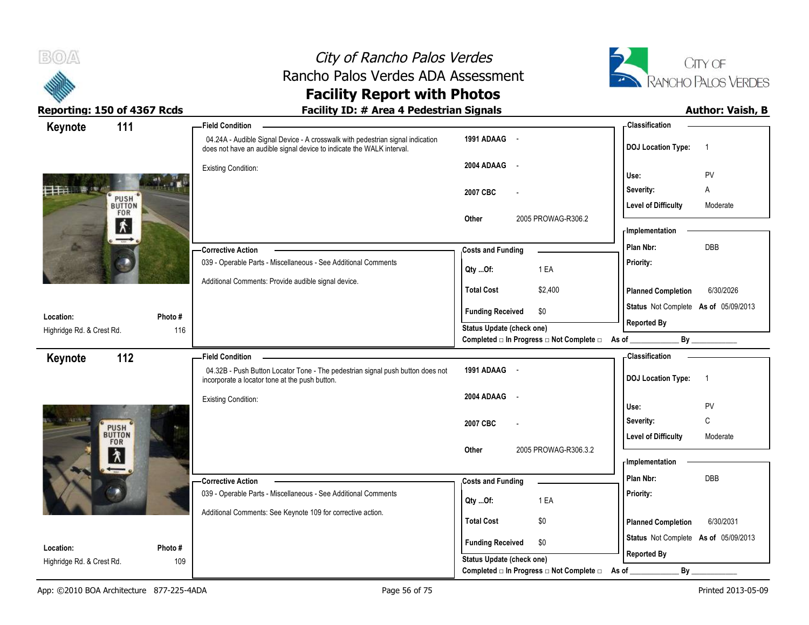



### **Facility Report with Photos** Reporting: 150 of 4367 Rcds **Facility ID: # Area 4 Pedestrian Signals Facility ID: # Area 4 Pedestrian Signals**

| Keynote                   | 111                                | <b>Field Condition</b>                                                                                                                                  |                                                                               | - Classification                            |
|---------------------------|------------------------------------|---------------------------------------------------------------------------------------------------------------------------------------------------------|-------------------------------------------------------------------------------|---------------------------------------------|
|                           |                                    | 04.24A - Audible Signal Device - A crosswalk with pedestrian signal indication<br>does not have an audible signal device to indicate the WALK interval. | 1991 ADAAG -                                                                  | <b>DOJ</b> Location Type:<br>$\overline{1}$ |
|                           |                                    | Existing Condition:                                                                                                                                     | 2004 ADAAG<br>$\sim$                                                          |                                             |
|                           |                                    |                                                                                                                                                         |                                                                               | PV<br>Use:                                  |
|                           |                                    |                                                                                                                                                         | 2007 CBC                                                                      | Severity:<br>Α                              |
|                           | PUSH <sup>®</sup><br>BUTTON<br>FOR |                                                                                                                                                         |                                                                               | <b>Level of Difficulty</b><br>Moderate      |
|                           | 术                                  |                                                                                                                                                         | 2005 PROWAG-R306.2<br>Other                                                   | <b>Implementation</b>                       |
|                           | $-$                                |                                                                                                                                                         |                                                                               |                                             |
|                           |                                    | -Corrective Action                                                                                                                                      | <b>Costs and Funding</b>                                                      | <b>DBB</b><br>Plan Nbr:                     |
|                           |                                    | 039 - Operable Parts - Miscellaneous - See Additional Comments                                                                                          | 1 EA<br>Qty Of:                                                               | Priority:                                   |
|                           |                                    | Additional Comments: Provide audible signal device.                                                                                                     | <b>Total Cost</b><br>\$2,400                                                  | 6/30/2026<br><b>Planned Completion</b>      |
|                           |                                    |                                                                                                                                                         | <b>Funding Received</b><br>\$0                                                | Status Not Complete As of 05/09/2013        |
| Location:                 | Photo#                             |                                                                                                                                                         |                                                                               | <b>Reported By</b>                          |
| Highridge Rd. & Crest Rd. | 116                                |                                                                                                                                                         | Status Update (check one)<br>Completed □ In Progress □ Not Complete □ As of _ |                                             |
| Keynote                   | 112                                | -Field Condition                                                                                                                                        |                                                                               | - Classification                            |
|                           |                                    | 04.32B - Push Button Locator Tone - The pedestrian signal push button does not<br>incorporate a locator tone at the push button.                        | 1991 ADAAG -                                                                  | <b>DOJ</b> Location Type:<br>$\overline{1}$ |
|                           |                                    | <b>Existing Condition:</b>                                                                                                                              | 2004 ADAAG<br>$\sim$                                                          |                                             |
|                           |                                    |                                                                                                                                                         |                                                                               | Use:<br>PV                                  |
|                           | PUSH <sup>®</sup>                  |                                                                                                                                                         | 2007 CBC                                                                      | C<br>Severity:                              |
|                           | FOR                                |                                                                                                                                                         |                                                                               | <b>Level of Difficulty</b><br>Moderate      |
|                           | Ϋ                                  |                                                                                                                                                         | 2005 PROWAG-R306.3.2<br>Other                                                 | - Implementation                            |
|                           |                                    |                                                                                                                                                         |                                                                               |                                             |
|                           |                                    | -Corrective Action                                                                                                                                      | <b>Costs and Funding</b>                                                      | Plan Nbr:<br>DBB                            |
|                           |                                    | 039 - Operable Parts - Miscellaneous - See Additional Comments                                                                                          | 1 EA<br>$Qty$ Of:                                                             | Priority:                                   |
|                           |                                    | Additional Comments: See Keynote 109 for corrective action.                                                                                             | \$0<br><b>Total Cost</b>                                                      |                                             |
|                           |                                    |                                                                                                                                                         |                                                                               | <b>Planned Completion</b><br>6/30/2031      |
| Location:                 | Photo#                             |                                                                                                                                                         | <b>Funding Received</b><br>\$0                                                | Status Not Complete As of 05/09/2013        |
| Highridge Rd. & Crest Rd. | 109                                |                                                                                                                                                         | Status Update (check one)                                                     | <b>Reported By</b>                          |
|                           |                                    |                                                                                                                                                         | Completed □ In Progress □ Not Complete □                                      | By<br>As of                                 |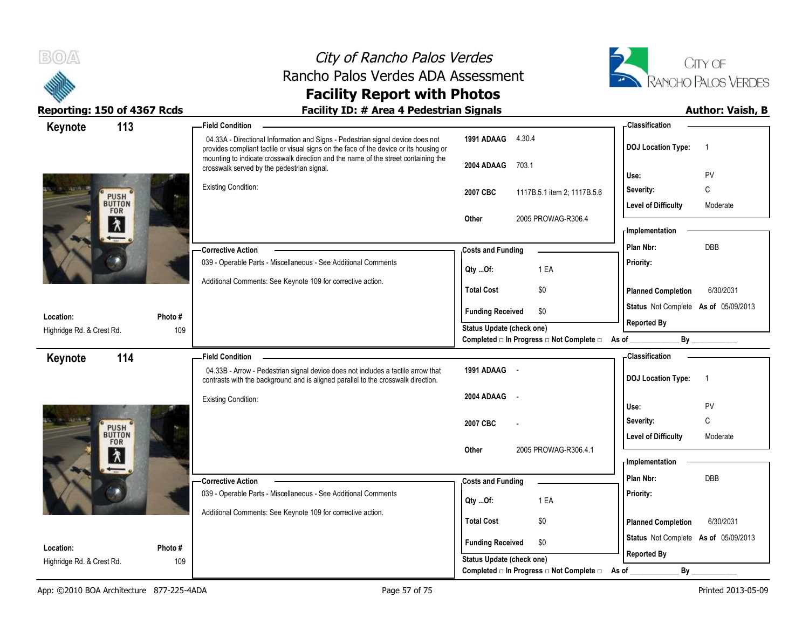



| 113<br>Keynote                         |               | - Field Condition                                                                                                                                                                                                                                              |                                                                             | -Classification                             |
|----------------------------------------|---------------|----------------------------------------------------------------------------------------------------------------------------------------------------------------------------------------------------------------------------------------------------------------|-----------------------------------------------------------------------------|---------------------------------------------|
|                                        |               | 04.33A - Directional Information and Signs - Pedestrian signal device does not<br>provides compliant tactile or visual signs on the face of the device or its housing or<br>mounting to indicate crosswalk direction and the name of the street containing the | 1991 ADAAG<br>4.30.4                                                        | <b>DOJ</b> Location Type:<br>$\overline{1}$ |
|                                        |               | crosswalk served by the pedestrian signal.                                                                                                                                                                                                                     | 2004 ADAAG<br>703.1                                                         | PV<br>Use:                                  |
| PUSH                                   |               | <b>Existing Condition:</b>                                                                                                                                                                                                                                     | 2007 CBC<br>1117B.5.1 item 2; 1117B.5.6                                     | C<br>Severity:                              |
| <b>BUTTON</b><br><b>FOR</b>            |               |                                                                                                                                                                                                                                                                | 2005 PROWAG-R306.4<br>Other                                                 | <b>Level of Difficulty</b><br>Moderate      |
| $\lambda$                              |               |                                                                                                                                                                                                                                                                |                                                                             | - Implementation                            |
|                                        |               | -Corrective Action                                                                                                                                                                                                                                             | <b>Costs and Funding</b>                                                    | DBB<br>Plan Nbr:                            |
|                                        |               | 039 - Operable Parts - Miscellaneous - See Additional Comments                                                                                                                                                                                                 | 1 EA<br>Qty Of:                                                             | Priority:                                   |
|                                        |               | Additional Comments: See Keynote 109 for corrective action.                                                                                                                                                                                                    | \$0<br><b>Total Cost</b>                                                    | <b>Planned Completion</b><br>6/30/2031      |
| Location:                              | Photo #       |                                                                                                                                                                                                                                                                | \$0<br><b>Funding Received</b>                                              | Status Not Complete As of 05/09/2013        |
| Highridge Rd. & Crest Rd.              | 109           |                                                                                                                                                                                                                                                                | Status Update (check one)<br>Completed □ In Progress □ Not Complete □ As of | <b>Reported By</b><br>By                    |
| 114<br>Keynote                         |               | <b>Field Condition</b>                                                                                                                                                                                                                                         |                                                                             | <b>Classification</b>                       |
|                                        |               |                                                                                                                                                                                                                                                                |                                                                             |                                             |
|                                        |               | 04.33B - Arrow - Pedestrian signal device does not includes a tactile arrow that<br>contrasts with the background and is aligned parallel to the crosswalk direction.                                                                                          | 1991 ADAAG -                                                                | <b>DOJ Location Type:</b><br>$\overline{1}$ |
|                                        |               | Existing Condition:                                                                                                                                                                                                                                            | 2004 ADAAG<br>$\sim$                                                        | Use:<br>PV                                  |
|                                        |               |                                                                                                                                                                                                                                                                | 2007 CBC                                                                    | C<br>Severity:                              |
| PUSH <sup>'</sup><br>BUTTON<br>FOR     |               |                                                                                                                                                                                                                                                                |                                                                             | Level of Difficulty<br>Moderate             |
| $\lambda$                              |               |                                                                                                                                                                                                                                                                | 2005 PROWAG-R306.4.1<br>Other                                               | <b>Implementation</b>                       |
|                                        |               | -Corrective Action                                                                                                                                                                                                                                             |                                                                             | Plan Nbr:<br><b>DBB</b>                     |
|                                        |               | 039 - Operable Parts - Miscellaneous - See Additional Comments                                                                                                                                                                                                 | <b>Costs and Funding</b><br>1 EA                                            | Priority:                                   |
|                                        |               | Additional Comments: See Keynote 109 for corrective action.                                                                                                                                                                                                    | Qty Of:<br><b>Total Cost</b><br>\$0                                         | <b>Planned Completion</b><br>6/30/2031      |
|                                        |               |                                                                                                                                                                                                                                                                | \$0                                                                         | Status Not Complete As of 05/09/2013        |
| Location:<br>Highridge Rd. & Crest Rd. | Photo#<br>109 |                                                                                                                                                                                                                                                                | <b>Funding Received</b><br>Status Update (check one)                        | <b>Reported By</b>                          |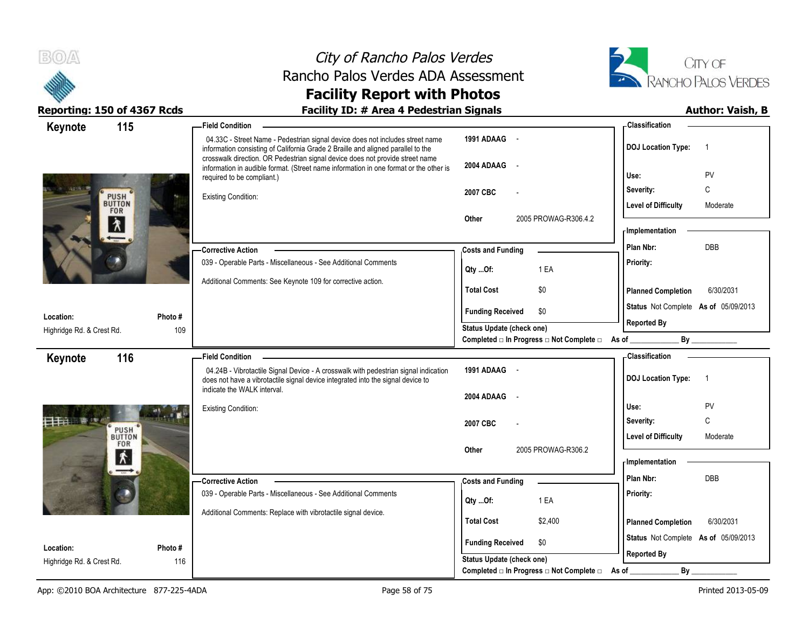



| 115<br>Keynote                     |         | <b>Field Condition</b>                                                                                                                                                                                                                             |                                                | - Classification                            |
|------------------------------------|---------|----------------------------------------------------------------------------------------------------------------------------------------------------------------------------------------------------------------------------------------------------|------------------------------------------------|---------------------------------------------|
|                                    |         | 04.33C - Street Name - Pedestrian signal device does not includes street name<br>information consisting of California Grade 2 Braille and aligned parallel to the<br>crosswalk direction. OR Pedestrian signal device does not provide street name | 1991 ADAAG -                                   | <b>DOJ Location Type:</b><br>$\overline{1}$ |
|                                    |         | information in audible format. (Street name information in one format or the other is<br>required to be compliant.)                                                                                                                                | 2004 ADAAG -                                   | PV<br>Use:                                  |
| PUSH <sup>'</sup><br>BUTTON        |         | <b>Existing Condition:</b>                                                                                                                                                                                                                         | 2007 CBC                                       | C<br>Severity:                              |
| <b>FOR</b>                         |         |                                                                                                                                                                                                                                                    |                                                | <b>Level of Difficulty</b><br>Moderate      |
| $\lambda$                          |         |                                                                                                                                                                                                                                                    | 2005 PROWAG-R306.4.2<br>Other                  | <b>Implementation</b>                       |
|                                    |         | -Corrective Action                                                                                                                                                                                                                                 | <b>Costs and Funding</b>                       | <b>DBB</b><br>Plan Nbr:                     |
|                                    |         | 039 - Operable Parts - Miscellaneous - See Additional Comments                                                                                                                                                                                     | 1 EA                                           | Priority:                                   |
|                                    |         | Additional Comments: See Keynote 109 for corrective action.                                                                                                                                                                                        | Qty Of:                                        |                                             |
|                                    |         |                                                                                                                                                                                                                                                    | <b>Total Cost</b><br>\$0                       | 6/30/2031<br><b>Planned Completion</b>      |
| Location:                          | Photo # |                                                                                                                                                                                                                                                    | <b>Funding Received</b><br>\$0                 | Status Not Complete As of 05/09/2013        |
| Highridge Rd. & Crest Rd.          | 109     |                                                                                                                                                                                                                                                    | Status Update (check one)                      | <b>Reported By</b>                          |
|                                    |         |                                                                                                                                                                                                                                                    | Completed □ In Progress □ Not Complete □ As of | By                                          |
| 116<br>Keynote                     |         | <b>Field Condition</b>                                                                                                                                                                                                                             |                                                | - Classification                            |
|                                    |         | 04.24B - Vibrotactile Signal Device - A crosswalk with pedestrian signal indication<br>does not have a vibrotactile signal device integrated into the signal device to                                                                             | 1991 ADAAG -                                   | <b>DOJ Location Type:</b><br>$\overline{1}$ |
|                                    |         | indicate the WALK interval.                                                                                                                                                                                                                        | 2004 ADAAG -                                   |                                             |
|                                    |         | <b>Existing Condition:</b>                                                                                                                                                                                                                         |                                                | PV<br>Use:                                  |
|                                    |         |                                                                                                                                                                                                                                                    | 2007 CBC                                       | C<br>Severity:                              |
| PUSH <sup>*</sup><br>BUTTON<br>FOR |         |                                                                                                                                                                                                                                                    | 2005 PROWAG-R306.2<br>Other                    | <b>Level of Difficulty</b><br>Moderate      |
| 术                                  |         |                                                                                                                                                                                                                                                    |                                                | - Implementation                            |
|                                    |         | - Corrective Action                                                                                                                                                                                                                                | <b>Costs and Funding</b>                       | Plan Nbr:<br><b>DBB</b>                     |
|                                    |         | 039 - Operable Parts - Miscellaneous - See Additional Comments                                                                                                                                                                                     | 1 EA<br>Qty Of:                                | Priority:                                   |
|                                    |         | Additional Comments: Replace with vibrotactile signal device.                                                                                                                                                                                      |                                                |                                             |
|                                    |         |                                                                                                                                                                                                                                                    | <b>Total Cost</b><br>\$2,400                   | 6/30/2031<br><b>Planned Completion</b>      |
| Location:                          | Photo # |                                                                                                                                                                                                                                                    | <b>Funding Received</b><br>\$0                 | Status Not Complete As of 05/09/2013        |
| Highridge Rd. & Crest Rd.          | 116     |                                                                                                                                                                                                                                                    | <b>Status Update (check one)</b>               | <b>Reported By</b>                          |
|                                    |         |                                                                                                                                                                                                                                                    | Completed □ In Progress □ Not Complete □       | By<br>As of                                 |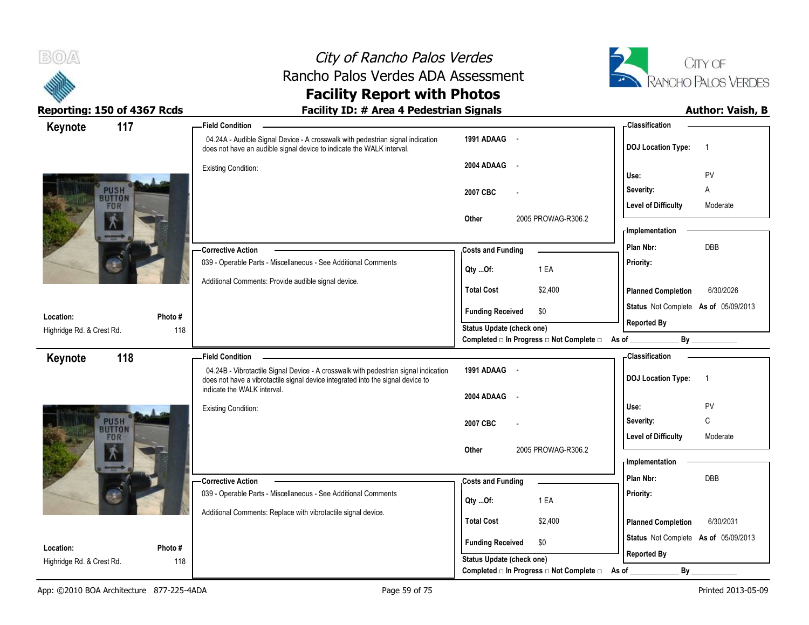



| 117<br>Keynote               |        | -Field Condition                                                                                                                                                                                 |                                                                       | - Classification                                                |
|------------------------------|--------|--------------------------------------------------------------------------------------------------------------------------------------------------------------------------------------------------|-----------------------------------------------------------------------|-----------------------------------------------------------------|
|                              |        | 04.24A - Audible Signal Device - A crosswalk with pedestrian signal indication<br>does not have an audible signal device to indicate the WALK interval.                                          | 1991 ADAAG -                                                          | <b>DOJ Location Type:</b><br>$\overline{1}$                     |
|                              |        | <b>Existing Condition:</b>                                                                                                                                                                       | 2004 ADAAG<br>$\sim$                                                  | PV<br>Use:                                                      |
| <b>PUSH</b>                  |        |                                                                                                                                                                                                  | 2007 CBC<br>$\overline{a}$                                            | Severity:<br>Α                                                  |
| <b>BUTTON</b><br><b>FOR</b>  |        |                                                                                                                                                                                                  |                                                                       | <b>Level of Difficulty</b><br>Moderate                          |
|                              |        |                                                                                                                                                                                                  | 2005 PROWAG-R306.2<br>Other                                           | - Implementation                                                |
|                              |        | -Corrective Action                                                                                                                                                                               | <b>Costs and Funding</b>                                              | DBB<br>Plan Nbr:                                                |
|                              |        | 039 - Operable Parts - Miscellaneous - See Additional Comments                                                                                                                                   | 1 EA<br>Qty Of:                                                       | Priority:                                                       |
|                              |        | Additional Comments: Provide audible signal device.                                                                                                                                              | <b>Total Cost</b><br>\$2,400                                          | <b>Planned Completion</b><br>6/30/2026                          |
| Location:                    | Photo# |                                                                                                                                                                                                  | <b>Funding Received</b><br>\$0                                        | Status Not Complete As of 05/09/2013                            |
| Highridge Rd. & Crest Rd.    | 118    |                                                                                                                                                                                                  | Status Update (check one)                                             | <b>Reported By</b>                                              |
|                              |        |                                                                                                                                                                                                  | Completed □ In Progress □ Not Complete □ As of _                      | By                                                              |
| 118<br>Keynote               |        | <b>Field Condition</b><br>04.24B - Vibrotactile Signal Device - A crosswalk with pedestrian signal indication<br>does not have a vibrotactile signal device integrated into the signal device to | 1991 ADAAG -                                                          | - Classification<br><b>DOJ</b> Location Type:<br>$\overline{1}$ |
|                              |        | indicate the WALK interval.                                                                                                                                                                      | 2004 ADAAG<br>$\sim$                                                  |                                                                 |
|                              |        | <b>Existing Condition:</b>                                                                                                                                                                       |                                                                       | Use:<br>PV                                                      |
| <b>PUSH</b><br><b>BUTTON</b> |        |                                                                                                                                                                                                  | 2007 CBC<br>$\overline{a}$                                            | $\mathsf{C}$<br>Severity:                                       |
| <b>FOR</b>                   |        |                                                                                                                                                                                                  |                                                                       | <b>Level of Difficulty</b><br>Moderate                          |
|                              |        |                                                                                                                                                                                                  |                                                                       |                                                                 |
|                              |        |                                                                                                                                                                                                  | 2005 PROWAG-R306.2<br>Other                                           | - Implementation                                                |
|                              |        |                                                                                                                                                                                                  |                                                                       | <b>DBB</b><br>Plan Nbr:                                         |
|                              |        | - Corrective Action<br>039 - Operable Parts - Miscellaneous - See Additional Comments                                                                                                            | <b>Costs and Funding</b>                                              | Priority:                                                       |
|                              |        |                                                                                                                                                                                                  | 1 EA<br>Qty Of:                                                       |                                                                 |
|                              |        | Additional Comments: Replace with vibrotactile signal device.                                                                                                                                    | <b>Total Cost</b><br>\$2,400                                          | 6/30/2031<br><b>Planned Completion</b>                          |
| Location:                    | Photo# |                                                                                                                                                                                                  | <b>Funding Received</b><br>\$0                                        | Status Not Complete As of 05/09/2013                            |
| Highridge Rd. & Crest Rd.    | 118    |                                                                                                                                                                                                  | Status Update (check one)<br>Completed □ In Progress □ Not Complete □ | <b>Reported By</b><br>By<br>As of                               |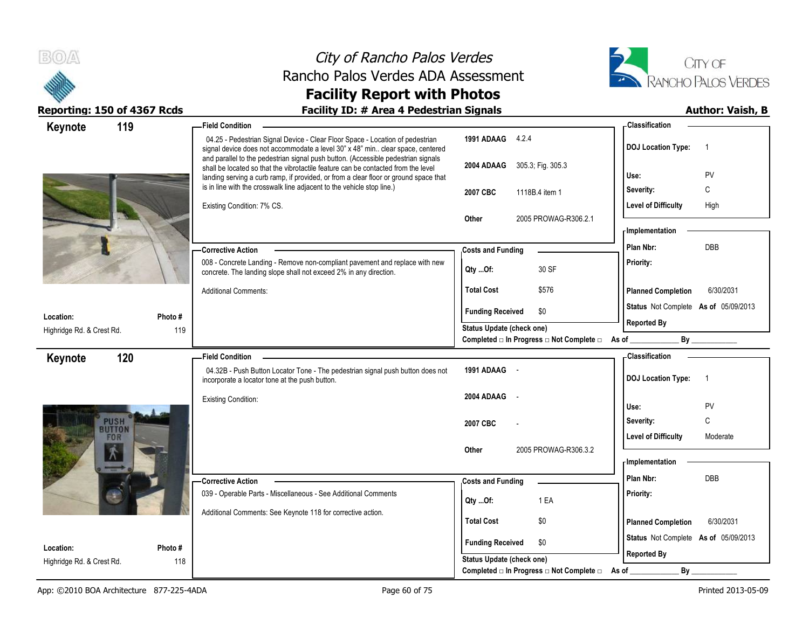



Reporting: 150 of 4367 Rcds **Facility ID: # Area 4 Pedestrian Signals Reporting: 150 of 4367 Rcds Author: Vaish, B** 

| Keynote                   | 119    | - Field Condition                                                                                                                                                                                                                                              |                                                               | - Classification                            |
|---------------------------|--------|----------------------------------------------------------------------------------------------------------------------------------------------------------------------------------------------------------------------------------------------------------------|---------------------------------------------------------------|---------------------------------------------|
|                           |        | 04.25 - Pedestrian Signal Device - Clear Floor Space - Location of pedestrian<br>signal device does not accommodate a level 30" x 48" min clear space, centered                                                                                                | 1991 ADAAG 4.2.4                                              | <b>DOJ Location Type:</b><br>$\overline{1}$ |
|                           |        | and parallel to the pedestrian signal push button. (Accessible pedestrian signals<br>shall be located so that the vibrotactile feature can be contacted from the level<br>landing serving a curb ramp, if provided, or from a clear floor or ground space that | 2004 ADAAG 305.3; Fig. 305.3                                  | Use:<br>PV                                  |
|                           |        | is in line with the crosswalk line adjacent to the vehicle stop line.)                                                                                                                                                                                         | 2007 CBC<br>1118B.4 item 1                                    | C<br>Severity:                              |
|                           |        | Existing Condition: 7% CS.                                                                                                                                                                                                                                     |                                                               | <b>Level of Difficulty</b><br>High          |
|                           |        |                                                                                                                                                                                                                                                                | 2005 PROWAG-R306.2.1<br>Other                                 | - Implementation                            |
|                           |        |                                                                                                                                                                                                                                                                |                                                               | Plan Nbr:<br>DBB                            |
|                           |        | - Corrective Action<br>008 - Concrete Landing - Remove non-compliant pavement and replace with new                                                                                                                                                             | <b>Costs and Funding</b>                                      | Priority:                                   |
|                           |        | concrete. The landing slope shall not exceed 2% in any direction.                                                                                                                                                                                              | 30 SF<br>Qty Of:                                              |                                             |
|                           |        | <b>Additional Comments:</b>                                                                                                                                                                                                                                    | <b>Total Cost</b><br>\$576                                    | <b>Planned Completion</b><br>6/30/2031      |
| Location:                 | Photo# |                                                                                                                                                                                                                                                                | \$0<br><b>Funding Received</b>                                | Status Not Complete As of 05/09/2013        |
| Highridge Rd. & Crest Rd. | 119    |                                                                                                                                                                                                                                                                | Status Update (check one)                                     | <b>Reported By</b>                          |
|                           |        |                                                                                                                                                                                                                                                                | Completed □ In Progress □ Not Complete □ As of ________       | By                                          |
| Keynote                   | 120    | <b>Field Condition</b>                                                                                                                                                                                                                                         |                                                               | - Classification                            |
|                           |        | 04.32B - Push Button Locator Tone - The pedestrian signal push button does not<br>incorporate a locator tone at the push button.                                                                                                                               | 1991 ADAAG -                                                  | <b>DOJ Location Type:</b><br>$\overline{1}$ |
|                           |        | Existing Condition:                                                                                                                                                                                                                                            | 2004 ADAAG<br>$\sim$                                          | Use:<br>PV                                  |
| <b>PUSH</b>               |        |                                                                                                                                                                                                                                                                |                                                               | C<br>Severity:                              |
| <b>BUTTON</b>             |        |                                                                                                                                                                                                                                                                | 2007 CBC                                                      | <b>Level of Difficulty</b><br>Moderate      |
| <b>FOR</b>                |        |                                                                                                                                                                                                                                                                | 2005 PROWAG-R306.3.2<br>Other                                 |                                             |
|                           |        |                                                                                                                                                                                                                                                                |                                                               | - Implementation                            |
|                           |        | -Corrective Action                                                                                                                                                                                                                                             | <b>Costs and Funding</b>                                      | Plan Nbr:<br>DBB                            |
|                           |        | 039 - Operable Parts - Miscellaneous - See Additional Comments                                                                                                                                                                                                 | 1 EA<br>Qty Of:                                               | Priority:                                   |
|                           |        | Additional Comments: See Keynote 118 for corrective action.                                                                                                                                                                                                    |                                                               |                                             |
|                           |        |                                                                                                                                                                                                                                                                | <b>Total Cost</b><br>\$0                                      | <b>Planned Completion</b><br>6/30/2031      |
| Location:                 | Photo# |                                                                                                                                                                                                                                                                | <b>Funding Received</b><br>\$0                                | Status Not Complete As of 05/09/2013        |
| Highridge Rd. & Crest Rd. | 118    |                                                                                                                                                                                                                                                                | <b>Status Update (check one)</b>                              | <b>Reported By</b>                          |
|                           |        |                                                                                                                                                                                                                                                                | Completed $\Box$ In Progress $\Box$ Not Complete $\Box$ As of | By                                          |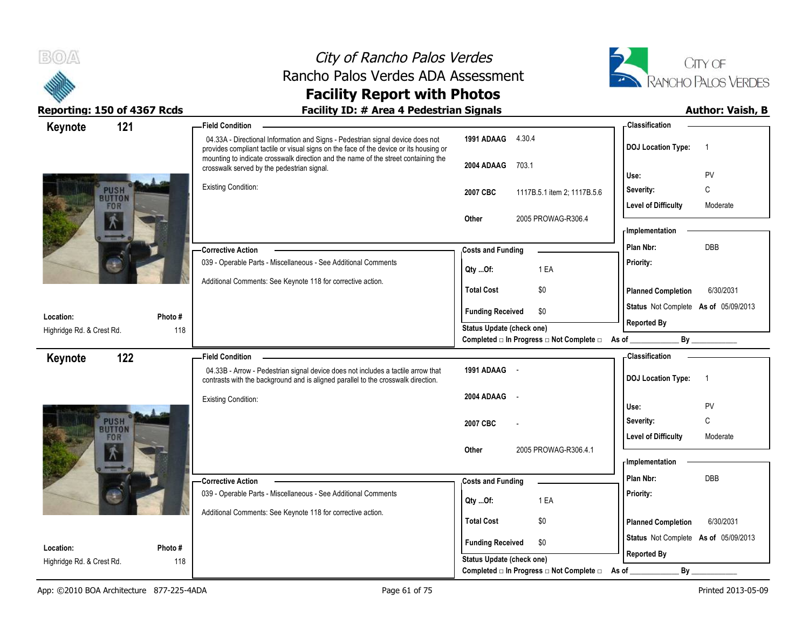



| 121<br>Keynote                      |         | - Field Condition                                                                                                                                                                                                                                              |                                                | -Classification                                   |
|-------------------------------------|---------|----------------------------------------------------------------------------------------------------------------------------------------------------------------------------------------------------------------------------------------------------------------|------------------------------------------------|---------------------------------------------------|
|                                     |         | 04.33A - Directional Information and Signs - Pedestrian signal device does not<br>provides compliant tactile or visual signs on the face of the device or its housing or<br>mounting to indicate crosswalk direction and the name of the street containing the | 1991 ADAAG 4.30.4                              | <b>DOJ</b> Location Type:<br>$\overline{1}$       |
|                                     |         | crosswalk served by the pedestrian signal.                                                                                                                                                                                                                     | 2004 ADAAG<br>703.1                            | PV<br>Use:                                        |
| <b>PUSH</b><br><b>BUTTON</b>        |         | <b>Existing Condition:</b>                                                                                                                                                                                                                                     | 2007 CBC<br>1117B.5.1 item 2; 1117B.5.6        | C<br>Severity:                                    |
| <b>FOR</b>                          |         |                                                                                                                                                                                                                                                                | 2005 PROWAG-R306.4<br>Other                    | <b>Level of Difficulty</b><br>Moderate            |
| 芥                                   |         |                                                                                                                                                                                                                                                                |                                                | - Implementation                                  |
|                                     |         | - Corrective Action                                                                                                                                                                                                                                            | <b>Costs and Funding</b>                       | DBB<br>Plan Nbr:                                  |
|                                     |         | 039 - Operable Parts - Miscellaneous - See Additional Comments                                                                                                                                                                                                 | 1 EA<br>Qty Of:                                | Priority:                                         |
|                                     |         | Additional Comments: See Keynote 118 for corrective action.                                                                                                                                                                                                    | \$0<br><b>Total Cost</b>                       | <b>Planned Completion</b><br>6/30/2031            |
| Location:                           | Photo#  |                                                                                                                                                                                                                                                                | <b>Funding Received</b><br>\$0                 | Status Not Complete As of 05/09/2013              |
| Highridge Rd. & Crest Rd.           | 118     |                                                                                                                                                                                                                                                                | Status Update (check one)                      | <b>Reported By</b>                                |
|                                     |         |                                                                                                                                                                                                                                                                | Completed □ In Progress □ Not Complete □ As of |                                                   |
|                                     |         |                                                                                                                                                                                                                                                                |                                                |                                                   |
| 122<br>Keynote                      |         | <b>Field Condition</b>                                                                                                                                                                                                                                         |                                                | - Classification                                  |
|                                     |         | 04.33B - Arrow - Pedestrian signal device does not includes a tactile arrow that<br>contrasts with the background and is aligned parallel to the crosswalk direction.                                                                                          | 1991 ADAAG -                                   | <b>DOJ Location Type:</b><br>$\overline{1}$       |
|                                     |         | <b>Existing Condition:</b>                                                                                                                                                                                                                                     | 2004 ADAAG<br>$\sim$                           |                                                   |
|                                     |         |                                                                                                                                                                                                                                                                |                                                | PV<br>Use:                                        |
| <b>PUSH</b><br><b>BUTTON</b><br>FOR |         |                                                                                                                                                                                                                                                                | 2007 CBC                                       | C<br>Severity:<br>Level of Difficulty<br>Moderate |
|                                     |         |                                                                                                                                                                                                                                                                | 2005 PROWAG-R306.4.1<br>Other                  |                                                   |
|                                     |         |                                                                                                                                                                                                                                                                |                                                | - Implementation<br>Plan Nbr:<br><b>DBB</b>       |
|                                     |         | -Corrective Action<br>039 - Operable Parts - Miscellaneous - See Additional Comments                                                                                                                                                                           | <b>Costs and Funding</b>                       | Priority:                                         |
|                                     |         |                                                                                                                                                                                                                                                                | 1 EA<br>Qty Of:                                |                                                   |
|                                     |         | Additional Comments: See Keynote 118 for corrective action.                                                                                                                                                                                                    | <b>Total Cost</b><br>\$0                       | <b>Planned Completion</b><br>6/30/2031            |
| Location:                           | Photo # |                                                                                                                                                                                                                                                                | <b>Funding Received</b><br>\$0                 | Status Not Complete As of 05/09/2013              |
|                                     |         |                                                                                                                                                                                                                                                                |                                                |                                                   |
|                                     | 118     |                                                                                                                                                                                                                                                                | Status Update (check one)                      | <b>Reported By</b>                                |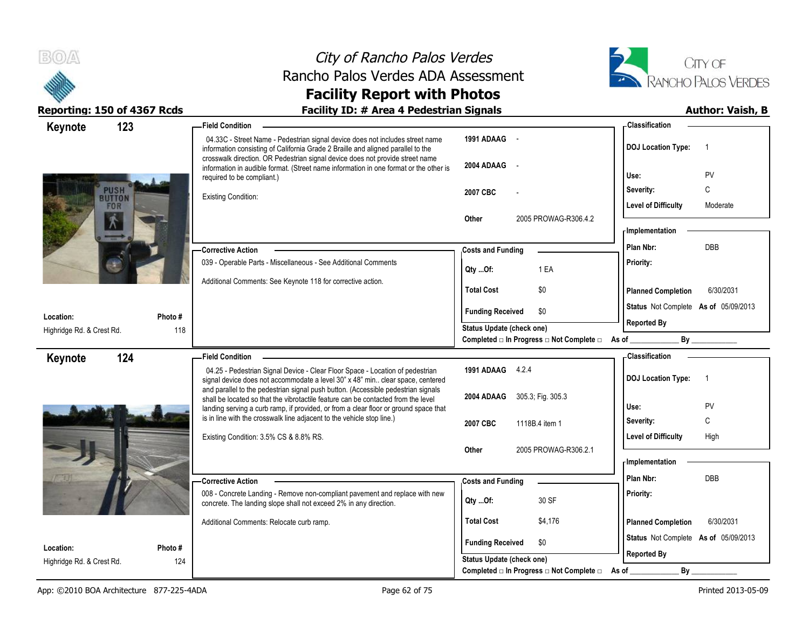



| 123<br>Keynote               |         | <b>Field Condition</b>                                                                                                                                                                                                                             |                                                                                            | - Classification                            |
|------------------------------|---------|----------------------------------------------------------------------------------------------------------------------------------------------------------------------------------------------------------------------------------------------------|--------------------------------------------------------------------------------------------|---------------------------------------------|
|                              |         | 04.33C - Street Name - Pedestrian signal device does not includes street name<br>information consisting of California Grade 2 Braille and aligned parallel to the<br>crosswalk direction. OR Pedestrian signal device does not provide street name | 1991 ADAAG -                                                                               | <b>DOJ Location Type:</b><br>$\overline{1}$ |
|                              |         | information in audible format. (Street name information in one format or the other is<br>required to be compliant.)                                                                                                                                | 2004 ADAAG<br>$\sim$                                                                       | Use:<br>PV                                  |
| <b>PUSH</b><br><b>BUTTON</b> |         | <b>Existing Condition:</b>                                                                                                                                                                                                                         | 2007 CBC                                                                                   | C<br>Severity:                              |
| FOR                          |         |                                                                                                                                                                                                                                                    | 2005 PROWAG-R306.4.2<br>Other                                                              | <b>Level of Difficulty</b><br>Moderate      |
|                              |         |                                                                                                                                                                                                                                                    |                                                                                            | - Implementation                            |
|                              |         | -Corrective Action                                                                                                                                                                                                                                 | <b>Costs and Funding</b>                                                                   | DBB<br>Plan Nbr:                            |
|                              |         | 039 - Operable Parts - Miscellaneous - See Additional Comments                                                                                                                                                                                     | Qty Of:<br>1 EA                                                                            | Priority:                                   |
|                              |         | Additional Comments: See Keynote 118 for corrective action.                                                                                                                                                                                        | <b>Total Cost</b><br>\$0                                                                   | 6/30/2031<br><b>Planned Completion</b>      |
| Location:                    | Photo # |                                                                                                                                                                                                                                                    | \$0<br><b>Funding Received</b>                                                             | Status Not Complete As of 05/09/2013        |
| Highridge Rd. & Crest Rd.    | 118     |                                                                                                                                                                                                                                                    | <b>Status Update (check one)</b>                                                           | <b>Reported By</b>                          |
|                              |         |                                                                                                                                                                                                                                                    | Completed □ In Progress □ Not Complete □ As of _                                           | By                                          |
| 124<br>Keynote               |         | <b>Field Condition</b>                                                                                                                                                                                                                             |                                                                                            | - Classification                            |
|                              |         | 04.25 - Pedestrian Signal Device - Clear Floor Space - Location of pedestrian<br>signal device does not accommodate a level 30" x 48" min clear space, centered                                                                                    | 1991 ADAAG 4.2.4                                                                           | <b>DOJ Location Type:</b><br>$\overline{1}$ |
|                              |         | and parallel to the pedestrian signal push button. (Accessible pedestrian signals<br>shall be located so that the vibrotactile feature can be contacted from the level                                                                             | 305.3; Fig. 305.3<br>2004 ADAAG                                                            |                                             |
|                              |         | landing serving a curb ramp, if provided, or from a clear floor or ground space that<br>is in line with the crosswalk line adjacent to the vehicle stop line.)                                                                                     |                                                                                            | Use:<br>PV                                  |
|                              |         |                                                                                                                                                                                                                                                    | 2007 CBC<br>1118B.4 item 1                                                                 | C<br>Severity:                              |
|                              |         | Existing Condition: 3.5% CS & 8.8% RS.                                                                                                                                                                                                             |                                                                                            |                                             |
|                              |         |                                                                                                                                                                                                                                                    |                                                                                            | <b>Level of Difficulty</b><br>High          |
|                              |         |                                                                                                                                                                                                                                                    | 2005 PROWAG-R306.2.1<br>Other                                                              | <b>Implementation</b>                       |
|                              |         | <b>Corrective Action</b>                                                                                                                                                                                                                           |                                                                                            | Plan Nbr:<br>DBB                            |
|                              |         | 008 - Concrete Landing - Remove non-compliant pavement and replace with new<br>concrete. The landing slope shall not exceed 2% in any direction.                                                                                                   | <b>Costs and Funding</b><br>30 SF<br>Qty Of:                                               | Priority:                                   |
|                              |         | Additional Comments: Relocate curb ramp.                                                                                                                                                                                                           | <b>Total Cost</b><br>\$4,176                                                               | <b>Planned Completion</b><br>6/30/2031      |
| Location:                    | Photo # |                                                                                                                                                                                                                                                    | <b>Funding Received</b><br>\$0                                                             | Status Not Complete As of 05/09/2013        |
| Highridge Rd. & Crest Rd.    | 124     |                                                                                                                                                                                                                                                    | Status Update (check one)<br>Completed $\Box$ In Progress $\Box$ Not Complete $\Box$ As of | <b>Reported By</b><br>By                    |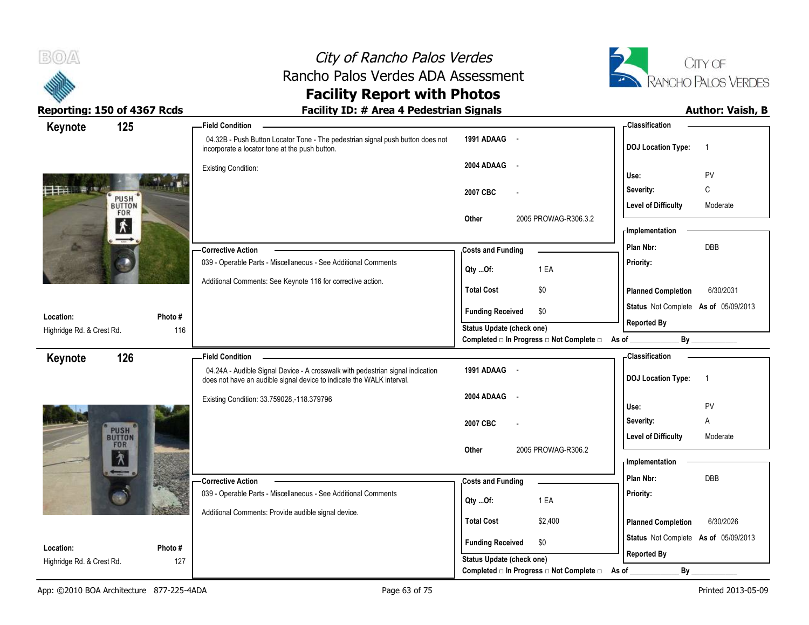



# **Facility Report with Photos**

| Keynote                   | 125                         | -Field Condition                                                                                                                                        |                                                  | - Classification                            |
|---------------------------|-----------------------------|---------------------------------------------------------------------------------------------------------------------------------------------------------|--------------------------------------------------|---------------------------------------------|
|                           |                             | 04.32B - Push Button Locator Tone - The pedestrian signal push button does not<br>incorporate a locator tone at the push button.                        | 1991 ADAAG -                                     | <b>DOJ Location Type:</b><br>$\overline{1}$ |
|                           |                             | <b>Existing Condition:</b>                                                                                                                              | 2004 ADAAG<br>$\sim$ $\sim$                      |                                             |
|                           |                             |                                                                                                                                                         |                                                  | PV<br>Use:                                  |
|                           | PUSH <sup>*</sup>           |                                                                                                                                                         | 2007 CBC                                         | C<br>Severity:                              |
|                           | FOR                         |                                                                                                                                                         | 2005 PROWAG-R306.3.2<br>Other                    | <b>Level of Difficulty</b><br>Moderate      |
|                           | 术                           |                                                                                                                                                         |                                                  | <b>Implementation</b>                       |
|                           |                             | -Corrective Action                                                                                                                                      | <b>Costs and Funding</b>                         | DBB<br>Plan Nbr:                            |
|                           |                             | 039 - Operable Parts - Miscellaneous - See Additional Comments                                                                                          |                                                  | Priority:                                   |
|                           |                             |                                                                                                                                                         | 1 EA<br>Qty Of:                                  |                                             |
|                           |                             | Additional Comments: See Keynote 116 for corrective action.                                                                                             | <b>Total Cost</b><br>\$0                         | <b>Planned Completion</b><br>6/30/2031      |
| Location:                 | Photo #                     |                                                                                                                                                         | <b>Funding Received</b><br>\$0                   | Status Not Complete As of 05/09/2013        |
| Highridge Rd. & Crest Rd. | 116                         |                                                                                                                                                         | <b>Status Update (check one)</b>                 | <b>Reported By</b>                          |
|                           |                             |                                                                                                                                                         | Completed □ In Progress □ Not Complete □ As of _ | By                                          |
| Keynote                   | 126                         | <b>Field Condition</b>                                                                                                                                  |                                                  | - Classification                            |
|                           |                             | 04.24A - Audible Signal Device - A crosswalk with pedestrian signal indication<br>does not have an audible signal device to indicate the WALK interval. | 1991 ADAAG -                                     | <b>DOJ Location Type:</b><br>$\overline{1}$ |
|                           |                             | Existing Condition: 33.759028,-118.379796                                                                                                               | 2004 ADAAG<br>$\sim$                             |                                             |
|                           |                             |                                                                                                                                                         |                                                  | PV<br>Use:                                  |
|                           | PUSH <sup>®</sup><br>BUTTON |                                                                                                                                                         | 2007 CBC                                         | Severity:<br>Α                              |
|                           | FOR                         |                                                                                                                                                         |                                                  | <b>Level of Difficulty</b><br>Moderate      |
|                           | $\lambda$                   |                                                                                                                                                         | 2005 PROWAG-R306.2<br>Other                      | - Implementation                            |
|                           | $\overline{\phantom{a}}$    |                                                                                                                                                         |                                                  | Plan Nbr:<br>DBB                            |
|                           |                             | - Corrective Action<br>039 - Operable Parts - Miscellaneous - See Additional Comments                                                                   | <b>Costs and Funding</b>                         | Priority:                                   |
|                           |                             |                                                                                                                                                         | 1 EA<br>Qty Of:                                  |                                             |
|                           |                             | Additional Comments: Provide audible signal device.                                                                                                     | <b>Total Cost</b><br>\$2,400                     | <b>Planned Completion</b><br>6/30/2026      |
|                           |                             |                                                                                                                                                         |                                                  | Status Not Complete As of 05/09/2013        |
| Location:                 | Photo #                     |                                                                                                                                                         | \$0<br><b>Funding Received</b>                   |                                             |
| Highridge Rd. & Crest Rd. | 127                         |                                                                                                                                                         | Status Update (check one)                        | <b>Reported By</b>                          |
|                           |                             |                                                                                                                                                         | Completed □ In Progress □ Not Complete □ As of _ | By                                          |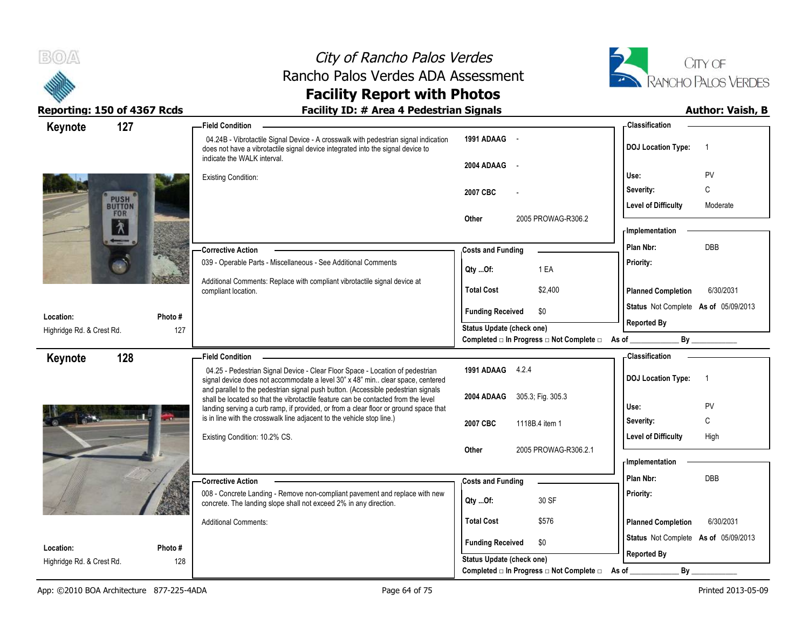



### **Facility Report with Photos** Reporting: 150 of 4367 Rcds **Facility ID: # Area 4 Pedestrian Signals Facility ID: # Area 4 Pedestrian Signals**

| 127<br>Keynote                                           | <b>Field Condition</b>                                                                                                                                                                                |                                                             | - Classification                            |
|----------------------------------------------------------|-------------------------------------------------------------------------------------------------------------------------------------------------------------------------------------------------------|-------------------------------------------------------------|---------------------------------------------|
|                                                          | 04.24B - Vibrotactile Signal Device - A crosswalk with pedestrian signal indication<br>does not have a vibrotactile signal device integrated into the signal device to<br>indicate the WALK interval. | 1991 ADAAG -                                                | <b>DOJ Location Type:</b><br>$\overline{1}$ |
|                                                          |                                                                                                                                                                                                       | 2004 ADAAG<br>$\sim$ $-$                                    |                                             |
|                                                          | <b>Existing Condition:</b>                                                                                                                                                                            |                                                             | Use:<br>PV                                  |
| <b>PUSH</b>                                              |                                                                                                                                                                                                       | 2007 CBC                                                    | C<br>Severity:                              |
| <b>FOR</b>                                               |                                                                                                                                                                                                       |                                                             | <b>Level of Difficulty</b><br>Moderate      |
| $\lambda$                                                |                                                                                                                                                                                                       | 2005 PROWAG-R306.2<br><b>Other</b>                          | - Implementation                            |
| -                                                        |                                                                                                                                                                                                       |                                                             | Plan Nbr:<br>DBB                            |
|                                                          | -Corrective Action                                                                                                                                                                                    | <b>Costs and Funding</b>                                    |                                             |
|                                                          | 039 - Operable Parts - Miscellaneous - See Additional Comments                                                                                                                                        | 1 EA<br>Qty Of:                                             | Priority:                                   |
|                                                          | Additional Comments: Replace with compliant vibrotactile signal device at<br>compliant location.                                                                                                      | <b>Total Cost</b><br>\$2,400                                | 6/30/2031<br><b>Planned Completion</b>      |
| Location:<br>Photo #                                     |                                                                                                                                                                                                       | <b>Funding Received</b><br>\$0                              | Status Not Complete As of 05/09/2013        |
| 127<br>Highridge Rd. & Crest Rd.                         |                                                                                                                                                                                                       | <b>Status Update (check one)</b>                            | <b>Reported By</b>                          |
|                                                          |                                                                                                                                                                                                       | Completed $□$ In Progress $□$ Not Complete $□$ As of        | $By$ <sub>___</sub>                         |
| 128<br>Keynote                                           | <b>Field Condition</b>                                                                                                                                                                                |                                                             | - Classification                            |
|                                                          | 04.25 - Pedestrian Signal Device - Clear Floor Space - Location of pedestrian                                                                                                                         | 1991 ADAAG 4.2.4                                            | <b>DOJ Location Type:</b><br>$\overline{1}$ |
|                                                          | signal device does not accommodate a level 30" x 48" min clear space, centered<br>and parallel to the pedestrian signal push button. (Accessible pedestrian signals                                   |                                                             |                                             |
|                                                          | shall be located so that the vibrotactile feature can be contacted from the level                                                                                                                     | 2004 ADAAG 305.3; Fig. 305.3                                | PV<br>Use:                                  |
|                                                          | landing serving a curb ramp, if provided, or from a clear floor or ground space that<br>is in line with the crosswalk line adjacent to the vehicle stop line.)                                        |                                                             | C<br>Severity:                              |
|                                                          |                                                                                                                                                                                                       | 2007 CBC<br>1118B.4 item 1                                  |                                             |
|                                                          | Existing Condition: 10.2% CS.                                                                                                                                                                         | 2005 PROWAG-R306.2.1<br>Other                               | <b>Level of Difficulty</b><br>High          |
|                                                          |                                                                                                                                                                                                       |                                                             | - Implementation                            |
|                                                          | - Corrective Action                                                                                                                                                                                   |                                                             | Plan Nbr:<br>DBB                            |
|                                                          | 008 - Concrete Landing - Remove non-compliant pavement and replace with new                                                                                                                           | <b>Costs and Funding</b>                                    | Priority:                                   |
|                                                          | concrete. The landing slope shall not exceed 2% in any direction.                                                                                                                                     | 30 SF<br>Qty Of:                                            |                                             |
|                                                          | <b>Additional Comments:</b>                                                                                                                                                                           | <b>Total Cost</b><br>\$576                                  | <b>Planned Completion</b><br>6/30/2031      |
|                                                          |                                                                                                                                                                                                       |                                                             |                                             |
|                                                          |                                                                                                                                                                                                       |                                                             | Status Not Complete As of 05/09/2013        |
| Location:<br>Photo #<br>128<br>Highridge Rd. & Crest Rd. |                                                                                                                                                                                                       | <b>Funding Received</b><br>\$0<br>Status Update (check one) | <b>Reported By</b>                          |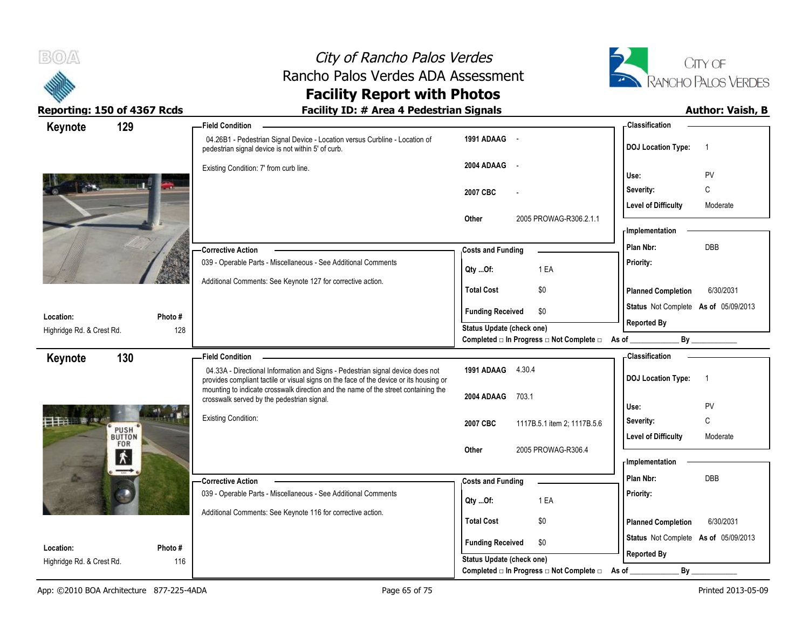



| Keynote                   | 129                      | <b>Field Condition</b>                                                                                                                                                   |                                                | - Classification                            |
|---------------------------|--------------------------|--------------------------------------------------------------------------------------------------------------------------------------------------------------------------|------------------------------------------------|---------------------------------------------|
|                           |                          | 04.26B1 - Pedestrian Signal Device - Location versus Curbline - Location of<br>pedestrian signal device is not within 5' of curb.                                        | 1991 ADAAG -                                   | <b>DOJ Location Type:</b><br>$\overline{1}$ |
|                           |                          | Existing Condition: 7' from curb line.                                                                                                                                   | 2004 ADAAG<br>$\sim$                           |                                             |
|                           |                          |                                                                                                                                                                          |                                                | Use:<br>PV                                  |
|                           |                          |                                                                                                                                                                          | 2007 CBC                                       | C<br>Severity:                              |
|                           |                          |                                                                                                                                                                          |                                                | <b>Level of Difficulty</b><br>Moderate      |
|                           |                          |                                                                                                                                                                          | 2005 PROWAG-R306.2.1.1<br>Other                | - Implementation                            |
|                           |                          |                                                                                                                                                                          |                                                |                                             |
|                           |                          | -Corrective Action                                                                                                                                                       | <b>Costs and Funding</b>                       | Plan Nbr:<br><b>DBB</b>                     |
|                           |                          | 039 - Operable Parts - Miscellaneous - See Additional Comments                                                                                                           | 1 EA<br>Qty Of:                                | Priority:                                   |
|                           |                          | Additional Comments: See Keynote 127 for corrective action.                                                                                                              | <b>Total Cost</b><br>\$0                       | 6/30/2031<br><b>Planned Completion</b>      |
| Location:                 | Photo #                  |                                                                                                                                                                          | <b>Funding Received</b><br>\$0                 | Status Not Complete As of 05/09/2013        |
| Highridge Rd. & Crest Rd. | 128                      |                                                                                                                                                                          | <b>Status Update (check one)</b>               | <b>Reported By</b>                          |
|                           |                          |                                                                                                                                                                          | Completed □ In Progress □ Not Complete □ As of | By                                          |
| Keynote                   | 130                      | <b>Field Condition</b>                                                                                                                                                   |                                                | - Classification                            |
|                           |                          | 04.33A - Directional Information and Signs - Pedestrian signal device does not<br>provides compliant tactile or visual signs on the face of the device or its housing or | 1991 ADAAG 4.30.4                              | <b>DOJ Location Type:</b><br>$\overline{1}$ |
|                           |                          | mounting to indicate crosswalk direction and the name of the street containing the<br>crosswalk served by the pedestrian signal.                                         | 2004 ADAAG<br>703.1                            |                                             |
|                           |                          |                                                                                                                                                                          |                                                | PV<br>Use:                                  |
|                           |                          | <b>Existing Condition:</b>                                                                                                                                               | 2007 CBC<br>1117B.5.1 item 2; 1117B.5.6        | C<br>Severity:                              |
|                           | PUSH <sup>T</sup><br>FOR |                                                                                                                                                                          |                                                | <b>Level of Difficulty</b><br>Moderate      |
|                           | $\mathbf{\dot{K}}$       |                                                                                                                                                                          | Other<br>2005 PROWAG-R306.4                    |                                             |
|                           |                          |                                                                                                                                                                          |                                                | - Implementation                            |
|                           |                          | -Corrective Action                                                                                                                                                       | <b>Costs and Funding</b>                       | Plan Nbr:<br>DBB                            |
|                           |                          | 039 - Operable Parts - Miscellaneous - See Additional Comments                                                                                                           | 1 EA<br>Qty Of:                                | Priority:                                   |
|                           |                          | Additional Comments: See Keynote 116 for corrective action.                                                                                                              |                                                |                                             |
|                           |                          |                                                                                                                                                                          | \$0<br><b>Total Cost</b>                       | 6/30/2031<br><b>Planned Completion</b>      |
| Location:                 | Photo #                  |                                                                                                                                                                          | \$0<br><b>Funding Received</b>                 | Status Not Complete As of 05/09/2013        |
| Highridge Rd. & Crest Rd. | 116                      |                                                                                                                                                                          | Status Update (check one)                      | <b>Reported By</b>                          |
|                           |                          |                                                                                                                                                                          | Completed □ In Progress □ Not Complete □       | By<br>As of                                 |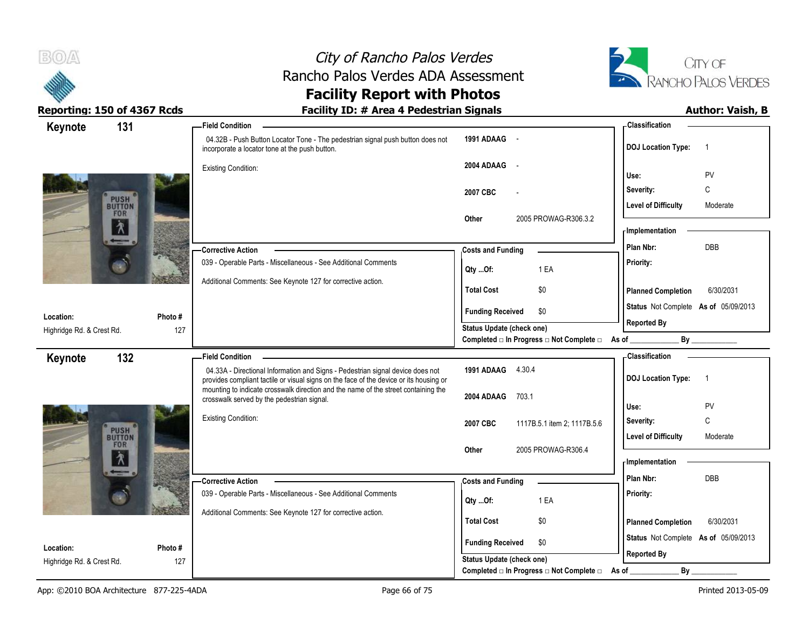



| 131<br>Keynote                     |         | - Field Condition                                                                                                                                                                                                                                              |                                                  | <b>Classification</b>                                    |
|------------------------------------|---------|----------------------------------------------------------------------------------------------------------------------------------------------------------------------------------------------------------------------------------------------------------------|--------------------------------------------------|----------------------------------------------------------|
|                                    |         | 04.32B - Push Button Locator Tone - The pedestrian signal push button does not<br>incorporate a locator tone at the push button.                                                                                                                               | 1991 ADAAG -                                     | <b>DOJ Location Type:</b><br>$\overline{1}$              |
|                                    |         | <b>Existing Condition:</b>                                                                                                                                                                                                                                     | 2004 ADAAG -                                     | PV<br>Use:                                               |
|                                    |         |                                                                                                                                                                                                                                                                | 2007 CBC                                         | C<br>Severity:                                           |
| PUSH <sup>®</sup><br>BUTTON<br>FOR |         |                                                                                                                                                                                                                                                                |                                                  | <b>Level of Difficulty</b><br>Moderate                   |
| 介                                  |         |                                                                                                                                                                                                                                                                | 2005 PROWAG-R306.3.2<br>Other                    | <b>Implementation</b>                                    |
| $\leftarrow$                       |         | - Corrective Action                                                                                                                                                                                                                                            | <b>Costs and Funding</b>                         | DBB<br>Plan Nbr:                                         |
|                                    |         | 039 - Operable Parts - Miscellaneous - See Additional Comments                                                                                                                                                                                                 | 1 EA<br>QtyOf:                                   | Priority:                                                |
|                                    |         | Additional Comments: See Keynote 127 for corrective action.                                                                                                                                                                                                    | <b>Total Cost</b><br>\$0                         | <b>Planned Completion</b><br>6/30/2031                   |
| Location:                          | Photo # |                                                                                                                                                                                                                                                                | <b>Funding Received</b><br>\$0                   | Status Not Complete As of 05/09/2013                     |
| Highridge Rd. & Crest Rd.          | 127     |                                                                                                                                                                                                                                                                | Status Update (check one)                        | <b>Reported By</b>                                       |
|                                    |         |                                                                                                                                                                                                                                                                | Completed □ In Progress □ Not Complete □ As of _ | By                                                       |
| 132<br>Keynote                     |         | <b>Field Condition</b>                                                                                                                                                                                                                                         |                                                  | <b>Classification</b>                                    |
|                                    |         | 04.33A - Directional Information and Signs - Pedestrian signal device does not<br>provides compliant tactile or visual signs on the face of the device or its housing or<br>mounting to indicate crosswalk direction and the name of the street containing the | 1991 ADAAG 4.30.4                                | <b>DOJ Location Type:</b><br>$\overline{1}$              |
|                                    |         | crosswalk served by the pedestrian signal.                                                                                                                                                                                                                     | 2004 ADAAG<br>703.1                              |                                                          |
|                                    |         | <b>Existing Condition:</b>                                                                                                                                                                                                                                     |                                                  | Use:<br>PV                                               |
| PUSH <sup>®</sup>                  |         |                                                                                                                                                                                                                                                                | 2007 CBC<br>1117B.5.1 item 2; 1117B.5.6          | C<br>Severity:<br><b>Level of Difficulty</b><br>Moderate |
| FOR                                |         |                                                                                                                                                                                                                                                                | 2005 PROWAG-R306.4<br>Other                      |                                                          |
| $\lambda$                          |         |                                                                                                                                                                                                                                                                |                                                  | - Implementation                                         |
| $\overline{\phantom{a}}$           |         | -Corrective Action                                                                                                                                                                                                                                             | <b>Costs and Funding</b>                         | Plan Nbr:<br><b>DBB</b>                                  |
|                                    |         | 039 - Operable Parts - Miscellaneous - See Additional Comments                                                                                                                                                                                                 | 1 EA<br>QtyOf:                                   | Priority:                                                |
|                                    |         | Additional Comments: See Keynote 127 for corrective action.                                                                                                                                                                                                    |                                                  |                                                          |
|                                    |         |                                                                                                                                                                                                                                                                | \$0<br><b>Total Cost</b>                         | <b>Planned Completion</b><br>6/30/2031                   |
| Location:                          | Photo#  |                                                                                                                                                                                                                                                                | <b>Funding Received</b><br>\$0                   | Status Not Complete As of 05/09/2013                     |
| Highridge Rd. & Crest Rd.          | 127     |                                                                                                                                                                                                                                                                | Status Update (check one)                        | <b>Reported By</b><br>By                                 |
|                                    |         |                                                                                                                                                                                                                                                                | Completed □ In Progress □ Not Complete □         | As of                                                    |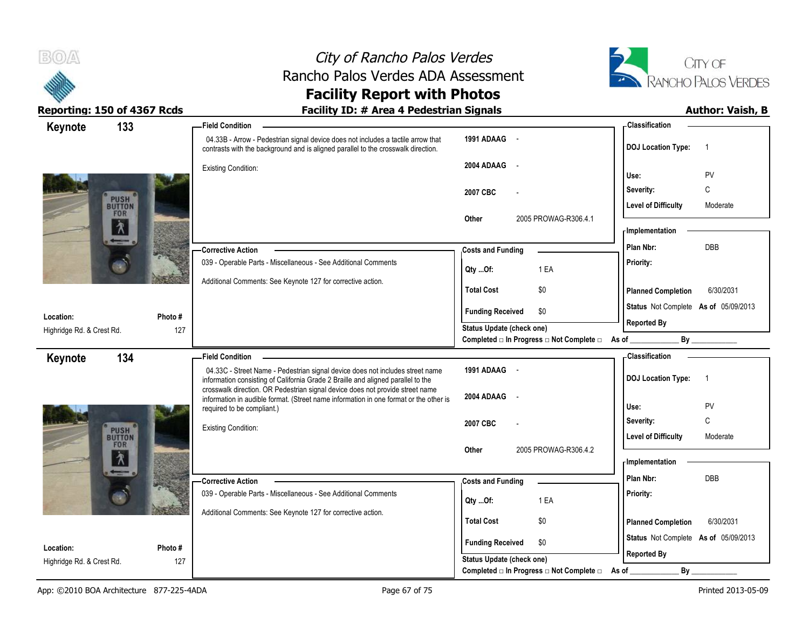



| 133<br>Keynote                         |                | <b>Field Condition</b>                                                                                                                                                 |                                                                       | - Classification                            |
|----------------------------------------|----------------|------------------------------------------------------------------------------------------------------------------------------------------------------------------------|-----------------------------------------------------------------------|---------------------------------------------|
|                                        |                | 04.33B - Arrow - Pedestrian signal device does not includes a tactile arrow that<br>contrasts with the background and is aligned parallel to the crosswalk direction.  | 1991 ADAAG -                                                          | <b>DOJ</b> Location Type:<br>$\overline{1}$ |
|                                        |                | <b>Existing Condition:</b>                                                                                                                                             | 2004 ADAAG<br>$\sim$ $\sim$                                           | PV<br>Use:                                  |
|                                        |                |                                                                                                                                                                        | 2007 CBC                                                              | C<br>Severity:                              |
| PUSH <sup>®</sup><br>FOR               |                |                                                                                                                                                                        |                                                                       | <b>Level of Difficulty</b><br>Moderate      |
| $\lambda$                              |                |                                                                                                                                                                        | 2005 PROWAG-R306.4.1<br>Other                                         | <b>Implementation</b>                       |
| $+$                                    |                | - Corrective Action                                                                                                                                                    | <b>Costs and Funding</b>                                              | <b>DBB</b><br>Plan Nbr:                     |
|                                        |                | 039 - Operable Parts - Miscellaneous - See Additional Comments                                                                                                         | 1 EA<br>Qty Of:                                                       | Priority:                                   |
|                                        |                | Additional Comments: See Keynote 127 for corrective action.                                                                                                            | <b>Total Cost</b><br>\$0                                              | <b>Planned Completion</b><br>6/30/2031      |
|                                        |                |                                                                                                                                                                        | <b>Funding Received</b><br>\$0                                        | Status Not Complete As of 05/09/2013        |
| Location:<br>Highridge Rd. & Crest Rd. | Photo #<br>127 |                                                                                                                                                                        | Status Update (check one)                                             | <b>Reported By</b>                          |
|                                        |                |                                                                                                                                                                        | Completed □ In Progress □ Not Complete □ As of                        | By                                          |
| 134<br>Keynote                         |                | - Field Condition                                                                                                                                                      |                                                                       | - Classification                            |
|                                        |                | 04.33C - Street Name - Pedestrian signal device does not includes street name<br>information consisting of California Grade 2 Braille and aligned parallel to the      | 1991 ADAAG -                                                          | <b>DOJ</b> Location Type:<br>$\overline{1}$ |
|                                        |                | crosswalk direction. OR Pedestrian signal device does not provide street name<br>information in audible format. (Street name information in one format or the other is | 2004 ADAAG<br>$\sim$                                                  |                                             |
|                                        |                | required to be compliant.)                                                                                                                                             |                                                                       | PV<br>Use:                                  |
| PUSH <sup>®</sup><br>BUTTON            |                | <b>Existing Condition:</b>                                                                                                                                             | 2007 CBC                                                              | C<br>Severity:                              |
| FOR                                    |                |                                                                                                                                                                        | 2005 PROWAG-R306.4.2<br>Other                                         | <b>Level of Difficulty</b><br>Moderate      |
| $\lambda$                              |                |                                                                                                                                                                        |                                                                       | - Implementation                            |
| $-$                                    |                | -Corrective Action                                                                                                                                                     | <b>Costs and Funding</b>                                              | Plan Nbr:<br>DBB                            |
|                                        |                | 039 - Operable Parts - Miscellaneous - See Additional Comments                                                                                                         |                                                                       | Priority:                                   |
|                                        |                | Additional Comments: See Keynote 127 for corrective action.                                                                                                            | 1 EA<br>Qty Of:                                                       |                                             |
|                                        |                |                                                                                                                                                                        | \$0<br><b>Total Cost</b>                                              | 6/30/2031<br><b>Planned Completion</b>      |
| Location:                              | Photo #        |                                                                                                                                                                        | <b>Funding Received</b><br>\$0                                        | Status Not Complete As of 05/09/2013        |
| Highridge Rd. & Crest Rd.              |                |                                                                                                                                                                        |                                                                       | <b>Reported By</b>                          |
|                                        | 127            |                                                                                                                                                                        | Status Update (check one)<br>Completed □ In Progress □ Not Complete □ | By                                          |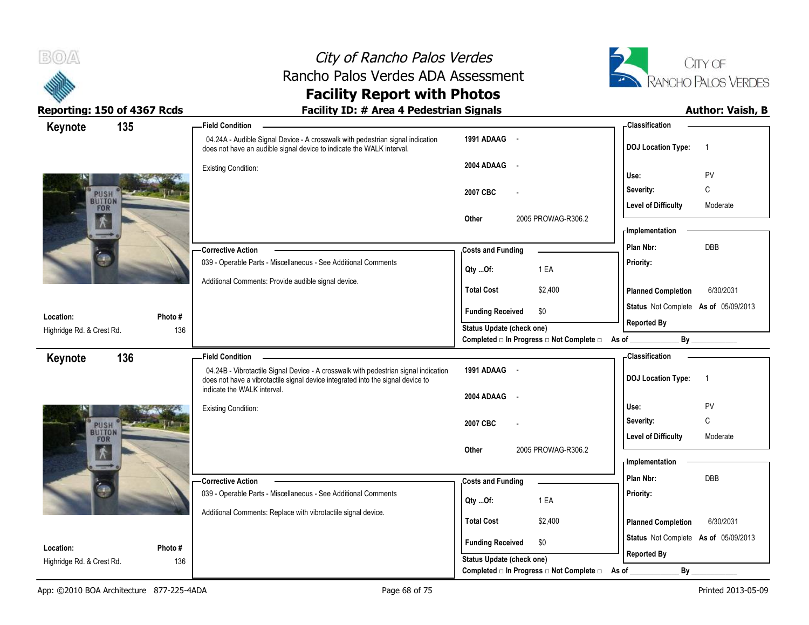



| Keynote                                | 135     | -Field Condition                                                                                                                                                                                      |                                                                               | - Classification                            |
|----------------------------------------|---------|-------------------------------------------------------------------------------------------------------------------------------------------------------------------------------------------------------|-------------------------------------------------------------------------------|---------------------------------------------|
|                                        |         | 04.24A - Audible Signal Device - A crosswalk with pedestrian signal indication<br>does not have an audible signal device to indicate the WALK interval.                                               | 1991 ADAAG -                                                                  | <b>DOJ Location Type:</b><br>$\overline{1}$ |
|                                        |         | <b>Existing Condition:</b>                                                                                                                                                                            | 2004 ADAAG<br>$\sim$ $\sim$                                                   | PV<br>Use:                                  |
|                                        |         |                                                                                                                                                                                                       | 2007 CBC                                                                      | C<br>Severity:                              |
| PUSH <sup>'</sup><br>BUTTON<br>FOR     |         |                                                                                                                                                                                                       |                                                                               | <b>Level of Difficulty</b><br>Moderate      |
| Ж                                      |         |                                                                                                                                                                                                       | 2005 PROWAG-R306.2<br>Other                                                   | - Implementation                            |
|                                        |         | - Corrective Action                                                                                                                                                                                   | <b>Costs and Funding</b>                                                      | <b>DBB</b><br>Plan Nbr:                     |
| 98                                     |         | 039 - Operable Parts - Miscellaneous - See Additional Comments                                                                                                                                        | 1 EA<br>Qty Of:                                                               | Priority:                                   |
|                                        |         | Additional Comments: Provide audible signal device.                                                                                                                                                   | \$2,400<br><b>Total Cost</b>                                                  | <b>Planned Completion</b><br>6/30/2031      |
| Location:                              | Photo # |                                                                                                                                                                                                       | \$0<br><b>Funding Received</b>                                                | Status Not Complete As of 05/09/2013        |
| Highridge Rd. & Crest Rd.              | 136     |                                                                                                                                                                                                       | Status Update (check one)<br>Completed □ In Progress □ Not Complete □ As of _ | <b>Reported By</b><br>By                    |
| Keynote                                | 136     | <b>Field Condition</b>                                                                                                                                                                                |                                                                               | - Classification                            |
|                                        |         | 04.24B - Vibrotactile Signal Device - A crosswalk with pedestrian signal indication<br>does not have a vibrotactile signal device integrated into the signal device to<br>indicate the WALK interval. | 1991 ADAAG -                                                                  | <b>DOJ Location Type:</b><br>$\overline{1}$ |
|                                        |         |                                                                                                                                                                                                       | 2004 ADAAG<br>$\sim$                                                          |                                             |
|                                        |         | <b>Existing Condition:</b>                                                                                                                                                                            |                                                                               | Use:<br>PV<br>C<br>Severity:                |
| <b>PUSH</b><br><b>BUTTON</b>           |         |                                                                                                                                                                                                       | 2007 CBC                                                                      | <b>Level of Difficulty</b><br>Moderate      |
| FOR                                    |         |                                                                                                                                                                                                       | 2005 PROWAG-R306.2<br>Other                                                   |                                             |
| $\Lambda$                              |         |                                                                                                                                                                                                       |                                                                               | - Implementation                            |
|                                        |         | - Corrective Action                                                                                                                                                                                   | <b>Costs and Funding</b>                                                      | Plan Nbr:<br>DBB                            |
| Ð                                      |         | 039 - Operable Parts - Miscellaneous - See Additional Comments                                                                                                                                        | 1 EA<br>Qty Of:                                                               | Priority:                                   |
|                                        |         | Additional Comments: Replace with vibrotactile signal device.                                                                                                                                         | <b>Total Cost</b><br>\$2,400                                                  | <b>Planned Completion</b><br>6/30/2031      |
|                                        | Photo # |                                                                                                                                                                                                       | <b>Funding Received</b><br>\$0                                                | Status Not Complete As of 05/09/2013        |
|                                        |         |                                                                                                                                                                                                       |                                                                               |                                             |
| Location:<br>Highridge Rd. & Crest Rd. | 136     |                                                                                                                                                                                                       | Status Update (check one)<br>Completed □ In Progress □ Not Complete □         | <b>Reported By</b><br>By                    |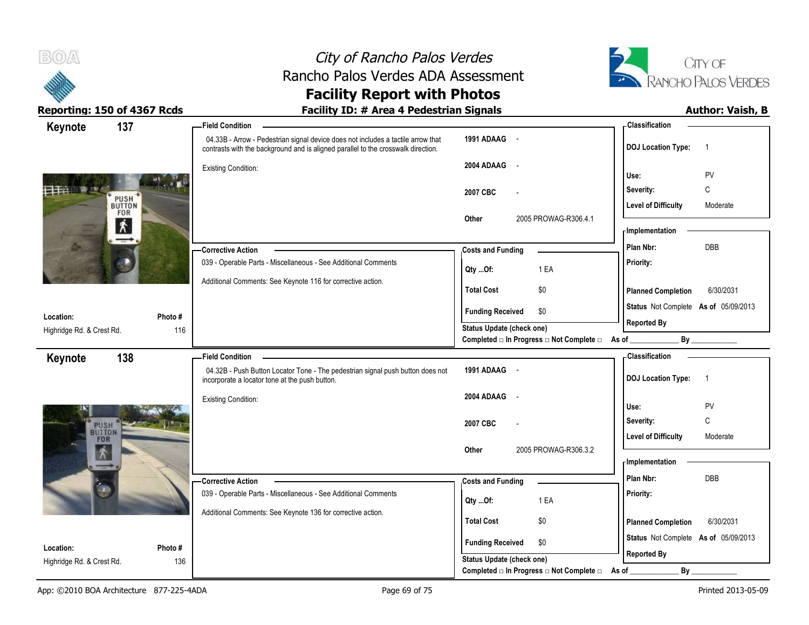



| 137<br>Keynote                     |         | <b>Field Condition</b>                                                                                                                                                |                                                | <b>Classification</b>                       |
|------------------------------------|---------|-----------------------------------------------------------------------------------------------------------------------------------------------------------------------|------------------------------------------------|---------------------------------------------|
|                                    |         | 04.33B - Arrow - Pedestrian signal device does not includes a tactile arrow that<br>contrasts with the background and is aligned parallel to the crosswalk direction. | 1991 ADAAG -                                   | <b>DOJ Location Type:</b><br>$\overline{1}$ |
|                                    |         | <b>Existing Condition:</b>                                                                                                                                            | 2004 ADAAG<br>$\sim$                           | PV<br>Use:                                  |
|                                    |         |                                                                                                                                                                       | 2007 CBC                                       | C<br>Severity:                              |
| PUSH <sup>®</sup><br>BUTTON<br>FOR |         |                                                                                                                                                                       | Other<br>2005 PROWAG-R306.4.1                  | <b>Level of Difficulty</b><br>Moderate      |
| 术<br>$\overline{\phantom{a}}$      |         |                                                                                                                                                                       |                                                | - Implementation                            |
|                                    |         | - Corrective Action                                                                                                                                                   | <b>Costs and Funding</b>                       | DBB<br>Plan Nbr:                            |
|                                    |         | 039 - Operable Parts - Miscellaneous - See Additional Comments                                                                                                        | 1 EA<br>Qty Of:                                | Priority:                                   |
|                                    |         | Additional Comments: See Keynote 116 for corrective action.                                                                                                           | \$0<br><b>Total Cost</b>                       | 6/30/2031<br><b>Planned Completion</b>      |
| Location:                          | Photo # |                                                                                                                                                                       | <b>Funding Received</b><br>\$0                 | Status Not Complete As of 05/09/2013        |
| Highridge Rd. & Crest Rd.          | 116     |                                                                                                                                                                       | Status Update (check one)                      | <b>Reported By</b>                          |
|                                    |         |                                                                                                                                                                       | Completed □ In Progress □ Not Complete □ As of | $By$ <sub>___</sub>                         |
| 138<br>Keynote                     |         | <b>Field Condition</b>                                                                                                                                                |                                                | <b>Classification</b>                       |
|                                    |         | 04.32B - Push Button Locator Tone - The pedestrian signal push button does not<br>incorporate a locator tone at the push button.                                      | 1991 ADAAG -                                   | <b>DOJ Location Type:</b><br>$\overline{1}$ |
|                                    |         | Existing Condition:                                                                                                                                                   | 2004 ADAAG<br>$\sim$                           | Use:<br>PV                                  |
| PUSH <sup>'</sup><br>BUTTON        |         |                                                                                                                                                                       | 2007 CBC                                       | C<br>Severity:                              |
| FOR                                |         |                                                                                                                                                                       | 2005 PROWAG-R306.3.2<br>Other                  | <b>Level of Difficulty</b><br>Moderate      |
| 个<br>Ŧ                             |         |                                                                                                                                                                       |                                                | - Implementation                            |
|                                    |         | - Corrective Action                                                                                                                                                   | <b>Costs and Funding</b>                       | Plan Nbr:<br><b>DBB</b>                     |
|                                    |         | 039 - Operable Parts - Miscellaneous - See Additional Comments                                                                                                        | 1 EA<br>Qty Of:                                | Priority:                                   |
|                                    |         | Additional Comments: See Keynote 136 for corrective action.                                                                                                           | \$0<br><b>Total Cost</b>                       | 6/30/2031<br><b>Planned Completion</b>      |
| Location:                          | Photo#  |                                                                                                                                                                       | <b>Funding Received</b><br>\$0                 | Status Not Complete As of 05/09/2013        |
| Highridge Rd. & Crest Rd.          | 136     |                                                                                                                                                                       | Status Update (check one)                      | <b>Reported By</b>                          |
|                                    |         |                                                                                                                                                                       | Completed □ In Progress □ Not Complete □       | By<br>As of                                 |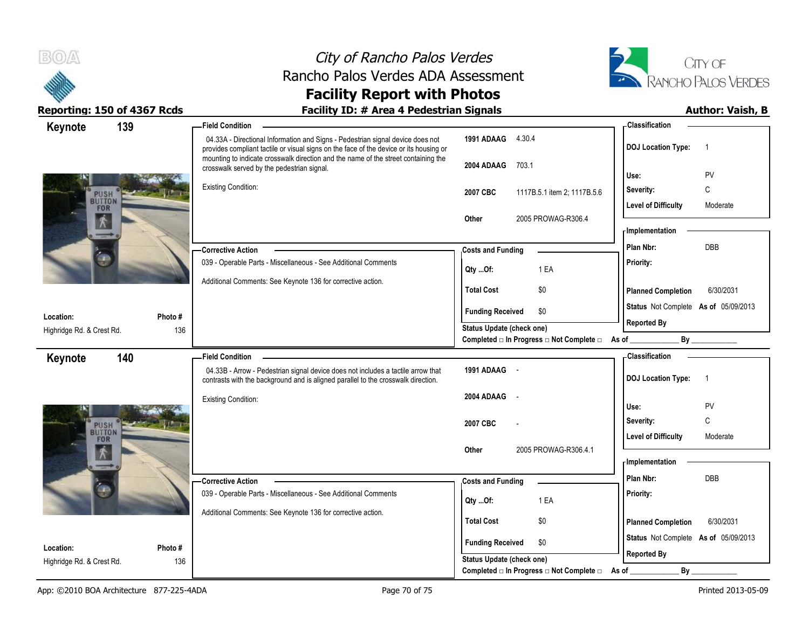



| Keynote                     | 139     | <b>Field Condition</b>                                                                                                                                                                                                                                         |                                                                          | - Classification                            |
|-----------------------------|---------|----------------------------------------------------------------------------------------------------------------------------------------------------------------------------------------------------------------------------------------------------------------|--------------------------------------------------------------------------|---------------------------------------------|
|                             |         | 04.33A - Directional Information and Signs - Pedestrian signal device does not<br>provides compliant tactile or visual signs on the face of the device or its housing or<br>mounting to indicate crosswalk direction and the name of the street containing the | 1991 ADAAG<br>4.30.4                                                     | <b>DOJ Location Type:</b><br>$\overline{1}$ |
|                             |         | crosswalk served by the pedestrian signal.                                                                                                                                                                                                                     | 2004 ADAAG<br>703.1                                                      | Use:<br>PV                                  |
|                             |         | Existing Condition:                                                                                                                                                                                                                                            | 2007 CBC<br>1117B.5.1 item 2; 1117B.5.6                                  | C<br>Severity:                              |
| PUSH<br>BUTTON<br>FOR       |         |                                                                                                                                                                                                                                                                |                                                                          | <b>Level of Difficulty</b><br>Moderate      |
| W                           |         |                                                                                                                                                                                                                                                                | 2005 PROWAG-R306.4<br>Other                                              |                                             |
|                             |         |                                                                                                                                                                                                                                                                |                                                                          | - Implementation                            |
|                             |         | <b>Corrective Action</b>                                                                                                                                                                                                                                       | <b>Costs and Funding</b>                                                 | DBB<br>Plan Nbr:                            |
|                             |         | 039 - Operable Parts - Miscellaneous - See Additional Comments                                                                                                                                                                                                 | 1 EA<br>Qty Of:                                                          | Priority:                                   |
|                             |         | Additional Comments: See Keynote 136 for corrective action.                                                                                                                                                                                                    | <b>Total Cost</b><br>\$0                                                 | <b>Planned Completion</b><br>6/30/2031      |
| Location:                   | Photo # |                                                                                                                                                                                                                                                                | <b>Funding Received</b><br>\$0                                           | Status Not Complete As of 05/09/2013        |
| Highridge Rd. & Crest Rd.   | 136     |                                                                                                                                                                                                                                                                | <b>Status Update (check one)</b>                                         | <b>Reported By</b>                          |
|                             |         |                                                                                                                                                                                                                                                                | Completed $\square$ In Progress $\square$ Not Complete $\square$ As of _ | By                                          |
| Keynote                     | 140     | <b>Field Condition</b>                                                                                                                                                                                                                                         |                                                                          | - Classification                            |
|                             |         | 04.33B - Arrow - Pedestrian signal device does not includes a tactile arrow that<br>contrasts with the background and is aligned parallel to the crosswalk direction.                                                                                          | 1991 ADAAG -                                                             | <b>DOJ Location Type:</b><br>$\overline{1}$ |
|                             |         | <b>Existing Condition:</b>                                                                                                                                                                                                                                     | 2004 ADAAG<br>$\overline{\phantom{a}}$                                   | Use:<br>PV                                  |
|                             |         |                                                                                                                                                                                                                                                                |                                                                          |                                             |
| PUSH <sup>'</sup><br>BUTTON |         |                                                                                                                                                                                                                                                                | 2007 CBC                                                                 | C<br>Severity:                              |
| FOR                         |         |                                                                                                                                                                                                                                                                | 2005 PROWAG-R306.4.1<br>Other                                            | <b>Level of Difficulty</b><br>Moderate      |
| W                           |         |                                                                                                                                                                                                                                                                |                                                                          | - Implementation                            |
|                             |         | -Corrective Action                                                                                                                                                                                                                                             | <b>Costs and Funding</b>                                                 | Plan Nbr:<br><b>DBB</b>                     |
| æ                           |         | 039 - Operable Parts - Miscellaneous - See Additional Comments                                                                                                                                                                                                 | 1 EA<br>Qty Of:                                                          | Priority:                                   |
|                             |         | Additional Comments: See Keynote 136 for corrective action.                                                                                                                                                                                                    |                                                                          |                                             |
|                             |         |                                                                                                                                                                                                                                                                | <b>Total Cost</b><br>\$0                                                 | 6/30/2031<br><b>Planned Completion</b>      |
| Location:                   | Photo # |                                                                                                                                                                                                                                                                | <b>Funding Received</b><br>\$0                                           | Status Not Complete As of 05/09/2013        |
| Highridge Rd. & Crest Rd.   | 136     |                                                                                                                                                                                                                                                                | <b>Status Update (check one)</b>                                         | <b>Reported By</b>                          |
|                             |         |                                                                                                                                                                                                                                                                | Completed □ In Progress □ Not Complete □                                 | By<br>As of                                 |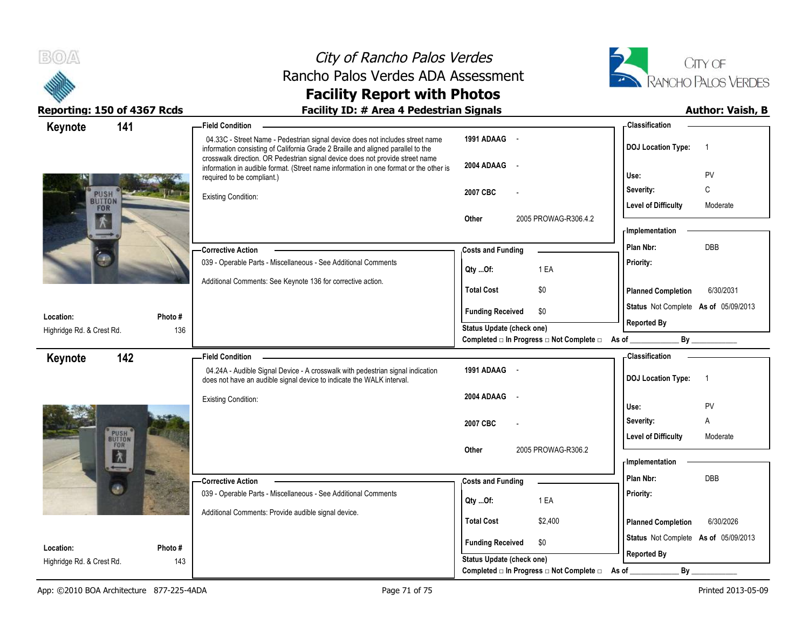



| Keynote                     | 141                      | <b>Field Condition</b>                                                                                                                                                                               |                                                | -Classification                             |
|-----------------------------|--------------------------|------------------------------------------------------------------------------------------------------------------------------------------------------------------------------------------------------|------------------------------------------------|---------------------------------------------|
|                             |                          | 04.33C - Street Name - Pedestrian signal device does not includes street name<br>information consisting of California Grade 2 Braille and aligned parallel to the                                    | 1991 ADAAG -                                   | <b>DOJ</b> Location Type:<br>$\overline{1}$ |
|                             |                          | crosswalk direction. OR Pedestrian signal device does not provide street name<br>information in audible format. (Street name information in one format or the other is<br>required to be compliant.) | 2004 ADAAG<br>$\sim$ $-$                       | PV<br>Use:                                  |
| PUSH <sup>'</sup><br>BUTTON |                          | <b>Existing Condition:</b>                                                                                                                                                                           | 2007 CBC                                       | C<br>Severity:                              |
| FOR                         |                          |                                                                                                                                                                                                      |                                                | <b>Level of Difficulty</b><br>Moderate      |
| W                           |                          |                                                                                                                                                                                                      | 2005 PROWAG-R306.4.2<br>Other                  | <b>Implementation</b>                       |
|                             |                          |                                                                                                                                                                                                      |                                                | <b>DBB</b><br>Plan Nbr:                     |
|                             |                          | -Corrective Action                                                                                                                                                                                   | <b>Costs and Funding</b>                       |                                             |
|                             |                          | 039 - Operable Parts - Miscellaneous - See Additional Comments                                                                                                                                       | 1 EA<br>Qty Of:                                | Priority:                                   |
|                             |                          | Additional Comments: See Keynote 136 for corrective action.                                                                                                                                          | <b>Total Cost</b><br>\$0                       | <b>Planned Completion</b><br>6/30/2031      |
|                             |                          |                                                                                                                                                                                                      | <b>Funding Received</b><br>\$0                 | Status Not Complete As of 05/09/2013        |
| Location:                   | Photo #                  |                                                                                                                                                                                                      | Status Update (check one)                      | <b>Reported By</b>                          |
| Highridge Rd. & Crest Rd.   | 136                      |                                                                                                                                                                                                      | Completed □ In Progress □ Not Complete □ As of | By                                          |
| Keynote                     | 142                      | - Field Condition                                                                                                                                                                                    |                                                | - Classification                            |
|                             |                          | 04.24A - Audible Signal Device - A crosswalk with pedestrian signal indication<br>does not have an audible signal device to indicate the WALK interval.                                              | 1991 ADAAG -                                   | <b>DOJ</b> Location Type:<br>$\overline{1}$ |
|                             |                          | <b>Existing Condition:</b>                                                                                                                                                                           | 2004 ADAAG<br>$\sim$                           |                                             |
|                             |                          |                                                                                                                                                                                                      |                                                | PV<br>Use:                                  |
|                             |                          |                                                                                                                                                                                                      | 2007 CBC                                       | Severity:<br>Α                              |
|                             | PUSH <sup>®</sup><br>FOR |                                                                                                                                                                                                      |                                                | <b>Level of Difficulty</b><br>Moderate      |
| $\lambda$<br>4              |                          |                                                                                                                                                                                                      | 2005 PROWAG-R306.2<br>Other                    | - Implementation                            |
|                             |                          | -Corrective Action                                                                                                                                                                                   | <b>Costs and Funding</b>                       | Plan Nbr:<br>DBB                            |
|                             |                          | 039 - Operable Parts - Miscellaneous - See Additional Comments                                                                                                                                       |                                                | Priority:                                   |
|                             |                          |                                                                                                                                                                                                      | 1 EA<br>Qty Of:                                |                                             |
|                             |                          | Additional Comments: Provide audible signal device.                                                                                                                                                  | <b>Total Cost</b><br>\$2,400                   | 6/30/2026<br><b>Planned Completion</b>      |
|                             |                          |                                                                                                                                                                                                      | <b>Funding Received</b><br>\$0                 | Status Not Complete As of 05/09/2013        |
| Location:                   | Photo #                  |                                                                                                                                                                                                      |                                                | <b>Reported By</b>                          |
| Highridge Rd. & Crest Rd.   | 143                      |                                                                                                                                                                                                      | Status Update (check one)                      |                                             |
|                             |                          |                                                                                                                                                                                                      | Completed □ In Progress □ Not Complete □       | By<br>As of                                 |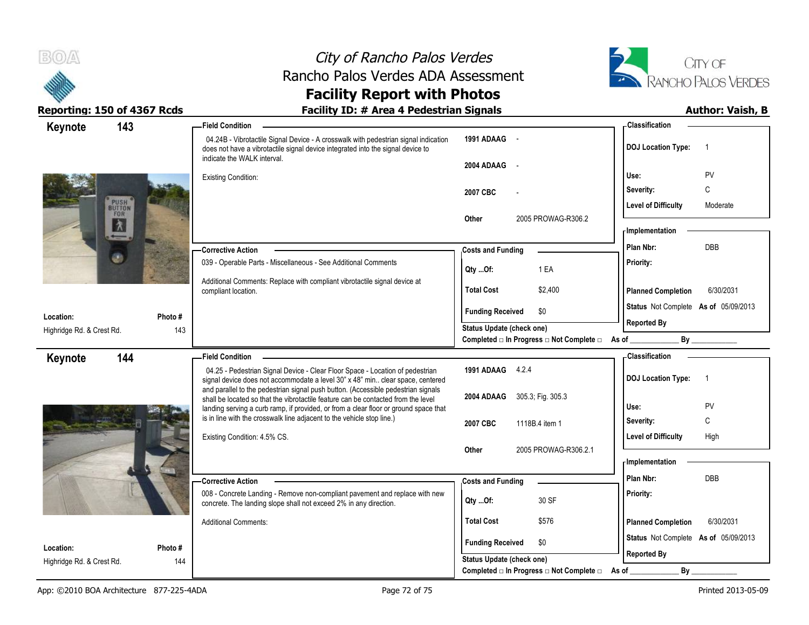



### **Facility Report with Photos** Reporting: 150 of 4367 Rcds **Facility ID: # Area 4 Pedestrian Signals Facility ID: # Area 4 Pedestrian Signals**

| 143<br>Keynote            |         | <b>Field Condition</b>                                                                                                                                                                                |                                                               | - Classification                            |
|---------------------------|---------|-------------------------------------------------------------------------------------------------------------------------------------------------------------------------------------------------------|---------------------------------------------------------------|---------------------------------------------|
|                           |         | 04.24B - Vibrotactile Signal Device - A crosswalk with pedestrian signal indication<br>does not have a vibrotactile signal device integrated into the signal device to<br>indicate the WALK interval. | 1991 ADAAG -                                                  | <b>DOJ Location Type:</b><br>$\overline{1}$ |
|                           |         |                                                                                                                                                                                                       | 2004 ADAAG -                                                  | Use:<br>PV                                  |
|                           |         | <b>Existing Condition:</b>                                                                                                                                                                            | 2007 CBC                                                      | C<br>Severity:                              |
| PUSH <sup>®</sup>         |         |                                                                                                                                                                                                       |                                                               | <b>Level of Difficulty</b><br>Moderate      |
| FOR<br>入                  |         |                                                                                                                                                                                                       | 2005 PROWAG-R306.2<br>Other                                   | - Implementation                            |
|                           |         |                                                                                                                                                                                                       |                                                               | DBB<br>Plan Nbr:                            |
| æ                         |         | <b>Corrective Action</b><br>039 - Operable Parts - Miscellaneous - See Additional Comments                                                                                                            | <b>Costs and Funding</b>                                      |                                             |
|                           |         |                                                                                                                                                                                                       | 1 EA<br>Qty Of:                                               | Priority:                                   |
|                           |         | Additional Comments: Replace with compliant vibrotactile signal device at<br>compliant location.                                                                                                      | <b>Total Cost</b><br>\$2,400                                  | <b>Planned Completion</b><br>6/30/2031      |
| Location:                 | Photo # |                                                                                                                                                                                                       | \$0<br><b>Funding Received</b>                                | Status Not Complete As of 05/09/2013        |
| Highridge Rd. & Crest Rd. | 143     |                                                                                                                                                                                                       | <b>Status Update (check one)</b>                              | <b>Reported By</b>                          |
|                           |         |                                                                                                                                                                                                       | Completed □ In Progress □ Not Complete □ As of _              | By                                          |
| 144<br>Keynote            |         | <b>Field Condition</b>                                                                                                                                                                                |                                                               | - Classification                            |
|                           |         | 04.25 - Pedestrian Signal Device - Clear Floor Space - Location of pedestrian<br>signal device does not accommodate a level 30" x 48" min clear space, centered                                       | 1991 ADAAG 4.2.4                                              | <b>DOJ Location Type:</b><br>$\overline{1}$ |
|                           |         | and parallel to the pedestrian signal push button. (Accessible pedestrian signals                                                                                                                     |                                                               |                                             |
|                           |         | shall be located so that the vibrotactile feature can be contacted from the level<br>landing serving a curb ramp, if provided, or from a clear floor or ground space that                             | 2004 ADAAG 305.3, Fig. 305.3                                  | Use:<br>PV                                  |
|                           |         | is in line with the crosswalk line adjacent to the vehicle stop line.)                                                                                                                                | 2007 CBC<br>1118B.4 item 1                                    | C<br>Severity:                              |
|                           |         | Existing Condition: 4.5% CS.                                                                                                                                                                          |                                                               | <b>Level of Difficulty</b><br>High          |
|                           |         |                                                                                                                                                                                                       | 2005 PROWAG-R306.2.1<br>Other                                 |                                             |
|                           |         |                                                                                                                                                                                                       |                                                               | <b>Implementation</b>                       |
|                           |         | -Corrective Action                                                                                                                                                                                    | <b>Costs and Funding</b>                                      | <b>DBB</b><br>Plan Nbr:                     |
|                           |         | 008 - Concrete Landing - Remove non-compliant pavement and replace with new<br>concrete. The landing slope shall not exceed 2% in any direction.                                                      | 30 SF<br>Qty Of:                                              | Priority:                                   |
|                           |         | <b>Additional Comments:</b>                                                                                                                                                                           | <b>Total Cost</b><br>\$576                                    | <b>Planned Completion</b><br>6/30/2031      |
| Location:                 | Photo # |                                                                                                                                                                                                       | <b>Funding Received</b><br>\$0                                | Status Not Complete As of 05/09/2013        |
| Highridge Rd. & Crest Rd. | 144     |                                                                                                                                                                                                       | Status Update (check one)                                     | <b>Reported By</b>                          |
|                           |         |                                                                                                                                                                                                       | Completed $\Box$ In Progress $\Box$ Not Complete $\Box$ As of | By                                          |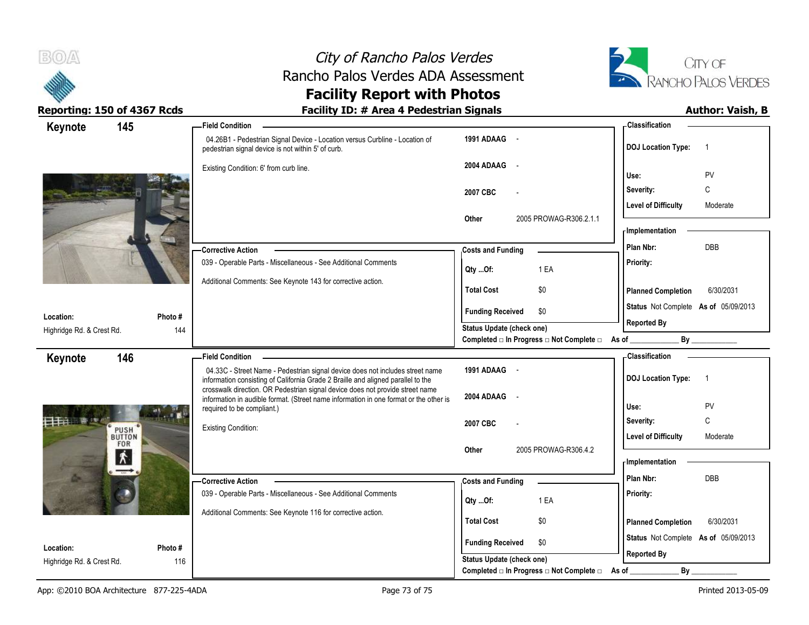

## City of Rancho Palos Verdes Rancho Palos Verdes ADA Assessment **Facility Report with Photos**



### Reporting: 150 of 4367 Rcds **Facility ID: # Area 4 Pedestrian Signals Facility ID: # Area 4 Pedestrian Signals**

| Keynote                   | 145                      | <b>Field Condition</b>                                                                                                                                                                               |                                                                 | - Classification                            |
|---------------------------|--------------------------|------------------------------------------------------------------------------------------------------------------------------------------------------------------------------------------------------|-----------------------------------------------------------------|---------------------------------------------|
|                           |                          | 04.26B1 - Pedestrian Signal Device - Location versus Curbline - Location of<br>pedestrian signal device is not within 5' of curb.                                                                    | 1991 ADAAG -                                                    | <b>DOJ Location Type:</b><br>$\overline{1}$ |
|                           |                          | Existing Condition: 6' from curb line.                                                                                                                                                               | 2004 ADAAG -                                                    | Use:<br>PV                                  |
|                           |                          |                                                                                                                                                                                                      | 2007 CBC                                                        | C<br>Severity:                              |
|                           |                          |                                                                                                                                                                                                      | Other<br>2005 PROWAG-R306.2.1.1                                 | <b>Level of Difficulty</b><br>Moderate      |
|                           |                          |                                                                                                                                                                                                      |                                                                 | - Implementation                            |
|                           |                          | -Corrective Action                                                                                                                                                                                   | <b>Costs and Funding</b>                                        | DBB<br>Plan Nbr:                            |
|                           |                          | 039 - Operable Parts - Miscellaneous - See Additional Comments                                                                                                                                       | 1 EA<br>Qty Of:                                                 | Priority:                                   |
|                           |                          | Additional Comments: See Keynote 143 for corrective action.                                                                                                                                          | <b>Total Cost</b><br>\$0                                        | <b>Planned Completion</b><br>6/30/2031      |
| Location:                 | Photo#                   |                                                                                                                                                                                                      | <b>Funding Received</b><br>\$0                                  | Status Not Complete As of 05/09/2013        |
| Highridge Rd. & Crest Rd. | 144                      |                                                                                                                                                                                                      | Status Update (check one)                                       | <b>Reported By</b>                          |
|                           |                          |                                                                                                                                                                                                      | Completed $\Box$ In Progress $\Box$ Not Complete $\Box$ As of _ | By                                          |
| Keynote                   | 146                      | <b>Field Condition</b>                                                                                                                                                                               |                                                                 | <b>Classification</b>                       |
|                           |                          | 04.33C - Street Name - Pedestrian signal device does not includes street name<br>information consisting of California Grade 2 Braille and aligned parallel to the                                    | 1991 ADAAG -                                                    | <b>DOJ Location Type:</b><br>$\overline{1}$ |
|                           |                          | crosswalk direction. OR Pedestrian signal device does not provide street name<br>information in audible format. (Street name information in one format or the other is<br>required to be compliant.) | 2004 ADAAG                                                      | Use:<br>PV                                  |
|                           |                          | <b>Existing Condition:</b>                                                                                                                                                                           | 2007 CBC                                                        | C<br>Severity:                              |
|                           | PUSH <sup>®</sup><br>FOR |                                                                                                                                                                                                      | 2005 PROWAG-R306.4.2<br>Other                                   | <b>Level of Difficulty</b><br>Moderate      |
|                           | $\overline{\Lambda}$     |                                                                                                                                                                                                      |                                                                 | - Implementation                            |
|                           |                          | -Corrective Action                                                                                                                                                                                   | <b>Costs and Funding</b>                                        | Plan Nbr:<br><b>DBB</b>                     |
|                           |                          | 039 - Operable Parts - Miscellaneous - See Additional Comments                                                                                                                                       | 1 EA<br>Qty Of:                                                 | Priority:                                   |
|                           |                          | Additional Comments: See Keynote 116 for corrective action.                                                                                                                                          | <b>Total Cost</b><br>\$0                                        | 6/30/2031<br><b>Planned Completion</b>      |
| Location:                 | Photo #                  |                                                                                                                                                                                                      | <b>Funding Received</b><br>\$0                                  | Status Not Complete As of 05/09/2013        |
|                           |                          |                                                                                                                                                                                                      |                                                                 | <b>Reported By</b>                          |
| Highridge Rd. & Crest Rd. | 116                      |                                                                                                                                                                                                      | Status Update (check one)                                       | By                                          |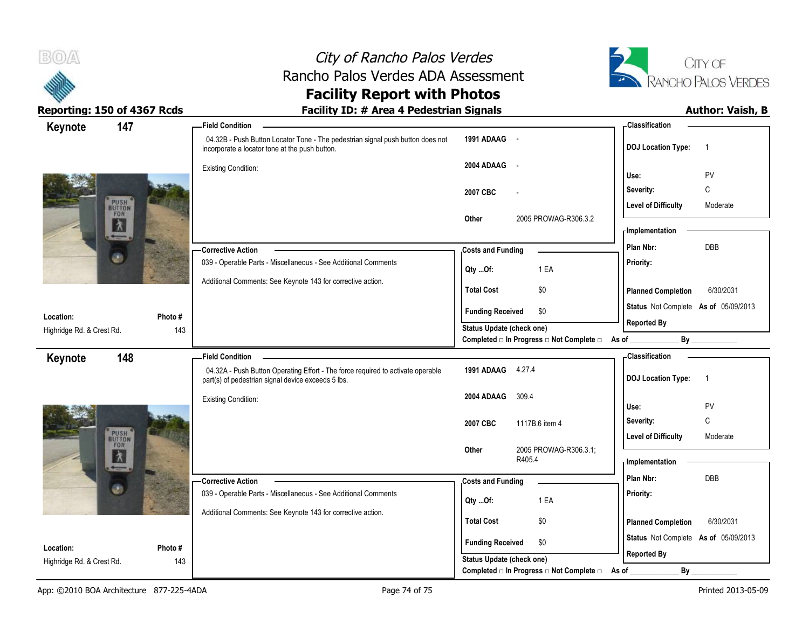

# City of Rancho Palos Verdes Rancho Palos Verdes ADA Assessment



# **Facility Report with Photos**

### Reporting: 150 of 4367 Rcds **Facility ID: # Area 4 Pedestrian Signals Facility ID: # Area 4 Pedestrian Signals**

| 147<br>Keynote                         |               | -Field Condition                                                                                                                      |                                                | - Classification                            |
|----------------------------------------|---------------|---------------------------------------------------------------------------------------------------------------------------------------|------------------------------------------------|---------------------------------------------|
|                                        |               | 04.32B - Push Button Locator Tone - The pedestrian signal push button does not<br>incorporate a locator tone at the push button.      | 1991 ADAAG -                                   | <b>DOJ Location Type:</b><br>$\overline{1}$ |
|                                        |               | <b>Existing Condition:</b>                                                                                                            | 2004 ADAAG -                                   |                                             |
|                                        |               |                                                                                                                                       |                                                | Use:<br>PV<br>C                             |
|                                        |               |                                                                                                                                       | 2007 CBC                                       | Severity:                                   |
| PUSH <sup>®</sup><br>BUTTON<br>FOR     |               |                                                                                                                                       | 2005 PROWAG-R306.3.2<br><b>Other</b>           | <b>Level of Difficulty</b><br>Moderate      |
| 木                                      |               |                                                                                                                                       |                                                | - Implementation                            |
| $\leftarrow$                           |               | - Corrective Action                                                                                                                   | <b>Costs and Funding</b>                       | DBB<br>Plan Nbr:                            |
| 40                                     |               | 039 - Operable Parts - Miscellaneous - See Additional Comments                                                                        |                                                | Priority:                                   |
|                                        |               | Additional Comments: See Keynote 143 for corrective action.                                                                           | Qty Of:<br>1 EA                                |                                             |
|                                        |               |                                                                                                                                       | <b>Total Cost</b><br>\$0                       | 6/30/2031<br><b>Planned Completion</b>      |
| Location:                              | Photo #       |                                                                                                                                       | \$0<br><b>Funding Received</b>                 | Status Not Complete As of 05/09/2013        |
| Highridge Rd. & Crest Rd.              | 143           |                                                                                                                                       | Status Update (check one)                      | <b>Reported By</b>                          |
|                                        |               |                                                                                                                                       | Completed □ In Progress □ Not Complete □ As of | <b>By</b>                                   |
| 148<br>Keynote                         |               | <b>Field Condition</b>                                                                                                                |                                                | <b>Classification</b>                       |
|                                        |               | 04.32A - Push Button Operating Effort - The force required to activate operable<br>part(s) of pedestrian signal device exceeds 5 lbs. | 1991 ADAAG 4.27.4                              | <b>DOJ Location Type:</b><br>$\overline{1}$ |
|                                        |               | <b>Existing Condition:</b>                                                                                                            | 2004 ADAAG<br>309.4                            |                                             |
|                                        |               |                                                                                                                                       |                                                | PV<br>Use:<br>C                             |
| PUSH <sup>®</sup>                      |               |                                                                                                                                       | 2007 CBC<br>1117B.6 item 4                     | Severity:                                   |
| FOR                                    |               |                                                                                                                                       | 2005 PROWAG-R306.3.1;<br>Other                 | <b>Level of Difficulty</b><br>Moderate      |
| 木                                      |               |                                                                                                                                       | R405.4                                         | - Implementation                            |
| $\leftarrow$                           |               | -Corrective Action                                                                                                                    | <b>Costs and Funding</b>                       | DBB<br>Plan Nbr:                            |
| Ø                                      |               | 039 - Operable Parts - Miscellaneous - See Additional Comments                                                                        |                                                | Priority:                                   |
|                                        |               |                                                                                                                                       | 1 EA<br>Qty Of:                                |                                             |
|                                        |               | Additional Comments: See Keynote 143 for corrective action.                                                                           | \$0<br><b>Total Cost</b>                       | <b>Planned Completion</b><br>6/30/2031      |
|                                        |               |                                                                                                                                       | <b>Funding Received</b><br>\$0                 | Status Not Complete As of 05/09/2013        |
| Location:<br>Highridge Rd. & Crest Rd. | Photo#<br>143 |                                                                                                                                       | Status Update (check one)                      | <b>Reported By</b>                          |
|                                        |               |                                                                                                                                       | Completed □ In Progress □ Not Complete □       | By<br>As of                                 |